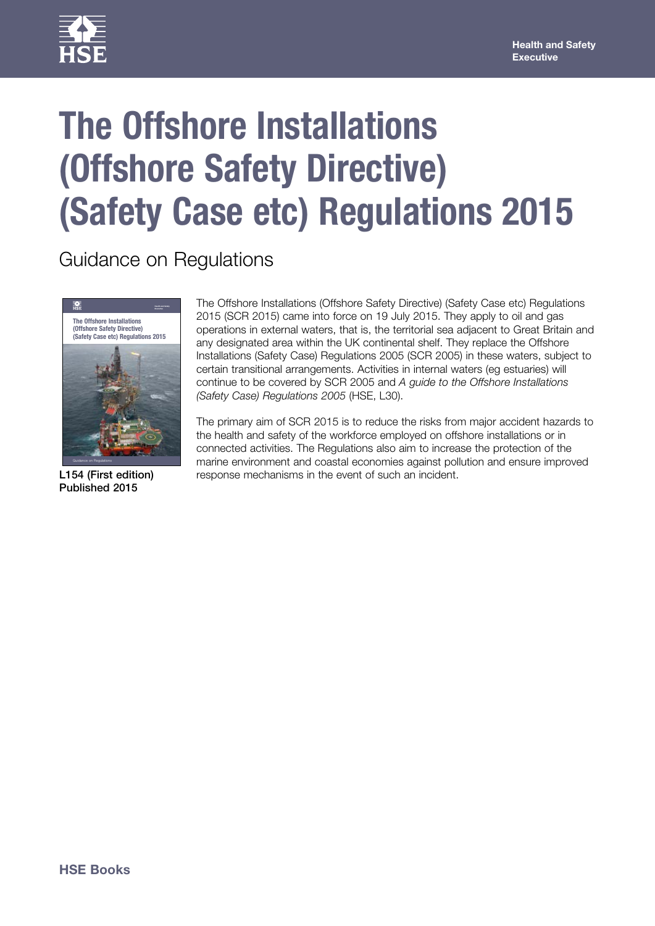

# **The Offshore Installations (Offshore Safety Directive) (Safety Case etc) Regulations 2015**

Guidance on Regulations



L154 (First edition) Published 2015

The Offshore Installations (Offshore Safety Directive) (Safety Case etc) Regulations 2015 (SCR 2015) came into force on 19 July 2015. They apply to oil and gas operations in external waters, that is, the territorial sea adjacent to Great Britain and any designated area within the UK continental shelf. They replace the Offshore Installations (Safety Case) Regulations 2005 (SCR 2005) in these waters, subject to certain transitional arrangements. Activities in internal waters (eg estuaries) will continue to be covered by SCR 2005 and *A guide to the Offshore Installations (Safety Case) Regulations 2005* (HSE, L30).

The primary aim of SCR 2015 is to reduce the risks from major accident hazards to the health and safety of the workforce employed on offshore installations or in connected activities. The Regulations also aim to increase the protection of the marine environment and coastal economies against pollution and ensure improved response mechanisms in the event of such an incident.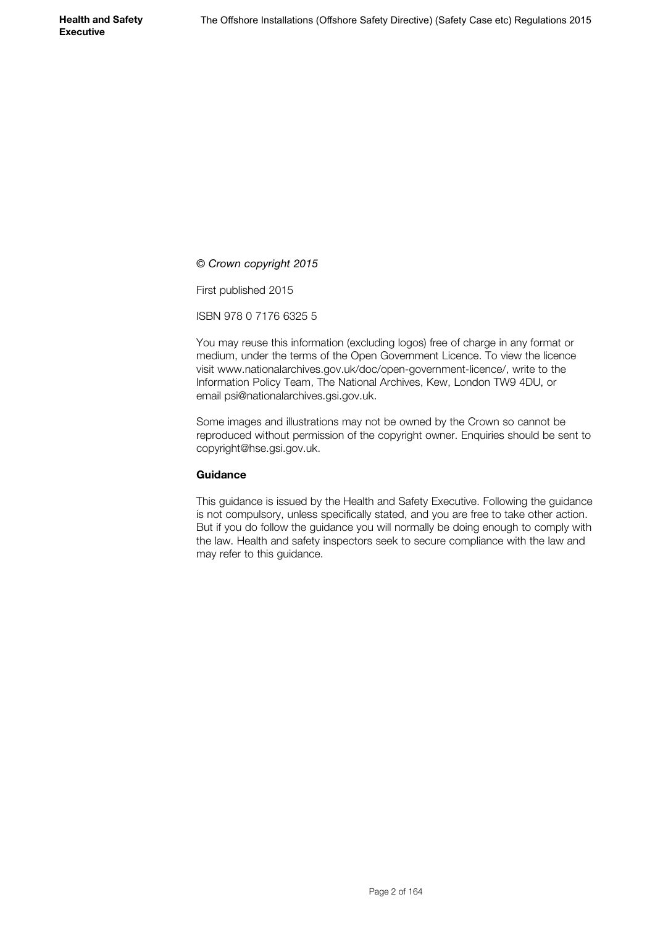*© Crown copyright 2015*

First published 2015

ISBN 978 0 7176 6325 5

You may reuse this information (excluding logos) free of charge in any format or medium, under the terms of the Open Government Licence. To view the licence visit www.nationalarchives.gov.uk/doc/open-government-licence/, write to the Information Policy Team, The National Archives, Kew, London TW9 4DU, or email psi@nationalarchives.gsi.gov.uk.

Some images and illustrations may not be owned by the Crown so cannot be reproduced without permission of the copyright owner. Enquiries should be sent to copyright@hse.gsi.gov.uk.

#### **Guidance**

This guidance is issued by the Health and Safety Executive. Following the guidance is not compulsory, unless specifically stated, and you are free to take other action. But if you do follow the guidance you will normally be doing enough to comply with the law. Health and safety inspectors seek to secure compliance with the law and may refer to this guidance.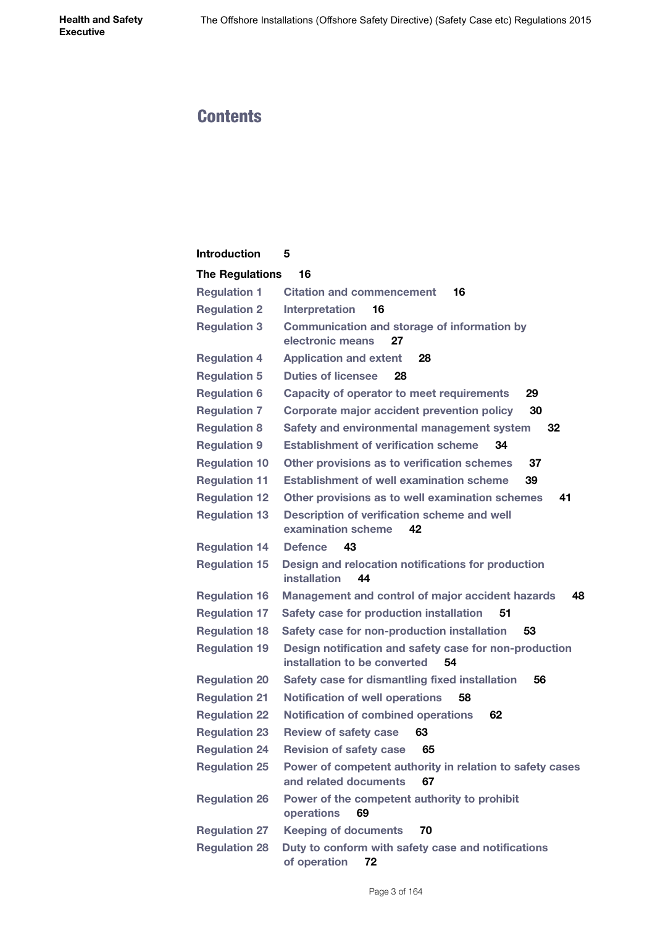# **Contents**

| <b>Introduction</b>    | 5                                                                                            |
|------------------------|----------------------------------------------------------------------------------------------|
| <b>The Regulations</b> | 16                                                                                           |
| <b>Regulation 1</b>    | <b>Citation and commencement</b><br>16                                                       |
| <b>Regulation 2</b>    | <b>Interpretation</b><br>16                                                                  |
| <b>Regulation 3</b>    | <b>Communication and storage of information by</b><br>electronic means<br>27                 |
| <b>Regulation 4</b>    | <b>Application and extent</b><br>28                                                          |
| <b>Regulation 5</b>    | <b>Duties of licensee</b><br>28                                                              |
| <b>Regulation 6</b>    | <b>Capacity of operator to meet requirements</b><br>29                                       |
| <b>Regulation 7</b>    | Corporate major accident prevention policy<br>30                                             |
| <b>Regulation 8</b>    | Safety and environmental management system<br>32                                             |
| <b>Regulation 9</b>    | <b>Establishment of verification scheme</b><br>34                                            |
| <b>Regulation 10</b>   | Other provisions as to verification schemes<br>37                                            |
| <b>Regulation 11</b>   | <b>Establishment of well examination scheme</b><br>39                                        |
| <b>Regulation 12</b>   | Other provisions as to well examination schemes<br>41                                        |
| <b>Regulation 13</b>   | Description of verification scheme and well<br>examination scheme<br>42                      |
| <b>Regulation 14</b>   | <b>Defence</b><br>43                                                                         |
| <b>Regulation 15</b>   | Design and relocation notifications for production<br>installation<br>44                     |
| <b>Regulation 16</b>   | 48<br>Management and control of major accident hazards                                       |
| <b>Regulation 17</b>   | Safety case for production installation<br>51                                                |
| <b>Regulation 18</b>   | Safety case for non-production installation<br>53                                            |
| <b>Regulation 19</b>   | Design notification and safety case for non-production<br>installation to be converted<br>54 |
| <b>Regulation 20</b>   | Safety case for dismantling fixed installation<br>56                                         |
| <b>Regulation 21</b>   | <b>Notification of well operations</b><br>58                                                 |
| <b>Regulation 22</b>   | <b>Notification of combined operations</b><br>62                                             |
| <b>Regulation 23</b>   | <b>Review of safety case</b><br>63                                                           |
| <b>Regulation 24</b>   | <b>Revision of safety case</b><br>65                                                         |
| <b>Regulation 25</b>   | Power of competent authority in relation to safety cases<br>and related documents<br>67      |
| <b>Regulation 26</b>   | Power of the competent authority to prohibit<br>operations<br>69                             |
| <b>Regulation 27</b>   | <b>Keeping of documents</b><br>70                                                            |
| <b>Regulation 28</b>   | Duty to conform with safety case and notifications<br>of operation<br>72                     |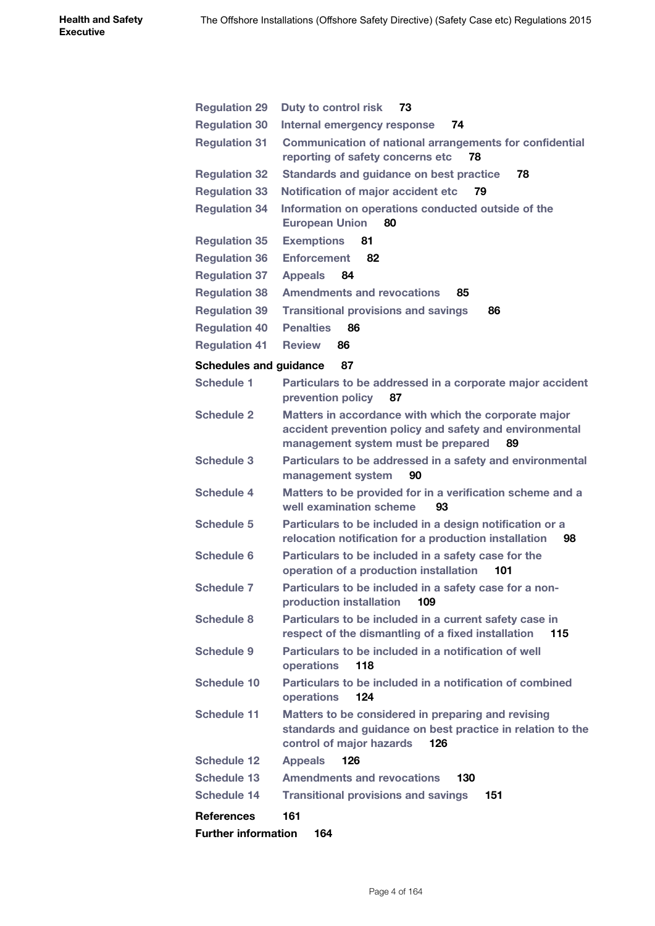| <b>Regulation 29</b>          | Duty to control risk<br>73                                                                                                                                  |
|-------------------------------|-------------------------------------------------------------------------------------------------------------------------------------------------------------|
| <b>Regulation 30</b>          | Internal emergency response<br>74                                                                                                                           |
| <b>Regulation 31</b>          | <b>Communication of national arrangements for confidential</b><br>reporting of safety concerns etc<br>78                                                    |
| <b>Regulation 32</b>          | Standards and guidance on best practice<br>78                                                                                                               |
| <b>Regulation 33</b>          | Notification of major accident etc<br>79                                                                                                                    |
| <b>Regulation 34</b>          | Information on operations conducted outside of the<br><b>European Union</b><br>80                                                                           |
| <b>Regulation 35</b>          | <b>Exemptions</b><br>81                                                                                                                                     |
| <b>Regulation 36</b>          | <b>Enforcement</b><br>82                                                                                                                                    |
| <b>Regulation 37</b>          | <b>Appeals</b><br>84                                                                                                                                        |
| <b>Regulation 38</b>          | <b>Amendments and revocations</b><br>85                                                                                                                     |
| <b>Regulation 39</b>          | <b>Transitional provisions and savings</b><br>86                                                                                                            |
| <b>Regulation 40</b>          | <b>Penalties</b><br>86                                                                                                                                      |
| <b>Regulation 41</b>          | <b>Review</b><br>86                                                                                                                                         |
|                               |                                                                                                                                                             |
| <b>Schedules and guidance</b> | 87                                                                                                                                                          |
| <b>Schedule 1</b>             | Particulars to be addressed in a corporate major accident<br>prevention policy<br>87                                                                        |
| <b>Schedule 2</b>             | Matters in accordance with which the corporate major<br>accident prevention policy and safety and environmental<br>management system must be prepared<br>89 |
| <b>Schedule 3</b>             | Particulars to be addressed in a safety and environmental<br>management system<br>90                                                                        |
| <b>Schedule 4</b>             | Matters to be provided for in a verification scheme and a<br>well examination scheme<br>93                                                                  |
| <b>Schedule 5</b>             | Particulars to be included in a design notification or a<br>relocation notification for a production installation<br>98                                     |
| <b>Schedule 6</b>             | Particulars to be included in a safety case for the<br>operation of a production installation<br>101                                                        |
| <b>Schedule 7</b>             | Particulars to be included in a safety case for a non-<br>production installation<br>109                                                                    |
| <b>Schedule 8</b>             | Particulars to be included in a current safety case in<br>respect of the dismantling of a fixed installation<br>115                                         |
| <b>Schedule 9</b>             | Particulars to be included in a notification of well<br>operations<br>118                                                                                   |
| <b>Schedule 10</b>            | Particulars to be included in a notification of combined<br>124<br>operations                                                                               |
| <b>Schedule 11</b>            | Matters to be considered in preparing and revising<br>standards and guidance on best practice in relation to the<br>control of major hazards<br>126         |
| <b>Schedule 12</b>            | <b>Appeals</b><br>126                                                                                                                                       |
| <b>Schedule 13</b>            | <b>Amendments and revocations</b><br>130                                                                                                                    |
| Schedule 14                   | <b>Transitional provisions and savings</b><br>151                                                                                                           |
| <b>References</b>             | 161                                                                                                                                                         |
| <b>Further information</b>    | 164                                                                                                                                                         |
|                               |                                                                                                                                                             |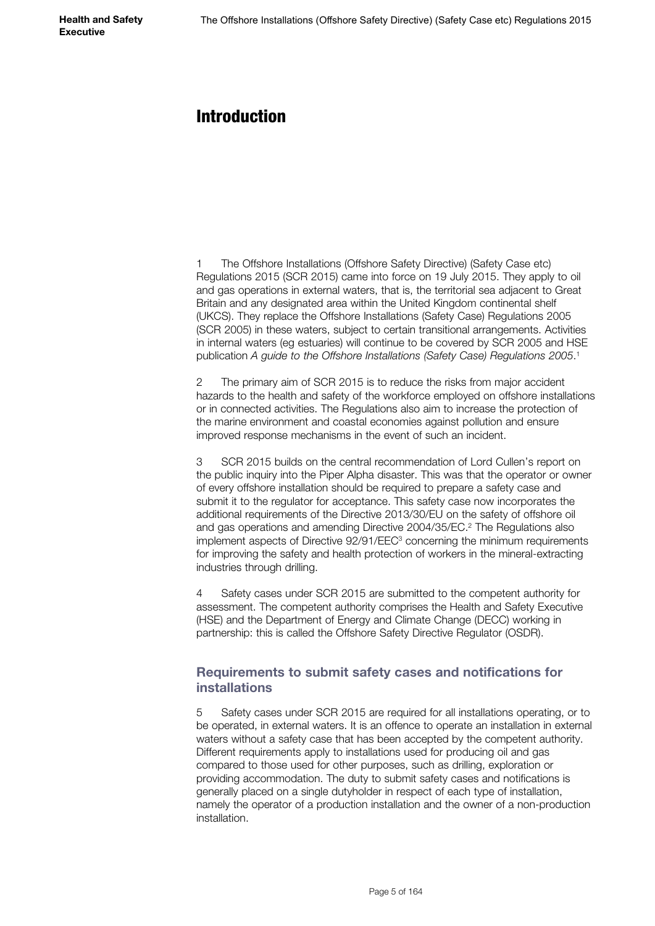# <span id="page-4-0"></span>Introduction

1 The Offshore Installations (Offshore Safety Directive) (Safety Case etc) Regulations 2015 (SCR 2015) came into force on 19 July 2015. They apply to oil and gas operations in external waters, that is, the territorial sea adjacent to Great Britain and any designated area within the United Kingdom continental shelf (UKCS). They replace the Offshore Installations (Safety Case) Regulations 2005 (SCR 2005) in these waters, subject to certain transitional arrangements. Activities in internal waters (eg estuaries) will continue to be covered by SCR 2005 and HSE publication *A guide to the Offshore Installations (Safety Case) Regulations 2005*. 1

2 The primary aim of SCR 2015 is to reduce the risks from major accident hazards to the health and safety of the workforce employed on offshore installations or in connected activities. The Regulations also aim to increase the protection of the marine environment and coastal economies against pollution and ensure improved response mechanisms in the event of such an incident.

3 SCR 2015 builds on the central recommendation of Lord Cullen's report on the public inquiry into the Piper Alpha disaster. This was that the operator or owner of every offshore installation should be required to prepare a safety case and submit it to the regulator for acceptance. This safety case now incorporates the additional requirements of the Directive 2013/30/EU on the safety of offshore oil and gas operations and amending Directive 2004/35/EC.2 The Regulations also implement aspects of Directive 92/91/EEC<sup>3</sup> concerning the minimum requirements for improving the safety and health protection of workers in the mineral-extracting industries through drilling.

4 Safety cases under SCR 2015 are submitted to the competent authority for assessment. The competent authority comprises the Health and Safety Executive (HSE) and the Department of Energy and Climate Change (DECC) working in partnership: this is called the Offshore Safety Directive Regulator (OSDR).

### **Requirements to submit safety cases and notifications for installations**

5 Safety cases under SCR 2015 are required for all installations operating, or to be operated, in external waters. It is an offence to operate an installation in external waters without a safety case that has been accepted by the competent authority. Different requirements apply to installations used for producing oil and gas compared to those used for other purposes, such as drilling, exploration or providing accommodation. The duty to submit safety cases and notifications is generally placed on a single dutyholder in respect of each type of installation, namely the operator of a production installation and the owner of a non-production installation.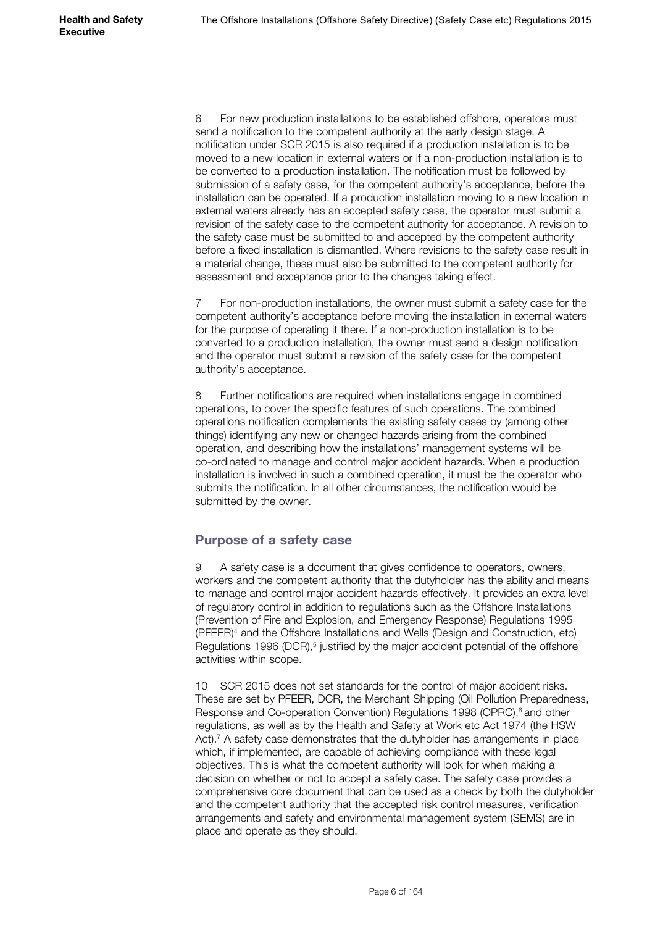6 For new production installations to be established offshore, operators must send a notification to the competent authority at the early design stage. A notification under SCR 2015 is also required if a production installation is to be moved to a new location in external waters or if a non-production installation is to be converted to a production installation. The notification must be followed by submission of a safety case, for the competent authority's acceptance, before the installation can be operated. If a production installation moving to a new location in external waters already has an accepted safety case, the operator must submit a revision of the safety case to the competent authority for acceptance. A revision to the safety case must be submitted to and accepted by the competent authority before a fixed installation is dismantled. Where revisions to the safety case result in a material change, these must also be submitted to the competent authority for assessment and acceptance prior to the changes taking effect.

7 For non-production installations, the owner must submit a safety case for the competent authority's acceptance before moving the installation in external waters for the purpose of operating it there. If a non-production installation is to be converted to a production installation, the owner must send a design notification and the operator must submit a revision of the safety case for the competent authority's acceptance.

8 Further notifications are required when installations engage in combined operations, to cover the specific features of such operations. The combined operations notification complements the existing safety cases by (among other things) identifying any new or changed hazards arising from the combined operation, and describing how the installations' management systems will be co-ordinated to manage and control major accident hazards. When a production installation is involved in such a combined operation, it must be the operator who submits the notification. In all other circumstances, the notification would be submitted by the owner.

## **Purpose of a safety case**

9 A safety case is a document that gives confidence to operators, owners, workers and the competent authority that the dutyholder has the ability and means to manage and control major accident hazards effectively. It provides an extra level of regulatory control in addition to regulations such as the Offshore Installations (Prevention of Fire and Explosion, and Emergency Response) Regulations 1995 (PFEER)4 and the Offshore Installations and Wells (Design and Construction, etc) Regulations 1996 (DCR),<sup>5</sup> justified by the major accident potential of the offshore activities within scope.

10 SCR 2015 does not set standards for the control of major accident risks. These are set by PFEER, DCR, the Merchant Shipping (Oil Pollution Preparedness, Response and Co-operation Convention) Regulations 1998 (OPRC),<sup>6</sup> and other regulations, as well as by the Health and Safety at Work etc Act 1974 (the HSW Act).<sup>7</sup> A safety case demonstrates that the dutyholder has arrangements in place which, if implemented, are capable of achieving compliance with these legal objectives. This is what the competent authority will look for when making a decision on whether or not to accept a safety case. The safety case provides a comprehensive core document that can be used as a check by both the dutyholder and the competent authority that the accepted risk control measures, verification arrangements and safety and environmental management system (SEMS) are in place and operate as they should.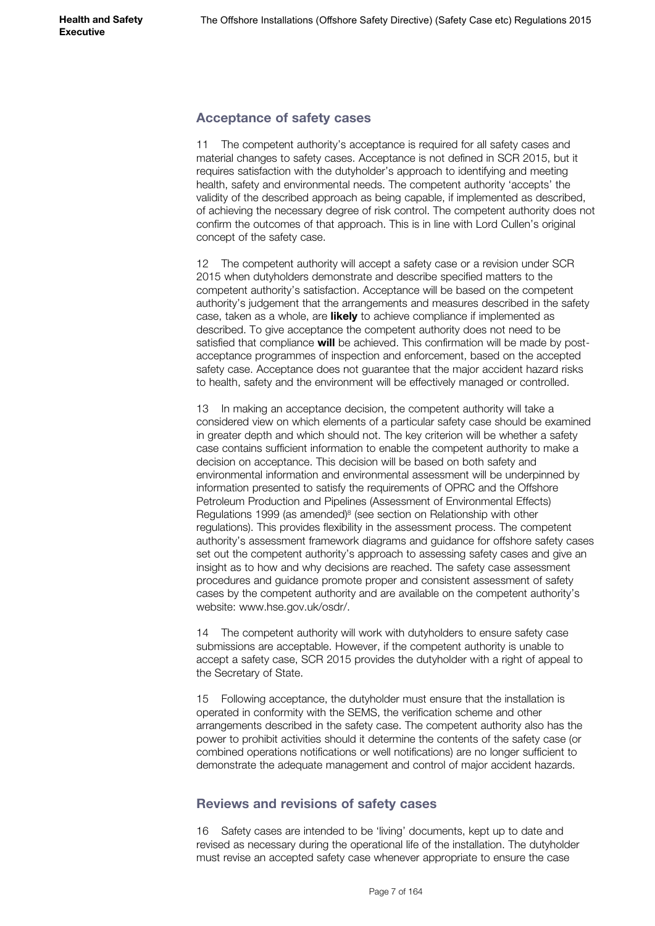### **Acceptance of safety cases**

11 The competent authority's acceptance is required for all safety cases and material changes to safety cases. Acceptance is not defined in SCR 2015, but it requires satisfaction with the dutyholder's approach to identifying and meeting health, safety and environmental needs. The competent authority 'accepts' the validity of the described approach as being capable, if implemented as described, of achieving the necessary degree of risk control. The competent authority does not confirm the outcomes of that approach. This is in line with Lord Cullen's original concept of the safety case.

12 The competent authority will accept a safety case or a revision under SCR 2015 when dutyholders demonstrate and describe specified matters to the competent authority's satisfaction. Acceptance will be based on the competent authority's judgement that the arrangements and measures described in the safety case, taken as a whole, are **likely** to achieve compliance if implemented as described. To give acceptance the competent authority does not need to be satisfied that compliance **will** be achieved. This confirmation will be made by postacceptance programmes of inspection and enforcement, based on the accepted safety case. Acceptance does not guarantee that the major accident hazard risks to health, safety and the environment will be effectively managed or controlled.

13 In making an acceptance decision, the competent authority will take a considered view on which elements of a particular safety case should be examined in greater depth and which should not. The key criterion will be whether a safety case contains sufficient information to enable the competent authority to make a decision on acceptance. This decision will be based on both safety and environmental information and environmental assessment will be underpinned by information presented to satisfy the requirements of OPRC and the Offshore Petroleum Production and Pipelines (Assessment of Environmental Effects) Regulations 1999 (as amended)<sup>8</sup> (see section on Relationship with other regulations). This provides flexibility in the assessment process. The competent authority's assessment framework diagrams and guidance for offshore safety cases set out the competent authority's approach to assessing safety cases and give an insight as to how and why decisions are reached. The safety case assessment procedures and guidance promote proper and consistent assessment of safety cases by the competent authority and are available on the competent authority's website: www.hse.gov.uk/osdr/.

14 The competent authority will work with dutyholders to ensure safety case submissions are acceptable. However, if the competent authority is unable to accept a safety case, SCR 2015 provides the dutyholder with a right of appeal to the Secretary of State.

15 Following acceptance, the dutyholder must ensure that the installation is operated in conformity with the SEMS, the verification scheme and other arrangements described in the safety case. The competent authority also has the power to prohibit activities should it determine the contents of the safety case (or combined operations notifications or well notifications) are no longer sufficient to demonstrate the adequate management and control of major accident hazards.

### **Reviews and revisions of safety cases**

16 Safety cases are intended to be 'living' documents, kept up to date and revised as necessary during the operational life of the installation. The dutyholder must revise an accepted safety case whenever appropriate to ensure the case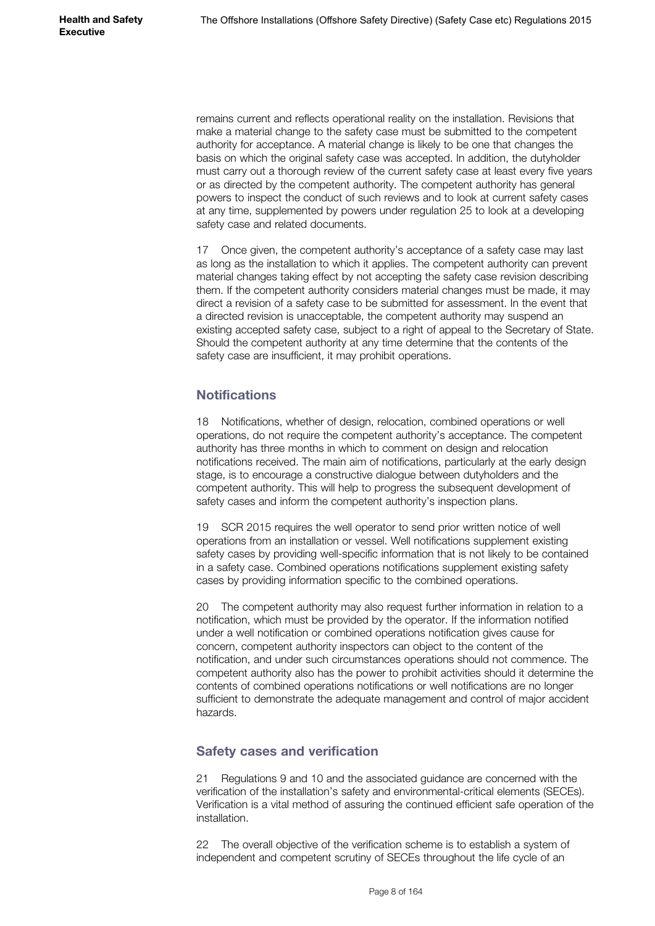remains current and reflects operational reality on the installation. Revisions that make a material change to the safety case must be submitted to the competent authority for acceptance. A material change is likely to be one that changes the basis on which the original safety case was accepted. In addition, the dutyholder must carry out a thorough review of the current safety case at least every five years or as directed by the competent authority. The competent authority has general powers to inspect the conduct of such reviews and to look at current safety cases at any time, supplemented by powers under regulation 25 to look at a developing safety case and related documents.

17 Once given, the competent authority's acceptance of a safety case may last as long as the installation to which it applies. The competent authority can prevent material changes taking effect by not accepting the safety case revision describing them. If the competent authority considers material changes must be made, it may direct a revision of a safety case to be submitted for assessment. In the event that a directed revision is unacceptable, the competent authority may suspend an existing accepted safety case, subject to a right of appeal to the Secretary of State. Should the competent authority at any time determine that the contents of the safety case are insufficient, it may prohibit operations.

## **Notifications**

18 Notifications, whether of design, relocation, combined operations or well operations, do not require the competent authority's acceptance. The competent authority has three months in which to comment on design and relocation notifications received. The main aim of notifications, particularly at the early design stage, is to encourage a constructive dialogue between dutyholders and the competent authority. This will help to progress the subsequent development of safety cases and inform the competent authority's inspection plans.

19 SCR 2015 requires the well operator to send prior written notice of well operations from an installation or vessel. Well notifications supplement existing safety cases by providing well-specific information that is not likely to be contained in a safety case. Combined operations notifications supplement existing safety cases by providing information specific to the combined operations.

20 The competent authority may also request further information in relation to a notification, which must be provided by the operator. If the information notified under a well notification or combined operations notification gives cause for concern, competent authority inspectors can object to the content of the notification, and under such circumstances operations should not commence. The competent authority also has the power to prohibit activities should it determine the contents of combined operations notifications or well notifications are no longer sufficient to demonstrate the adequate management and control of major accident hazards.

## **Safety cases and verification**

21 Regulations 9 and 10 and the associated guidance are concerned with the verification of the installation's safety and environmental-critical elements (SECEs). Verification is a vital method of assuring the continued efficient safe operation of the installation.

22 The overall objective of the verification scheme is to establish a system of independent and competent scrutiny of SECEs throughout the life cycle of an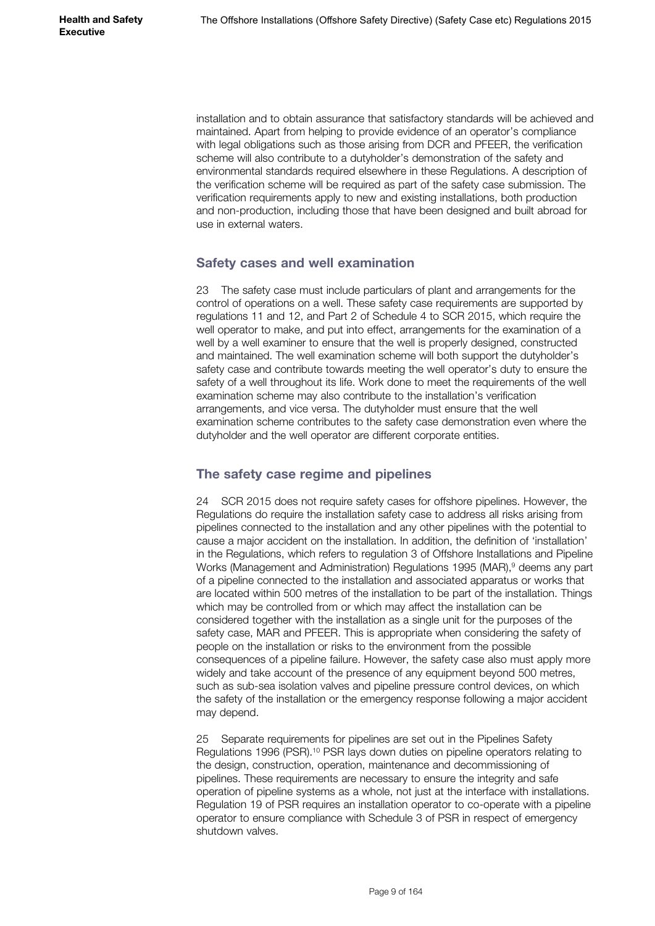installation and to obtain assurance that satisfactory standards will be achieved and maintained. Apart from helping to provide evidence of an operator's compliance with legal obligations such as those arising from DCR and PFEER, the verification scheme will also contribute to a dutyholder's demonstration of the safety and environmental standards required elsewhere in these Regulations. A description of the verification scheme will be required as part of the safety case submission. The verification requirements apply to new and existing installations, both production and non-production, including those that have been designed and built abroad for use in external waters.

### **Safety cases and well examination**

23 The safety case must include particulars of plant and arrangements for the control of operations on a well. These safety case requirements are supported by regulations 11 and 12, and Part 2 of Schedule 4 to SCR 2015, which require the well operator to make, and put into effect, arrangements for the examination of a well by a well examiner to ensure that the well is properly designed, constructed and maintained. The well examination scheme will both support the dutyholder's safety case and contribute towards meeting the well operator's duty to ensure the safety of a well throughout its life. Work done to meet the requirements of the well examination scheme may also contribute to the installation's verification arrangements, and vice versa. The dutyholder must ensure that the well examination scheme contributes to the safety case demonstration even where the dutyholder and the well operator are different corporate entities.

## **The safety case regime and pipelines**

24 SCR 2015 does not require safety cases for offshore pipelines. However, the Regulations do require the installation safety case to address all risks arising from pipelines connected to the installation and any other pipelines with the potential to cause a major accident on the installation. In addition, the definition of 'installation' in the Regulations, which refers to regulation 3 of Offshore Installations and Pipeline Works (Management and Administration) Regulations 1995 (MAR),<sup>9</sup> deems any part of a pipeline connected to the installation and associated apparatus or works that are located within 500 metres of the installation to be part of the installation. Things which may be controlled from or which may affect the installation can be considered together with the installation as a single unit for the purposes of the safety case, MAR and PFEER. This is appropriate when considering the safety of people on the installation or risks to the environment from the possible consequences of a pipeline failure. However, the safety case also must apply more widely and take account of the presence of any equipment beyond 500 metres, such as sub-sea isolation valves and pipeline pressure control devices, on which the safety of the installation or the emergency response following a major accident may depend.

25 Separate requirements for pipelines are set out in the Pipelines Safety Regulations 1996 (PSR).10 PSR lays down duties on pipeline operators relating to the design, construction, operation, maintenance and decommissioning of pipelines. These requirements are necessary to ensure the integrity and safe operation of pipeline systems as a whole, not just at the interface with installations. Regulation 19 of PSR requires an installation operator to co-operate with a pipeline operator to ensure compliance with Schedule 3 of PSR in respect of emergency shutdown valves.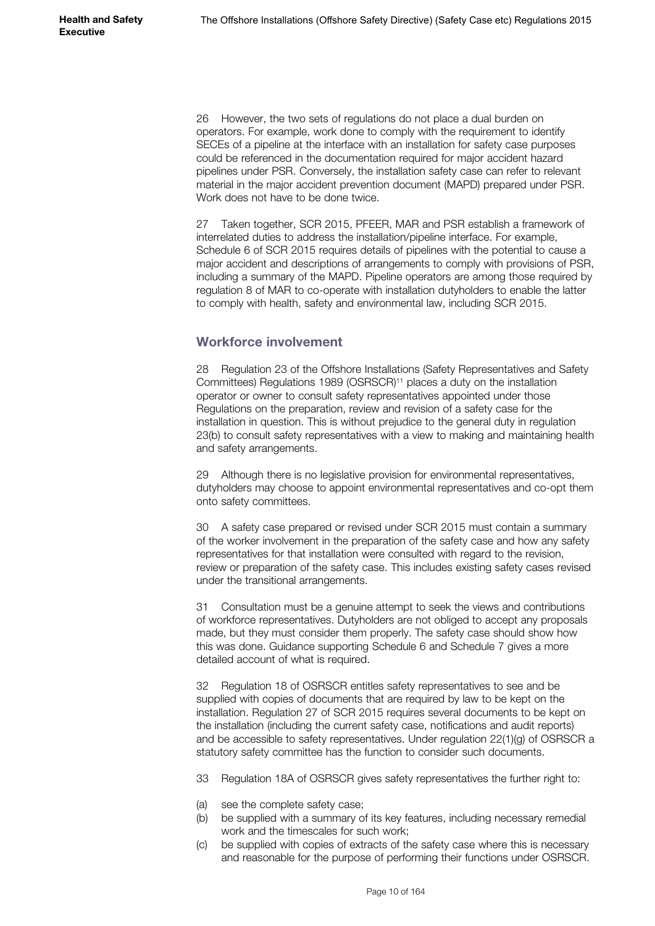26 However, the two sets of regulations do not place a dual burden on operators. For example, work done to comply with the requirement to identify SECEs of a pipeline at the interface with an installation for safety case purposes could be referenced in the documentation required for major accident hazard pipelines under PSR. Conversely, the installation safety case can refer to relevant material in the major accident prevention document (MAPD) prepared under PSR. Work does not have to be done twice.

27 Taken together, SCR 2015, PFEER, MAR and PSR establish a framework of interrelated duties to address the installation/pipeline interface. For example, Schedule 6 of SCR 2015 requires details of pipelines with the potential to cause a major accident and descriptions of arrangements to comply with provisions of PSR, including a summary of the MAPD. Pipeline operators are among those required by regulation 8 of MAR to co-operate with installation dutyholders to enable the latter to comply with health, safety and environmental law, including SCR 2015.

### **Workforce involvement**

28 Regulation 23 of the Offshore Installations (Safety Representatives and Safety Committees) Regulations 1989 (OSRSCR)11 places a duty on the installation operator or owner to consult safety representatives appointed under those Regulations on the preparation, review and revision of a safety case for the installation in question. This is without prejudice to the general duty in regulation 23(b) to consult safety representatives with a view to making and maintaining health and safety arrangements.

29 Although there is no legislative provision for environmental representatives, dutyholders may choose to appoint environmental representatives and co-opt them onto safety committees.

30 A safety case prepared or revised under SCR 2015 must contain a summary of the worker involvement in the preparation of the safety case and how any safety representatives for that installation were consulted with regard to the revision, review or preparation of the safety case. This includes existing safety cases revised under the transitional arrangements.

31 Consultation must be a genuine attempt to seek the views and contributions of workforce representatives. Dutyholders are not obliged to accept any proposals made, but they must consider them properly. The safety case should show how this was done. Guidance supporting Schedule 6 and Schedule 7 gives a more detailed account of what is required.

32 Regulation 18 of OSRSCR entitles safety representatives to see and be supplied with copies of documents that are required by law to be kept on the installation. Regulation 27 of SCR 2015 requires several documents to be kept on the installation (including the current safety case, notifications and audit reports) and be accessible to safety representatives. Under regulation 22(1)(g) of OSRSCR a statutory safety committee has the function to consider such documents.

- 33 Regulation 18A of OSRSCR gives safety representatives the further right to:
- (a) see the complete safety case;
- (b) be supplied with a summary of its key features, including necessary remedial work and the timescales for such work;
- (c) be supplied with copies of extracts of the safety case where this is necessary and reasonable for the purpose of performing their functions under OSRSCR.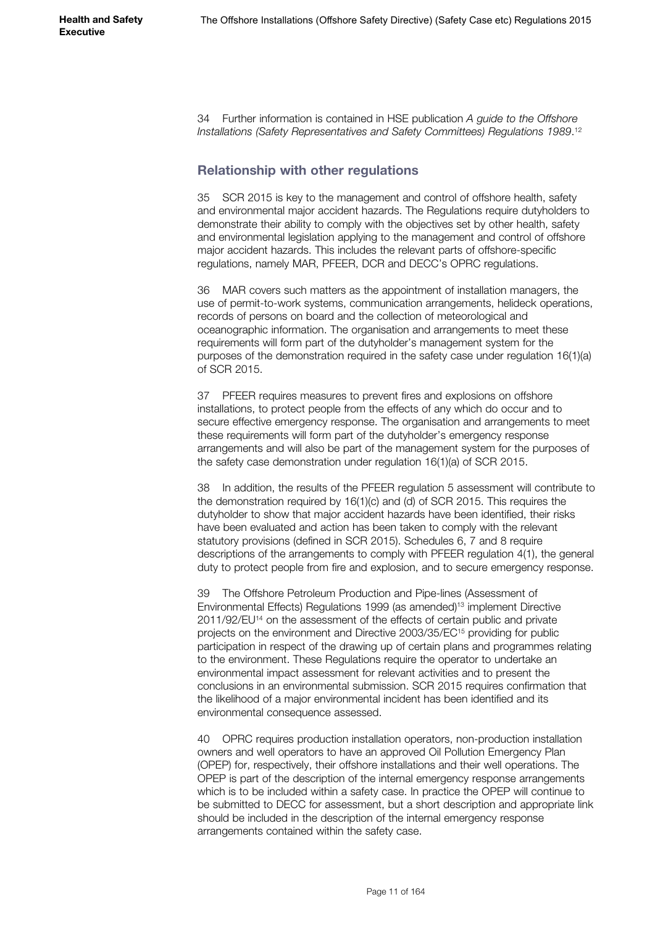34 Further information is contained in HSE publication *A guide to the Offshore*  Installations (Safety Representatives and Safety Committees) Regulations 1989.<sup>12</sup>

### **Relationship with other regulations**

35 SCR 2015 is key to the management and control of offshore health, safety and environmental major accident hazards. The Regulations require dutyholders to demonstrate their ability to comply with the objectives set by other health, safety and environmental legislation applying to the management and control of offshore major accident hazards. This includes the relevant parts of offshore-specific regulations, namely MAR, PFEER, DCR and DECC's OPRC regulations.

36 MAR covers such matters as the appointment of installation managers, the use of permit-to-work systems, communication arrangements, helideck operations, records of persons on board and the collection of meteorological and oceanographic information. The organisation and arrangements to meet these requirements will form part of the dutyholder's management system for the purposes of the demonstration required in the safety case under regulation 16(1)(a) of SCR 2015.

37 PFEER requires measures to prevent fires and explosions on offshore installations, to protect people from the effects of any which do occur and to secure effective emergency response. The organisation and arrangements to meet these requirements will form part of the dutyholder's emergency response arrangements and will also be part of the management system for the purposes of the safety case demonstration under regulation 16(1)(a) of SCR 2015.

38 In addition, the results of the PFEER regulation 5 assessment will contribute to the demonstration required by 16(1)(c) and (d) of SCR 2015. This requires the dutyholder to show that major accident hazards have been identified, their risks have been evaluated and action has been taken to comply with the relevant statutory provisions (defined in SCR 2015). Schedules 6, 7 and 8 require descriptions of the arrangements to comply with PFEER regulation 4(1), the general duty to protect people from fire and explosion, and to secure emergency response.

39 The Offshore Petroleum Production and Pipe-lines (Assessment of Environmental Effects) Regulations 1999 (as amended)13 implement Directive 2011/92/EU<sup>14</sup> on the assessment of the effects of certain public and private projects on the environment and Directive 2003/35/EC15 providing for public participation in respect of the drawing up of certain plans and programmes relating to the environment. These Regulations require the operator to undertake an environmental impact assessment for relevant activities and to present the conclusions in an environmental submission. SCR 2015 requires confirmation that the likelihood of a major environmental incident has been identified and its environmental consequence assessed.

40 OPRC requires production installation operators, non-production installation owners and well operators to have an approved Oil Pollution Emergency Plan (OPEP) for, respectively, their offshore installations and their well operations. The OPEP is part of the description of the internal emergency response arrangements which is to be included within a safety case. In practice the OPEP will continue to be submitted to DECC for assessment, but a short description and appropriate link should be included in the description of the internal emergency response arrangements contained within the safety case.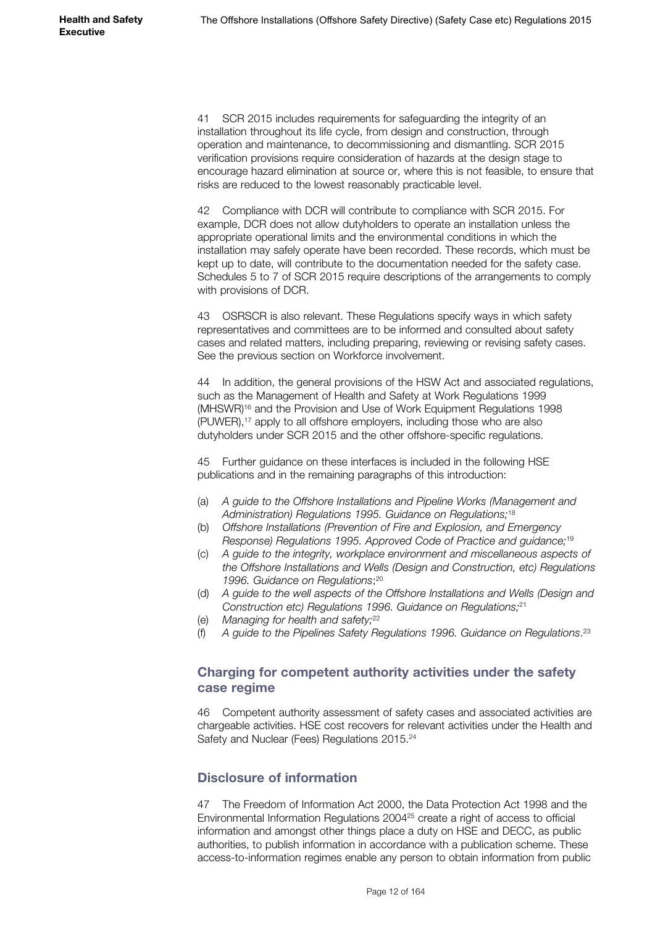41 SCR 2015 includes requirements for safeguarding the integrity of an installation throughout its life cycle, from design and construction, through operation and maintenance, to decommissioning and dismantling. SCR 2015 verification provisions require consideration of hazards at the design stage to encourage hazard elimination at source or, where this is not feasible, to ensure that risks are reduced to the lowest reasonably practicable level.

42 Compliance with DCR will contribute to compliance with SCR 2015. For example, DCR does not allow dutyholders to operate an installation unless the appropriate operational limits and the environmental conditions in which the installation may safely operate have been recorded. These records, which must be kept up to date, will contribute to the documentation needed for the safety case. Schedules 5 to 7 of SCR 2015 require descriptions of the arrangements to comply with provisions of DCR.

43 OSRSCR is also relevant. These Regulations specify ways in which safety representatives and committees are to be informed and consulted about safety cases and related matters, including preparing, reviewing or revising safety cases. See the previous section on Workforce involvement.

44 In addition, the general provisions of the HSW Act and associated regulations, such as the Management of Health and Safety at Work Regulations 1999 (MHSWR)16 and the Provision and Use of Work Equipment Regulations 1998 (PUWER),17 apply to all offshore employers, including those who are also dutyholders under SCR 2015 and the other offshore-specific regulations.

45 Further guidance on these interfaces is included in the following HSE publications and in the remaining paragraphs of this introduction:

- (a) *A guide to the Offshore Installations and Pipeline Works (Management and Administration) Regulations 1995. Guidance on Regulations;* 18
- (b) *Offshore Installations (Prevention of Fire and Explosion, and Emergency Response) Regulations 1995. Approved Code of Practice and guidance;*<sup>19</sup>
- (c) *A guide to the integrity, workplace environment and miscellaneous aspects of the Offshore Installations and Wells (Design and Construction, etc) Regulations 1996. Guidance on Regulations*; 20
- (d) *A guide to the well aspects of the Offshore Installations and Wells (Design and Construction etc) Regulations 1996. Guidance on Regulations;*<sup>21</sup>
- (e) *Managing for health and safety;*<sup>22</sup>
- (f) *A guide to the Pipelines Safety Regulations 1996. Guidance on Regulations*. 23

### **Charging for competent authority activities under the safety case regime**

46 Competent authority assessment of safety cases and associated activities are chargeable activities. HSE cost recovers for relevant activities under the Health and Safety and Nuclear (Fees) Regulations 2015.24

## **Disclosure of information**

47 The Freedom of Information Act 2000, the Data Protection Act 1998 and the Environmental Information Regulations 200425 create a right of access to official information and amongst other things place a duty on HSE and DECC, as public authorities, to publish information in accordance with a publication scheme. These access-to-information regimes enable any person to obtain information from public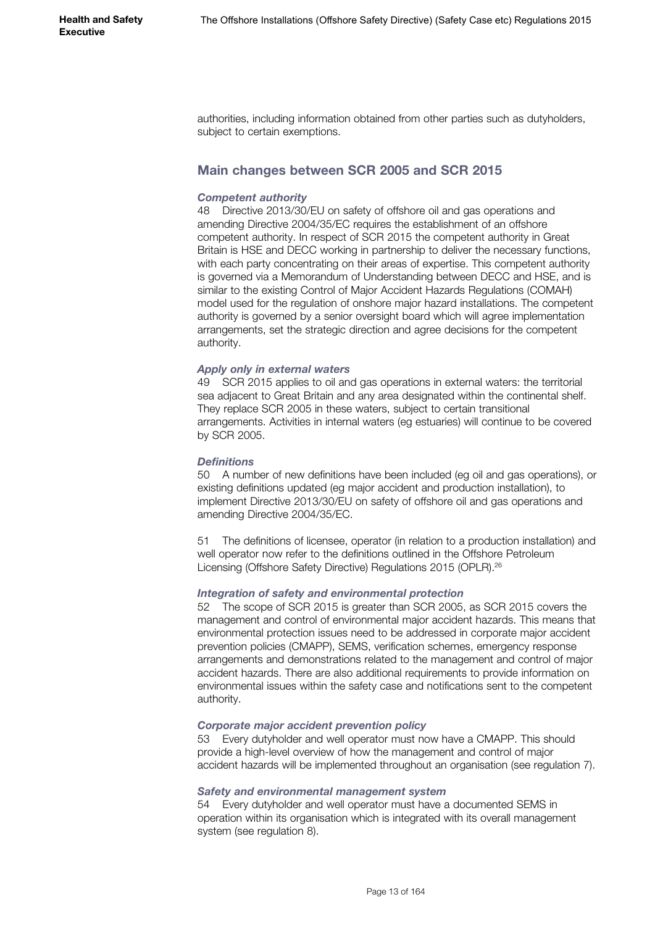authorities, including information obtained from other parties such as dutyholders, subject to certain exemptions.

### **Main changes between SCR 2005 and SCR 2015**

#### *Competent authority*

48 Directive 2013/30/EU on safety of offshore oil and gas operations and amending Directive 2004/35/EC requires the establishment of an offshore competent authority. In respect of SCR 2015 the competent authority in Great Britain is HSE and DECC working in partnership to deliver the necessary functions, with each party concentrating on their areas of expertise. This competent authority is governed via a Memorandum of Understanding between DECC and HSE, and is similar to the existing Control of Major Accident Hazards Regulations (COMAH) model used for the regulation of onshore major hazard installations. The competent authority is governed by a senior oversight board which will agree implementation arrangements, set the strategic direction and agree decisions for the competent authority.

#### *Apply only in external waters*

49 SCR 2015 applies to oil and gas operations in external waters: the territorial sea adjacent to Great Britain and any area designated within the continental shelf. They replace SCR 2005 in these waters, subject to certain transitional arrangements. Activities in internal waters (eg estuaries) will continue to be covered by SCR 2005.

#### *Definitions*

50 A number of new definitions have been included (eg oil and gas operations), or existing definitions updated (eg major accident and production installation), to implement Directive 2013/30/EU on safety of offshore oil and gas operations and amending Directive 2004/35/EC.

51 The definitions of licensee, operator (in relation to a production installation) and well operator now refer to the definitions outlined in the Offshore Petroleum Licensing (Offshore Safety Directive) Regulations 2015 (OPLR).26

#### *Integration of safety and environmental protection*

52 The scope of SCR 2015 is greater than SCR 2005, as SCR 2015 covers the management and control of environmental major accident hazards. This means that environmental protection issues need to be addressed in corporate major accident prevention policies (CMAPP), SEMS, verification schemes, emergency response arrangements and demonstrations related to the management and control of major accident hazards. There are also additional requirements to provide information on environmental issues within the safety case and notifications sent to the competent authority.

#### *Corporate major accident prevention policy*

53 Every dutyholder and well operator must now have a CMAPP. This should provide a high-level overview of how the management and control of major accident hazards will be implemented throughout an organisation (see regulation 7).

#### *Safety and environmental management system*

54 Every dutyholder and well operator must have a documented SEMS in operation within its organisation which is integrated with its overall management system (see regulation 8).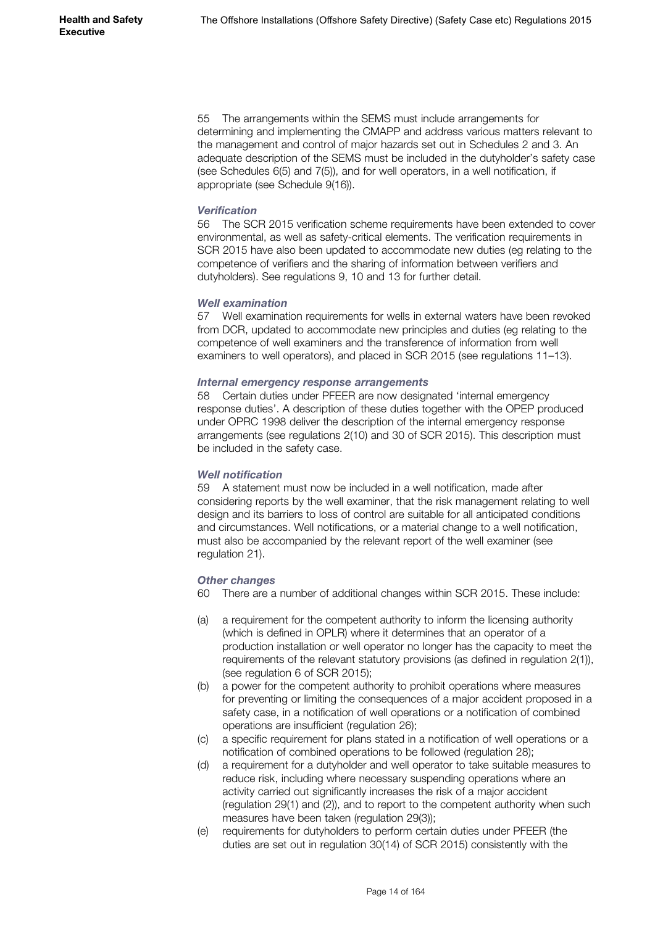55 The arrangements within the SEMS must include arrangements for determining and implementing the CMAPP and address various matters relevant to the management and control of major hazards set out in Schedules 2 and 3. An adequate description of the SEMS must be included in the dutyholder's safety case (see Schedules 6(5) and 7(5)), and for well operators, in a well notification, if appropriate (see Schedule 9(16)).

#### *Verification*

56 The SCR 2015 verification scheme requirements have been extended to cover environmental, as well as safety-critical elements. The verification requirements in SCR 2015 have also been updated to accommodate new duties (eg relating to the competence of verifiers and the sharing of information between verifiers and dutyholders). See regulations 9, 10 and 13 for further detail.

#### *Well examination*

57 Well examination requirements for wells in external waters have been revoked from DCR, updated to accommodate new principles and duties (eg relating to the competence of well examiners and the transference of information from well examiners to well operators), and placed in SCR 2015 (see regulations 11–13).

#### *Internal emergency response arrangements*

58 Certain duties under PFEER are now designated 'internal emergency response duties'. A description of these duties together with the OPEP produced under OPRC 1998 deliver the description of the internal emergency response arrangements (see regulations 2(10) and 30 of SCR 2015). This description must be included in the safety case.

#### *Well notification*

59 A statement must now be included in a well notification, made after considering reports by the well examiner, that the risk management relating to well design and its barriers to loss of control are suitable for all anticipated conditions and circumstances. Well notifications, or a material change to a well notification, must also be accompanied by the relevant report of the well examiner (see regulation 21).

#### *Other changes*

- 60 There are a number of additional changes within SCR 2015. These include:
- (a) a requirement for the competent authority to inform the licensing authority (which is defined in OPLR) where it determines that an operator of a production installation or well operator no longer has the capacity to meet the requirements of the relevant statutory provisions (as defined in regulation 2(1)), (see regulation 6 of SCR 2015);
- (b) a power for the competent authority to prohibit operations where measures for preventing or limiting the consequences of a major accident proposed in a safety case, in a notification of well operations or a notification of combined operations are insufficient (regulation 26);
- (c) a specific requirement for plans stated in a notification of well operations or a notification of combined operations to be followed (regulation 28);
- (d) a requirement for a dutyholder and well operator to take suitable measures to reduce risk, including where necessary suspending operations where an activity carried out significantly increases the risk of a major accident (regulation 29(1) and (2)), and to report to the competent authority when such measures have been taken (regulation 29(3));
- (e) requirements for dutyholders to perform certain duties under PFEER (the duties are set out in regulation 30(14) of SCR 2015) consistently with the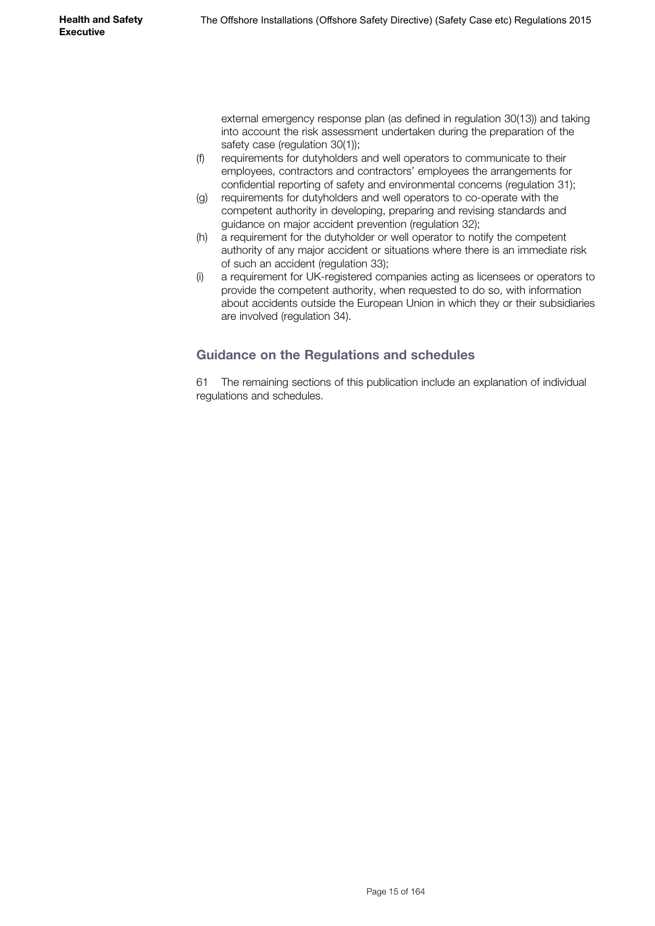external emergency response plan (as defined in regulation 30(13)) and taking into account the risk assessment undertaken during the preparation of the safety case (regulation 30(1));

- (f) requirements for dutyholders and well operators to communicate to their employees, contractors and contractors' employees the arrangements for confidential reporting of safety and environmental concerns (regulation 31);
- (g) requirements for dutyholders and well operators to co-operate with the competent authority in developing, preparing and revising standards and guidance on major accident prevention (regulation 32);
- (h) a requirement for the dutyholder or well operator to notify the competent authority of any major accident or situations where there is an immediate risk of such an accident (regulation 33);
- (i) a requirement for UK-registered companies acting as licensees or operators to provide the competent authority, when requested to do so, with information about accidents outside the European Union in which they or their subsidiaries are involved (regulation 34).

# **Guidance on the Regulations and schedules**

61 The remaining sections of this publication include an explanation of individual regulations and schedules.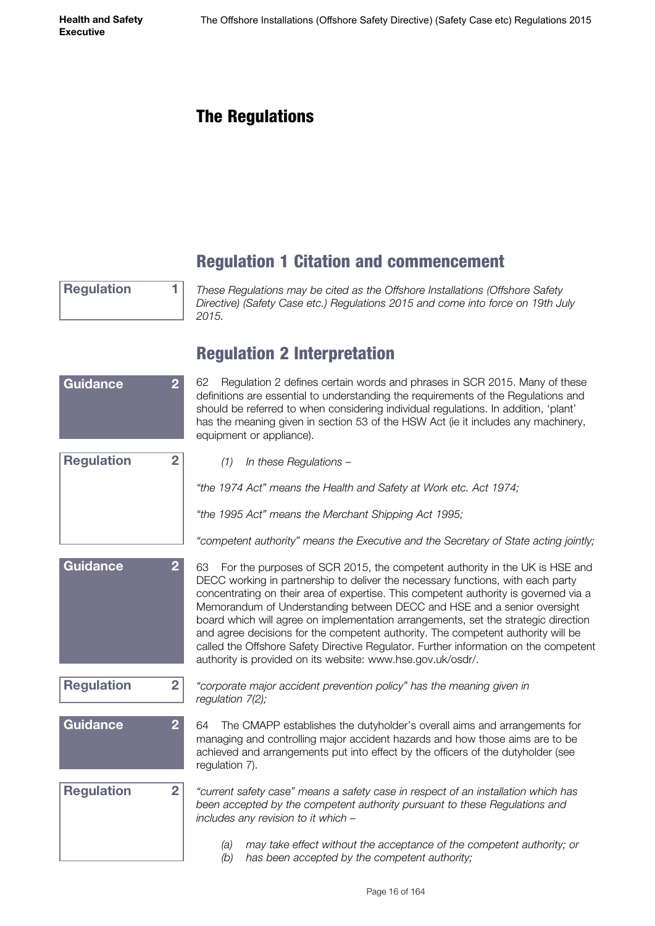# <span id="page-15-0"></span>The Regulations

# Regulation 1 Citation and commencement

**Regulation 1**

*These Regulations may be cited as the Offshore Installations (Offshore Safety Directive) (Safety Case etc.) Regulations 2015 and come into force on 19th July 2015.*

# Regulation 2 Interpretation

| <b>Guidance</b><br>$\overline{2}$   | Regulation 2 defines certain words and phrases in SCR 2015. Many of these<br>62<br>definitions are essential to understanding the requirements of the Regulations and<br>should be referred to when considering individual regulations. In addition, 'plant'<br>has the meaning given in section 53 of the HSW Act (ie it includes any machinery,<br>equipment or appliance).                                                                                                                                                                                                                                                                                        |
|-------------------------------------|----------------------------------------------------------------------------------------------------------------------------------------------------------------------------------------------------------------------------------------------------------------------------------------------------------------------------------------------------------------------------------------------------------------------------------------------------------------------------------------------------------------------------------------------------------------------------------------------------------------------------------------------------------------------|
| <b>Regulation</b><br>$\overline{2}$ | In these Regulations -<br>(1)                                                                                                                                                                                                                                                                                                                                                                                                                                                                                                                                                                                                                                        |
|                                     | "the 1974 Act" means the Health and Safety at Work etc. Act 1974;                                                                                                                                                                                                                                                                                                                                                                                                                                                                                                                                                                                                    |
|                                     | "the 1995 Act" means the Merchant Shipping Act 1995;                                                                                                                                                                                                                                                                                                                                                                                                                                                                                                                                                                                                                 |
|                                     | "competent authority" means the Executive and the Secretary of State acting jointly;                                                                                                                                                                                                                                                                                                                                                                                                                                                                                                                                                                                 |
| <b>Guidance</b><br>$\overline{2}$   | 63 For the purposes of SCR 2015, the competent authority in the UK is HSE and<br>DECC working in partnership to deliver the necessary functions, with each party<br>concentrating on their area of expertise. This competent authority is governed via a<br>Memorandum of Understanding between DECC and HSE and a senior oversight<br>board which will agree on implementation arrangements, set the strategic direction<br>and agree decisions for the competent authority. The competent authority will be<br>called the Offshore Safety Directive Regulator. Further information on the competent<br>authority is provided on its website: www.hse.gov.uk/osdr/. |
| <b>Regulation</b><br>$\overline{2}$ | "corporate major accident prevention policy" has the meaning given in<br>regulation 7(2);                                                                                                                                                                                                                                                                                                                                                                                                                                                                                                                                                                            |
| <b>Guidance</b><br>$\overline{2}$   | The CMAPP establishes the dutyholder's overall aims and arrangements for<br>64<br>managing and controlling major accident hazards and how those aims are to be<br>achieved and arrangements put into effect by the officers of the dutyholder (see<br>regulation 7).                                                                                                                                                                                                                                                                                                                                                                                                 |
| <b>Regulation</b><br>$\overline{2}$ | "current safety case" means a safety case in respect of an installation which has<br>been accepted by the competent authority pursuant to these Regulations and<br>includes any revision to it which -                                                                                                                                                                                                                                                                                                                                                                                                                                                               |
|                                     | may take effect without the acceptance of the competent authority; or<br>(a)<br>has been accepted by the competent authority;<br>(b)                                                                                                                                                                                                                                                                                                                                                                                                                                                                                                                                 |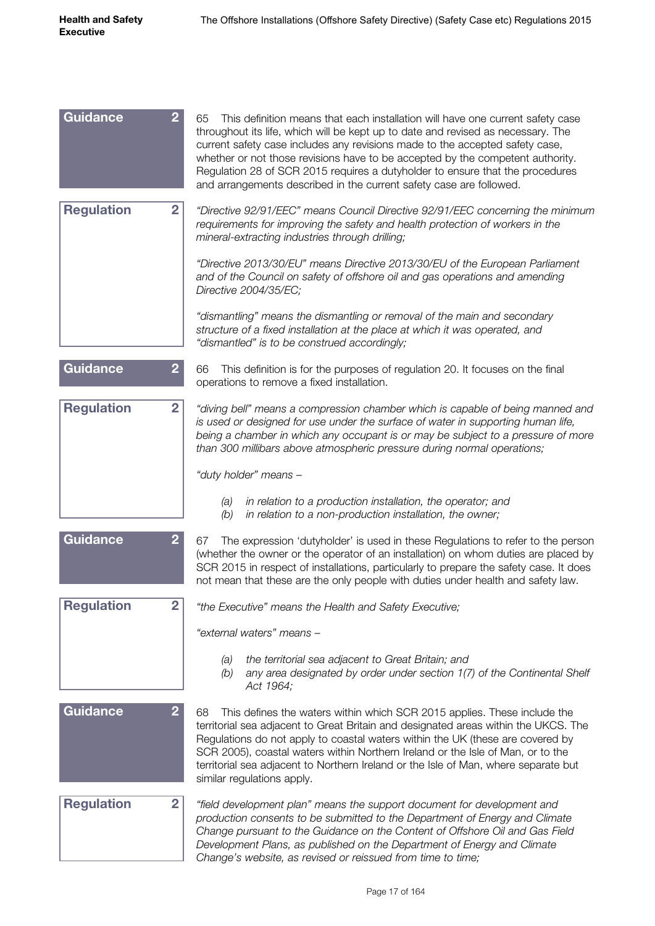| <b>Guidance</b>   | $\overline{2}$<br>65<br>This definition means that each installation will have one current safety case<br>throughout its life, which will be kept up to date and revised as necessary. The<br>current safety case includes any revisions made to the accepted safety case,<br>whether or not those revisions have to be accepted by the competent authority.<br>Regulation 28 of SCR 2015 requires a dutyholder to ensure that the procedures<br>and arrangements described in the current safety case are followed. |
|-------------------|----------------------------------------------------------------------------------------------------------------------------------------------------------------------------------------------------------------------------------------------------------------------------------------------------------------------------------------------------------------------------------------------------------------------------------------------------------------------------------------------------------------------|
| <b>Regulation</b> | $\overline{2}$<br>"Directive 92/91/EEC" means Council Directive 92/91/EEC concerning the minimum<br>requirements for improving the safety and health protection of workers in the<br>mineral-extracting industries through drilling;                                                                                                                                                                                                                                                                                 |
|                   | "Directive 2013/30/EU" means Directive 2013/30/EU of the European Parliament<br>and of the Council on safety of offshore oil and gas operations and amending<br>Directive 2004/35/EC;                                                                                                                                                                                                                                                                                                                                |
|                   | "dismantling" means the dismantling or removal of the main and secondary<br>structure of a fixed installation at the place at which it was operated, and<br>"dismantled" is to be construed accordingly;                                                                                                                                                                                                                                                                                                             |
| <b>Guidance</b>   | $\overline{2}$<br>66<br>This definition is for the purposes of regulation 20. It focuses on the final<br>operations to remove a fixed installation.                                                                                                                                                                                                                                                                                                                                                                  |
| <b>Regulation</b> | $\overline{2}$<br>"diving bell" means a compression chamber which is capable of being manned and<br>is used or designed for use under the surface of water in supporting human life,<br>being a chamber in which any occupant is or may be subject to a pressure of more<br>than 300 millibars above atmospheric pressure during normal operations;                                                                                                                                                                  |
|                   | "duty holder" means -                                                                                                                                                                                                                                                                                                                                                                                                                                                                                                |
|                   | in relation to a production installation, the operator; and<br>(a)<br>in relation to a non-production installation, the owner;<br>(b)                                                                                                                                                                                                                                                                                                                                                                                |
| <b>Guidance</b>   | $\overline{2}$<br>The expression 'dutyholder' is used in these Regulations to refer to the person<br>67<br>(whether the owner or the operator of an installation) on whom duties are placed by<br>SCR 2015 in respect of installations, particularly to prepare the safety case. It does<br>not mean that these are the only people with duties under health and safety law.                                                                                                                                         |
| <b>Regulation</b> | $\overline{2}$<br>"the Executive" means the Health and Safety Executive;                                                                                                                                                                                                                                                                                                                                                                                                                                             |
|                   | "external waters" means -                                                                                                                                                                                                                                                                                                                                                                                                                                                                                            |
|                   | the territorial sea adjacent to Great Britain; and<br>(a)<br>any area designated by order under section 1(7) of the Continental Shelf<br>(b)<br>Act 1964;                                                                                                                                                                                                                                                                                                                                                            |
| <b>Guidance</b>   | $\overline{2}$<br>This defines the waters within which SCR 2015 applies. These include the<br>68<br>territorial sea adjacent to Great Britain and designated areas within the UKCS. The<br>Regulations do not apply to coastal waters within the UK (these are covered by<br>SCR 2005), coastal waters within Northern Ireland or the Isle of Man, or to the<br>territorial sea adjacent to Northern Ireland or the Isle of Man, where separate but<br>similar regulations apply.                                    |
| <b>Regulation</b> | $\overline{2}$<br>"field development plan" means the support document for development and<br>production consents to be submitted to the Department of Energy and Climate<br>Change pursuant to the Guidance on the Content of Offshore Oil and Gas Field<br>Development Plans, as published on the Department of Energy and Climate<br>Change's website, as revised or reissued from time to time;                                                                                                                   |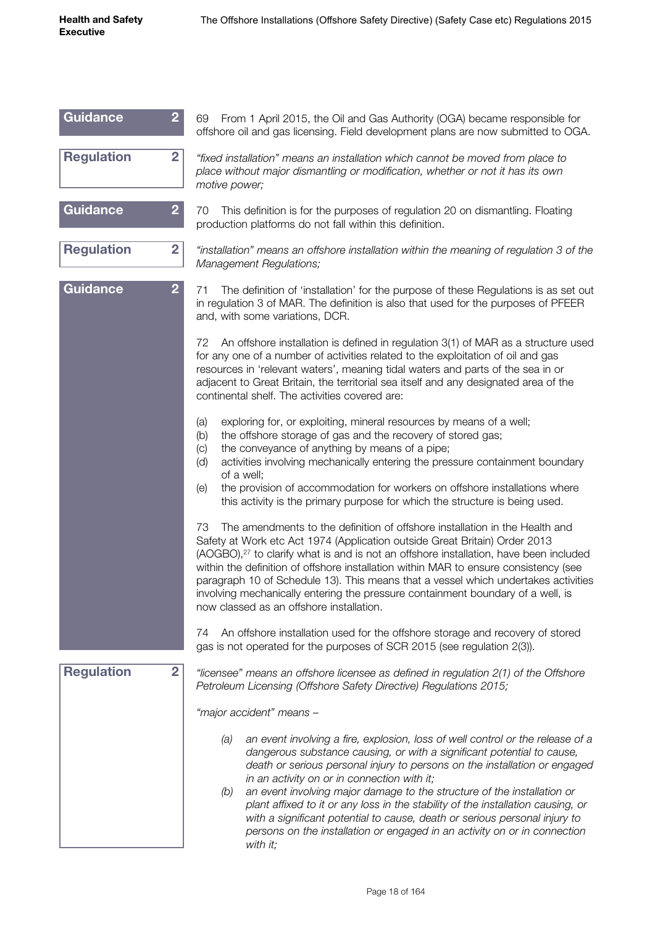| <b>Guidance</b><br>$\overline{2}$   | From 1 April 2015, the Oil and Gas Authority (OGA) became responsible for<br>69<br>offshore oil and gas licensing. Field development plans are now submitted to OGA.                                                                                                                                                                                                                                                                                                                                                                                                                                                                      |
|-------------------------------------|-------------------------------------------------------------------------------------------------------------------------------------------------------------------------------------------------------------------------------------------------------------------------------------------------------------------------------------------------------------------------------------------------------------------------------------------------------------------------------------------------------------------------------------------------------------------------------------------------------------------------------------------|
| <b>Regulation</b><br>$\overline{2}$ | "fixed installation" means an installation which cannot be moved from place to<br>place without major dismantling or modification, whether or not it has its own<br>motive power;                                                                                                                                                                                                                                                                                                                                                                                                                                                         |
| <b>Guidance</b><br>$\overline{2}$   | 70<br>This definition is for the purposes of regulation 20 on dismantling. Floating<br>production platforms do not fall within this definition.                                                                                                                                                                                                                                                                                                                                                                                                                                                                                           |
| <b>Regulation</b><br>$\overline{2}$ | "installation" means an offshore installation within the meaning of regulation 3 of the<br>Management Regulations;                                                                                                                                                                                                                                                                                                                                                                                                                                                                                                                        |
| <b>Guidance</b><br>$\overline{2}$   | The definition of 'installation' for the purpose of these Regulations is as set out<br>71<br>in regulation 3 of MAR. The definition is also that used for the purposes of PFEER<br>and, with some variations, DCR.                                                                                                                                                                                                                                                                                                                                                                                                                        |
|                                     | An offshore installation is defined in regulation 3(1) of MAR as a structure used<br>72<br>for any one of a number of activities related to the exploitation of oil and gas<br>resources in 'relevant waters', meaning tidal waters and parts of the sea in or<br>adjacent to Great Britain, the territorial sea itself and any designated area of the<br>continental shelf. The activities covered are:                                                                                                                                                                                                                                  |
|                                     | exploring for, or exploiting, mineral resources by means of a well;<br>(a)<br>the offshore storage of gas and the recovery of stored gas;<br>(b)<br>the conveyance of anything by means of a pipe;<br>$\left( c\right)$<br>activities involving mechanically entering the pressure containment boundary<br>(d)<br>of a well;<br>the provision of accommodation for workers on offshore installations where<br>(e)<br>this activity is the primary purpose for which the structure is being used.                                                                                                                                          |
|                                     | The amendments to the definition of offshore installation in the Health and<br>73<br>Safety at Work etc Act 1974 (Application outside Great Britain) Order 2013<br>(AOGBO), <sup>27</sup> to clarify what is and is not an offshore installation, have been included<br>within the definition of offshore installation within MAR to ensure consistency (see<br>paragraph 10 of Schedule 13). This means that a vessel which undertakes activities<br>involving mechanically entering the pressure containment boundary of a well, is<br>now classed as an offshore installation.                                                         |
|                                     | An offshore installation used for the offshore storage and recovery of stored<br>74<br>gas is not operated for the purposes of SCR 2015 (see regulation 2(3)).                                                                                                                                                                                                                                                                                                                                                                                                                                                                            |
| <b>Regulation</b><br>$\overline{2}$ | "licensee" means an offshore licensee as defined in regulation 2(1) of the Offshore<br>Petroleum Licensing (Offshore Safety Directive) Regulations 2015;                                                                                                                                                                                                                                                                                                                                                                                                                                                                                  |
|                                     | "major accident" means -                                                                                                                                                                                                                                                                                                                                                                                                                                                                                                                                                                                                                  |
|                                     | (a)<br>an event involving a fire, explosion, loss of well control or the release of a<br>dangerous substance causing, or with a significant potential to cause,<br>death or serious personal injury to persons on the installation or engaged<br>in an activity on or in connection with it;<br>(b)<br>an event involving major damage to the structure of the installation or<br>plant affixed to it or any loss in the stability of the installation causing, or<br>with a significant potential to cause, death or serious personal injury to<br>persons on the installation or engaged in an activity on or in connection<br>with it; |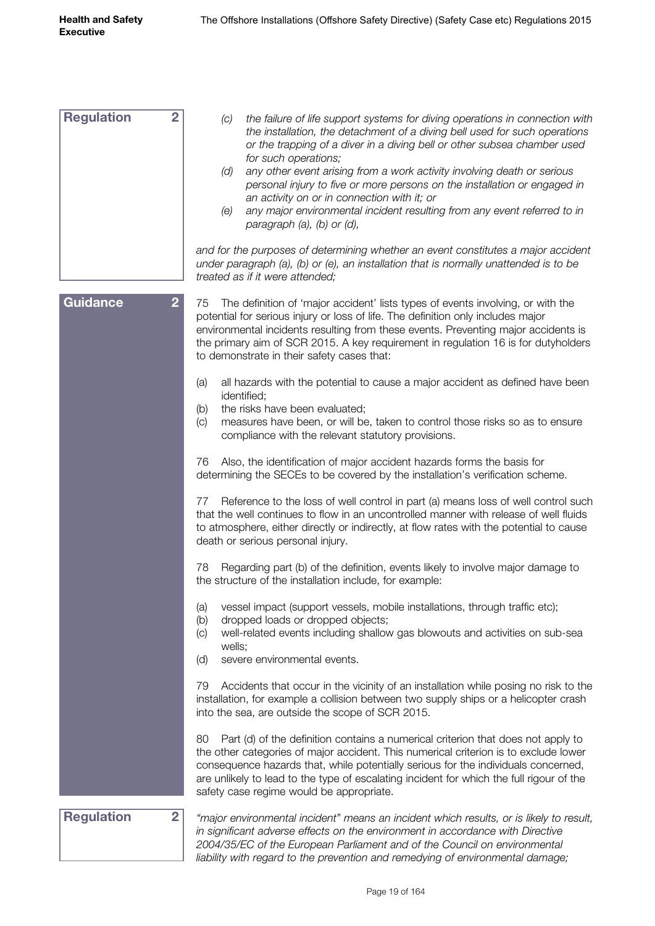| <b>Regulation</b><br>$\overline{2}$ | the failure of life support systems for diving operations in connection with<br>(C)<br>the installation, the detachment of a diving bell used for such operations<br>or the trapping of a diver in a diving bell or other subsea chamber used<br>for such operations;<br>any other event arising from a work activity involving death or serious<br>(d)<br>personal injury to five or more persons on the installation or engaged in<br>an activity on or in connection with it; or<br>any major environmental incident resulting from any event referred to in<br>(e)<br>paragraph (a), (b) or (d), |
|-------------------------------------|------------------------------------------------------------------------------------------------------------------------------------------------------------------------------------------------------------------------------------------------------------------------------------------------------------------------------------------------------------------------------------------------------------------------------------------------------------------------------------------------------------------------------------------------------------------------------------------------------|
|                                     | and for the purposes of determining whether an event constitutes a major accident<br>under paragraph (a), (b) or (e), an installation that is normally unattended is to be<br>treated as if it were attended;                                                                                                                                                                                                                                                                                                                                                                                        |
| $\overline{2}$<br><b>Guidance</b>   | The definition of 'major accident' lists types of events involving, or with the<br>75<br>potential for serious injury or loss of life. The definition only includes major<br>environmental incidents resulting from these events. Preventing major accidents is<br>the primary aim of SCR 2015. A key requirement in regulation 16 is for dutyholders<br>to demonstrate in their safety cases that:                                                                                                                                                                                                  |
|                                     | all hazards with the potential to cause a major accident as defined have been<br>(a)<br>identified;<br>the risks have been evaluated;<br>(b)<br>measures have been, or will be, taken to control those risks so as to ensure<br>(c)<br>compliance with the relevant statutory provisions.                                                                                                                                                                                                                                                                                                            |
|                                     | Also, the identification of major accident hazards forms the basis for<br>76<br>determining the SECEs to be covered by the installation's verification scheme.                                                                                                                                                                                                                                                                                                                                                                                                                                       |
|                                     | Reference to the loss of well control in part (a) means loss of well control such<br>77<br>that the well continues to flow in an uncontrolled manner with release of well fluids<br>to atmosphere, either directly or indirectly, at flow rates with the potential to cause<br>death or serious personal injury.                                                                                                                                                                                                                                                                                     |
|                                     | Regarding part (b) of the definition, events likely to involve major damage to<br>78<br>the structure of the installation include, for example:                                                                                                                                                                                                                                                                                                                                                                                                                                                      |
|                                     | vessel impact (support vessels, mobile installations, through traffic etc);<br>(a)<br>dropped loads or dropped objects;<br>(b)<br>well-related events including shallow gas blowouts and activities on sub-sea<br>(c)<br>wells;<br>severe environmental events.<br>(d)                                                                                                                                                                                                                                                                                                                               |
|                                     | Accidents that occur in the vicinity of an installation while posing no risk to the<br>79<br>installation, for example a collision between two supply ships or a helicopter crash<br>into the sea, are outside the scope of SCR 2015.                                                                                                                                                                                                                                                                                                                                                                |
|                                     | Part (d) of the definition contains a numerical criterion that does not apply to<br>80<br>the other categories of major accident. This numerical criterion is to exclude lower<br>consequence hazards that, while potentially serious for the individuals concerned,<br>are unlikely to lead to the type of escalating incident for which the full rigour of the<br>safety case regime would be appropriate.                                                                                                                                                                                         |
| <b>Regulation</b><br>$\overline{2}$ | "major environmental incident" means an incident which results, or is likely to result,<br>in significant adverse effects on the environment in accordance with Directive<br>2004/35/EC of the European Parliament and of the Council on environmental                                                                                                                                                                                                                                                                                                                                               |

*liability with regard to the prevention and remedying of environmental damage;*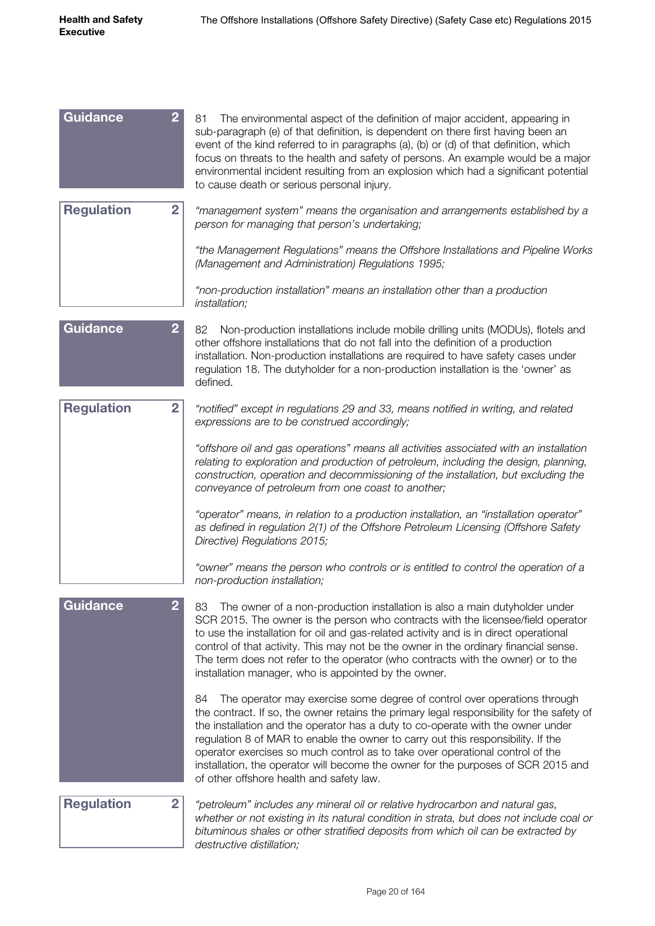| Guidance          | $\overline{2}$ | The environmental aspect of the definition of major accident, appearing in<br>81<br>sub-paragraph (e) of that definition, is dependent on there first having been an<br>event of the kind referred to in paragraphs (a), (b) or (d) of that definition, which<br>focus on threats to the health and safety of persons. An example would be a major<br>environmental incident resulting from an explosion which had a significant potential<br>to cause death or serious personal injury.                                                                             |
|-------------------|----------------|----------------------------------------------------------------------------------------------------------------------------------------------------------------------------------------------------------------------------------------------------------------------------------------------------------------------------------------------------------------------------------------------------------------------------------------------------------------------------------------------------------------------------------------------------------------------|
| <b>Regulation</b> | $\overline{2}$ | "management system" means the organisation and arrangements established by a<br>person for managing that person's undertaking;                                                                                                                                                                                                                                                                                                                                                                                                                                       |
|                   |                | "the Management Regulations" means the Offshore Installations and Pipeline Works<br>(Management and Administration) Regulations 1995;                                                                                                                                                                                                                                                                                                                                                                                                                                |
|                   |                | "non-production installation" means an installation other than a production<br>installation;                                                                                                                                                                                                                                                                                                                                                                                                                                                                         |
| <b>Guidance</b>   | $\overline{2}$ | Non-production installations include mobile drilling units (MODUs), flotels and<br>82<br>other offshore installations that do not fall into the definition of a production<br>installation. Non-production installations are required to have safety cases under<br>regulation 18. The dutyholder for a non-production installation is the 'owner' as<br>defined.                                                                                                                                                                                                    |
| <b>Regulation</b> | $\overline{2}$ | "notified" except in regulations 29 and 33, means notified in writing, and related<br>expressions are to be construed accordingly;                                                                                                                                                                                                                                                                                                                                                                                                                                   |
|                   |                | "offshore oil and gas operations" means all activities associated with an installation<br>relating to exploration and production of petroleum, including the design, planning,<br>construction, operation and decommissioning of the installation, but excluding the<br>conveyance of petroleum from one coast to another;                                                                                                                                                                                                                                           |
|                   |                | "operator" means, in relation to a production installation, an "installation operator"<br>as defined in regulation 2(1) of the Offshore Petroleum Licensing (Offshore Safety<br>Directive) Regulations 2015;                                                                                                                                                                                                                                                                                                                                                         |
|                   |                | "owner" means the person who controls or is entitled to control the operation of a<br>non-production installation;                                                                                                                                                                                                                                                                                                                                                                                                                                                   |
| <b>Guidance</b>   | $\overline{2}$ | The owner of a non-production installation is also a main dutyholder under<br>83<br>SCR 2015. The owner is the person who contracts with the licensee/field operator<br>to use the installation for oil and gas-related activity and is in direct operational<br>control of that activity. This may not be the owner in the ordinary financial sense.<br>The term does not refer to the operator (who contracts with the owner) or to the<br>installation manager, who is appointed by the owner.                                                                    |
|                   |                | The operator may exercise some degree of control over operations through<br>84<br>the contract. If so, the owner retains the primary legal responsibility for the safety of<br>the installation and the operator has a duty to co-operate with the owner under<br>regulation 8 of MAR to enable the owner to carry out this responsibility. If the<br>operator exercises so much control as to take over operational control of the<br>installation, the operator will become the owner for the purposes of SCR 2015 and<br>of other offshore health and safety law. |
| <b>Regulation</b> | $\overline{2}$ | "petroleum" includes any mineral oil or relative hydrocarbon and natural gas,<br>whether or not existing in its natural condition in strata, but does not include coal or<br>bituminous shales or other stratified deposits from which oil can be extracted by<br>destructive distillation;                                                                                                                                                                                                                                                                          |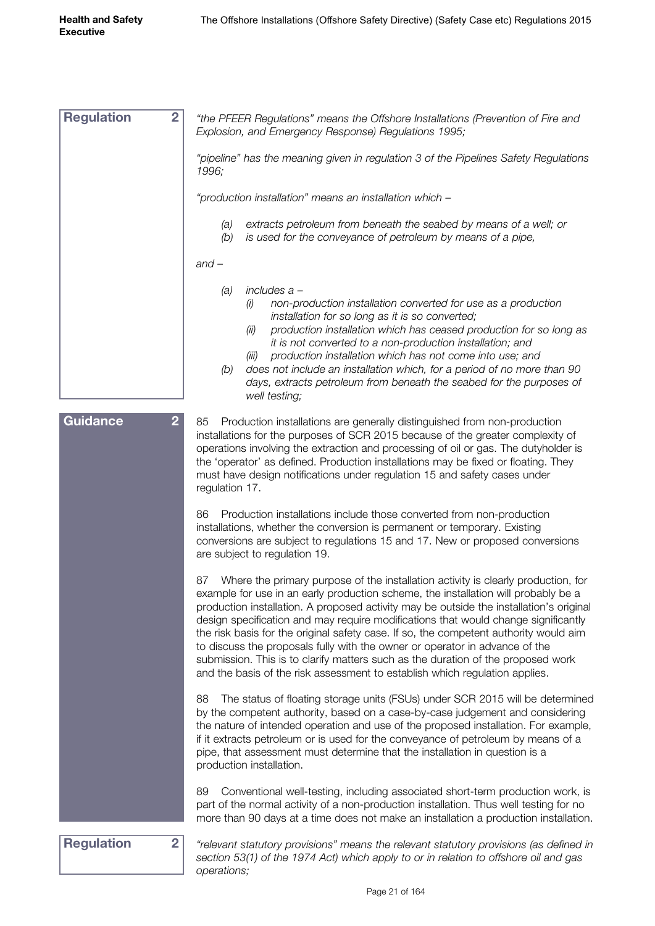| <b>Regulation</b><br>$\overline{2}$ | "the PFEER Regulations" means the Offshore Installations (Prevention of Fire and<br>Explosion, and Emergency Response) Regulations 1995;                                                                                                                                                                                                                                                                                                                                                                                                                                                                                                                                                                  |
|-------------------------------------|-----------------------------------------------------------------------------------------------------------------------------------------------------------------------------------------------------------------------------------------------------------------------------------------------------------------------------------------------------------------------------------------------------------------------------------------------------------------------------------------------------------------------------------------------------------------------------------------------------------------------------------------------------------------------------------------------------------|
|                                     | "pipeline" has the meaning given in regulation 3 of the Pipelines Safety Regulations<br>1996;                                                                                                                                                                                                                                                                                                                                                                                                                                                                                                                                                                                                             |
|                                     | "production installation" means an installation which -                                                                                                                                                                                                                                                                                                                                                                                                                                                                                                                                                                                                                                                   |
|                                     | extracts petroleum from beneath the seabed by means of a well; or<br>(a)<br>is used for the conveyance of petroleum by means of a pipe,<br>(b)                                                                                                                                                                                                                                                                                                                                                                                                                                                                                                                                                            |
|                                     | $and -$                                                                                                                                                                                                                                                                                                                                                                                                                                                                                                                                                                                                                                                                                                   |
|                                     | includes a -<br>(a)<br>non-production installation converted for use as a production<br>(i)<br>installation for so long as it is so converted;<br>production installation which has ceased production for so long as<br>(ii)<br>it is not converted to a non-production installation; and<br>production installation which has not come into use; and<br>(iii)<br>does not include an installation which, for a period of no more than 90<br>(b)<br>days, extracts petroleum from beneath the seabed for the purposes of<br>well testing;                                                                                                                                                                 |
| Guidance<br>$\overline{2}$          | 85<br>Production installations are generally distinguished from non-production<br>installations for the purposes of SCR 2015 because of the greater complexity of<br>operations involving the extraction and processing of oil or gas. The dutyholder is<br>the 'operator' as defined. Production installations may be fixed or floating. They<br>must have design notifications under regulation 15 and safety cases under<br>regulation 17.                                                                                                                                                                                                                                                             |
|                                     | Production installations include those converted from non-production<br>86<br>installations, whether the conversion is permanent or temporary. Existing<br>conversions are subject to regulations 15 and 17. New or proposed conversions<br>are subject to regulation 19.                                                                                                                                                                                                                                                                                                                                                                                                                                 |
|                                     | Where the primary purpose of the installation activity is clearly production, for<br>87<br>example for use in an early production scheme, the installation will probably be a<br>production installation. A proposed activity may be outside the installation's original<br>design specification and may require modifications that would change significantly<br>the risk basis for the original safety case. If so, the competent authority would aim<br>to discuss the proposals fully with the owner or operator in advance of the<br>submission. This is to clarify matters such as the duration of the proposed work<br>and the basis of the risk assessment to establish which regulation applies. |
|                                     | The status of floating storage units (FSUs) under SCR 2015 will be determined<br>88<br>by the competent authority, based on a case-by-case judgement and considering<br>the nature of intended operation and use of the proposed installation. For example,<br>if it extracts petroleum or is used for the conveyance of petroleum by means of a<br>pipe, that assessment must determine that the installation in question is a<br>production installation.                                                                                                                                                                                                                                               |
|                                     | Conventional well-testing, including associated short-term production work, is<br>89<br>part of the normal activity of a non-production installation. Thus well testing for no<br>more than 90 days at a time does not make an installation a production installation.                                                                                                                                                                                                                                                                                                                                                                                                                                    |
| <b>Regulation</b><br>$\overline{2}$ | "relevant statutory provisions" means the relevant statutory provisions (as defined in<br>section 53(1) of the 1974 Act) which apply to or in relation to offshore oil and gas                                                                                                                                                                                                                                                                                                                                                                                                                                                                                                                            |

Page 21 of 164

*operations;*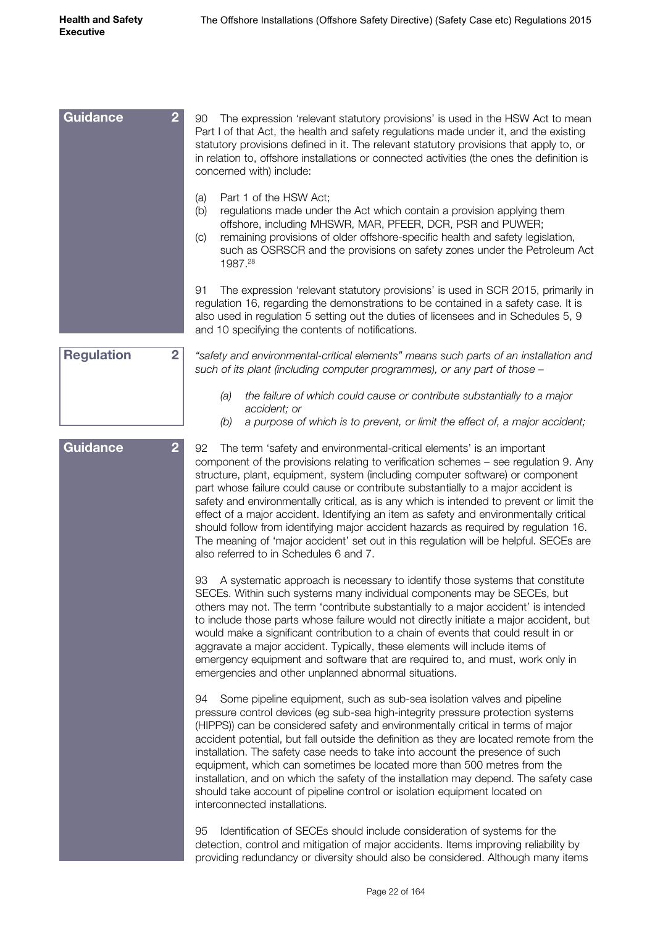| Guidance<br>$\overline{2}$          | 90<br>The expression 'relevant statutory provisions' is used in the HSW Act to mean<br>Part I of that Act, the health and safety regulations made under it, and the existing<br>statutory provisions defined in it. The relevant statutory provisions that apply to, or<br>in relation to, offshore installations or connected activities (the ones the definition is<br>concerned with) include:                                                                                                                                                                                                                                                                                                                                                          |
|-------------------------------------|------------------------------------------------------------------------------------------------------------------------------------------------------------------------------------------------------------------------------------------------------------------------------------------------------------------------------------------------------------------------------------------------------------------------------------------------------------------------------------------------------------------------------------------------------------------------------------------------------------------------------------------------------------------------------------------------------------------------------------------------------------|
|                                     | Part 1 of the HSW Act;<br>(a)<br>regulations made under the Act which contain a provision applying them<br>(b)<br>offshore, including MHSWR, MAR, PFEER, DCR, PSR and PUWER;<br>remaining provisions of older offshore-specific health and safety legislation,<br>(C)<br>such as OSRSCR and the provisions on safety zones under the Petroleum Act<br>1987.28                                                                                                                                                                                                                                                                                                                                                                                              |
|                                     | The expression 'relevant statutory provisions' is used in SCR 2015, primarily in<br>91<br>regulation 16, regarding the demonstrations to be contained in a safety case. It is<br>also used in regulation 5 setting out the duties of licensees and in Schedules 5, 9<br>and 10 specifying the contents of notifications.                                                                                                                                                                                                                                                                                                                                                                                                                                   |
| <b>Regulation</b><br>$\overline{2}$ | "safety and environmental-critical elements" means such parts of an installation and<br>such of its plant (including computer programmes), or any part of those -                                                                                                                                                                                                                                                                                                                                                                                                                                                                                                                                                                                          |
|                                     | the failure of which could cause or contribute substantially to a major<br>(a)<br>accident; or<br>a purpose of which is to prevent, or limit the effect of, a major accident;<br>(b)                                                                                                                                                                                                                                                                                                                                                                                                                                                                                                                                                                       |
| $\overline{2}$<br>Guidance          | 92<br>The term 'safety and environmental-critical elements' is an important<br>component of the provisions relating to verification schemes - see regulation 9. Any<br>structure, plant, equipment, system (including computer software) or component<br>part whose failure could cause or contribute substantially to a major accident is<br>safety and environmentally critical, as is any which is intended to prevent or limit the<br>effect of a major accident. Identifying an item as safety and environmentally critical<br>should follow from identifying major accident hazards as required by regulation 16.<br>The meaning of 'major accident' set out in this regulation will be helpful. SECEs are<br>also referred to in Schedules 6 and 7. |
|                                     | A systematic approach is necessary to identify those systems that constitute<br>93<br>SECEs. Within such systems many individual components may be SECEs, but<br>others may not. The term 'contribute substantially to a major accident' is intended<br>to include those parts whose failure would not directly initiate a major accident, but<br>would make a significant contribution to a chain of events that could result in or<br>aggravate a major accident. Typically, these elements will include items of<br>emergency equipment and software that are required to, and must, work only in<br>emergencies and other unplanned abnormal situations.                                                                                               |
|                                     | Some pipeline equipment, such as sub-sea isolation valves and pipeline<br>94<br>pressure control devices (eg sub-sea high-integrity pressure protection systems<br>(HIPPS)) can be considered safety and environmentally critical in terms of major<br>accident potential, but fall outside the definition as they are located remote from the<br>installation. The safety case needs to take into account the presence of such<br>equipment, which can sometimes be located more than 500 metres from the<br>installation, and on which the safety of the installation may depend. The safety case<br>should take account of pipeline control or isolation equipment located on<br>interconnected installations.                                          |
|                                     | Identification of SECEs should include consideration of systems for the<br>95<br>detection, control and mitigation of major accidents. Items improving reliability by<br>providing redundancy or diversity should also be considered. Although many items                                                                                                                                                                                                                                                                                                                                                                                                                                                                                                  |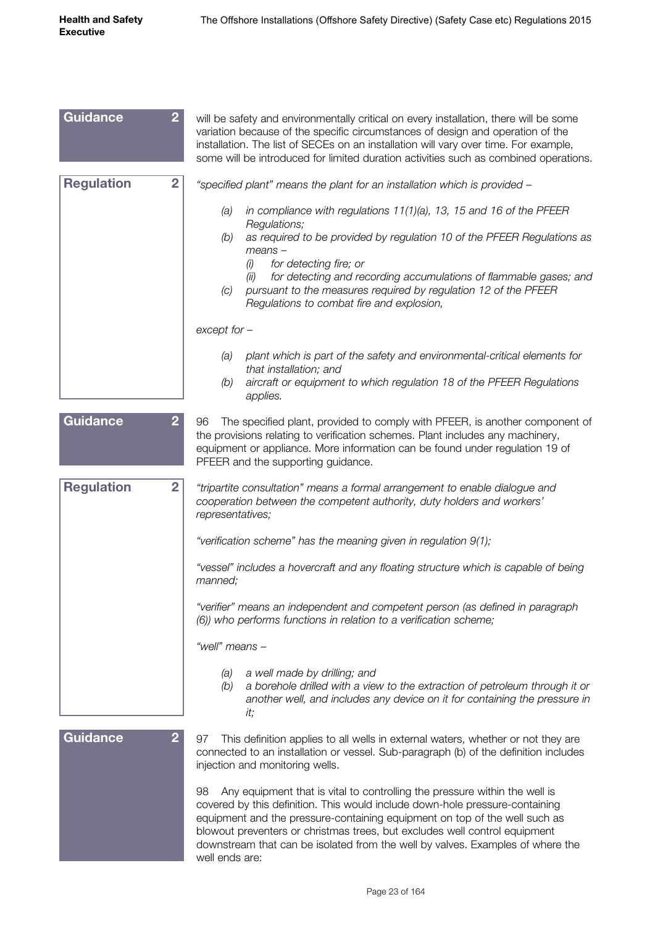| Guidance          | $\overline{2}$ | will be safety and environmentally critical on every installation, there will be some<br>variation because of the specific circumstances of design and operation of the<br>installation. The list of SECEs on an installation will vary over time. For example,<br>some will be introduced for limited duration activities such as combined operations.                                                                          |
|-------------------|----------------|----------------------------------------------------------------------------------------------------------------------------------------------------------------------------------------------------------------------------------------------------------------------------------------------------------------------------------------------------------------------------------------------------------------------------------|
| <b>Regulation</b> | $\overline{2}$ | "specified plant" means the plant for an installation which is provided -                                                                                                                                                                                                                                                                                                                                                        |
|                   |                | in compliance with regulations $11(1)(a)$ , 13, 15 and 16 of the PFEER<br>(a)                                                                                                                                                                                                                                                                                                                                                    |
|                   |                | Regulations;<br>as required to be provided by regulation 10 of the PFEER Regulations as<br>(b)<br>$means -$<br>for detecting fire; or<br>(i)<br>for detecting and recording accumulations of flammable gases; and<br>(ii)<br>pursuant to the measures required by regulation 12 of the PFEER<br>(C)<br>Regulations to combat fire and explosion,                                                                                 |
|                   |                | $except for -$                                                                                                                                                                                                                                                                                                                                                                                                                   |
|                   |                | plant which is part of the safety and environmental-critical elements for<br>(a)<br>that installation; and<br>aircraft or equipment to which regulation 18 of the PFEER Regulations<br>(b)                                                                                                                                                                                                                                       |
| <b>Guidance</b>   | $\overline{2}$ | applies.<br>The specified plant, provided to comply with PFEER, is another component of<br>96<br>the provisions relating to verification schemes. Plant includes any machinery,<br>equipment or appliance. More information can be found under regulation 19 of<br>PFEER and the supporting guidance.                                                                                                                            |
| <b>Regulation</b> | $\overline{2}$ | "tripartite consultation" means a formal arrangement to enable dialogue and<br>cooperation between the competent authority, duty holders and workers'<br>representatives;                                                                                                                                                                                                                                                        |
|                   |                | "verification scheme" has the meaning given in regulation 9(1);                                                                                                                                                                                                                                                                                                                                                                  |
|                   |                | "vessel" includes a hovercraft and any floating structure which is capable of being<br>manned;                                                                                                                                                                                                                                                                                                                                   |
|                   |                | "verifier" means an independent and competent person (as defined in paragraph<br>(6)) who performs functions in relation to a verification scheme;                                                                                                                                                                                                                                                                               |
|                   |                | "well" means -                                                                                                                                                                                                                                                                                                                                                                                                                   |
|                   |                | a well made by drilling; and<br>(a)<br>(b)<br>a borehole drilled with a view to the extraction of petroleum through it or<br>another well, and includes any device on it for containing the pressure in<br>it;                                                                                                                                                                                                                   |
| <b>Guidance</b>   | 2              | This definition applies to all wells in external waters, whether or not they are<br>97<br>connected to an installation or vessel. Sub-paragraph (b) of the definition includes<br>injection and monitoring wells.                                                                                                                                                                                                                |
|                   |                | Any equipment that is vital to controlling the pressure within the well is<br>98<br>covered by this definition. This would include down-hole pressure-containing<br>equipment and the pressure-containing equipment on top of the well such as<br>blowout preventers or christmas trees, but excludes well control equipment<br>downstream that can be isolated from the well by valves. Examples of where the<br>well ends are: |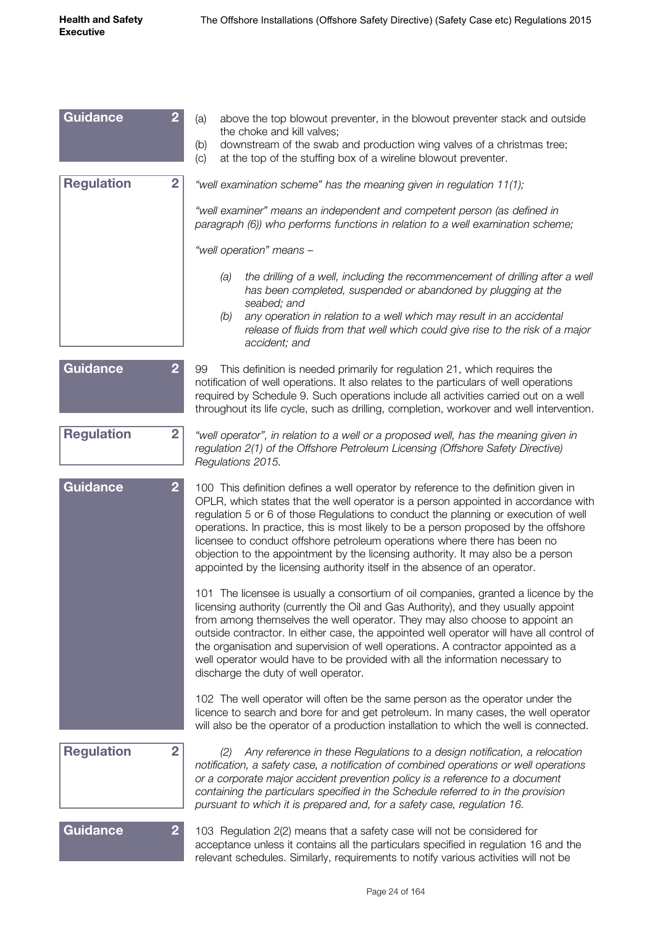| Guidance          | 2              | above the top blowout preventer, in the blowout preventer stack and outside<br>(a)<br>the choke and kill valves;                                                                                                                                                                                                                                                                                                                                                                                                                                                                                        |
|-------------------|----------------|---------------------------------------------------------------------------------------------------------------------------------------------------------------------------------------------------------------------------------------------------------------------------------------------------------------------------------------------------------------------------------------------------------------------------------------------------------------------------------------------------------------------------------------------------------------------------------------------------------|
|                   |                | downstream of the swab and production wing valves of a christmas tree;<br>(b)<br>at the top of the stuffing box of a wireline blowout preventer.<br>(c)                                                                                                                                                                                                                                                                                                                                                                                                                                                 |
| <b>Regulation</b> | $\overline{2}$ | "well examination scheme" has the meaning given in regulation 11(1);                                                                                                                                                                                                                                                                                                                                                                                                                                                                                                                                    |
|                   |                |                                                                                                                                                                                                                                                                                                                                                                                                                                                                                                                                                                                                         |
|                   |                | "well examiner" means an independent and competent person (as defined in<br>paragraph (6)) who performs functions in relation to a well examination scheme;                                                                                                                                                                                                                                                                                                                                                                                                                                             |
|                   |                | "well operation" means -                                                                                                                                                                                                                                                                                                                                                                                                                                                                                                                                                                                |
|                   |                | the drilling of a well, including the recommencement of drilling after a well<br>(a)<br>has been completed, suspended or abandoned by plugging at the<br>seabed; and                                                                                                                                                                                                                                                                                                                                                                                                                                    |
|                   |                | (b)<br>any operation in relation to a well which may result in an accidental<br>release of fluids from that well which could give rise to the risk of a major<br>accident; and                                                                                                                                                                                                                                                                                                                                                                                                                          |
| <b>Guidance</b>   | $\overline{2}$ | This definition is needed primarily for regulation 21, which requires the<br>99<br>notification of well operations. It also relates to the particulars of well operations<br>required by Schedule 9. Such operations include all activities carried out on a well<br>throughout its life cycle, such as drilling, completion, workover and well intervention.                                                                                                                                                                                                                                           |
| <b>Regulation</b> | $\overline{2}$ | "well operator", in relation to a well or a proposed well, has the meaning given in<br>regulation 2(1) of the Offshore Petroleum Licensing (Offshore Safety Directive)<br>Regulations 2015.                                                                                                                                                                                                                                                                                                                                                                                                             |
| <b>Guidance</b>   | $\overline{2}$ | 100 This definition defines a well operator by reference to the definition given in<br>OPLR, which states that the well operator is a person appointed in accordance with<br>regulation 5 or 6 of those Regulations to conduct the planning or execution of well<br>operations. In practice, this is most likely to be a person proposed by the offshore<br>licensee to conduct offshore petroleum operations where there has been no<br>objection to the appointment by the licensing authority. It may also be a person<br>appointed by the licensing authority itself in the absence of an operator. |
|                   |                | 101 The licensee is usually a consortium of oil companies, granted a licence by the<br>licensing authority (currently the Oil and Gas Authority), and they usually appoint<br>from among themselves the well operator. They may also choose to appoint an<br>outside contractor. In either case, the appointed well operator will have all control of<br>the organisation and supervision of well operations. A contractor appointed as a<br>well operator would have to be provided with all the information necessary to<br>discharge the duty of well operator.                                      |
|                   |                | 102 The well operator will often be the same person as the operator under the<br>licence to search and bore for and get petroleum. In many cases, the well operator<br>will also be the operator of a production installation to which the well is connected.                                                                                                                                                                                                                                                                                                                                           |
| <b>Regulation</b> | $\overline{2}$ | Any reference in these Regulations to a design notification, a relocation<br>(2)<br>notification, a safety case, a notification of combined operations or well operations<br>or a corporate major accident prevention policy is a reference to a document<br>containing the particulars specified in the Schedule referred to in the provision<br>pursuant to which it is prepared and, for a safety case, regulation 16.                                                                                                                                                                               |
| <b>Guidance</b>   | $\overline{2}$ | 103 Regulation 2(2) means that a safety case will not be considered for<br>acceptance unless it contains all the particulars specified in regulation 16 and the<br>relevant schedules. Similarly, requirements to notify various activities will not be                                                                                                                                                                                                                                                                                                                                                 |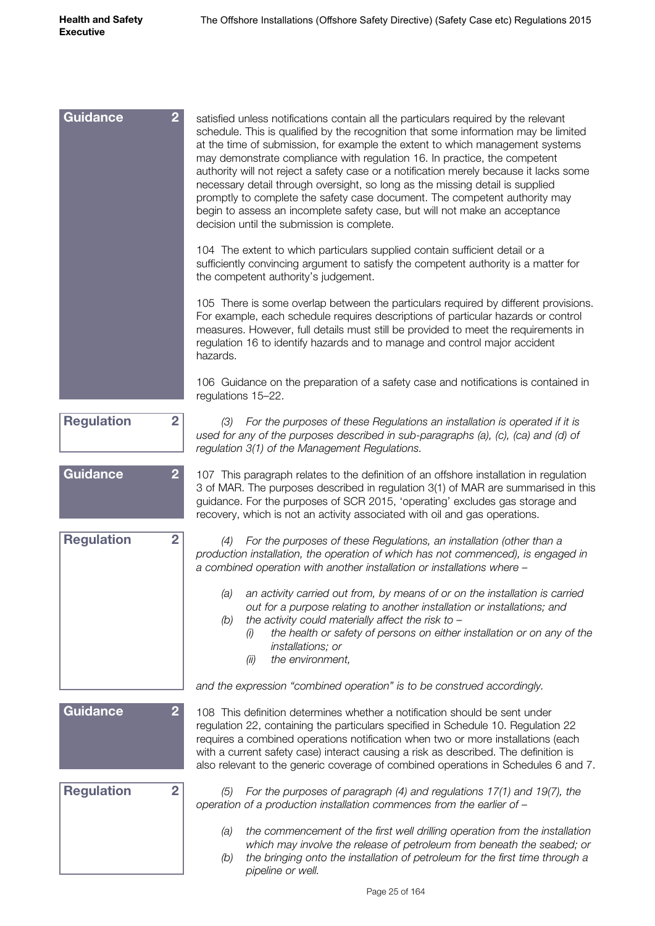| $\overline{2}$<br>Guidance          | satisfied unless notifications contain all the particulars required by the relevant<br>schedule. This is qualified by the recognition that some information may be limited<br>at the time of submission, for example the extent to which management systems<br>may demonstrate compliance with regulation 16. In practice, the competent<br>authority will not reject a safety case or a notification merely because it lacks some<br>necessary detail through oversight, so long as the missing detail is supplied<br>promptly to complete the safety case document. The competent authority may<br>begin to assess an incomplete safety case, but will not make an acceptance<br>decision until the submission is complete. |
|-------------------------------------|-------------------------------------------------------------------------------------------------------------------------------------------------------------------------------------------------------------------------------------------------------------------------------------------------------------------------------------------------------------------------------------------------------------------------------------------------------------------------------------------------------------------------------------------------------------------------------------------------------------------------------------------------------------------------------------------------------------------------------|
|                                     | 104 The extent to which particulars supplied contain sufficient detail or a<br>sufficiently convincing argument to satisfy the competent authority is a matter for<br>the competent authority's judgement.                                                                                                                                                                                                                                                                                                                                                                                                                                                                                                                    |
|                                     | 105 There is some overlap between the particulars required by different provisions.<br>For example, each schedule requires descriptions of particular hazards or control<br>measures. However, full details must still be provided to meet the requirements in<br>regulation 16 to identify hazards and to manage and control major accident<br>hazards.                                                                                                                                                                                                                                                                                                                                                                      |
|                                     | 106 Guidance on the preparation of a safety case and notifications is contained in<br>regulations 15-22.                                                                                                                                                                                                                                                                                                                                                                                                                                                                                                                                                                                                                      |
| <b>Regulation</b><br>$\overline{2}$ | (3) For the purposes of these Regulations an installation is operated if it is<br>used for any of the purposes described in sub-paragraphs (a), (c), (ca) and (d) of<br>regulation 3(1) of the Management Regulations.                                                                                                                                                                                                                                                                                                                                                                                                                                                                                                        |
| Guidance<br>$\overline{2}$          | 107 This paragraph relates to the definition of an offshore installation in regulation<br>3 of MAR. The purposes described in regulation 3(1) of MAR are summarised in this<br>guidance. For the purposes of SCR 2015, 'operating' excludes gas storage and<br>recovery, which is not an activity associated with oil and gas operations.                                                                                                                                                                                                                                                                                                                                                                                     |
| <b>Regulation</b><br>$\overline{2}$ | For the purposes of these Regulations, an installation (other than a<br>(4)<br>production installation, the operation of which has not commenced), is engaged in<br>a combined operation with another installation or installations where -                                                                                                                                                                                                                                                                                                                                                                                                                                                                                   |
|                                     | an activity carried out from, by means of or on the installation is carried<br>(a)<br>out for a purpose relating to another installation or installations; and<br>the activity could materially affect the risk to $-$<br>(b)<br>the health or safety of persons on either installation or on any of the<br>(i)<br>installations; or<br>the environment,<br>(ii)                                                                                                                                                                                                                                                                                                                                                              |
|                                     | and the expression "combined operation" is to be construed accordingly.                                                                                                                                                                                                                                                                                                                                                                                                                                                                                                                                                                                                                                                       |
| <b>Guidance</b><br>$\overline{2}$   | 108 This definition determines whether a notification should be sent under<br>regulation 22, containing the particulars specified in Schedule 10. Regulation 22<br>requires a combined operations notification when two or more installations (each<br>with a current safety case) interact causing a risk as described. The definition is<br>also relevant to the generic coverage of combined operations in Schedules 6 and 7.                                                                                                                                                                                                                                                                                              |
| <b>Regulation</b><br>$\overline{2}$ | For the purposes of paragraph (4) and regulations 17(1) and 19(7), the<br>(5)<br>operation of a production installation commences from the earlier of -                                                                                                                                                                                                                                                                                                                                                                                                                                                                                                                                                                       |
|                                     | the commencement of the first well drilling operation from the installation<br>(a)<br>which may involve the release of petroleum from beneath the seabed; or<br>the bringing onto the installation of petroleum for the first time through a<br>(b)<br>pipeline or well.                                                                                                                                                                                                                                                                                                                                                                                                                                                      |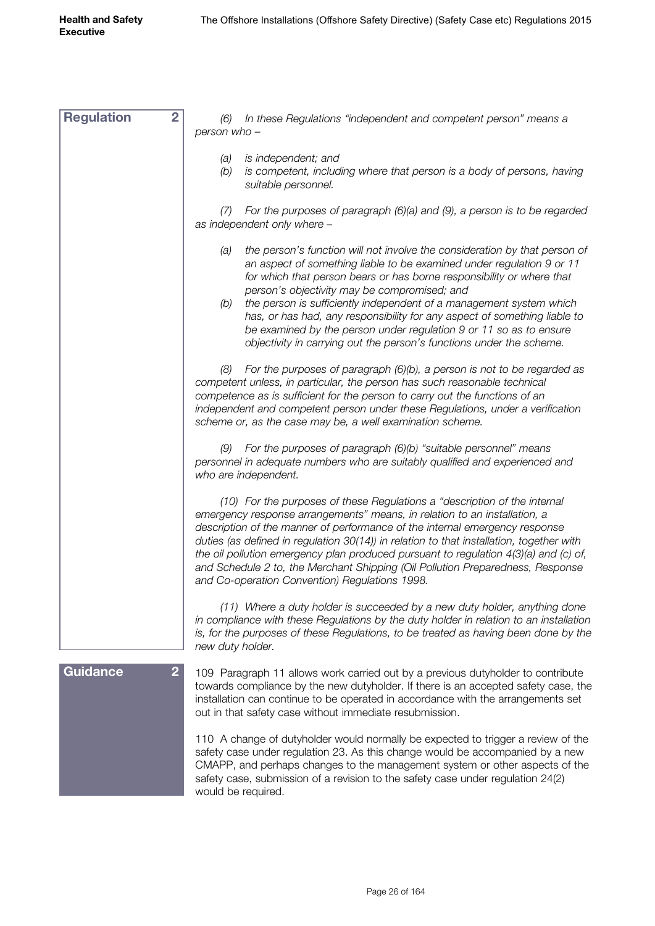| $\overline{2}$<br><b>Regulation</b> | In these Regulations "independent and competent person" means a<br>(6)<br>person who -                                                                                                                                                                                                                                                                                                                                                                                                                                                                                                       |
|-------------------------------------|----------------------------------------------------------------------------------------------------------------------------------------------------------------------------------------------------------------------------------------------------------------------------------------------------------------------------------------------------------------------------------------------------------------------------------------------------------------------------------------------------------------------------------------------------------------------------------------------|
|                                     | is independent; and<br>(a)<br>(b)<br>is competent, including where that person is a body of persons, having<br>suitable personnel.                                                                                                                                                                                                                                                                                                                                                                                                                                                           |
|                                     | For the purposes of paragraph (6)(a) and (9), a person is to be regarded<br>(7)<br>as independent only where -                                                                                                                                                                                                                                                                                                                                                                                                                                                                               |
|                                     | the person's function will not involve the consideration by that person of<br>(a)<br>an aspect of something liable to be examined under regulation 9 or 11<br>for which that person bears or has borne responsibility or where that<br>person's objectivity may be compromised; and<br>the person is sufficiently independent of a management system which<br>(b)<br>has, or has had, any responsibility for any aspect of something liable to<br>be examined by the person under regulation 9 or 11 so as to ensure<br>objectivity in carrying out the person's functions under the scheme. |
|                                     | For the purposes of paragraph (6)(b), a person is not to be regarded as<br>(8)<br>competent unless, in particular, the person has such reasonable technical<br>competence as is sufficient for the person to carry out the functions of an<br>independent and competent person under these Regulations, under a verification<br>scheme or, as the case may be, a well examination scheme.                                                                                                                                                                                                    |
|                                     | For the purposes of paragraph (6)(b) "suitable personnel" means<br>(9)<br>personnel in adequate numbers who are suitably qualified and experienced and<br>who are independent.                                                                                                                                                                                                                                                                                                                                                                                                               |
|                                     | (10) For the purposes of these Regulations a "description of the internal<br>emergency response arrangements" means, in relation to an installation, a<br>description of the manner of performance of the internal emergency response<br>duties (as defined in regulation 30(14)) in relation to that installation, together with<br>the oil pollution emergency plan produced pursuant to regulation 4(3)(a) and (c) of,<br>and Schedule 2 to, the Merchant Shipping (Oil Pollution Preparedness, Response<br>and Co-operation Convention) Regulations 1998.                                |
|                                     | (11) Where a duty holder is succeeded by a new duty holder, anything done<br>in compliance with these Regulations by the duty holder in relation to an installation<br>is, for the purposes of these Regulations, to be treated as having been done by the<br>new duty holder.                                                                                                                                                                                                                                                                                                               |
| $\overline{2}$<br><b>Guidance</b>   | 109 Paragraph 11 allows work carried out by a previous dutyholder to contribute<br>towards compliance by the new dutyholder. If there is an accepted safety case, the<br>installation can continue to be operated in accordance with the arrangements set<br>out in that safety case without immediate resubmission.                                                                                                                                                                                                                                                                         |
|                                     | 110 A change of dutyholder would normally be expected to trigger a review of the<br>safety case under regulation 23. As this change would be accompanied by a new<br>CMAPP, and perhaps changes to the management system or other aspects of the<br>safety case, submission of a revision to the safety case under regulation 24(2)<br>would be required.                                                                                                                                                                                                                                    |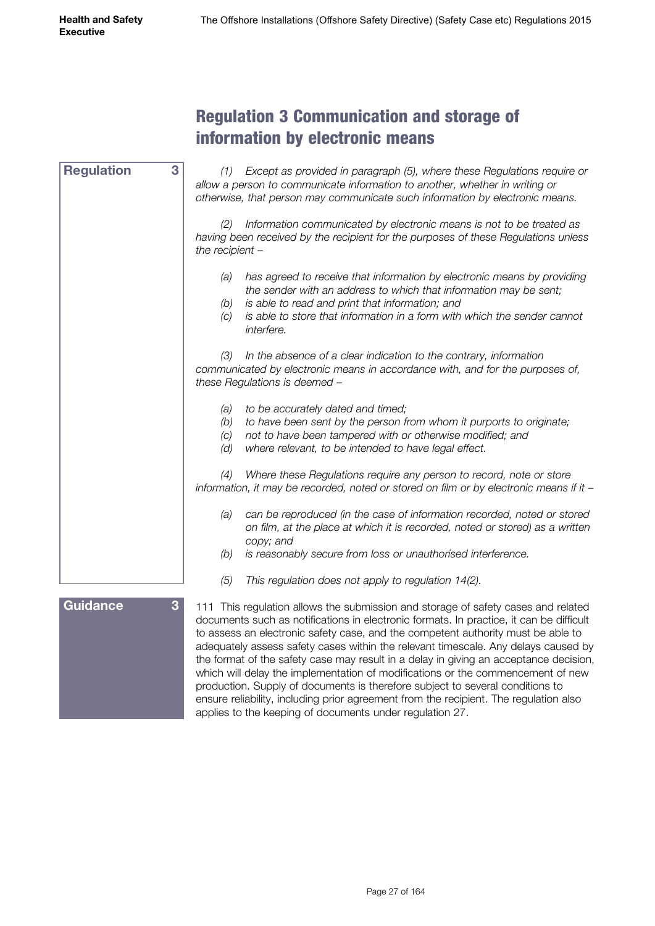# Regulation 3 Communication and storage of information by electronic means

<span id="page-26-0"></span>

| <b>Regulation</b> | 3<br>(1) Except as provided in paragraph (5), where these Regulations require or<br>allow a person to communicate information to another, whether in writing or<br>otherwise, that person may communicate such information by electronic means.                                                                                                                                                                                                      |
|-------------------|------------------------------------------------------------------------------------------------------------------------------------------------------------------------------------------------------------------------------------------------------------------------------------------------------------------------------------------------------------------------------------------------------------------------------------------------------|
|                   | Information communicated by electronic means is not to be treated as<br>(2)<br>having been received by the recipient for the purposes of these Regulations unless<br>the recipient $-$                                                                                                                                                                                                                                                               |
|                   | has agreed to receive that information by electronic means by providing<br>(a)<br>the sender with an address to which that information may be sent;<br>is able to read and print that information; and<br>(b)<br>is able to store that information in a form with which the sender cannot<br>(C)<br>interfere.                                                                                                                                       |
|                   | In the absence of a clear indication to the contrary, information<br>(3)<br>communicated by electronic means in accordance with, and for the purposes of,<br>these Regulations is deemed -                                                                                                                                                                                                                                                           |
|                   | to be accurately dated and timed;<br>(a)<br>to have been sent by the person from whom it purports to originate;<br>(b)<br>not to have been tampered with or otherwise modified; and<br>(C)<br>where relevant, to be intended to have legal effect.<br>(d)                                                                                                                                                                                            |
|                   | Where these Regulations require any person to record, note or store<br>(4)<br>information, it may be recorded, noted or stored on film or by electronic means if it -                                                                                                                                                                                                                                                                                |
|                   | can be reproduced (in the case of information recorded, noted or stored<br>(a)<br>on film, at the place at which it is recorded, noted or stored) as a written<br>copy; and                                                                                                                                                                                                                                                                          |
|                   | is reasonably secure from loss or unauthorised interference.<br>(b)                                                                                                                                                                                                                                                                                                                                                                                  |
|                   | (5)<br>This regulation does not apply to regulation 14(2).                                                                                                                                                                                                                                                                                                                                                                                           |
| Guidance          | 3<br>111 This regulation allows the submission and storage of safety cases and related<br>documents such as notifications in electronic formats. In practice, it can be difficult<br>to assess an electronic safety case, and the competent authority must be able to<br>adequately assess safety cases within the relevant timescale. Any delays caused by<br>the format of the safety case may result in a delay in giving an acceptance decision, |

which will delay the implementation of modifications or the commencement of new production. Supply of documents is therefore subject to several conditions to ensure reliability, including prior agreement from the recipient. The regulation also applies to the keeping of documents under regulation 27.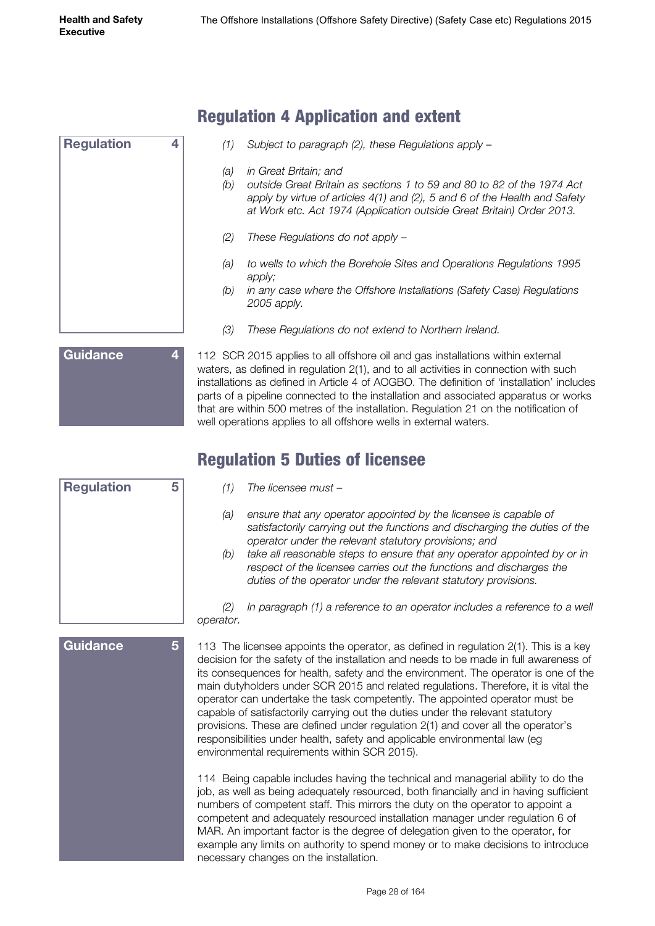<span id="page-27-0"></span>

| <b>Regulation</b> | 4 |
|-------------------|---|
|                   |   |
|                   |   |
|                   |   |
|                   |   |
|                   |   |
|                   |   |

# Regulation 4 Application and extent

- *(1) Subject to paragraph (2), these Regulations apply –*
- *(a) in Great Britain; and*
- *(b) outside Great Britain as sections 1 to 59 and 80 to 82 of the 1974 Act apply by virtue of articles 4(1) and (2), 5 and 6 of the Health and Safety at Work etc. Act 1974 (Application outside Great Britain) Order 2013.*
- *(2) These Regulations do not apply –*
- *(a) to wells to which the Borehole Sites and Operations Regulations 1995 apply;*
- *(b) in any case where the Offshore Installations (Safety Case) Regulations 2005 apply.*
- *(3) These Regulations do not extend to Northern Ireland.*

112 SCR 2015 applies to all offshore oil and gas installations within external waters, as defined in regulation 2(1), and to all activities in connection with such installations as defined in Article 4 of AOGBO. The definition of 'installation' includes parts of a pipeline connected to the installation and associated apparatus or works that are within 500 metres of the installation. Regulation 21 on the notification of well operations applies to all offshore wells in external waters. **Guidance 4**

# Regulation 5 Duties of licensee

| <b>Regulation</b> | 5 |
|-------------------|---|
|                   |   |
|                   |   |
|                   |   |
|                   |   |

**Guidance 5**

- *(1) The licensee must –*
- *(a) ensure that any operator appointed by the licensee is capable of satisfactorily carrying out the functions and discharging the duties of the operator under the relevant statutory provisions; and*
- *(b) take all reasonable steps to ensure that any operator appointed by or in respect of the licensee carries out the functions and discharges the duties of the operator under the relevant statutory provisions.*

*(2)* In paragraph (1) a reference to an operator includes a reference to a well *operator.*

113 The licensee appoints the operator, as defined in regulation 2(1). This is a key decision for the safety of the installation and needs to be made in full awareness of its consequences for health, safety and the environment. The operator is one of the main dutyholders under SCR 2015 and related regulations. Therefore, it is vital the operator can undertake the task competently. The appointed operator must be capable of satisfactorily carrying out the duties under the relevant statutory provisions. These are defined under regulation 2(1) and cover all the operator's responsibilities under health, safety and applicable environmental law (eg environmental requirements within SCR 2015).

114 Being capable includes having the technical and managerial ability to do the job, as well as being adequately resourced, both financially and in having sufficient numbers of competent staff. This mirrors the duty on the operator to appoint a competent and adequately resourced installation manager under regulation 6 of MAR. An important factor is the degree of delegation given to the operator, for example any limits on authority to spend money or to make decisions to introduce necessary changes on the installation.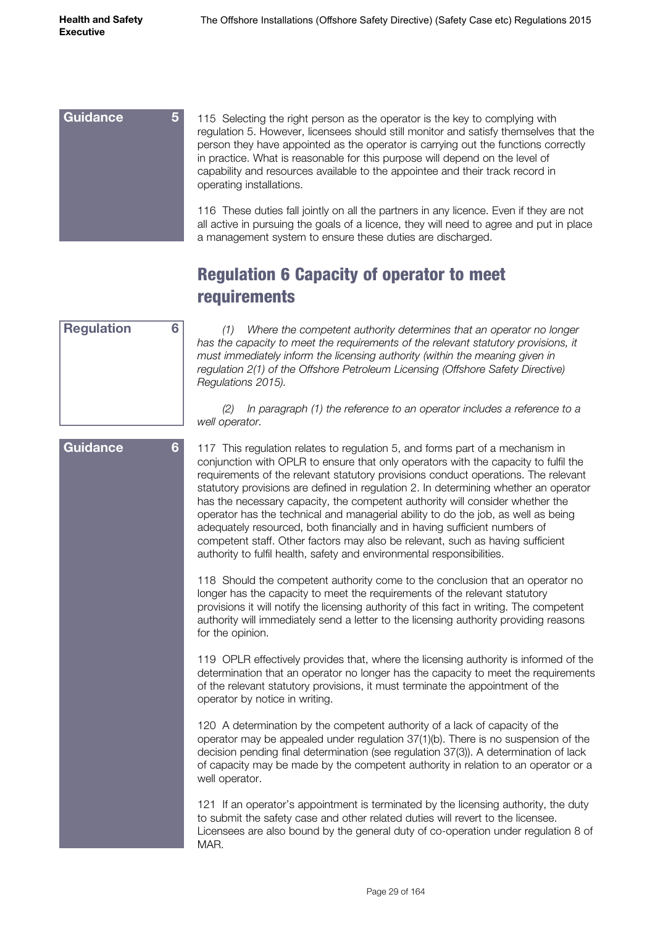<span id="page-28-0"></span>

| <b>Guidance</b><br>5 | 115 Selecting the right person as the operator is the key to complying with<br>regulation 5. However, licensees should still monitor and satisfy themselves that the<br>person they have appointed as the operator is carrying out the functions correctly<br>in practice. What is reasonable for this purpose will depend on the level of<br>capability and resources available to the appointee and their track record in<br>operating installations. |
|----------------------|---------------------------------------------------------------------------------------------------------------------------------------------------------------------------------------------------------------------------------------------------------------------------------------------------------------------------------------------------------------------------------------------------------------------------------------------------------|
|                      | 116 These duties fall jointly on all the partners in any licence. Even if they are not<br>all active in pursuing the goals of a licence, they will need to agree and put in place<br>a management system to ensure these duties are discharged.                                                                                                                                                                                                         |

# Regulation 6 Capacity of operator to meet requirements

| 6 |
|---|
|   |
|   |
|   |
|   |
|   |

*(1) Where the competent authority determines that an operator no longer has the capacity to meet the requirements of the relevant statutory provisions, it must immediately inform the licensing authority (within the meaning given in regulation 2(1) of the Offshore Petroleum Licensing (Offshore Safety Directive) Regulations 2015).*

*(2) In paragraph (1) the reference to an operator includes a reference to a well operator.*

117 This regulation relates to regulation 5, and forms part of a mechanism in conjunction with OPLR to ensure that only operators with the capacity to fulfil the requirements of the relevant statutory provisions conduct operations. The relevant statutory provisions are defined in regulation 2. In determining whether an operator has the necessary capacity, the competent authority will consider whether the operator has the technical and managerial ability to do the job, as well as being adequately resourced, both financially and in having sufficient numbers of competent staff. Other factors may also be relevant, such as having sufficient authority to fulfil health, safety and environmental responsibilities.

118 Should the competent authority come to the conclusion that an operator no longer has the capacity to meet the requirements of the relevant statutory provisions it will notify the licensing authority of this fact in writing. The competent authority will immediately send a letter to the licensing authority providing reasons for the opinion.

119 OPLR effectively provides that, where the licensing authority is informed of the determination that an operator no longer has the capacity to meet the requirements of the relevant statutory provisions, it must terminate the appointment of the operator by notice in writing.

120 A determination by the competent authority of a lack of capacity of the operator may be appealed under regulation 37(1)(b). There is no suspension of the decision pending final determination (see regulation 37(3)). A determination of lack of capacity may be made by the competent authority in relation to an operator or a well operator.

121 If an operator's appointment is terminated by the licensing authority, the duty to submit the safety case and other related duties will revert to the licensee. Licensees are also bound by the general duty of co-operation under regulation 8 of MAR.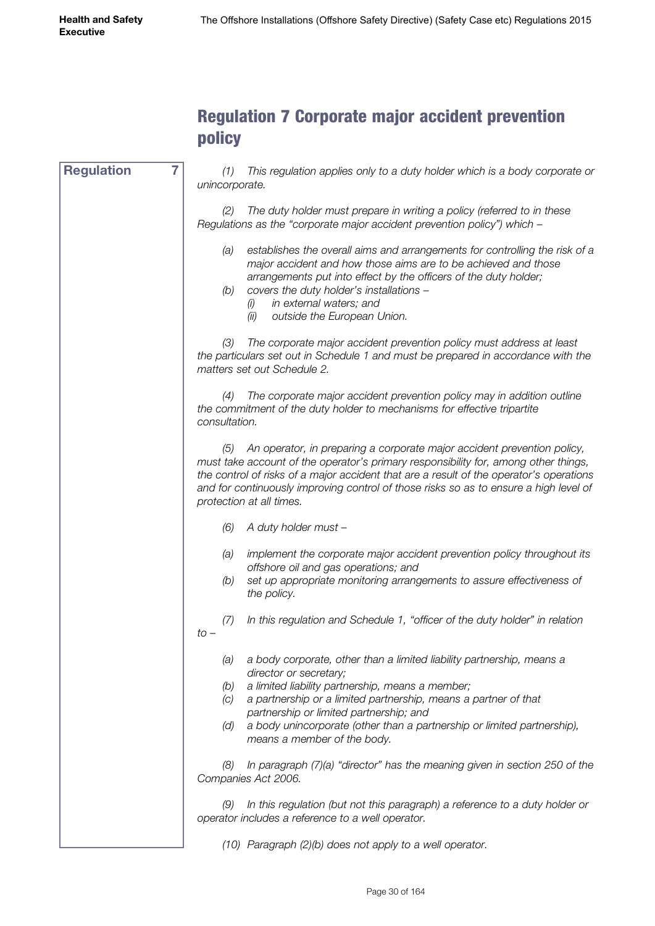# Regulation 7 Corporate major accident prevention policy

<span id="page-29-0"></span>*(1) This regulation applies only to a duty holder which is a body corporate or unincorporate. (2) The duty holder must prepare in writing a policy (referred to in these Regulations as the "corporate major accident prevention policy") which – (a) establishes the overall aims and arrangements for controlling the risk of a major accident and how those aims are to be achieved and those arrangements put into effect by the officers of the duty holder; (b) covers the duty holder's installations – (i) in external waters; and (ii) outside the European Union. (3) The corporate major accident prevention policy must address at least the particulars set out in Schedule 1 and must be prepared in accordance with the matters set out Schedule 2. (4) The corporate major accident prevention policy may in addition outline the commitment of the duty holder to mechanisms for effective tripartite consultation. (5) An operator, in preparing a corporate major accident prevention policy, must take account of the operator's primary responsibility for, among other things, the control of risks of a major accident that are a result of the operator's operations and for continuously improving control of those risks so as to ensure a high level of protection at all times. (6) A duty holder must – (a) implement the corporate major accident prevention policy throughout its offshore oil and gas operations; and (b) set up appropriate monitoring arrangements to assure effectiveness of the policy. (7) In this regulation and Schedule 1, "officer of the duty holder" in relation to – (a) a body corporate, other than a limited liability partnership, means a director or secretary; (b) a limited liability partnership, means a member; (c) a partnership or a limited partnership, means a partner of that partnership or limited partnership; and (d) a body unincorporate (other than a partnership or limited partnership), means a member of the body. (8) In paragraph (7)(a) "director" has the meaning given in section 250 of the Companies Act 2006. (9) In this regulation (but not this paragraph) a reference to a duty holder or operator includes a reference to a well operator.* **Regulation 7**

*(10) Paragraph (2)(b) does not apply to a well operator.*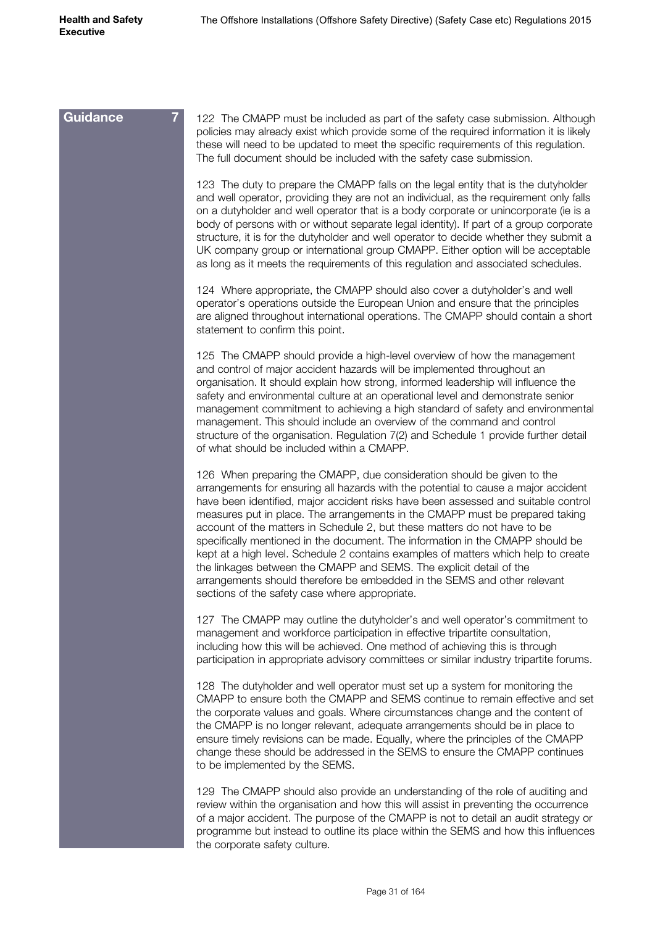| <b>Guidance</b> | 122 The CMAPP must be included as part of the safety case submission. Although<br>policies may already exist which provide some of the required information it is likely<br>these will need to be updated to meet the specific requirements of this regulation.<br>The full document should be included with the safety case submission.                                                                                                                                                                                                                                                                                                                                                                                                                                                     |
|-----------------|----------------------------------------------------------------------------------------------------------------------------------------------------------------------------------------------------------------------------------------------------------------------------------------------------------------------------------------------------------------------------------------------------------------------------------------------------------------------------------------------------------------------------------------------------------------------------------------------------------------------------------------------------------------------------------------------------------------------------------------------------------------------------------------------|
|                 | 123 The duty to prepare the CMAPP falls on the legal entity that is the dutyholder<br>and well operator, providing they are not an individual, as the requirement only falls<br>on a dutyholder and well operator that is a body corporate or unincorporate (ie is a<br>body of persons with or without separate legal identity). If part of a group corporate<br>structure, it is for the dutyholder and well operator to decide whether they submit a<br>UK company group or international group CMAPP. Either option will be acceptable<br>as long as it meets the requirements of this regulation and associated schedules.                                                                                                                                                              |
|                 | 124 Where appropriate, the CMAPP should also cover a dutyholder's and well<br>operator's operations outside the European Union and ensure that the principles<br>are aligned throughout international operations. The CMAPP should contain a short<br>statement to confirm this point.                                                                                                                                                                                                                                                                                                                                                                                                                                                                                                       |
|                 | 125 The CMAPP should provide a high-level overview of how the management<br>and control of major accident hazards will be implemented throughout an<br>organisation. It should explain how strong, informed leadership will influence the<br>safety and environmental culture at an operational level and demonstrate senior<br>management commitment to achieving a high standard of safety and environmental<br>management. This should include an overview of the command and control<br>structure of the organisation. Regulation 7(2) and Schedule 1 provide further detail<br>of what should be included within a CMAPP.                                                                                                                                                               |
|                 | 126 When preparing the CMAPP, due consideration should be given to the<br>arrangements for ensuring all hazards with the potential to cause a major accident<br>have been identified, major accident risks have been assessed and suitable control<br>measures put in place. The arrangements in the CMAPP must be prepared taking<br>account of the matters in Schedule 2, but these matters do not have to be<br>specifically mentioned in the document. The information in the CMAPP should be<br>kept at a high level. Schedule 2 contains examples of matters which help to create<br>the linkages between the CMAPP and SEMS. The explicit detail of the<br>arrangements should therefore be embedded in the SEMS and other relevant<br>sections of the safety case where appropriate. |
|                 | 127 The CMAPP may outline the dutyholder's and well operator's commitment to<br>management and workforce participation in effective tripartite consultation,<br>including how this will be achieved. One method of achieving this is through<br>participation in appropriate advisory committees or similar industry tripartite forums.                                                                                                                                                                                                                                                                                                                                                                                                                                                      |
|                 | 128 The dutyholder and well operator must set up a system for monitoring the<br>CMAPP to ensure both the CMAPP and SEMS continue to remain effective and set<br>the corporate values and goals. Where circumstances change and the content of<br>the CMAPP is no longer relevant, adequate arrangements should be in place to<br>ensure timely revisions can be made. Equally, where the principles of the CMAPP<br>change these should be addressed in the SEMS to ensure the CMAPP continues<br>to be implemented by the SEMS.                                                                                                                                                                                                                                                             |
|                 | 129 The CMAPP should also provide an understanding of the role of auditing and<br>review within the organisation and how this will assist in preventing the occurrence<br>of a major accident. The purpose of the CMAPP is not to detail an audit strategy or<br>programme but instead to outline its place within the SEMS and how this influences<br>the corporate safety culture.                                                                                                                                                                                                                                                                                                                                                                                                         |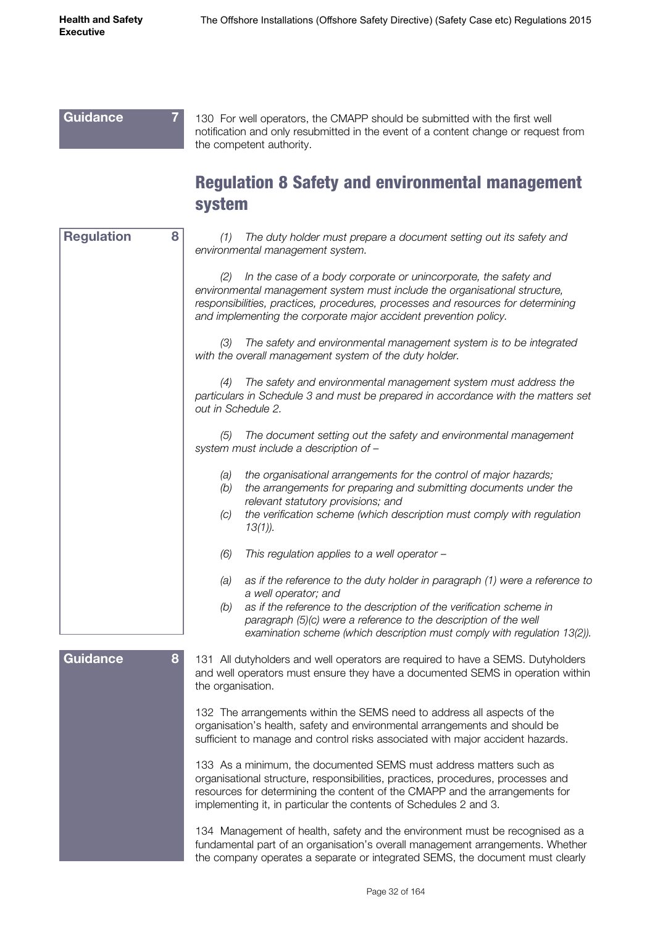# <span id="page-31-0"></span>**Guidance 7**

130 For well operators, the CMAPP should be submitted with the first well notification and only resubmitted in the event of a content change or request from the competent authority.

# Regulation 8 Safety and environmental management system

| <b>Regulation</b><br>8 | The duty holder must prepare a document setting out its safety and<br>(1)<br>environmental management system.                                                                                                                                                                                                                              |
|------------------------|--------------------------------------------------------------------------------------------------------------------------------------------------------------------------------------------------------------------------------------------------------------------------------------------------------------------------------------------|
|                        | In the case of a body corporate or unincorporate, the safety and<br>(2)<br>environmental management system must include the organisational structure,<br>responsibilities, practices, procedures, processes and resources for determining<br>and implementing the corporate major accident prevention policy.                              |
|                        | The safety and environmental management system is to be integrated<br>(3)<br>with the overall management system of the duty holder.                                                                                                                                                                                                        |
|                        | The safety and environmental management system must address the<br>(4)<br>particulars in Schedule 3 and must be prepared in accordance with the matters set<br>out in Schedule 2.                                                                                                                                                          |
|                        | The document setting out the safety and environmental management<br>(5)<br>system must include a description of -                                                                                                                                                                                                                          |
|                        | the organisational arrangements for the control of major hazards;<br>(a)<br>the arrangements for preparing and submitting documents under the<br>(b)<br>relevant statutory provisions; and<br>the verification scheme (which description must comply with regulation<br>(C)<br>$13(1)$ ).                                                  |
|                        | (6)<br>This regulation applies to a well operator -                                                                                                                                                                                                                                                                                        |
|                        | as if the reference to the duty holder in paragraph (1) were a reference to<br>(a)<br>a well operator; and<br>(b)<br>as if the reference to the description of the verification scheme in<br>paragraph (5)(c) were a reference to the description of the well<br>examination scheme (which description must comply with regulation 13(2)). |
| Guidance<br>8          | 131 All dutyholders and well operators are required to have a SEMS. Dutyholders<br>and well operators must ensure they have a documented SEMS in operation within<br>the organisation.                                                                                                                                                     |
|                        | 132 The arrangements within the SEMS need to address all aspects of the<br>organisation's health, safety and environmental arrangements and should be<br>sufficient to manage and control risks associated with major accident hazards.                                                                                                    |
|                        | 133 As a minimum, the documented SEMS must address matters such as<br>organisational structure, responsibilities, practices, procedures, processes and<br>resources for determining the content of the CMAPP and the arrangements for<br>implementing it, in particular the contents of Schedules 2 and 3.                                 |
|                        | 134 Management of health, safety and the environment must be recognised as a<br>fundamental part of an organisation's overall management arrangements. Whether<br>the company operates a separate or integrated SEMS, the document must clearly                                                                                            |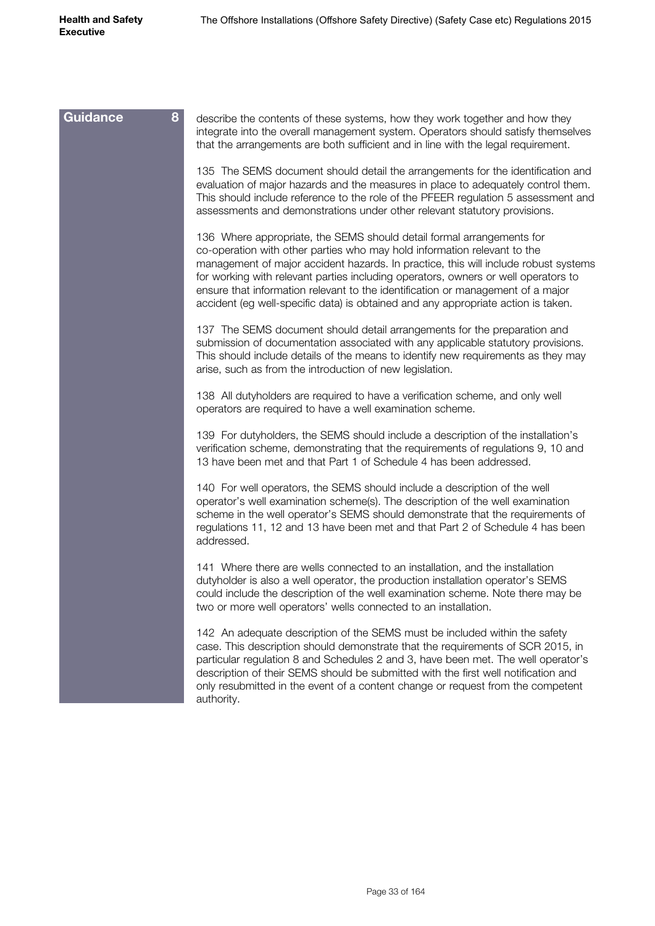| <b>Guidance</b><br>8 | describe the contents of these systems, how they work together and how they<br>integrate into the overall management system. Operators should satisfy themselves<br>that the arrangements are both sufficient and in line with the legal requirement.                                                                                                                                                                                                                                                  |
|----------------------|--------------------------------------------------------------------------------------------------------------------------------------------------------------------------------------------------------------------------------------------------------------------------------------------------------------------------------------------------------------------------------------------------------------------------------------------------------------------------------------------------------|
|                      | 135 The SEMS document should detail the arrangements for the identification and<br>evaluation of major hazards and the measures in place to adequately control them.<br>This should include reference to the role of the PFEER regulation 5 assessment and<br>assessments and demonstrations under other relevant statutory provisions.                                                                                                                                                                |
|                      | 136 Where appropriate, the SEMS should detail formal arrangements for<br>co-operation with other parties who may hold information relevant to the<br>management of major accident hazards. In practice, this will include robust systems<br>for working with relevant parties including operators, owners or well operators to<br>ensure that information relevant to the identification or management of a major<br>accident (eg well-specific data) is obtained and any appropriate action is taken. |
|                      | 137 The SEMS document should detail arrangements for the preparation and<br>submission of documentation associated with any applicable statutory provisions.<br>This should include details of the means to identify new requirements as they may<br>arise, such as from the introduction of new legislation.                                                                                                                                                                                          |
|                      | 138 All dutyholders are required to have a verification scheme, and only well<br>operators are required to have a well examination scheme.                                                                                                                                                                                                                                                                                                                                                             |
|                      | 139 For dutyholders, the SEMS should include a description of the installation's<br>verification scheme, demonstrating that the requirements of regulations 9, 10 and<br>13 have been met and that Part 1 of Schedule 4 has been addressed.                                                                                                                                                                                                                                                            |
|                      | 140 For well operators, the SEMS should include a description of the well<br>operator's well examination scheme(s). The description of the well examination<br>scheme in the well operator's SEMS should demonstrate that the requirements of<br>regulations 11, 12 and 13 have been met and that Part 2 of Schedule 4 has been<br>addressed.                                                                                                                                                          |
|                      | 141 Where there are wells connected to an installation, and the installation<br>dutyholder is also a well operator, the production installation operator's SEMS<br>could include the description of the well examination scheme. Note there may be<br>two or more well operators' wells connected to an installation.                                                                                                                                                                                  |
|                      | 142 An adequate description of the SEMS must be included within the safety<br>case. This description should demonstrate that the requirements of SCR 2015, in<br>particular regulation 8 and Schedules 2 and 3, have been met. The well operator's<br>description of their SEMS should be submitted with the first well notification and<br>only resubmitted in the event of a content change or request from the competent<br>authority.                                                              |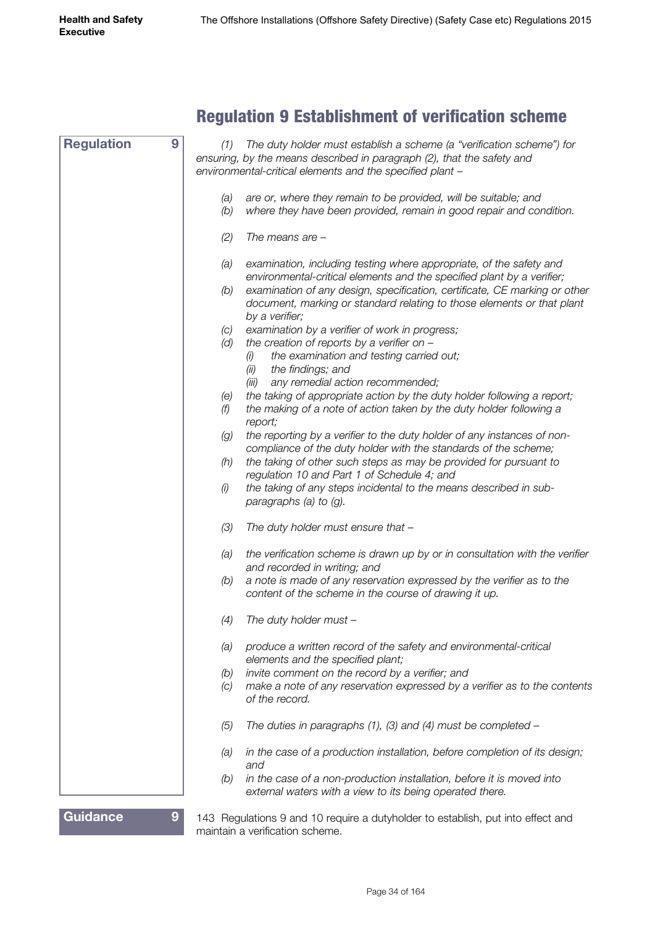# Regulation 9 Establishment of verification scheme

<span id="page-33-0"></span>

| <b>Regulation</b><br>9            | (1)        | The duty holder must establish a scheme (a "verification scheme") for                                                                                                  |
|-----------------------------------|------------|------------------------------------------------------------------------------------------------------------------------------------------------------------------------|
|                                   |            | ensuring, by the means described in paragraph (2), that the safety and<br>environmental-critical elements and the specified plant -                                    |
|                                   |            |                                                                                                                                                                        |
|                                   | (a)<br>(b) | are or, where they remain to be provided, will be suitable; and<br>where they have been provided, remain in good repair and condition.                                 |
|                                   | (2)        | The means are $-$                                                                                                                                                      |
|                                   | (a)        | examination, including testing where appropriate, of the safety and<br>environmental-critical elements and the specified plant by a verifier;                          |
|                                   | (b)        | examination of any design, specification, certificate, CE marking or other<br>document, marking or standard relating to those elements or that plant<br>by a verifier; |
|                                   | (C)        | examination by a verifier of work in progress;                                                                                                                         |
|                                   | (d)        | the creation of reports by a verifier on $-$<br>the examination and testing carried out;<br>(i)                                                                        |
|                                   |            | the findings; and<br>(ii)<br>(iii)<br>any remedial action recommended;                                                                                                 |
|                                   | (e)        | the taking of appropriate action by the duty holder following a report;                                                                                                |
|                                   | (f)        | the making of a note of action taken by the duty holder following a<br>report;                                                                                         |
|                                   | (g)        | the reporting by a verifier to the duty holder of any instances of non-                                                                                                |
|                                   |            | compliance of the duty holder with the standards of the scheme;                                                                                                        |
|                                   | (h)        | the taking of other such steps as may be provided for pursuant to<br>regulation 10 and Part 1 of Schedule 4; and                                                       |
|                                   | (i)        | the taking of any steps incidental to the means described in sub-<br>paragraphs (a) to $(g)$ .                                                                         |
|                                   | (3)        | The duty holder must ensure that -                                                                                                                                     |
|                                   | (a)        | the verification scheme is drawn up by or in consultation with the verifier<br>and recorded in writing; and                                                            |
|                                   | (b)        | a note is made of any reservation expressed by the verifier as to the<br>content of the scheme in the course of drawing it up.                                         |
|                                   | (4)        | The duty holder must -                                                                                                                                                 |
|                                   | (a)        | produce a written record of the safety and environmental-critical<br>elements and the specified plant;                                                                 |
|                                   | (b)        | invite comment on the record by a verifier; and                                                                                                                        |
|                                   | (C)        | make a note of any reservation expressed by a verifier as to the contents<br>of the record.                                                                            |
|                                   | (5)        | The duties in paragraphs $(1)$ , $(3)$ and $(4)$ must be completed –                                                                                                   |
|                                   | (a)        | in the case of a production installation, before completion of its design;<br>and                                                                                      |
|                                   | (b)        | in the case of a non-production installation, before it is moved into<br>external waters with a view to its being operated there.                                      |
| <b>Guidance</b><br>9 <sup>°</sup> |            | 143 Regulations 9 and 10 require a dutyholder to establish, put into effect and                                                                                        |

maintain a verification scheme.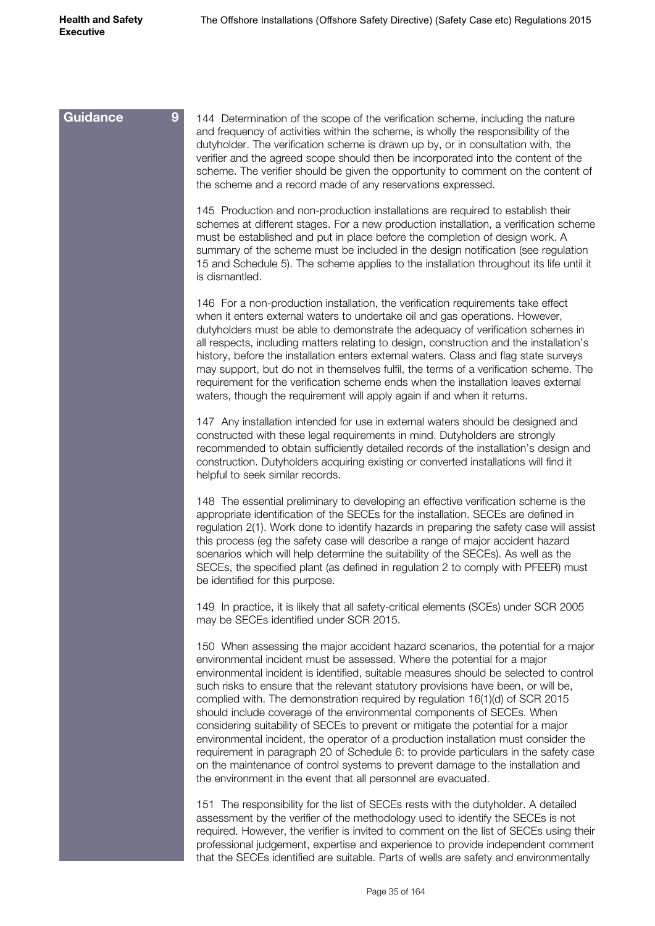| <b>Guidance</b><br>9 <sup>°</sup> | 144 Determination of the scope of the verification scheme, including the nature<br>and frequency of activities within the scheme, is wholly the responsibility of the<br>dutyholder. The verification scheme is drawn up by, or in consultation with, the<br>verifier and the agreed scope should then be incorporated into the content of the<br>scheme. The verifier should be given the opportunity to comment on the content of<br>the scheme and a record made of any reservations expressed.                                                                                                                                                                                                                                                                                                                                                                                                                              |
|-----------------------------------|---------------------------------------------------------------------------------------------------------------------------------------------------------------------------------------------------------------------------------------------------------------------------------------------------------------------------------------------------------------------------------------------------------------------------------------------------------------------------------------------------------------------------------------------------------------------------------------------------------------------------------------------------------------------------------------------------------------------------------------------------------------------------------------------------------------------------------------------------------------------------------------------------------------------------------|
|                                   | 145 Production and non-production installations are required to establish their<br>schemes at different stages. For a new production installation, a verification scheme<br>must be established and put in place before the completion of design work. A<br>summary of the scheme must be included in the design notification (see regulation<br>15 and Schedule 5). The scheme applies to the installation throughout its life until it<br>is dismantled.                                                                                                                                                                                                                                                                                                                                                                                                                                                                      |
|                                   | 146 For a non-production installation, the verification requirements take effect<br>when it enters external waters to undertake oil and gas operations. However,<br>dutyholders must be able to demonstrate the adequacy of verification schemes in<br>all respects, including matters relating to design, construction and the installation's<br>history, before the installation enters external waters. Class and flag state surveys<br>may support, but do not in themselves fulfil, the terms of a verification scheme. The<br>requirement for the verification scheme ends when the installation leaves external<br>waters, though the requirement will apply again if and when it returns.                                                                                                                                                                                                                               |
|                                   | 147 Any installation intended for use in external waters should be designed and<br>constructed with these legal requirements in mind. Dutyholders are strongly<br>recommended to obtain sufficiently detailed records of the installation's design and<br>construction. Dutyholders acquiring existing or converted installations will find it<br>helpful to seek similar records.                                                                                                                                                                                                                                                                                                                                                                                                                                                                                                                                              |
|                                   | 148 The essential preliminary to developing an effective verification scheme is the<br>appropriate identification of the SECEs for the installation. SECEs are defined in<br>regulation 2(1). Work done to identify hazards in preparing the safety case will assist<br>this process (eg the safety case will describe a range of major accident hazard<br>scenarios which will help determine the suitability of the SECEs). As well as the<br>SECEs, the specified plant (as defined in regulation 2 to comply with PFEER) must<br>be identified for this purpose.                                                                                                                                                                                                                                                                                                                                                            |
|                                   | 149 In practice, it is likely that all safety-critical elements (SCEs) under SCR 2005<br>may be SECEs identified under SCR 2015.                                                                                                                                                                                                                                                                                                                                                                                                                                                                                                                                                                                                                                                                                                                                                                                                |
|                                   | 150 When assessing the major accident hazard scenarios, the potential for a major<br>environmental incident must be assessed. Where the potential for a major<br>environmental incident is identified, suitable measures should be selected to control<br>such risks to ensure that the relevant statutory provisions have been, or will be,<br>complied with. The demonstration required by regulation 16(1)(d) of SCR 2015<br>should include coverage of the environmental components of SECEs. When<br>considering suitability of SECEs to prevent or mitigate the potential for a major<br>environmental incident, the operator of a production installation must consider the<br>requirement in paragraph 20 of Schedule 6: to provide particulars in the safety case<br>on the maintenance of control systems to prevent damage to the installation and<br>the environment in the event that all personnel are evacuated. |
|                                   | 151 The responsibility for the list of SECEs rests with the dutyholder. A detailed<br>assessment by the verifier of the methodology used to identify the SECEs is not<br>required. However, the verifier is invited to comment on the list of SECEs using their<br>professional judgement, expertise and experience to provide independent comment<br>that the SECEs identified are suitable. Parts of wells are safety and environmentally                                                                                                                                                                                                                                                                                                                                                                                                                                                                                     |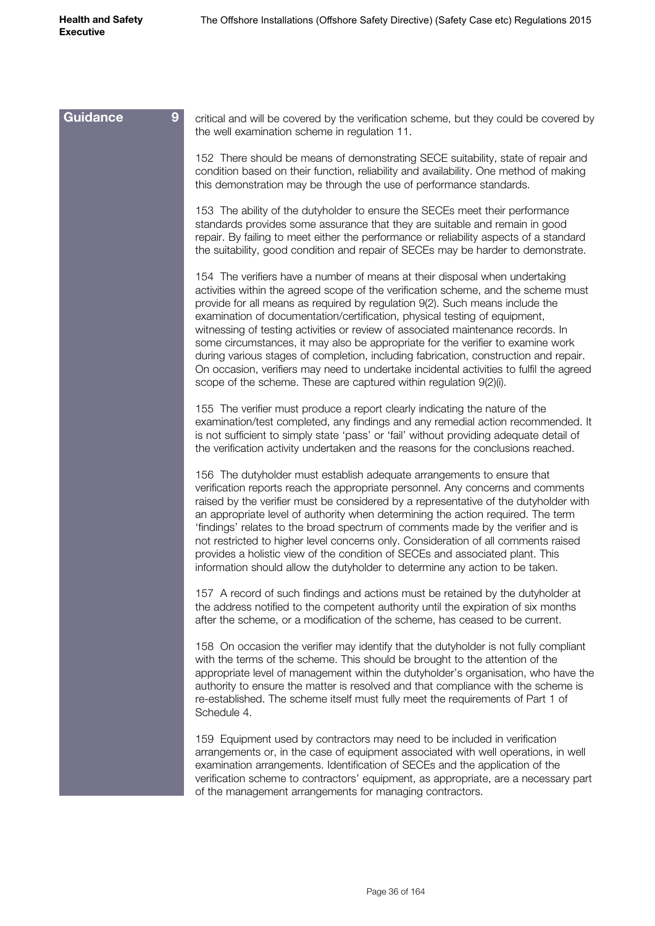| 9<br>Guidance | critical and will be covered by the verification scheme, but they could be covered by<br>the well examination scheme in regulation 11.                                                                                                                                                                                                                                                                                                                                                                                                                                                                                                                                                                                                                          |
|---------------|-----------------------------------------------------------------------------------------------------------------------------------------------------------------------------------------------------------------------------------------------------------------------------------------------------------------------------------------------------------------------------------------------------------------------------------------------------------------------------------------------------------------------------------------------------------------------------------------------------------------------------------------------------------------------------------------------------------------------------------------------------------------|
|               | 152 There should be means of demonstrating SECE suitability, state of repair and<br>condition based on their function, reliability and availability. One method of making<br>this demonstration may be through the use of performance standards.                                                                                                                                                                                                                                                                                                                                                                                                                                                                                                                |
|               | 153 The ability of the dutyholder to ensure the SECEs meet their performance<br>standards provides some assurance that they are suitable and remain in good<br>repair. By failing to meet either the performance or reliability aspects of a standard<br>the suitability, good condition and repair of SECEs may be harder to demonstrate.                                                                                                                                                                                                                                                                                                                                                                                                                      |
|               | 154 The verifiers have a number of means at their disposal when undertaking<br>activities within the agreed scope of the verification scheme, and the scheme must<br>provide for all means as required by regulation 9(2). Such means include the<br>examination of documentation/certification, physical testing of equipment,<br>witnessing of testing activities or review of associated maintenance records. In<br>some circumstances, it may also be appropriate for the verifier to examine work<br>during various stages of completion, including fabrication, construction and repair.<br>On occasion, verifiers may need to undertake incidental activities to fulfil the agreed<br>scope of the scheme. These are captured within regulation 9(2)(i). |
|               | 155 The verifier must produce a report clearly indicating the nature of the<br>examination/test completed, any findings and any remedial action recommended. It<br>is not sufficient to simply state 'pass' or 'fail' without providing adequate detail of<br>the verification activity undertaken and the reasons for the conclusions reached.                                                                                                                                                                                                                                                                                                                                                                                                                 |
|               | 156 The dutyholder must establish adequate arrangements to ensure that<br>verification reports reach the appropriate personnel. Any concerns and comments<br>raised by the verifier must be considered by a representative of the dutyholder with<br>an appropriate level of authority when determining the action required. The term<br>'findings' relates to the broad spectrum of comments made by the verifier and is<br>not restricted to higher level concerns only. Consideration of all comments raised<br>provides a holistic view of the condition of SECEs and associated plant. This<br>information should allow the dutyholder to determine any action to be taken.                                                                                |
|               | 157 A record of such findings and actions must be retained by the dutyholder at<br>the address notified to the competent authority until the expiration of six months<br>after the scheme, or a modification of the scheme, has ceased to be current.                                                                                                                                                                                                                                                                                                                                                                                                                                                                                                           |
|               | 158 On occasion the verifier may identify that the dutyholder is not fully compliant<br>with the terms of the scheme. This should be brought to the attention of the<br>appropriate level of management within the dutyholder's organisation, who have the<br>authority to ensure the matter is resolved and that compliance with the scheme is<br>re-established. The scheme itself must fully meet the requirements of Part 1 of<br>Schedule 4.                                                                                                                                                                                                                                                                                                               |
|               | 159 Equipment used by contractors may need to be included in verification<br>arrangements or, in the case of equipment associated with well operations, in well<br>examination arrangements. Identification of SECEs and the application of the<br>verification scheme to contractors' equipment, as appropriate, are a necessary part<br>of the management arrangements for managing contractors.                                                                                                                                                                                                                                                                                                                                                              |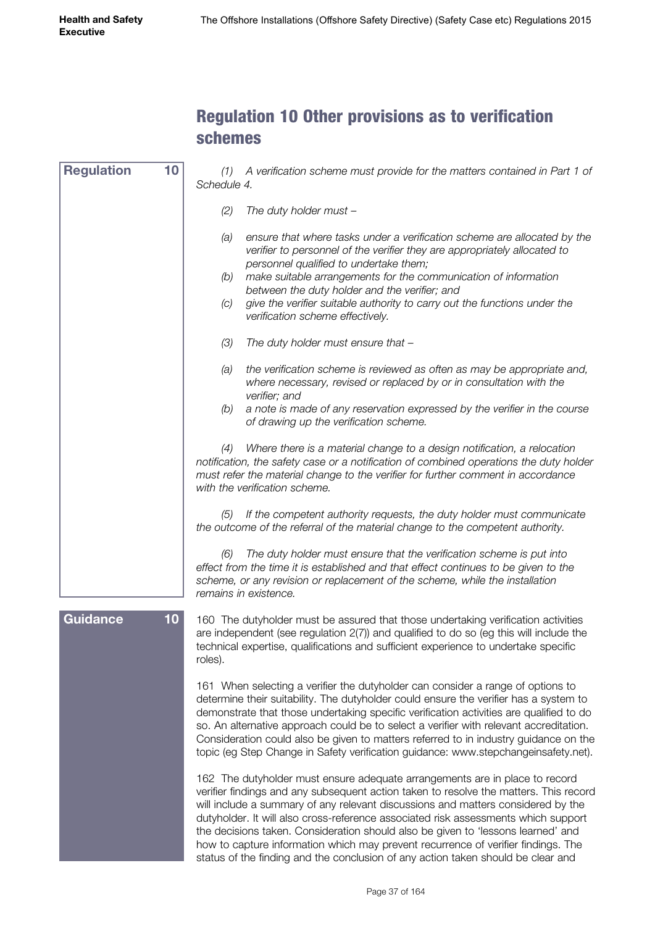#### Regulation 10 Other provisions as to verification schemes

| <b>Regulation</b> | 10              | A verification scheme must provide for the matters contained in Part 1 of<br>(7)<br>Schedule 4.                                                                                                                                                                                                                                                                                                                                                                                                                                                                                                             |
|-------------------|-----------------|-------------------------------------------------------------------------------------------------------------------------------------------------------------------------------------------------------------------------------------------------------------------------------------------------------------------------------------------------------------------------------------------------------------------------------------------------------------------------------------------------------------------------------------------------------------------------------------------------------------|
|                   |                 | (2)<br>The duty holder must -                                                                                                                                                                                                                                                                                                                                                                                                                                                                                                                                                                               |
|                   |                 | (a)<br>ensure that where tasks under a verification scheme are allocated by the<br>verifier to personnel of the verifier they are appropriately allocated to<br>personnel qualified to undertake them;<br>(b)<br>make suitable arrangements for the communication of information<br>between the duty holder and the verifier; and<br>(C)<br>give the verifier suitable authority to carry out the functions under the<br>verification scheme effectively.                                                                                                                                                   |
|                   |                 | (3)<br>The duty holder must ensure that -                                                                                                                                                                                                                                                                                                                                                                                                                                                                                                                                                                   |
|                   |                 | the verification scheme is reviewed as often as may be appropriate and,<br>(a)<br>where necessary, revised or replaced by or in consultation with the<br>verifier; and                                                                                                                                                                                                                                                                                                                                                                                                                                      |
|                   |                 | a note is made of any reservation expressed by the verifier in the course<br>(b)<br>of drawing up the verification scheme.                                                                                                                                                                                                                                                                                                                                                                                                                                                                                  |
|                   |                 | Where there is a material change to a design notification, a relocation<br>(4)<br>notification, the safety case or a notification of combined operations the duty holder<br>must refer the material change to the verifier for further comment in accordance<br>with the verification scheme.                                                                                                                                                                                                                                                                                                               |
|                   |                 | If the competent authority requests, the duty holder must communicate<br>(5)<br>the outcome of the referral of the material change to the competent authority.                                                                                                                                                                                                                                                                                                                                                                                                                                              |
|                   |                 | The duty holder must ensure that the verification scheme is put into<br>(6)<br>effect from the time it is established and that effect continues to be given to the<br>scheme, or any revision or replacement of the scheme, while the installation<br>remains in existence.                                                                                                                                                                                                                                                                                                                                 |
| Guidance          | 10 <sub>1</sub> | 160 The dutyholder must be assured that those undertaking verification activities<br>are independent (see regulation 2(7)) and qualified to do so (eg this will include the<br>technical expertise, qualifications and sufficient experience to undertake specific<br>roles).                                                                                                                                                                                                                                                                                                                               |
|                   |                 | 161 When selecting a verifier the dutyholder can consider a range of options to<br>determine their suitability. The dutyholder could ensure the verifier has a system to<br>demonstrate that those undertaking specific verification activities are qualified to do<br>so. An alternative approach could be to select a verifier with relevant accreditation.<br>Consideration could also be given to matters referred to in industry guidance on the<br>topic (eg Step Change in Safety verification guidance: www.stepchangeinsafety.net).                                                                |
|                   |                 | 162 The dutyholder must ensure adequate arrangements are in place to record<br>verifier findings and any subsequent action taken to resolve the matters. This record<br>will include a summary of any relevant discussions and matters considered by the<br>dutyholder. It will also cross-reference associated risk assessments which support<br>the decisions taken. Consideration should also be given to 'lessons learned' and<br>how to capture information which may prevent recurrence of verifier findings. The<br>status of the finding and the conclusion of any action taken should be clear and |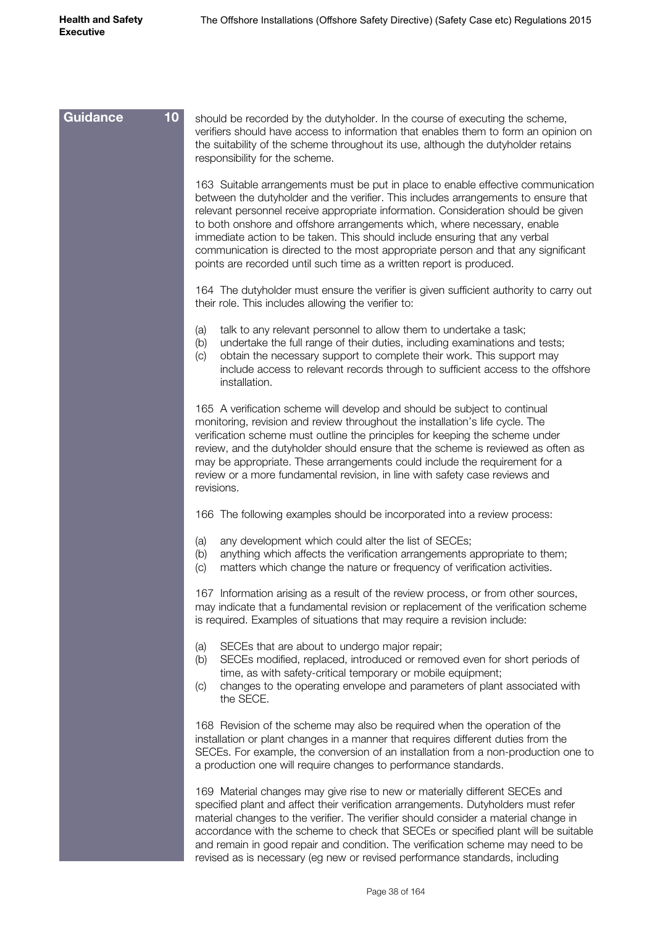| 10 <sub>1</sub><br><b>Guidance</b> | should be recorded by the dutyholder. In the course of executing the scheme,<br>verifiers should have access to information that enables them to form an opinion on<br>the suitability of the scheme throughout its use, although the dutyholder retains<br>responsibility for the scheme.                                                                                                                                                                                                                                                                                         |
|------------------------------------|------------------------------------------------------------------------------------------------------------------------------------------------------------------------------------------------------------------------------------------------------------------------------------------------------------------------------------------------------------------------------------------------------------------------------------------------------------------------------------------------------------------------------------------------------------------------------------|
|                                    | 163 Suitable arrangements must be put in place to enable effective communication<br>between the dutyholder and the verifier. This includes arrangements to ensure that<br>relevant personnel receive appropriate information. Consideration should be given<br>to both onshore and offshore arrangements which, where necessary, enable<br>immediate action to be taken. This should include ensuring that any verbal<br>communication is directed to the most appropriate person and that any significant<br>points are recorded until such time as a written report is produced. |
|                                    | 164 The dutyholder must ensure the verifier is given sufficient authority to carry out<br>their role. This includes allowing the verifier to:                                                                                                                                                                                                                                                                                                                                                                                                                                      |
|                                    | talk to any relevant personnel to allow them to undertake a task;<br>(a)<br>undertake the full range of their duties, including examinations and tests;<br>(b)<br>obtain the necessary support to complete their work. This support may<br>$\left( \circ \right)$<br>include access to relevant records through to sufficient access to the offshore<br>installation.                                                                                                                                                                                                              |
|                                    | 165 A verification scheme will develop and should be subject to continual<br>monitoring, revision and review throughout the installation's life cycle. The<br>verification scheme must outline the principles for keeping the scheme under<br>review, and the dutyholder should ensure that the scheme is reviewed as often as<br>may be appropriate. These arrangements could include the requirement for a<br>review or a more fundamental revision, in line with safety case reviews and<br>revisions.                                                                          |
|                                    | 166 The following examples should be incorporated into a review process:                                                                                                                                                                                                                                                                                                                                                                                                                                                                                                           |
|                                    | any development which could alter the list of SECEs;<br>(a)<br>anything which affects the verification arrangements appropriate to them;<br>(b)<br>matters which change the nature or frequency of verification activities.<br>(c)                                                                                                                                                                                                                                                                                                                                                 |
|                                    | 167 Information arising as a result of the review process, or from other sources,<br>may indicate that a fundamental revision or replacement of the verification scheme<br>is required. Examples of situations that may require a revision include:                                                                                                                                                                                                                                                                                                                                |
|                                    | SECEs that are about to undergo major repair;<br>(a)<br>SECEs modified, replaced, introduced or removed even for short periods of<br>(b)<br>time, as with safety-critical temporary or mobile equipment;<br>changes to the operating envelope and parameters of plant associated with<br>(C)<br>the SECE.                                                                                                                                                                                                                                                                          |
|                                    | 168 Revision of the scheme may also be required when the operation of the<br>installation or plant changes in a manner that requires different duties from the<br>SECEs. For example, the conversion of an installation from a non-production one to<br>a production one will require changes to performance standards.                                                                                                                                                                                                                                                            |
|                                    | 169 Material changes may give rise to new or materially different SECEs and<br>specified plant and affect their verification arrangements. Dutyholders must refer<br>material changes to the verifier. The verifier should consider a material change in<br>accordance with the scheme to check that SECEs or specified plant will be suitable<br>and remain in good repair and condition. The verification scheme may need to be<br>revised as is necessary (eg new or revised performance standards, including                                                                   |
|                                    |                                                                                                                                                                                                                                                                                                                                                                                                                                                                                                                                                                                    |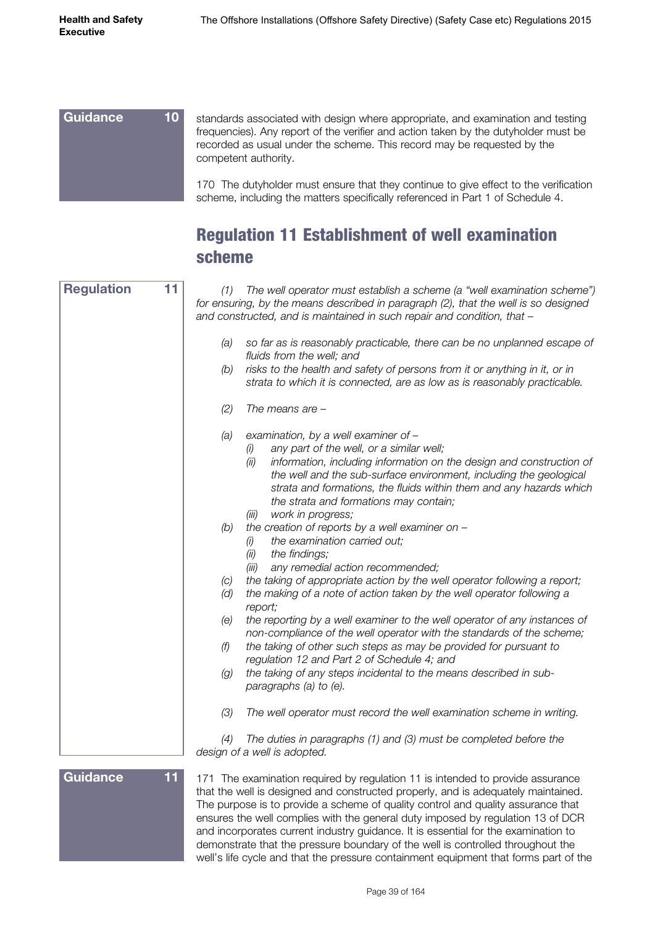standards associated with design where appropriate, and examination and testing frequencies). Any report of the verifier and action taken by the dutyholder must be recorded as usual under the scheme. This record may be requested by the competent authority. 170 The dutyholder must ensure that they continue to give effect to the verification scheme, including the matters specifically referenced in Part 1 of Schedule 4. **Guidance 10**

#### Regulation 11 Establishment of well examination scheme

| <b>Regulation</b><br>11 | The well operator must establish a scheme (a "well examination scheme")<br>(1)<br>for ensuring, by the means described in paragraph (2), that the well is so designed<br>and constructed, and is maintained in such repair and condition, that -                                                                                                                      |
|-------------------------|-----------------------------------------------------------------------------------------------------------------------------------------------------------------------------------------------------------------------------------------------------------------------------------------------------------------------------------------------------------------------|
|                         | (a)<br>so far as is reasonably practicable, there can be no unplanned escape of<br>fluids from the well; and<br>risks to the health and safety of persons from it or anything in it, or in<br>(b)<br>strata to which it is connected, are as low as is reasonably practicable.                                                                                        |
|                         | (2)<br>The means are $-$                                                                                                                                                                                                                                                                                                                                              |
|                         | examination, by a well examiner of -<br>(a)<br>any part of the well, or a similar well;<br>(i)<br>(ii)<br>information, including information on the design and construction of<br>the well and the sub-surface environment, including the geological<br>strata and formations, the fluids within them and any hazards which<br>the strata and formations may contain; |
|                         | work in progress;<br>(iii)<br>the creation of reports by a well examiner on -<br>(b)<br>the examination carried out;<br>(i)<br>(ii)<br>the findings;<br>(iii)<br>any remedial action recommended;                                                                                                                                                                     |
|                         | the taking of appropriate action by the well operator following a report;<br>(C)<br>(d)<br>the making of a note of action taken by the well operator following a<br>report;                                                                                                                                                                                           |
|                         | the reporting by a well examiner to the well operator of any instances of<br>(e)<br>non-compliance of the well operator with the standards of the scheme;<br>(f)<br>the taking of other such steps as may be provided for pursuant to                                                                                                                                 |
|                         | regulation 12 and Part 2 of Schedule 4; and<br>the taking of any steps incidental to the means described in sub-<br>(g)<br>paragraphs (a) to (e).                                                                                                                                                                                                                     |
|                         | (3)<br>The well operator must record the well examination scheme in writing.                                                                                                                                                                                                                                                                                          |
|                         | The duties in paragraphs (1) and (3) must be completed before the<br>(4)<br>design of a well is adopted.                                                                                                                                                                                                                                                              |
| <b>Guidance</b><br>11   | 171 The examination required by regulation 11 is intended to provide assurance<br>that the well is designed and constructed properly, and is adequately maintained.<br>The purpose is to provide a scheme of quality control and quality assurance that                                                                                                               |

ensures the well complies with the general duty imposed by regulation 13 of DCR and incorporates current industry guidance. It is essential for the examination to demonstrate that the pressure boundary of the well is controlled throughout the well's life cycle and that the pressure containment equipment that forms part of the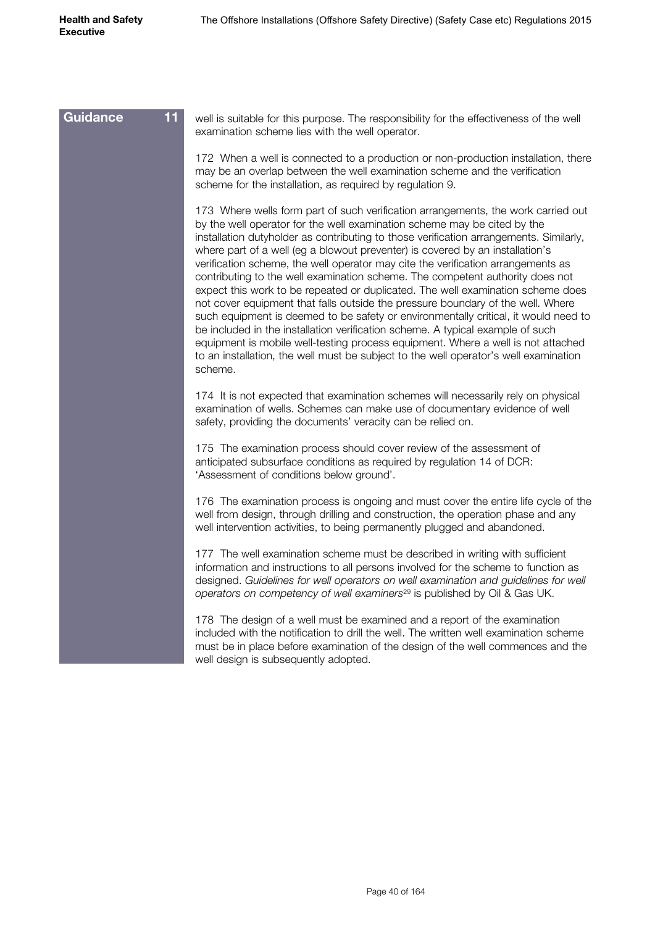| Guidance<br>11 | well is suitable for this purpose. The responsibility for the effectiveness of the well<br>examination scheme lies with the well operator.                                                                                                                                                                                                                                                                                                                                                                                                                                                                                                                                                                                                                                                                                                                                                                                                                                                                                                          |
|----------------|-----------------------------------------------------------------------------------------------------------------------------------------------------------------------------------------------------------------------------------------------------------------------------------------------------------------------------------------------------------------------------------------------------------------------------------------------------------------------------------------------------------------------------------------------------------------------------------------------------------------------------------------------------------------------------------------------------------------------------------------------------------------------------------------------------------------------------------------------------------------------------------------------------------------------------------------------------------------------------------------------------------------------------------------------------|
|                | 172 When a well is connected to a production or non-production installation, there<br>may be an overlap between the well examination scheme and the verification<br>scheme for the installation, as required by regulation 9.                                                                                                                                                                                                                                                                                                                                                                                                                                                                                                                                                                                                                                                                                                                                                                                                                       |
|                | 173 Where wells form part of such verification arrangements, the work carried out<br>by the well operator for the well examination scheme may be cited by the<br>installation dutyholder as contributing to those verification arrangements. Similarly,<br>where part of a well (eg a blowout preventer) is covered by an installation's<br>verification scheme, the well operator may cite the verification arrangements as<br>contributing to the well examination scheme. The competent authority does not<br>expect this work to be repeated or duplicated. The well examination scheme does<br>not cover equipment that falls outside the pressure boundary of the well. Where<br>such equipment is deemed to be safety or environmentally critical, it would need to<br>be included in the installation verification scheme. A typical example of such<br>equipment is mobile well-testing process equipment. Where a well is not attached<br>to an installation, the well must be subject to the well operator's well examination<br>scheme. |
|                | 174 It is not expected that examination schemes will necessarily rely on physical<br>examination of wells. Schemes can make use of documentary evidence of well<br>safety, providing the documents' veracity can be relied on.                                                                                                                                                                                                                                                                                                                                                                                                                                                                                                                                                                                                                                                                                                                                                                                                                      |
|                | 175 The examination process should cover review of the assessment of<br>anticipated subsurface conditions as required by regulation 14 of DCR:<br>'Assessment of conditions below ground'.                                                                                                                                                                                                                                                                                                                                                                                                                                                                                                                                                                                                                                                                                                                                                                                                                                                          |
|                | 176 The examination process is ongoing and must cover the entire life cycle of the<br>well from design, through drilling and construction, the operation phase and any<br>well intervention activities, to being permanently plugged and abandoned.                                                                                                                                                                                                                                                                                                                                                                                                                                                                                                                                                                                                                                                                                                                                                                                                 |
|                | 177 The well examination scheme must be described in writing with sufficient<br>information and instructions to all persons involved for the scheme to function as<br>designed. Guidelines for well operators on well examination and guidelines for well<br>operators on competency of well examiners <sup>29</sup> is published by Oil & Gas UK.                                                                                                                                                                                                                                                                                                                                                                                                                                                                                                                                                                                                                                                                                                  |
|                | 178 The design of a well must be examined and a report of the examination<br>included with the notification to drill the well. The written well examination scheme<br>must be in place before examination of the design of the well commences and the<br>well design is subsequently adopted.                                                                                                                                                                                                                                                                                                                                                                                                                                                                                                                                                                                                                                                                                                                                                       |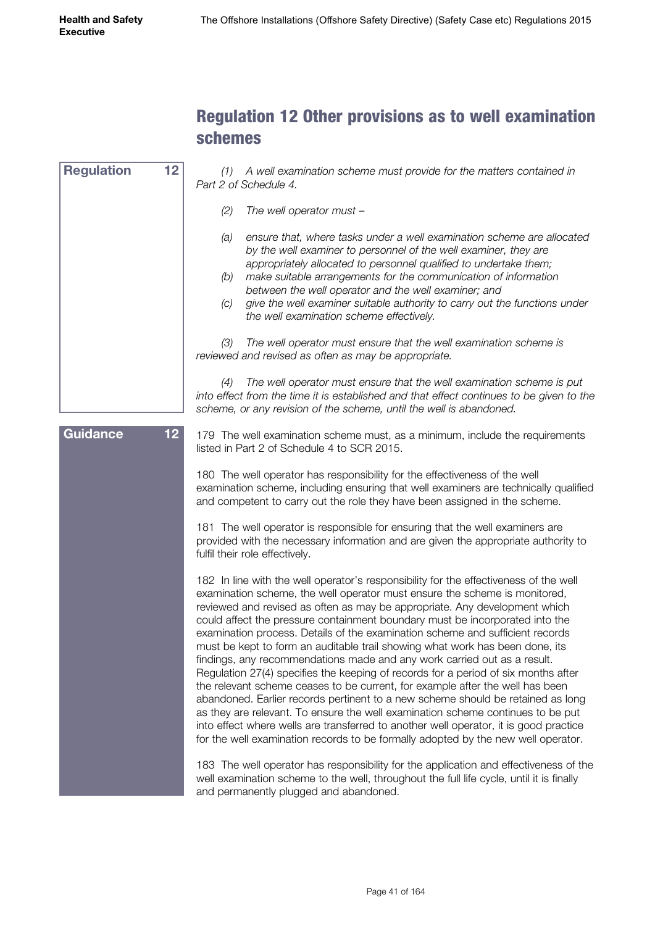#### Regulation 12 Other provisions as to well examination schemes

| <b>Regulation</b> | 12 <sub>2</sub> | (1) A well examination scheme must provide for the matters contained in<br>Part 2 of Schedule 4.                                                                                                                                                                                                                                                                                                                                                                                                                                                                                                                                                                                                                                                                                                                                                                                                                                                                                                                                                                                                          |
|-------------------|-----------------|-----------------------------------------------------------------------------------------------------------------------------------------------------------------------------------------------------------------------------------------------------------------------------------------------------------------------------------------------------------------------------------------------------------------------------------------------------------------------------------------------------------------------------------------------------------------------------------------------------------------------------------------------------------------------------------------------------------------------------------------------------------------------------------------------------------------------------------------------------------------------------------------------------------------------------------------------------------------------------------------------------------------------------------------------------------------------------------------------------------|
|                   |                 | (2)<br>The well operator must -                                                                                                                                                                                                                                                                                                                                                                                                                                                                                                                                                                                                                                                                                                                                                                                                                                                                                                                                                                                                                                                                           |
|                   |                 | ensure that, where tasks under a well examination scheme are allocated<br>(a)<br>by the well examiner to personnel of the well examiner, they are<br>appropriately allocated to personnel qualified to undertake them;<br>make suitable arrangements for the communication of information<br>(b)<br>between the well operator and the well examiner; and<br>give the well examiner suitable authority to carry out the functions under<br>(C)<br>the well examination scheme effectively.                                                                                                                                                                                                                                                                                                                                                                                                                                                                                                                                                                                                                 |
|                   |                 | The well operator must ensure that the well examination scheme is<br>(3)<br>reviewed and revised as often as may be appropriate.                                                                                                                                                                                                                                                                                                                                                                                                                                                                                                                                                                                                                                                                                                                                                                                                                                                                                                                                                                          |
|                   |                 | The well operator must ensure that the well examination scheme is put<br>(4)<br>into effect from the time it is established and that effect continues to be given to the<br>scheme, or any revision of the scheme, until the well is abandoned.                                                                                                                                                                                                                                                                                                                                                                                                                                                                                                                                                                                                                                                                                                                                                                                                                                                           |
| <b>Guidance</b>   | 12 <sub>2</sub> | 179 The well examination scheme must, as a minimum, include the requirements<br>listed in Part 2 of Schedule 4 to SCR 2015.                                                                                                                                                                                                                                                                                                                                                                                                                                                                                                                                                                                                                                                                                                                                                                                                                                                                                                                                                                               |
|                   |                 | 180 The well operator has responsibility for the effectiveness of the well<br>examination scheme, including ensuring that well examiners are technically qualified<br>and competent to carry out the role they have been assigned in the scheme.                                                                                                                                                                                                                                                                                                                                                                                                                                                                                                                                                                                                                                                                                                                                                                                                                                                          |
|                   |                 | 181 The well operator is responsible for ensuring that the well examiners are<br>provided with the necessary information and are given the appropriate authority to<br>fulfil their role effectively.                                                                                                                                                                                                                                                                                                                                                                                                                                                                                                                                                                                                                                                                                                                                                                                                                                                                                                     |
|                   |                 | 182 In line with the well operator's responsibility for the effectiveness of the well<br>examination scheme, the well operator must ensure the scheme is monitored,<br>reviewed and revised as often as may be appropriate. Any development which<br>could affect the pressure containment boundary must be incorporated into the<br>examination process. Details of the examination scheme and sufficient records<br>must be kept to form an auditable trail showing what work has been done, its<br>findings, any recommendations made and any work carried out as a result.<br>Regulation 27(4) specifies the keeping of records for a period of six months after<br>the relevant scheme ceases to be current, for example after the well has been<br>abandoned. Earlier records pertinent to a new scheme should be retained as long<br>as they are relevant. To ensure the well examination scheme continues to be put<br>into effect where wells are transferred to another well operator, it is good practice<br>for the well examination records to be formally adopted by the new well operator. |
|                   |                 | 183 The well operator has responsibility for the application and effectiveness of the<br>well examination scheme to the well, throughout the full life cycle, until it is finally<br>and permanently plugged and abandoned.                                                                                                                                                                                                                                                                                                                                                                                                                                                                                                                                                                                                                                                                                                                                                                                                                                                                               |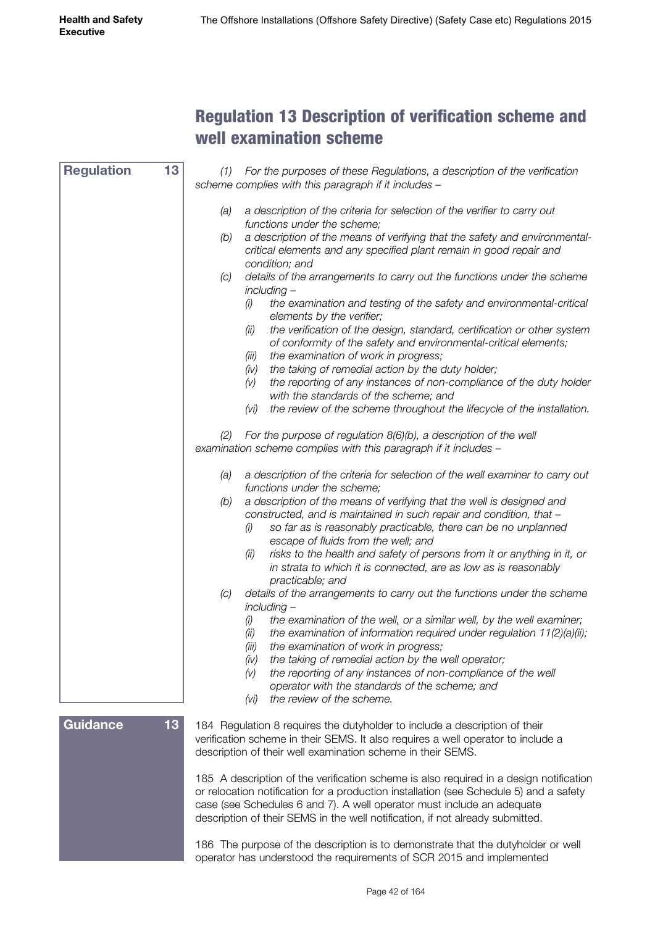#### Regulation 13 Description of verification scheme and well examination scheme

*(1) For the purposes of these Regulations, a description of the verification scheme complies with this paragraph if it includes – (a) a description of the criteria for selection of the verifier to carry out functions under the scheme; (b) a description of the means of verifying that the safety and environmentalcritical elements and any specified plant remain in good repair and condition; and (c) details of the arrangements to carry out the functions under the scheme including – (i) the examination and testing of the safety and environmental-critical elements by the verifier; (ii) the verification of the design, standard, certification or other system of conformity of the safety and environmental-critical elements; (iii) the examination of work in progress; (iv) the taking of remedial action by the duty holder; (v) the reporting of any instances of non-compliance of the duty holder with the standards of the scheme; and (vi) the review of the scheme throughout the lifecycle of the installation. (2) For the purpose of regulation 8(6)(b), a description of the well examination scheme complies with this paragraph if it includes – (a) a description of the criteria for selection of the well examiner to carry out functions under the scheme; (b) a description of the means of verifying that the well is designed and constructed, and is maintained in such repair and condition, that – (i) so far as is reasonably practicable, there can be no unplanned escape of fluids from the well; and (ii) risks to the health and safety of persons from it or anything in it, or in strata to which it is connected, are as low as is reasonably practicable; and (c) details of the arrangements to carry out the functions under the scheme including – (i) the examination of the well, or a similar well, by the well examiner; (ii) the examination of information required under regulation 11(2)(a)(ii); (iii) the examination of work in progress; (iv) the taking of remedial action by the well operator; (v) the reporting of any instances of non-compliance of the well operator with the standards of the scheme; and (vi) the review of the scheme.* 184 Regulation 8 requires the dutyholder to include a description of their verification scheme in their SEMS. It also requires a well operator to include a description of their well examination scheme in their SEMS. 185 A description of the verification scheme is also required in a design notification or relocation notification for a production installation (see Schedule 5) and a safety case (see Schedules 6 and 7). A well operator must include an adequate description of their SEMS in the well notification, if not already submitted. 186 The purpose of the description is to demonstrate that the dutyholder or well operator has understood the requirements of SCR 2015 and implemented **Regulation 13 Guidance 13**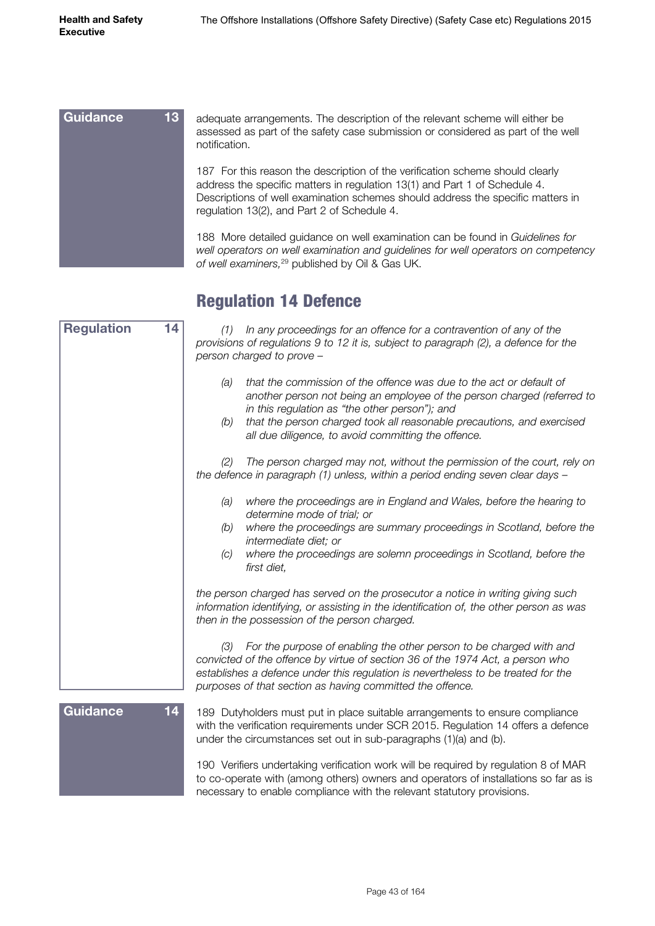| 13 <sup>°</sup><br><b>Guidance</b> | adequate arrangements. The description of the relevant scheme will either be<br>assessed as part of the safety case submission or considered as part of the well<br>notification.                                                                                                             |
|------------------------------------|-----------------------------------------------------------------------------------------------------------------------------------------------------------------------------------------------------------------------------------------------------------------------------------------------|
|                                    | 187 For this reason the description of the verification scheme should clearly<br>address the specific matters in regulation 13(1) and Part 1 of Schedule 4.<br>Descriptions of well examination schemes should address the specific matters in<br>regulation 13(2), and Part 2 of Schedule 4. |
|                                    | 188 More detailed guidance on well examination can be found in Guidelines for<br>well operators on well examination and guidelines for well operators on competency<br>of well examiners, <sup>29</sup> published by Oil & Gas UK.                                                            |

### Regulation 14 Defence

| <b>Regulation</b> | 14 | In any proceedings for an offence for a contravention of any of the<br>(1)<br>provisions of regulations 9 to 12 it is, subject to paragraph (2), a defence for the<br>person charged to prove -                                                                                                                                                 |
|-------------------|----|-------------------------------------------------------------------------------------------------------------------------------------------------------------------------------------------------------------------------------------------------------------------------------------------------------------------------------------------------|
|                   |    | that the commission of the offence was due to the act or default of<br>(a)<br>another person not being an employee of the person charged (referred to<br>in this regulation as "the other person"); and<br>that the person charged took all reasonable precautions, and exercised<br>(b)<br>all due diligence, to avoid committing the offence. |
|                   |    | The person charged may not, without the permission of the court, rely on<br>(2)<br>the defence in paragraph (1) unless, within a period ending seven clear days -                                                                                                                                                                               |
|                   |    | where the proceedings are in England and Wales, before the hearing to<br>(a)<br>determine mode of trial; or                                                                                                                                                                                                                                     |
|                   |    | where the proceedings are summary proceedings in Scotland, before the<br>(b)<br>intermediate diet; or                                                                                                                                                                                                                                           |
|                   |    | where the proceedings are solemn proceedings in Scotland, before the<br>(C)<br>first diet,                                                                                                                                                                                                                                                      |
|                   |    | the person charged has served on the prosecutor a notice in writing giving such<br>information identifying, or assisting in the identification of, the other person as was<br>then in the possession of the person charged.                                                                                                                     |
|                   |    | For the purpose of enabling the other person to be charged with and<br>(3)<br>convicted of the offence by virtue of section 36 of the 1974 Act, a person who<br>establishes a defence under this regulation is nevertheless to be treated for the<br>purposes of that section as having committed the offence.                                  |
| Guidance          | 14 | 189 Dutyholders must put in place suitable arrangements to ensure compliance<br>with the verification requirements under SCR 2015. Regulation 14 offers a defence<br>under the circumstances set out in sub-paragraphs (1)(a) and (b).                                                                                                          |
|                   |    | 190 Verifiers undertaking verification work will be required by regulation 8 of MAR<br>to co-operate with (among others) owners and operators of installations so far as is<br>necessary to enable compliance with the relevant statutory provisions.                                                                                           |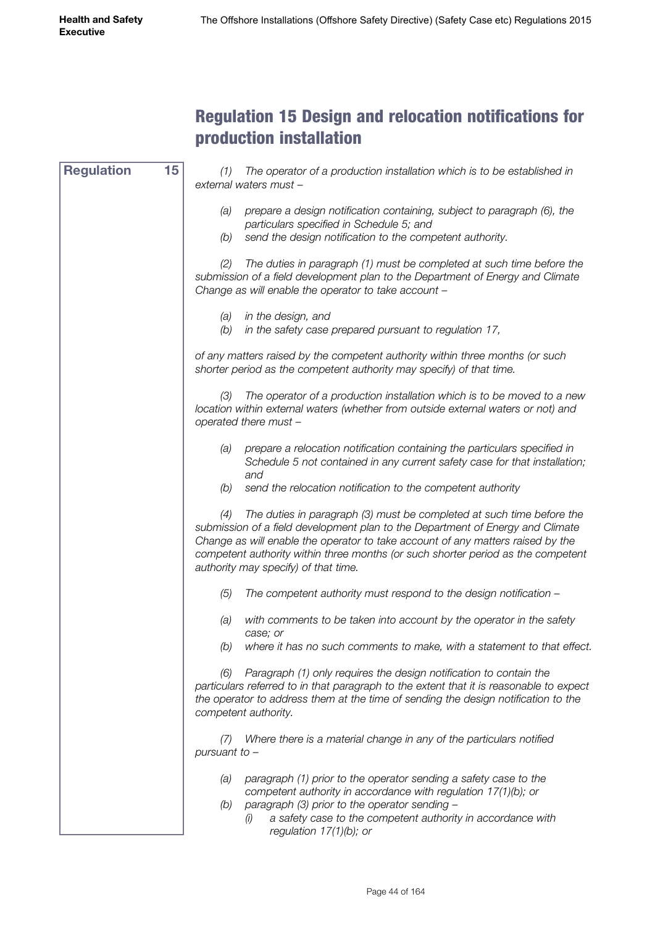#### Regulation 15 Design and relocation notifications for production installation

*(1) The operator of a production installation which is to be established in external waters must – (a) prepare a design notification containing, subject to paragraph (6), the particulars specified in Schedule 5; and (b) send the design notification to the competent authority. (2) The duties in paragraph (1) must be completed at such time before the submission of a field development plan to the Department of Energy and Climate Change as will enable the operator to take account – (a) in the design, and (b) in the safety case prepared pursuant to regulation 17, of any matters raised by the competent authority within three months (or such shorter period as the competent authority may specify) of that time. (3) The operator of a production installation which is to be moved to a new location within external waters (whether from outside external waters or not) and operated there must – (a) prepare a relocation notification containing the particulars specified in Schedule 5 not contained in any current safety case for that installation; and (b) send the relocation notification to the competent authority (4) The duties in paragraph (3) must be completed at such time before the submission of a field development plan to the Department of Energy and Climate Change as will enable the operator to take account of any matters raised by the competent authority within three months (or such shorter period as the competent authority may specify) of that time. (5) The competent authority must respond to the design notification – (a) with comments to be taken into account by the operator in the safety case; or (b) where it has no such comments to make, with a statement to that effect. (6) Paragraph (1) only requires the design notification to contain the particulars referred to in that paragraph to the extent that it is reasonable to expect the operator to address them at the time of sending the design notification to the competent authority. (7) Where there is a material change in any of the particulars notified pursuant to – (a) paragraph (1) prior to the operator sending a safety case to the competent authority in accordance with regulation 17(1)(b); or (b) paragraph (3) prior to the operator sending – (i) a safety case to the competent authority in accordance with regulation 17(1)(b); or* **Regulation 15**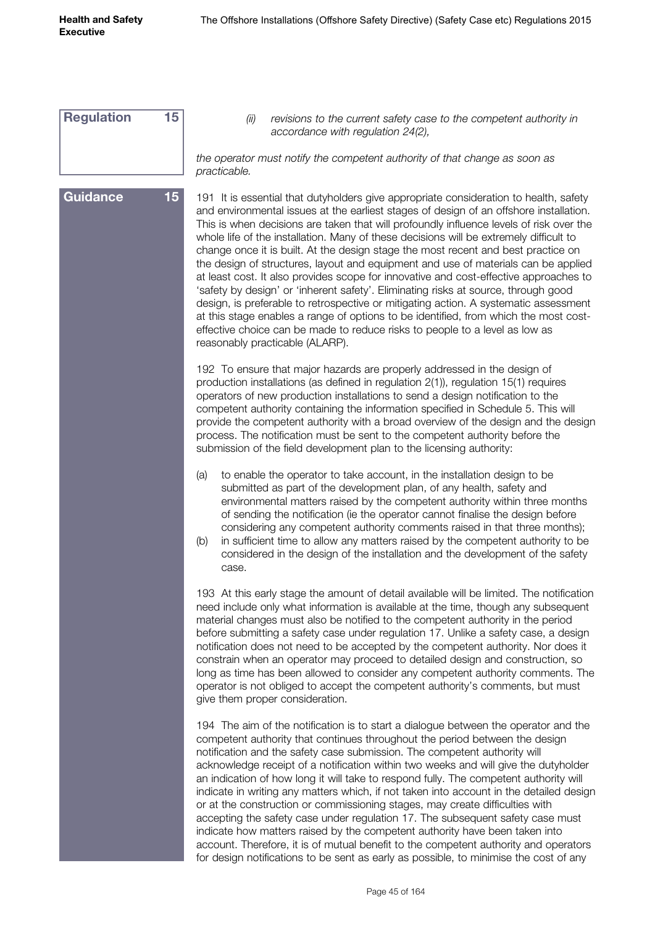| <b>Regulation</b> | 15 | revisions to the current safety case to the competent authority in<br>(ii)<br>accordance with regulation 24(2),                                                                                                                                                                                                                                                                                                                                                                                                                                                                                                                                                                                                                                                                                                                                                                                                                                                                                                                  |
|-------------------|----|----------------------------------------------------------------------------------------------------------------------------------------------------------------------------------------------------------------------------------------------------------------------------------------------------------------------------------------------------------------------------------------------------------------------------------------------------------------------------------------------------------------------------------------------------------------------------------------------------------------------------------------------------------------------------------------------------------------------------------------------------------------------------------------------------------------------------------------------------------------------------------------------------------------------------------------------------------------------------------------------------------------------------------|
|                   |    | the operator must notify the competent authority of that change as soon as<br>practicable.                                                                                                                                                                                                                                                                                                                                                                                                                                                                                                                                                                                                                                                                                                                                                                                                                                                                                                                                       |
| <b>Guidance</b>   | 15 | 191 It is essential that dutyholders give appropriate consideration to health, safety<br>and environmental issues at the earliest stages of design of an offshore installation.<br>This is when decisions are taken that will profoundly influence levels of risk over the<br>whole life of the installation. Many of these decisions will be extremely difficult to<br>change once it is built. At the design stage the most recent and best practice on<br>the design of structures, layout and equipment and use of materials can be applied<br>at least cost. It also provides scope for innovative and cost-effective approaches to<br>'safety by design' or 'inherent safety'. Eliminating risks at source, through good<br>design, is preferable to retrospective or mitigating action. A systematic assessment<br>at this stage enables a range of options to be identified, from which the most cost-<br>effective choice can be made to reduce risks to people to a level as low as<br>reasonably practicable (ALARP). |
|                   |    | 192 To ensure that major hazards are properly addressed in the design of<br>production installations (as defined in regulation 2(1)), regulation 15(1) requires<br>operators of new production installations to send a design notification to the<br>competent authority containing the information specified in Schedule 5. This will<br>provide the competent authority with a broad overview of the design and the design<br>process. The notification must be sent to the competent authority before the<br>submission of the field development plan to the licensing authority:                                                                                                                                                                                                                                                                                                                                                                                                                                             |
|                   |    | (a)<br>to enable the operator to take account, in the installation design to be<br>submitted as part of the development plan, of any health, safety and<br>environmental matters raised by the competent authority within three months<br>of sending the notification (ie the operator cannot finalise the design before<br>considering any competent authority comments raised in that three months);<br>in sufficient time to allow any matters raised by the competent authority to be<br>(b)<br>considered in the design of the installation and the development of the safety<br>case.                                                                                                                                                                                                                                                                                                                                                                                                                                      |
|                   |    | 193 At this early stage the amount of detail available will be limited. The notification<br>need include only what information is available at the time, though any subsequent<br>material changes must also be notified to the competent authority in the period<br>before submitting a safety case under regulation 17. Unlike a safety case, a design<br>notification does not need to be accepted by the competent authority. Nor does it<br>constrain when an operator may proceed to detailed design and construction, so<br>long as time has been allowed to consider any competent authority comments. The<br>operator is not obliged to accept the competent authority's comments, but must<br>give them proper consideration.                                                                                                                                                                                                                                                                                          |
|                   |    | 194 The aim of the notification is to start a dialogue between the operator and the<br>competent authority that continues throughout the period between the design<br>notification and the safety case submission. The competent authority will<br>acknowledge receipt of a notification within two weeks and will give the dutyholder<br>an indication of how long it will take to respond fully. The competent authority will<br>indicate in writing any matters which, if not taken into account in the detailed design<br>or at the construction or commissioning stages, may create difficulties with<br>accepting the safety case under regulation 17. The subsequent safety case must<br>indicate how matters raised by the competent authority have been taken into<br>account. Therefore, it is of mutual benefit to the competent authority and operators<br>for design notifications to be sent as early as possible, to minimise the cost of any                                                                     |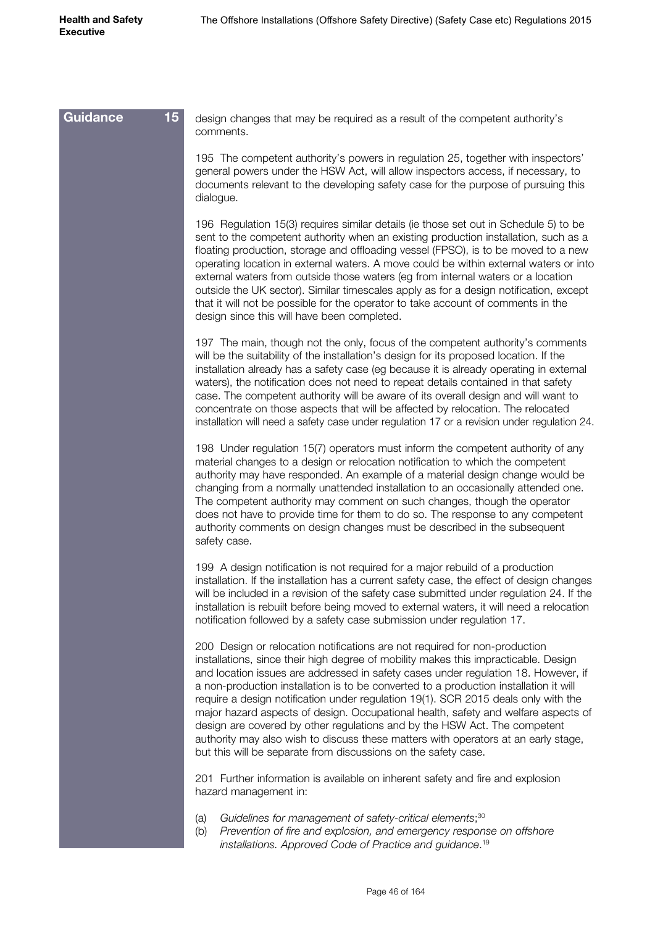| 15 <sub>1</sub><br><b>Guidance</b> | design changes that may be required as a result of the competent authority's<br>comments.                                                                                                                                                                                                                                                                                                                                                                                                                                                                                                                                                                                                                                                                         |
|------------------------------------|-------------------------------------------------------------------------------------------------------------------------------------------------------------------------------------------------------------------------------------------------------------------------------------------------------------------------------------------------------------------------------------------------------------------------------------------------------------------------------------------------------------------------------------------------------------------------------------------------------------------------------------------------------------------------------------------------------------------------------------------------------------------|
|                                    | 195 The competent authority's powers in regulation 25, together with inspectors'<br>general powers under the HSW Act, will allow inspectors access, if necessary, to<br>documents relevant to the developing safety case for the purpose of pursuing this<br>dialogue.                                                                                                                                                                                                                                                                                                                                                                                                                                                                                            |
|                                    | 196 Regulation 15(3) requires similar details (ie those set out in Schedule 5) to be<br>sent to the competent authority when an existing production installation, such as a<br>floating production, storage and offloading vessel (FPSO), is to be moved to a new<br>operating location in external waters. A move could be within external waters or into<br>external waters from outside those waters (eg from internal waters or a location<br>outside the UK sector). Similar timescales apply as for a design notification, except<br>that it will not be possible for the operator to take account of comments in the<br>design since this will have been completed.                                                                                        |
|                                    | 197 The main, though not the only, focus of the competent authority's comments<br>will be the suitability of the installation's design for its proposed location. If the<br>installation already has a safety case (eg because it is already operating in external<br>waters), the notification does not need to repeat details contained in that safety<br>case. The competent authority will be aware of its overall design and will want to<br>concentrate on those aspects that will be affected by relocation. The relocated<br>installation will need a safety case under regulation 17 or a revision under regulation 24.                                                                                                                                  |
|                                    | 198 Under regulation 15(7) operators must inform the competent authority of any<br>material changes to a design or relocation notification to which the competent<br>authority may have responded. An example of a material design change would be<br>changing from a normally unattended installation to an occasionally attended one.<br>The competent authority may comment on such changes, though the operator<br>does not have to provide time for them to do so. The response to any competent<br>authority comments on design changes must be described in the subsequent<br>safety case.                                                                                                                                                                 |
|                                    | 199 A design notification is not required for a major rebuild of a production<br>installation. If the installation has a current safety case, the effect of design changes<br>will be included in a revision of the safety case submitted under regulation 24. If the<br>installation is rebuilt before being moved to external waters, it will need a relocation<br>notification followed by a safety case submission under regulation 17.                                                                                                                                                                                                                                                                                                                       |
|                                    | 200 Design or relocation notifications are not required for non-production<br>installations, since their high degree of mobility makes this impracticable. Design<br>and location issues are addressed in safety cases under regulation 18. However, if<br>a non-production installation is to be converted to a production installation it will<br>require a design notification under regulation 19(1). SCR 2015 deals only with the<br>major hazard aspects of design. Occupational health, safety and welfare aspects of<br>design are covered by other regulations and by the HSW Act. The competent<br>authority may also wish to discuss these matters with operators at an early stage,<br>but this will be separate from discussions on the safety case. |
|                                    | 201 Further information is available on inherent safety and fire and explosion<br>hazard management in:                                                                                                                                                                                                                                                                                                                                                                                                                                                                                                                                                                                                                                                           |
|                                    | Guidelines for management of safety-critical elements; <sup>30</sup><br>(a)<br>Prevention of fire and explosion, and emergency response on offshore<br>(b)<br>installations. Approved Code of Practice and guidance. <sup>19</sup>                                                                                                                                                                                                                                                                                                                                                                                                                                                                                                                                |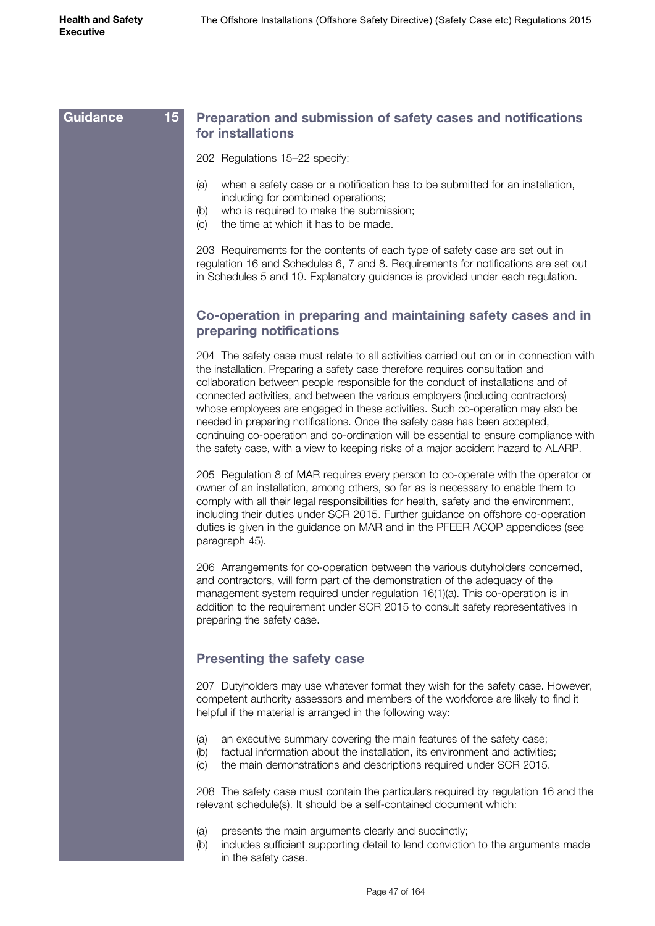| <b>Guidance</b> | 15<br>Preparation and submission of safety cases and notifications<br>for installations                                                                                                                                                                                                                                                                                                                                                                                                                                                                                                                                                                                                       |
|-----------------|-----------------------------------------------------------------------------------------------------------------------------------------------------------------------------------------------------------------------------------------------------------------------------------------------------------------------------------------------------------------------------------------------------------------------------------------------------------------------------------------------------------------------------------------------------------------------------------------------------------------------------------------------------------------------------------------------|
|                 | 202 Regulations 15-22 specify:                                                                                                                                                                                                                                                                                                                                                                                                                                                                                                                                                                                                                                                                |
|                 | when a safety case or a notification has to be submitted for an installation,<br>(a)<br>including for combined operations;<br>who is required to make the submission;<br>(b)<br>the time at which it has to be made.<br>(C)                                                                                                                                                                                                                                                                                                                                                                                                                                                                   |
|                 | 203 Requirements for the contents of each type of safety case are set out in<br>regulation 16 and Schedules 6, 7 and 8. Requirements for notifications are set out<br>in Schedules 5 and 10. Explanatory guidance is provided under each regulation.                                                                                                                                                                                                                                                                                                                                                                                                                                          |
|                 | Co-operation in preparing and maintaining safety cases and in<br>preparing notifications                                                                                                                                                                                                                                                                                                                                                                                                                                                                                                                                                                                                      |
|                 | 204 The safety case must relate to all activities carried out on or in connection with<br>the installation. Preparing a safety case therefore requires consultation and<br>collaboration between people responsible for the conduct of installations and of<br>connected activities, and between the various employers (including contractors)<br>whose employees are engaged in these activities. Such co-operation may also be<br>needed in preparing notifications. Once the safety case has been accepted,<br>continuing co-operation and co-ordination will be essential to ensure compliance with<br>the safety case, with a view to keeping risks of a major accident hazard to ALARP. |
|                 | 205 Regulation 8 of MAR requires every person to co-operate with the operator or<br>owner of an installation, among others, so far as is necessary to enable them to<br>comply with all their legal responsibilities for health, safety and the environment,<br>including their duties under SCR 2015. Further guidance on offshore co-operation<br>duties is given in the guidance on MAR and in the PFEER ACOP appendices (see<br>paragraph 45).                                                                                                                                                                                                                                            |
|                 | 206 Arrangements for co-operation between the various dutyholders concerned,<br>and contractors, will form part of the demonstration of the adequacy of the<br>management system required under regulation 16(1)(a). This co-operation is in<br>addition to the requirement under SCR 2015 to consult safety representatives in<br>preparing the safety case.                                                                                                                                                                                                                                                                                                                                 |
|                 | <b>Presenting the safety case</b>                                                                                                                                                                                                                                                                                                                                                                                                                                                                                                                                                                                                                                                             |
|                 | 207 Dutyholders may use whatever format they wish for the safety case. However,<br>competent authority assessors and members of the workforce are likely to find it<br>helpful if the material is arranged in the following way:                                                                                                                                                                                                                                                                                                                                                                                                                                                              |
|                 | an executive summary covering the main features of the safety case;<br>(a)<br>factual information about the installation, its environment and activities;<br>(b)<br>the main demonstrations and descriptions required under SCR 2015.<br>$\left( c\right)$                                                                                                                                                                                                                                                                                                                                                                                                                                    |
|                 | 208 The safety case must contain the particulars required by regulation 16 and the<br>relevant schedule(s). It should be a self-contained document which:                                                                                                                                                                                                                                                                                                                                                                                                                                                                                                                                     |
|                 | presents the main arguments clearly and succinctly;<br>(a)<br>includes sufficient supporting detail to lend conviction to the arguments made<br>(b)<br>in the safety case.                                                                                                                                                                                                                                                                                                                                                                                                                                                                                                                    |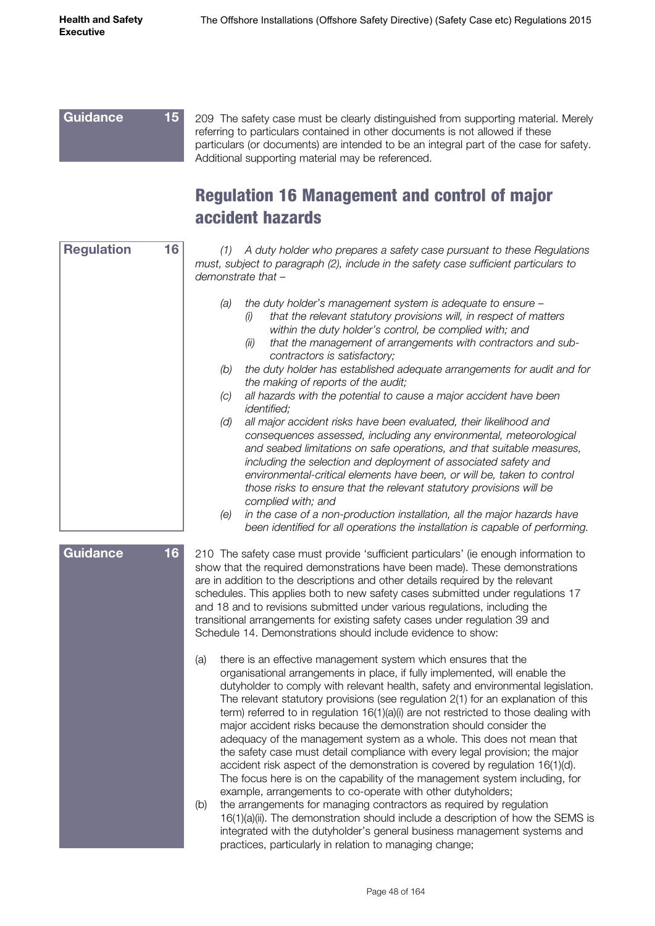#### 209 The safety case must be clearly distinguished from supporting material. Merely referring to particulars contained in other documents is not allowed if these particulars (or documents) are intended to be an integral part of the case for safety. Additional supporting material may be referenced. **Guidance 15**

#### Regulation 16 Management and control of major accident hazards

| 16<br><b>Regulation</b> | (1) A duty holder who prepares a safety case pursuant to these Regulations<br>must, subject to paragraph (2), include in the safety case sufficient particulars to<br>demonstrate that -                                                                                                                                                                                                                                                                                                                                                                                                                                                                                                                                                                                                                                                                                                                                                                                                                                                                                                                                                                                                   |
|-------------------------|--------------------------------------------------------------------------------------------------------------------------------------------------------------------------------------------------------------------------------------------------------------------------------------------------------------------------------------------------------------------------------------------------------------------------------------------------------------------------------------------------------------------------------------------------------------------------------------------------------------------------------------------------------------------------------------------------------------------------------------------------------------------------------------------------------------------------------------------------------------------------------------------------------------------------------------------------------------------------------------------------------------------------------------------------------------------------------------------------------------------------------------------------------------------------------------------|
|                         | (a)<br>the duty holder's management system is adequate to ensure -<br>that the relevant statutory provisions will, in respect of matters<br>(i)<br>within the duty holder's control, be complied with; and<br>that the management of arrangements with contractors and sub-<br>(ii)<br>contractors is satisfactory;<br>(b)<br>the duty holder has established adequate arrangements for audit and for<br>the making of reports of the audit;<br>all hazards with the potential to cause a major accident have been<br>(c)<br><i>identified;</i><br>(d)<br>all major accident risks have been evaluated, their likelihood and<br>consequences assessed, including any environmental, meteorological<br>and seabed limitations on safe operations, and that suitable measures,<br>including the selection and deployment of associated safety and<br>environmental-critical elements have been, or will be, taken to control<br>those risks to ensure that the relevant statutory provisions will be<br>complied with; and                                                                                                                                                                   |
|                         | in the case of a non-production installation, all the major hazards have<br>(e)<br>been identified for all operations the installation is capable of performing.                                                                                                                                                                                                                                                                                                                                                                                                                                                                                                                                                                                                                                                                                                                                                                                                                                                                                                                                                                                                                           |
| 16<br><b>Guidance</b>   | 210 The safety case must provide 'sufficient particulars' (ie enough information to<br>show that the required demonstrations have been made). These demonstrations<br>are in addition to the descriptions and other details required by the relevant<br>schedules. This applies both to new safety cases submitted under regulations 17<br>and 18 and to revisions submitted under various regulations, including the<br>transitional arrangements for existing safety cases under regulation 39 and<br>Schedule 14. Demonstrations should include evidence to show:                                                                                                                                                                                                                                                                                                                                                                                                                                                                                                                                                                                                                       |
|                         | there is an effective management system which ensures that the<br>(a)<br>organisational arrangements in place, if fully implemented, will enable the<br>dutyholder to comply with relevant health, safety and environmental legislation.<br>The relevant statutory provisions (see regulation 2(1) for an explanation of this<br>term) referred to in regulation 16(1)(a)(i) are not restricted to those dealing with<br>major accident risks because the demonstration should consider the<br>adequacy of the management system as a whole. This does not mean that<br>the safety case must detail compliance with every legal provision; the major<br>accident risk aspect of the demonstration is covered by regulation 16(1)(d).<br>The focus here is on the capability of the management system including, for<br>example, arrangements to co-operate with other dutyholders;<br>the arrangements for managing contractors as required by regulation<br>(b)<br>16(1)(a)(ii). The demonstration should include a description of how the SEMS is<br>integrated with the dutyholder's general business management systems and<br>practices, particularly in relation to managing change; |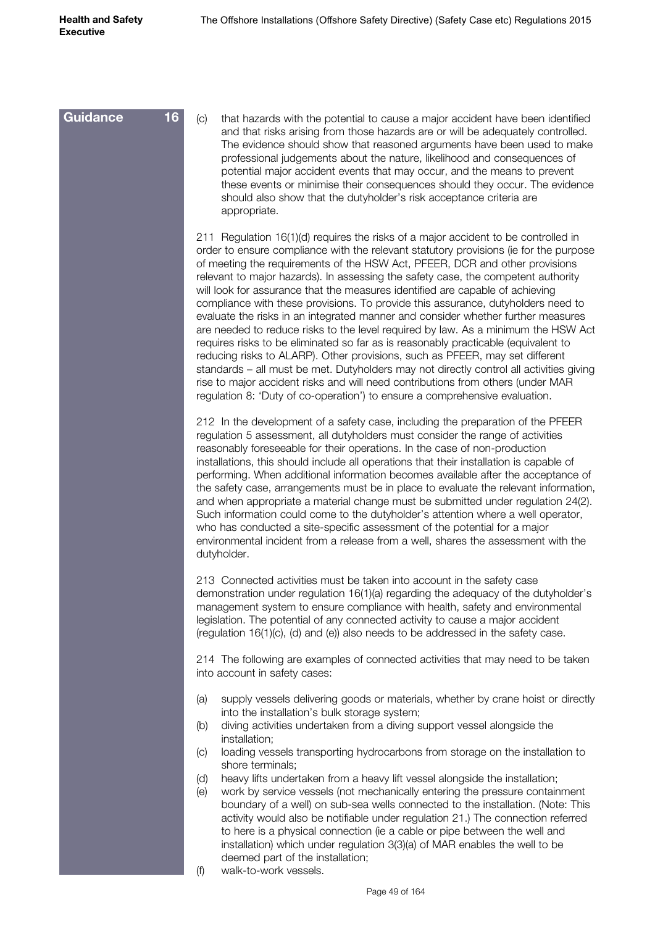(c) that hazards with the potential to cause a major accident have been identified and that risks arising from those hazards are or will be adequately controlled. The evidence should show that reasoned arguments have been used to make professional judgements about the nature, likelihood and consequences of potential major accident events that may occur, and the means to prevent these events or minimise their consequences should they occur. The evidence should also show that the dutyholder's risk acceptance criteria are appropriate. 211 Regulation 16(1)(d) requires the risks of a major accident to be controlled in order to ensure compliance with the relevant statutory provisions (ie for the purpose of meeting the requirements of the HSW Act, PFEER, DCR and other provisions relevant to major hazards). In assessing the safety case, the competent authority will look for assurance that the measures identified are capable of achieving compliance with these provisions. To provide this assurance, dutyholders need to evaluate the risks in an integrated manner and consider whether further measures are needed to reduce risks to the level required by law. As a minimum the HSW Act requires risks to be eliminated so far as is reasonably practicable (equivalent to reducing risks to ALARP). Other provisions, such as PFEER, may set different standards – all must be met. Dutyholders may not directly control all activities giving rise to major accident risks and will need contributions from others (under MAR regulation 8: 'Duty of co-operation') to ensure a comprehensive evaluation. 212 In the development of a safety case, including the preparation of the PFEER regulation 5 assessment, all dutyholders must consider the range of activities reasonably foreseeable for their operations. In the case of non-production installations, this should include all operations that their installation is capable of performing. When additional information becomes available after the acceptance of the safety case, arrangements must be in place to evaluate the relevant information, and when appropriate a material change must be submitted under regulation 24(2). Such information could come to the dutyholder's attention where a well operator, who has conducted a site-specific assessment of the potential for a major environmental incident from a release from a well, shares the assessment with the dutyholder. 213 Connected activities must be taken into account in the safety case demonstration under regulation 16(1)(a) regarding the adequacy of the dutyholder's management system to ensure compliance with health, safety and environmental legislation. The potential of any connected activity to cause a major accident (regulation 16(1)(c), (d) and (e)) also needs to be addressed in the safety case. 214 The following are examples of connected activities that may need to be taken into account in safety cases: (a) supply vessels delivering goods or materials, whether by crane hoist or directly into the installation's bulk storage system; (b) diving activities undertaken from a diving support vessel alongside the installation; (c) loading vessels transporting hydrocarbons from storage on the installation to shore terminals; (d) heavy lifts undertaken from a heavy lift vessel alongside the installation; (e) work by service vessels (not mechanically entering the pressure containment boundary of a well) on sub-sea wells connected to the installation. (Note: This activity would also be notifiable under regulation 21.) The connection referred to here is a physical connection (ie a cable or pipe between the well and installation) which under regulation 3(3)(a) of MAR enables the well to be deemed part of the installation; **Guidance 16**

(f) walk-to-work vessels.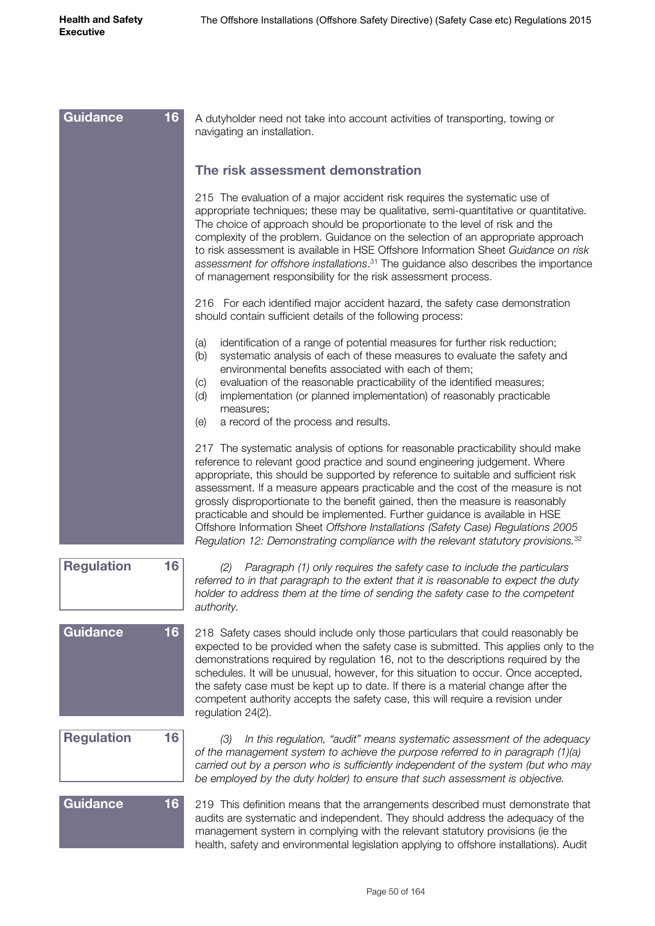| <b>Guidance</b>   | 16 | A dutyholder need not take into account activities of transporting, towing or<br>navigating an installation.                                                                                                                                                                                                                                                                                                                                                                                                                                                                                                                                                                                  |
|-------------------|----|-----------------------------------------------------------------------------------------------------------------------------------------------------------------------------------------------------------------------------------------------------------------------------------------------------------------------------------------------------------------------------------------------------------------------------------------------------------------------------------------------------------------------------------------------------------------------------------------------------------------------------------------------------------------------------------------------|
|                   |    | The risk assessment demonstration                                                                                                                                                                                                                                                                                                                                                                                                                                                                                                                                                                                                                                                             |
|                   |    | 215 The evaluation of a major accident risk requires the systematic use of<br>appropriate techniques; these may be qualitative, semi-quantitative or quantitative.<br>The choice of approach should be proportionate to the level of risk and the<br>complexity of the problem. Guidance on the selection of an appropriate approach<br>to risk assessment is available in HSE Offshore Information Sheet Guidance on risk<br>assessment for offshore installations. <sup>31</sup> The guidance also describes the importance<br>of management responsibility for the risk assessment process.                                                                                                |
|                   |    | 216 For each identified major accident hazard, the safety case demonstration<br>should contain sufficient details of the following process:                                                                                                                                                                                                                                                                                                                                                                                                                                                                                                                                                   |
|                   |    | identification of a range of potential measures for further risk reduction;<br>(a)<br>systematic analysis of each of these measures to evaluate the safety and<br>(b)<br>environmental benefits associated with each of them;<br>evaluation of the reasonable practicability of the identified measures;<br>$\left( c\right)$<br>implementation (or planned implementation) of reasonably practicable<br>(d)<br>measures;<br>a record of the process and results.<br>(e)                                                                                                                                                                                                                      |
|                   |    | 217 The systematic analysis of options for reasonable practicability should make<br>reference to relevant good practice and sound engineering judgement. Where<br>appropriate, this should be supported by reference to suitable and sufficient risk<br>assessment. If a measure appears practicable and the cost of the measure is not<br>grossly disproportionate to the benefit gained, then the measure is reasonably<br>practicable and should be implemented. Further guidance is available in HSE<br>Offshore Information Sheet Offshore Installations (Safety Case) Regulations 2005<br>Regulation 12: Demonstrating compliance with the relevant statutory provisions. <sup>32</sup> |
| <b>Regulation</b> | 16 | Paragraph (1) only requires the safety case to include the particulars<br>(2)<br>referred to in that paragraph to the extent that it is reasonable to expect the duty<br>holder to address them at the time of sending the safety case to the competent<br>authority.                                                                                                                                                                                                                                                                                                                                                                                                                         |
| <b>Guidance</b>   | 16 | 218 Safety cases should include only those particulars that could reasonably be<br>expected to be provided when the safety case is submitted. This applies only to the<br>demonstrations required by regulation 16, not to the descriptions required by the<br>schedules. It will be unusual, however, for this situation to occur. Once accepted,<br>the safety case must be kept up to date. If there is a material change after the<br>competent authority accepts the safety case, this will require a revision under<br>regulation 24(2).                                                                                                                                                |
| <b>Regulation</b> | 16 | In this regulation, "audit" means systematic assessment of the adequacy<br>(3)<br>of the management system to achieve the purpose referred to in paragraph (1)(a)<br>carried out by a person who is sufficiently independent of the system (but who may<br>be employed by the duty holder) to ensure that such assessment is objective.                                                                                                                                                                                                                                                                                                                                                       |
| <b>Guidance</b>   | 16 | 219 This definition means that the arrangements described must demonstrate that<br>audits are systematic and independent. They should address the adequacy of the<br>management system in complying with the relevant statutory provisions (ie the<br>health, safety and environmental legislation applying to offshore installations). Audit                                                                                                                                                                                                                                                                                                                                                 |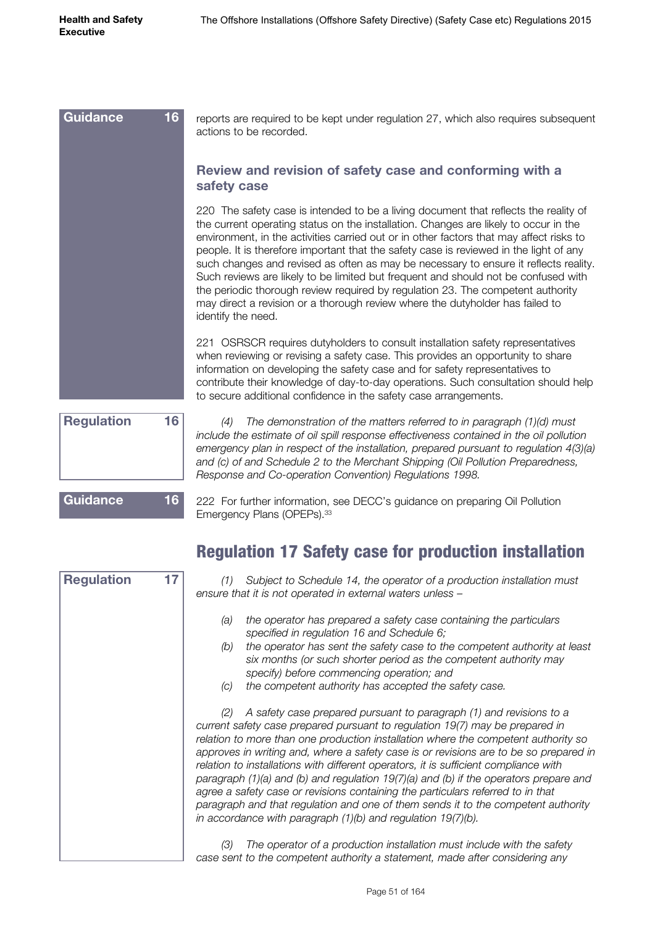| <b>Guidance</b><br>16 <sup>°</sup> | reports are required to be kept under regulation 27, which also requires subsequent<br>actions to be recorded.                                                                                                                                                                                                                                                                                                                                                                                                                                                                                                                                                                                                                            |
|------------------------------------|-------------------------------------------------------------------------------------------------------------------------------------------------------------------------------------------------------------------------------------------------------------------------------------------------------------------------------------------------------------------------------------------------------------------------------------------------------------------------------------------------------------------------------------------------------------------------------------------------------------------------------------------------------------------------------------------------------------------------------------------|
|                                    | Review and revision of safety case and conforming with a<br>safety case                                                                                                                                                                                                                                                                                                                                                                                                                                                                                                                                                                                                                                                                   |
|                                    | 220 The safety case is intended to be a living document that reflects the reality of<br>the current operating status on the installation. Changes are likely to occur in the<br>environment, in the activities carried out or in other factors that may affect risks to<br>people. It is therefore important that the safety case is reviewed in the light of any<br>such changes and revised as often as may be necessary to ensure it reflects reality.<br>Such reviews are likely to be limited but frequent and should not be confused with<br>the periodic thorough review required by regulation 23. The competent authority<br>may direct a revision or a thorough review where the dutyholder has failed to<br>identify the need. |
|                                    | 221 OSRSCR requires dutyholders to consult installation safety representatives<br>when reviewing or revising a safety case. This provides an opportunity to share<br>information on developing the safety case and for safety representatives to<br>contribute their knowledge of day-to-day operations. Such consultation should help<br>to secure additional confidence in the safety case arrangements.                                                                                                                                                                                                                                                                                                                                |
| 16<br><b>Regulation</b>            | The demonstration of the matters referred to in paragraph (1)(d) must<br>(4)<br>include the estimate of oil spill response effectiveness contained in the oil pollution                                                                                                                                                                                                                                                                                                                                                                                                                                                                                                                                                                   |

*emergency plan in respect of the installation, prepared pursuant to regulation 4(3)(a) and (c) of and Schedule 2 to the Merchant Shipping (Oil Pollution Preparedness, Response and Co-operation Convention) Regulations 1998.*

**Guidance 16**

**Regulation 17**

222 For further information, see DECC's guidance on preparing Oil Pollution Emergency Plans (OPEPs). 33

|  |  |  |  |  |  | <b>Regulation 17 Safety case for production installation</b> |
|--|--|--|--|--|--|--------------------------------------------------------------|
|--|--|--|--|--|--|--------------------------------------------------------------|

*(1) Subject to Schedule 14, the operator of a production installation must ensure that it is not operated in external waters unless –*

- *(a) the operator has prepared a safety case containing the particulars specified in regulation 16 and Schedule 6;*
- *(b) the operator has sent the safety case to the competent authority at least six months (or such shorter period as the competent authority may specify) before commencing operation; and*
- *(c) the competent authority has accepted the safety case.*

*(2) A safety case prepared pursuant to paragraph (1) and revisions to a current safety case prepared pursuant to regulation 19(7) may be prepared in relation to more than one production installation where the competent authority so approves in writing and, where a safety case is or revisions are to be so prepared in relation to installations with different operators, it is sufficient compliance with paragraph (1)(a) and (b) and regulation 19(7)(a) and (b) if the operators prepare and agree a safety case or revisions containing the particulars referred to in that paragraph and that regulation and one of them sends it to the competent authority in accordance with paragraph (1)(b) and regulation 19(7)(b).*

*(3) The operator of a production installation must include with the safety case sent to the competent authority a statement, made after considering any*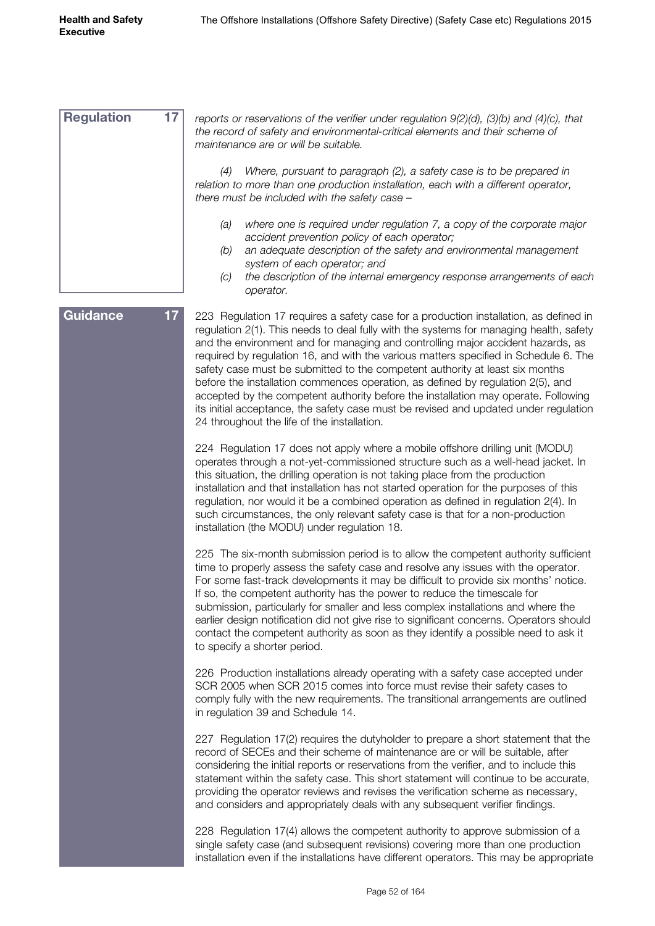*reports or reservations of the verifier under regulation 9(2)(d), (3)(b) and (4)(c), that the record of safety and environmental-critical elements and their scheme of maintenance are or will be suitable. (4) Where, pursuant to paragraph (2), a safety case is to be prepared in relation to more than one production installation, each with a different operator, there must be included with the safety case – (a) where one is required under regulation 7, a copy of the corporate major accident prevention policy of each operator; (b) an adequate description of the safety and environmental management system of each operator; and (c) the description of the internal emergency response arrangements of each operator.* 223 Regulation 17 requires a safety case for a production installation, as defined in regulation 2(1). This needs to deal fully with the systems for managing health, safety and the environment and for managing and controlling major accident hazards, as required by regulation 16, and with the various matters specified in Schedule 6. The safety case must be submitted to the competent authority at least six months before the installation commences operation, as defined by regulation 2(5), and accepted by the competent authority before the installation may operate. Following its initial acceptance, the safety case must be revised and updated under regulation 24 throughout the life of the installation. 224 Regulation 17 does not apply where a mobile offshore drilling unit (MODU) operates through a not-yet-commissioned structure such as a well-head jacket. In this situation, the drilling operation is not taking place from the production installation and that installation has not started operation for the purposes of this regulation, nor would it be a combined operation as defined in regulation 2(4). In such circumstances, the only relevant safety case is that for a non-production installation (the MODU) under regulation 18. 225 The six-month submission period is to allow the competent authority sufficient time to properly assess the safety case and resolve any issues with the operator. For some fast-track developments it may be difficult to provide six months' notice. If so, the competent authority has the power to reduce the timescale for submission, particularly for smaller and less complex installations and where the earlier design notification did not give rise to significant concerns. Operators should contact the competent authority as soon as they identify a possible need to ask it to specify a shorter period. 226 Production installations already operating with a safety case accepted under SCR 2005 when SCR 2015 comes into force must revise their safety cases to comply fully with the new requirements. The transitional arrangements are outlined in regulation 39 and Schedule 14. 227 Regulation 17(2) requires the dutyholder to prepare a short statement that the record of SECEs and their scheme of maintenance are or will be suitable, after considering the initial reports or reservations from the verifier, and to include this statement within the safety case. This short statement will continue to be accurate, providing the operator reviews and revises the verification scheme as necessary, and considers and appropriately deals with any subsequent verifier findings. 228 Regulation 17(4) allows the competent authority to approve submission of a single safety case (and subsequent revisions) covering more than one production installation even if the installations have different operators. This may be appropriate **Regulation 17 Guidance 17**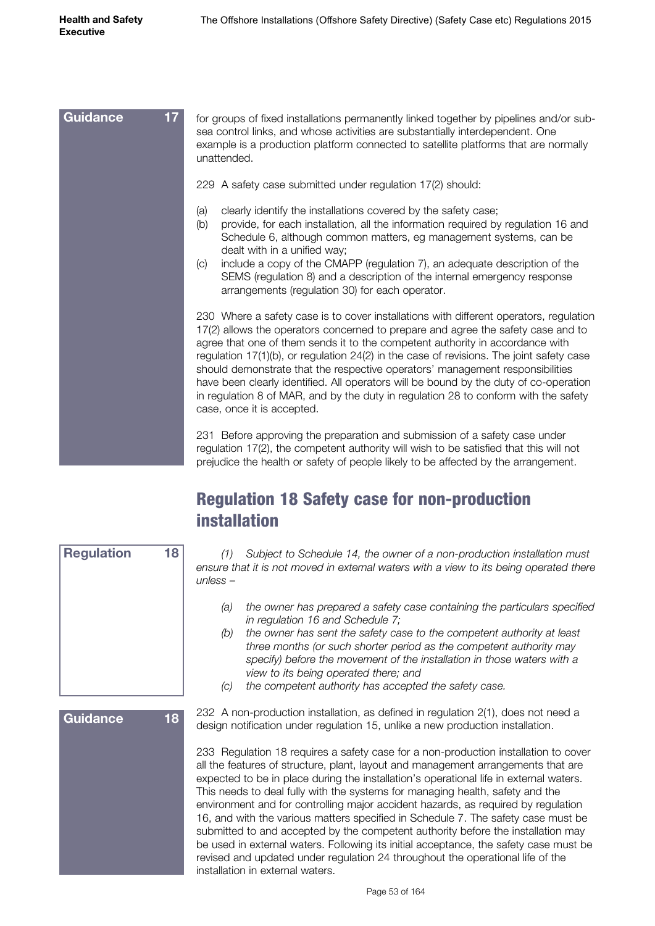| 17 <sub>2</sub><br><b>Guidance</b> | for groups of fixed installations permanently linked together by pipelines and/or sub-<br>sea control links, and whose activities are substantially interdependent. One<br>example is a production platform connected to satellite platforms that are normally<br>unattended.                                                                                                                                                                                                                                                                                                                                                                               |
|------------------------------------|-------------------------------------------------------------------------------------------------------------------------------------------------------------------------------------------------------------------------------------------------------------------------------------------------------------------------------------------------------------------------------------------------------------------------------------------------------------------------------------------------------------------------------------------------------------------------------------------------------------------------------------------------------------|
|                                    | 229 A safety case submitted under regulation 17(2) should:                                                                                                                                                                                                                                                                                                                                                                                                                                                                                                                                                                                                  |
|                                    | clearly identify the installations covered by the safety case;<br>(a)<br>provide, for each installation, all the information required by regulation 16 and<br>(b)<br>Schedule 6, although common matters, eg management systems, can be<br>dealt with in a unified way;<br>include a copy of the CMAPP (regulation 7), an adequate description of the<br>(C)<br>SEMS (regulation 8) and a description of the internal emergency response<br>arrangements (regulation 30) for each operator.                                                                                                                                                                 |
|                                    | 230 Where a safety case is to cover installations with different operators, regulation<br>17(2) allows the operators concerned to prepare and agree the safety case and to<br>agree that one of them sends it to the competent authority in accordance with<br>regulation $17(1)(b)$ , or regulation $24(2)$ in the case of revisions. The joint safety case<br>should demonstrate that the respective operators' management responsibilities<br>have been clearly identified. All operators will be bound by the duty of co-operation<br>in regulation 8 of MAR, and by the duty in regulation 28 to conform with the safety<br>case, once it is accepted. |
|                                    | 231 Before approving the preparation and submission of a safety case under<br>regulation 17(2), the competent authority will wish to be satisfied that this will not<br>prejudice the health or safety of people likely to be affected by the arrangement.                                                                                                                                                                                                                                                                                                                                                                                                  |

#### Regulation 18 Safety case for non-production installation

|          | (1) Subject to Schedule 14, the owner of a non-production installation must            |
|----------|----------------------------------------------------------------------------------------|
|          | ensure that it is not moved in external waters with a view to its being operated there |
| unless – |                                                                                        |

- *(a) the owner has prepared a safety case containing the particulars specified in regulation 16 and Schedule 7;*
- *(b) the owner has sent the safety case to the competent authority at least three months (or such shorter period as the competent authority may specify) before the movement of the installation in those waters with a view to its being operated there; and*
- *(c) the competent authority has accepted the safety case.*

#### **Guidance 18**

**Regulation 18**

232 A non-production installation, as defined in regulation 2(1), does not need a design notification under regulation 15, unlike a new production installation.

233 Regulation 18 requires a safety case for a non-production installation to cover all the features of structure, plant, layout and management arrangements that are expected to be in place during the installation's operational life in external waters. This needs to deal fully with the systems for managing health, safety and the environment and for controlling major accident hazards, as required by regulation 16, and with the various matters specified in Schedule 7. The safety case must be submitted to and accepted by the competent authority before the installation may be used in external waters. Following its initial acceptance, the safety case must be revised and updated under regulation 24 throughout the operational life of the installation in external waters.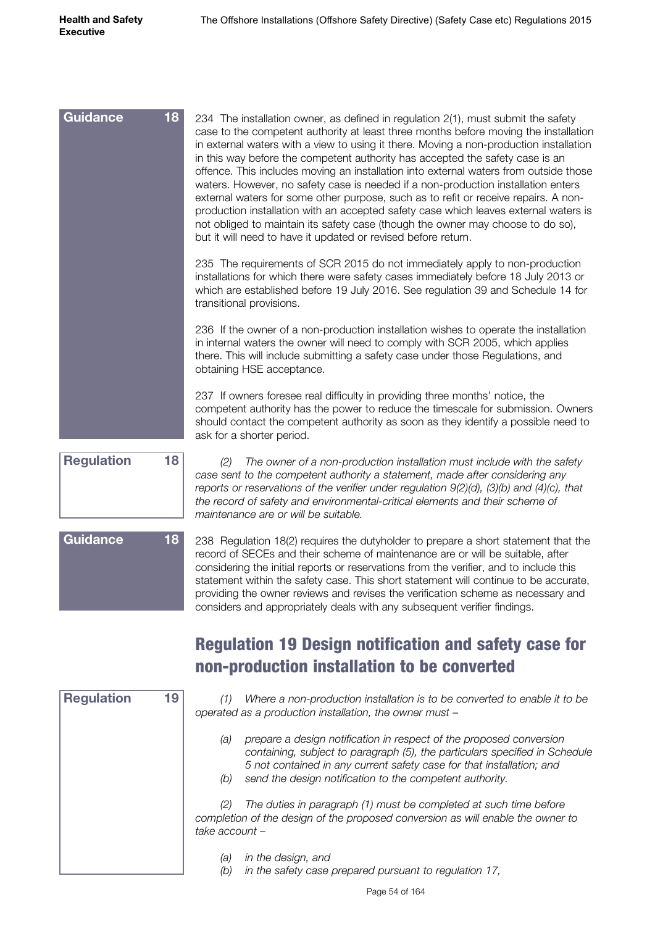| Guidance                | 18<br>234 The installation owner, as defined in regulation 2(1), must submit the safety<br>case to the competent authority at least three months before moving the installation<br>in external waters with a view to using it there. Moving a non-production installation<br>in this way before the competent authority has accepted the safety case is an<br>offence. This includes moving an installation into external waters from outside those<br>waters. However, no safety case is needed if a non-production installation enters<br>external waters for some other purpose, such as to refit or receive repairs. A non-<br>production installation with an accepted safety case which leaves external waters is<br>not obliged to maintain its safety case (though the owner may choose to do so),<br>but it will need to have it updated or revised before return. |
|-------------------------|-----------------------------------------------------------------------------------------------------------------------------------------------------------------------------------------------------------------------------------------------------------------------------------------------------------------------------------------------------------------------------------------------------------------------------------------------------------------------------------------------------------------------------------------------------------------------------------------------------------------------------------------------------------------------------------------------------------------------------------------------------------------------------------------------------------------------------------------------------------------------------|
|                         | 235 The requirements of SCR 2015 do not immediately apply to non-production<br>installations for which there were safety cases immediately before 18 July 2013 or<br>which are established before 19 July 2016. See regulation 39 and Schedule 14 for<br>transitional provisions.                                                                                                                                                                                                                                                                                                                                                                                                                                                                                                                                                                                           |
|                         | 236 If the owner of a non-production installation wishes to operate the installation<br>in internal waters the owner will need to comply with SCR 2005, which applies<br>there. This will include submitting a safety case under those Regulations, and<br>obtaining HSE acceptance.                                                                                                                                                                                                                                                                                                                                                                                                                                                                                                                                                                                        |
|                         | 237 If owners foresee real difficulty in providing three months' notice, the<br>competent authority has the power to reduce the timescale for submission. Owners<br>should contact the competent authority as soon as they identify a possible need to<br>ask for a shorter period.                                                                                                                                                                                                                                                                                                                                                                                                                                                                                                                                                                                         |
| <b>Regulation</b>       | 18<br>The owner of a non-production installation must include with the safety<br>(2)<br>case sent to the competent authority a statement, made after considering any<br>reports or reservations of the verifier under regulation $9(2)(d)$ , $(3)(b)$ and $(4)(c)$ , that<br>the record of safety and environmental-critical elements and their scheme of<br>maintenance are or will be suitable.                                                                                                                                                                                                                                                                                                                                                                                                                                                                           |
| Guidance                | 18<br>238 Regulation 18(2) requires the dutyholder to prepare a short statement that the<br>record of SECEs and their scheme of maintenance are or will be suitable, after<br>considering the initial reports or reservations from the verifier, and to include this<br>statement within the safety case. This short statement will continue to be accurate,<br>providing the owner reviews and revises the verification scheme as necessary and<br>considers and appropriately deals with any subsequent verifier findings.                                                                                                                                                                                                                                                                                                                                                |
|                         | <b>Regulation 19 Design notification and safety case for</b><br>non-production installation to be converted                                                                                                                                                                                                                                                                                                                                                                                                                                                                                                                                                                                                                                                                                                                                                                 |
| <b>Regulation</b><br>19 | Where a non-production installation is to be converted to enable it to be<br>(1)<br>operated as a production installation, the owner must -                                                                                                                                                                                                                                                                                                                                                                                                                                                                                                                                                                                                                                                                                                                                 |
|                         | prepare a design notification in respect of the proposed conversion<br>(a)<br>containing, subject to paragraph (5), the particulars specified in Schedule<br>5 not contained in any current safety case for that installation; and<br>send the design notification to the competent authority.<br>(b)                                                                                                                                                                                                                                                                                                                                                                                                                                                                                                                                                                       |
|                         | perception (1) must be completed at quab time before                                                                                                                                                                                                                                                                                                                                                                                                                                                                                                                                                                                                                                                                                                                                                                                                                        |

*(2) The duties in paragraph (1) must be completed at such time before completion of the design of the proposed conversion as will enable the owner to take account –*

- *(a) in the design, and*
- *(b) in the safety case prepared pursuant to regulation 17,*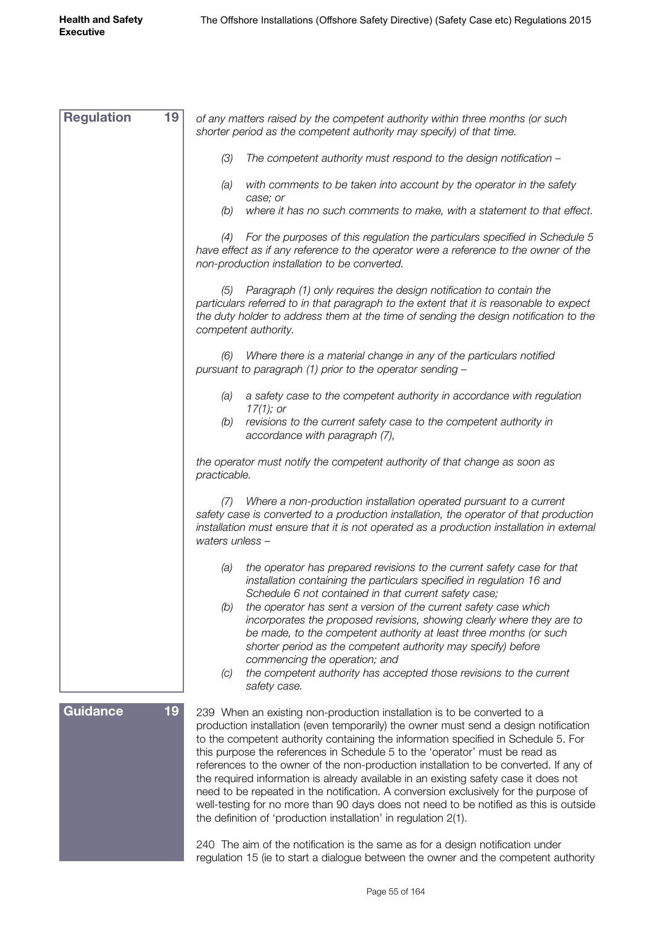| <b>Regulation</b><br>19 | of any matters raised by the competent authority within three months (or such<br>shorter period as the competent authority may specify) of that time.                                                                                                                                                                                                                                                                                                                                                                                                                                                                                                                                                                                                                      |
|-------------------------|----------------------------------------------------------------------------------------------------------------------------------------------------------------------------------------------------------------------------------------------------------------------------------------------------------------------------------------------------------------------------------------------------------------------------------------------------------------------------------------------------------------------------------------------------------------------------------------------------------------------------------------------------------------------------------------------------------------------------------------------------------------------------|
|                         | (3)<br>The competent authority must respond to the design notification -                                                                                                                                                                                                                                                                                                                                                                                                                                                                                                                                                                                                                                                                                                   |
|                         | with comments to be taken into account by the operator in the safety<br>(a)<br>case; or                                                                                                                                                                                                                                                                                                                                                                                                                                                                                                                                                                                                                                                                                    |
|                         | where it has no such comments to make, with a statement to that effect.<br>(b)                                                                                                                                                                                                                                                                                                                                                                                                                                                                                                                                                                                                                                                                                             |
|                         | For the purposes of this regulation the particulars specified in Schedule 5<br>(4)<br>have effect as if any reference to the operator were a reference to the owner of the<br>non-production installation to be converted.                                                                                                                                                                                                                                                                                                                                                                                                                                                                                                                                                 |
|                         | Paragraph (1) only requires the design notification to contain the<br>(5)<br>particulars referred to in that paragraph to the extent that it is reasonable to expect<br>the duty holder to address them at the time of sending the design notification to the<br>competent authority.                                                                                                                                                                                                                                                                                                                                                                                                                                                                                      |
|                         | Where there is a material change in any of the particulars notified<br>(6)<br>pursuant to paragraph (1) prior to the operator sending -                                                                                                                                                                                                                                                                                                                                                                                                                                                                                                                                                                                                                                    |
|                         | a safety case to the competent authority in accordance with regulation<br>(a)<br>$17(1)$ ; or                                                                                                                                                                                                                                                                                                                                                                                                                                                                                                                                                                                                                                                                              |
|                         | revisions to the current safety case to the competent authority in<br>(b)<br>accordance with paragraph (7),                                                                                                                                                                                                                                                                                                                                                                                                                                                                                                                                                                                                                                                                |
|                         | the operator must notify the competent authority of that change as soon as<br>practicable.                                                                                                                                                                                                                                                                                                                                                                                                                                                                                                                                                                                                                                                                                 |
|                         | Where a non-production installation operated pursuant to a current<br>(7)<br>safety case is converted to a production installation, the operator of that production<br>installation must ensure that it is not operated as a production installation in external<br>waters unless -                                                                                                                                                                                                                                                                                                                                                                                                                                                                                        |
|                         | the operator has prepared revisions to the current safety case for that<br>(a)<br>installation containing the particulars specified in regulation 16 and<br>Schedule 6 not contained in that current safety case;                                                                                                                                                                                                                                                                                                                                                                                                                                                                                                                                                          |
|                         | (b)<br>the operator has sent a version of the current safety case which<br>incorporates the proposed revisions, showing clearly where they are to<br>be made, to the competent authority at least three months (or such<br>shorter period as the competent authority may specify) before<br>commencing the operation; and                                                                                                                                                                                                                                                                                                                                                                                                                                                  |
|                         | the competent authority has accepted those revisions to the current<br>(C)<br>safety case.                                                                                                                                                                                                                                                                                                                                                                                                                                                                                                                                                                                                                                                                                 |
| 19<br><b>Guidance</b>   | 239 When an existing non-production installation is to be converted to a<br>production installation (even temporarily) the owner must send a design notification<br>to the competent authority containing the information specified in Schedule 5. For<br>this purpose the references in Schedule 5 to the 'operator' must be read as<br>references to the owner of the non-production installation to be converted. If any of<br>the required information is already available in an existing safety case it does not<br>need to be repeated in the notification. A conversion exclusively for the purpose of<br>well-testing for no more than 90 days does not need to be notified as this is outside<br>the definition of 'production installation' in regulation 2(1). |
|                         | 240 The aim of the notification is the same as for a design notification under<br>regulation 15 (ie to start a dialogue between the owner and the competent authority                                                                                                                                                                                                                                                                                                                                                                                                                                                                                                                                                                                                      |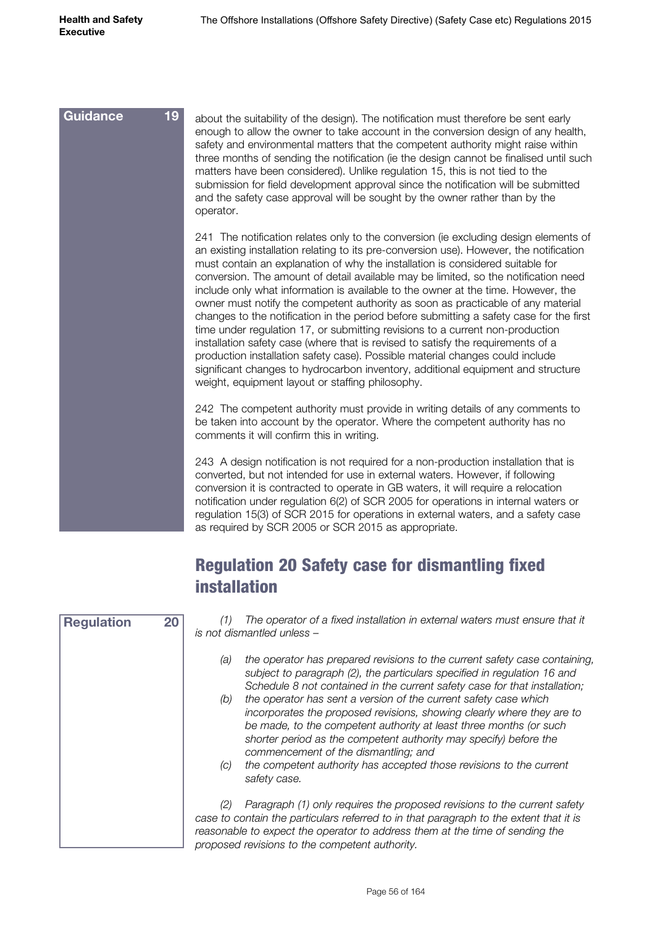| <b>Guidance</b> | 19 | about the suitability of the design). The notification must therefore be sent early<br>enough to allow the owner to take account in the conversion design of any health,<br>safety and environmental matters that the competent authority might raise within<br>three months of sending the notification (ie the design cannot be finalised until such<br>matters have been considered). Unlike regulation 15, this is not tied to the<br>submission for field development approval since the notification will be submitted<br>and the safety case approval will be sought by the owner rather than by the<br>operator.                                                                                                                                                                                                                                                                                                                                                                                                   |
|-----------------|----|----------------------------------------------------------------------------------------------------------------------------------------------------------------------------------------------------------------------------------------------------------------------------------------------------------------------------------------------------------------------------------------------------------------------------------------------------------------------------------------------------------------------------------------------------------------------------------------------------------------------------------------------------------------------------------------------------------------------------------------------------------------------------------------------------------------------------------------------------------------------------------------------------------------------------------------------------------------------------------------------------------------------------|
|                 |    | 241 The notification relates only to the conversion (ie excluding design elements of<br>an existing installation relating to its pre-conversion use). However, the notification<br>must contain an explanation of why the installation is considered suitable for<br>conversion. The amount of detail available may be limited, so the notification need<br>include only what information is available to the owner at the time. However, the<br>owner must notify the competent authority as soon as practicable of any material<br>changes to the notification in the period before submitting a safety case for the first<br>time under regulation 17, or submitting revisions to a current non-production<br>installation safety case (where that is revised to satisfy the requirements of a<br>production installation safety case). Possible material changes could include<br>significant changes to hydrocarbon inventory, additional equipment and structure<br>weight, equipment layout or staffing philosophy. |
|                 |    | 242 The competent authority must provide in writing details of any comments to<br>be taken into account by the operator. Where the competent authority has no<br>comments it will confirm this in writing.                                                                                                                                                                                                                                                                                                                                                                                                                                                                                                                                                                                                                                                                                                                                                                                                                 |
|                 |    | 243 A design notification is not required for a non-production installation that is<br>converted, but not intended for use in external waters. However, if following<br>conversion it is contracted to operate in GB waters, it will require a relocation<br>notification under regulation 6(2) of SCR 2005 for operations in internal waters or<br>regulation 15(3) of SCR 2015 for operations in external waters, and a safety case<br>as required by SCR 2005 or SCR 2015 as appropriate.                                                                                                                                                                                                                                                                                                                                                                                                                                                                                                                               |

#### Regulation 20 Safety case for dismantling fixed installation

| <b>Regulation</b> | 20 | The operator of a fixed installation in external waters must ensure that it<br>is not dismantled unless –                                                                                                                                                                                                                            |
|-------------------|----|--------------------------------------------------------------------------------------------------------------------------------------------------------------------------------------------------------------------------------------------------------------------------------------------------------------------------------------|
|                   |    | the operator has prepared revisions to the current safety case containing,<br>(a)<br>subject to paragraph (2), the particulars specified in regulation 16 and<br>Schedule 8 not contained in the current safety case for that installation;                                                                                          |
|                   |    | the operator has sent a version of the current safety case which<br>(b)<br>incorporates the proposed revisions, showing clearly where they are to<br>be made, to the competent authority at least three months (or such<br>shorter period as the competent authority may specify) before the<br>commencement of the dismantling; and |
|                   |    | the competent authority has accepted those revisions to the current<br>(C)<br>safety case.                                                                                                                                                                                                                                           |
|                   |    | Paragraph (1) only requires the proposed revisions to the current safety<br>(2)<br>case to contain the particulars referred to in that paragraph to the extent that it is<br>reasonable to expect the operator to address them at the time of sending the<br>proposed revisions to the competent authority.                          |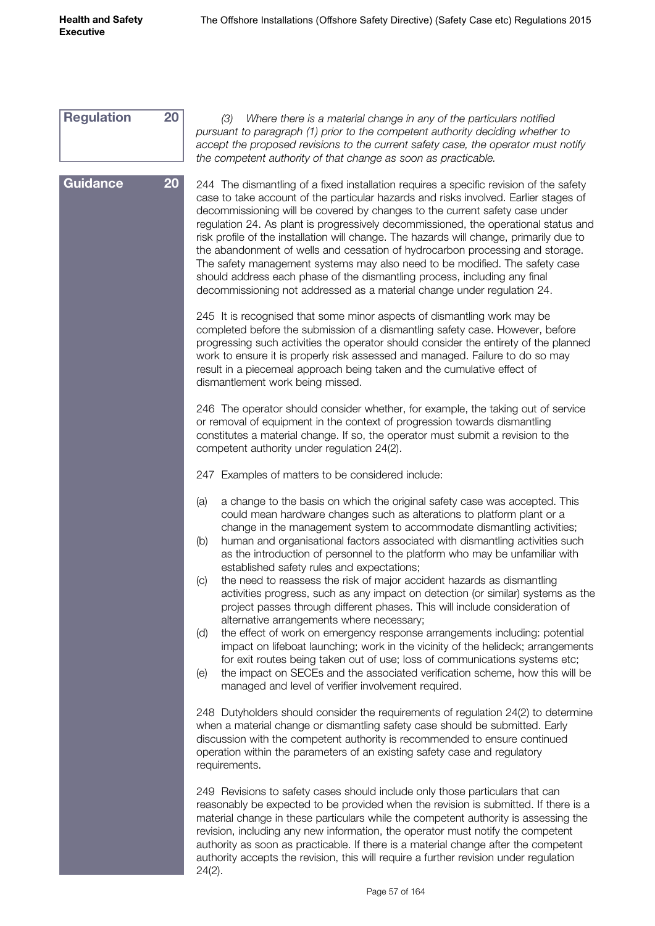| <b>Regulation</b> | 20 | Where there is a material change in any of the particulars notified<br>(3)<br>pursuant to paragraph (1) prior to the competent authority deciding whether to<br>accept the proposed revisions to the current safety case, the operator must notify<br>the competent authority of that change as soon as practicable.                                                                                                                                                                                                                                                                                                                                                                                                                                                    |
|-------------------|----|-------------------------------------------------------------------------------------------------------------------------------------------------------------------------------------------------------------------------------------------------------------------------------------------------------------------------------------------------------------------------------------------------------------------------------------------------------------------------------------------------------------------------------------------------------------------------------------------------------------------------------------------------------------------------------------------------------------------------------------------------------------------------|
| <b>Guidance</b>   | 20 | 244 The dismantling of a fixed installation requires a specific revision of the safety<br>case to take account of the particular hazards and risks involved. Earlier stages of<br>decommissioning will be covered by changes to the current safety case under<br>regulation 24. As plant is progressively decommissioned, the operational status and<br>risk profile of the installation will change. The hazards will change, primarily due to<br>the abandonment of wells and cessation of hydrocarbon processing and storage.<br>The safety management systems may also need to be modified. The safety case<br>should address each phase of the dismantling process, including any final<br>decommissioning not addressed as a material change under regulation 24. |
|                   |    | 245 It is recognised that some minor aspects of dismantling work may be<br>completed before the submission of a dismantling safety case. However, before<br>progressing such activities the operator should consider the entirety of the planned<br>work to ensure it is properly risk assessed and managed. Failure to do so may<br>result in a piecemeal approach being taken and the cumulative effect of<br>dismantlement work being missed.                                                                                                                                                                                                                                                                                                                        |
|                   |    | 246 The operator should consider whether, for example, the taking out of service<br>or removal of equipment in the context of progression towards dismantling<br>constitutes a material change. If so, the operator must submit a revision to the<br>competent authority under regulation 24(2).                                                                                                                                                                                                                                                                                                                                                                                                                                                                        |
|                   |    | 247 Examples of matters to be considered include:                                                                                                                                                                                                                                                                                                                                                                                                                                                                                                                                                                                                                                                                                                                       |
|                   |    | a change to the basis on which the original safety case was accepted. This<br>(a)<br>could mean hardware changes such as alterations to platform plant or a<br>change in the management system to accommodate dismantling activities;<br>human and organisational factors associated with dismantling activities such<br>(b)<br>as the introduction of personnel to the platform who may be unfamiliar with<br>established safety rules and expectations;<br>the need to reassess the risk of major accident hazards as dismantling<br>(C)<br>activities progress, such as any impact on detection (or similar) systems as the                                                                                                                                          |
|                   |    | project passes through different phases. This will include consideration of<br>alternative arrangements where necessary;<br>the effect of work on emergency response arrangements including: potential<br>(d)<br>impact on lifeboat launching; work in the vicinity of the helideck; arrangements<br>for exit routes being taken out of use; loss of communications systems etc;<br>the impact on SECEs and the associated verification scheme, how this will be<br>(e)<br>managed and level of verifier involvement required.                                                                                                                                                                                                                                          |
|                   |    | 248 Dutyholders should consider the requirements of regulation 24(2) to determine<br>when a material change or dismantling safety case should be submitted. Early<br>discussion with the competent authority is recommended to ensure continued<br>operation within the parameters of an existing safety case and regulatory<br>requirements.                                                                                                                                                                                                                                                                                                                                                                                                                           |
|                   |    | 249 Revisions to safety cases should include only those particulars that can<br>reasonably be expected to be provided when the revision is submitted. If there is a<br>material change in these particulars while the competent authority is assessing the<br>revision, including any new information, the operator must notify the competent<br>authority as soon as practicable. If there is a material change after the competent<br>authority accepts the revision, this will require a further revision under regulation                                                                                                                                                                                                                                           |

24(2).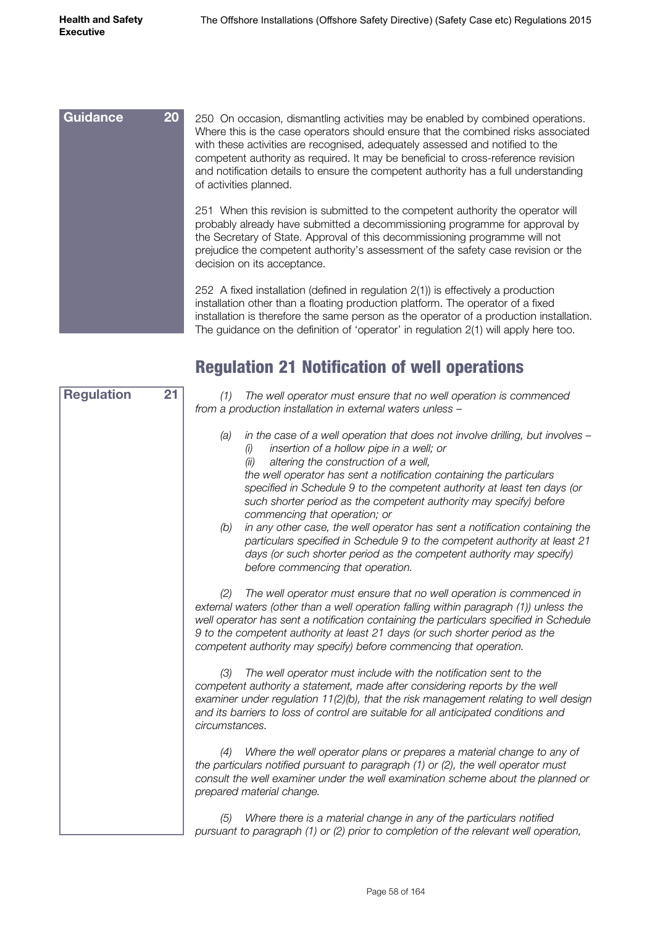| <b>Guidance</b><br>20 <sub>2</sub> | 250 On occasion, dismantling activities may be enabled by combined operations.<br>Where this is the case operators should ensure that the combined risks associated<br>with these activities are recognised, adequately assessed and notified to the<br>competent authority as required. It may be beneficial to cross-reference revision<br>and notification details to ensure the competent authority has a full understanding<br>of activities planned. |
|------------------------------------|------------------------------------------------------------------------------------------------------------------------------------------------------------------------------------------------------------------------------------------------------------------------------------------------------------------------------------------------------------------------------------------------------------------------------------------------------------|
|                                    | 251 When this revision is submitted to the competent authority the operator will<br>probably already have submitted a decommissioning programme for approval by<br>the Secretary of State. Approval of this decommissioning programme will not<br>prejudice the competent authority's assessment of the safety case revision or the<br>decision on its acceptance.                                                                                         |
|                                    | 252 A fixed installation (defined in regulation $2(1)$ ) is effectively a production<br>installation other than a floating production platform. The operator of a fixed                                                                                                                                                                                                                                                                                    |

#### installation is therefore the same person as the operator of a production installation. The guidance on the definition of 'operator' in regulation 2(1) will apply here too.

#### Regulation 21 Notification of well operations

| <b>Regulation</b><br>21 | The well operator must ensure that no well operation is commenced<br>(1)<br>from a production installation in external waters unless -                                                                                                                                                                                                                                                                                                                                                                                                                                                                                                                                                                                               |
|-------------------------|--------------------------------------------------------------------------------------------------------------------------------------------------------------------------------------------------------------------------------------------------------------------------------------------------------------------------------------------------------------------------------------------------------------------------------------------------------------------------------------------------------------------------------------------------------------------------------------------------------------------------------------------------------------------------------------------------------------------------------------|
|                         | in the case of a well operation that does not involve drilling, but involves -<br>(a)<br>insertion of a hollow pipe in a well; or<br>(i)<br>altering the construction of a well,<br>(ii)<br>the well operator has sent a notification containing the particulars<br>specified in Schedule 9 to the competent authority at least ten days (or<br>such shorter period as the competent authority may specify) before<br>commencing that operation; or<br>in any other case, the well operator has sent a notification containing the<br>(b)<br>particulars specified in Schedule 9 to the competent authority at least 21<br>days (or such shorter period as the competent authority may specify)<br>before commencing that operation. |
|                         | The well operator must ensure that no well operation is commenced in<br>(2)<br>external waters (other than a well operation falling within paragraph (1)) unless the<br>well operator has sent a notification containing the particulars specified in Schedule<br>9 to the competent authority at least 21 days (or such shorter period as the<br>competent authority may specify) before commencing that operation.                                                                                                                                                                                                                                                                                                                 |
|                         | The well operator must include with the notification sent to the<br>(3)<br>competent authority a statement, made after considering reports by the well<br>examiner under regulation 11(2)(b), that the risk management relating to well design<br>and its barriers to loss of control are suitable for all anticipated conditions and<br>circumstances.                                                                                                                                                                                                                                                                                                                                                                              |
|                         | Where the well operator plans or prepares a material change to any of<br>(4)<br>the particulars notified pursuant to paragraph (1) or (2), the well operator must<br>consult the well examiner under the well examination scheme about the planned or<br>prepared material change.                                                                                                                                                                                                                                                                                                                                                                                                                                                   |
|                         | Where there is a material change in any of the particulars notified<br>(5)<br>pursuant to paragraph (1) or (2) prior to completion of the relevant well operation,                                                                                                                                                                                                                                                                                                                                                                                                                                                                                                                                                                   |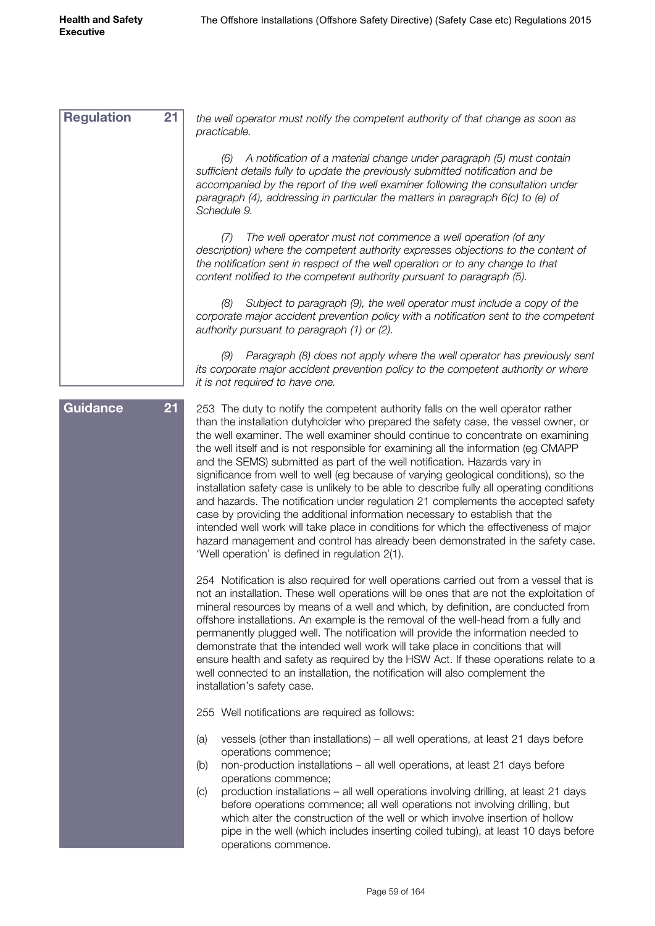*the well operator must notify the competent authority of that change as soon as practicable. (6) A notification of a material change under paragraph (5) must contain sufficient details fully to update the previously submitted notification and be accompanied by the report of the well examiner following the consultation under paragraph (4), addressing in particular the matters in paragraph 6(c) to (e) of Schedule 9. (7) The well operator must not commence a well operation (of any description) where the competent authority expresses objections to the content of the notification sent in respect of the well operation or to any change to that content notified to the competent authority pursuant to paragraph (5). (8) Subject to paragraph (9), the well operator must include a copy of the corporate major accident prevention policy with a notification sent to the competent authority pursuant to paragraph (1) or (2). (9) Paragraph (8) does not apply where the well operator has previously sent its corporate major accident prevention policy to the competent authority or where it is not required to have one.* 253 The duty to notify the competent authority falls on the well operator rather than the installation dutyholder who prepared the safety case, the vessel owner, or the well examiner. The well examiner should continue to concentrate on examining the well itself and is not responsible for examining all the information (eg CMAPP and the SEMS) submitted as part of the well notification. Hazards vary in significance from well to well (eg because of varying geological conditions), so the installation safety case is unlikely to be able to describe fully all operating conditions and hazards. The notification under regulation 21 complements the accepted safety case by providing the additional information necessary to establish that the intended well work will take place in conditions for which the effectiveness of major hazard management and control has already been demonstrated in the safety case. 'Well operation' is defined in regulation 2(1). 254 Notification is also required for well operations carried out from a vessel that is not an installation. These well operations will be ones that are not the exploitation of mineral resources by means of a well and which, by definition, are conducted from offshore installations. An example is the removal of the well-head from a fully and permanently plugged well. The notification will provide the information needed to demonstrate that the intended well work will take place in conditions that will ensure health and safety as required by the HSW Act. If these operations relate to a well connected to an installation, the notification will also complement the installation's safety case. 255 Well notifications are required as follows: (a) vessels (other than installations) – all well operations, at least 21 days before operations commence; (b) non-production installations – all well operations, at least 21 days before operations commence; (c) production installations – all well operations involving drilling, at least 21 days before operations commence; all well operations not involving drilling, but which alter the construction of the well or which involve insertion of hollow pipe in the well (which includes inserting coiled tubing), at least 10 days before operations commence. **Regulation 21 Guidance 21**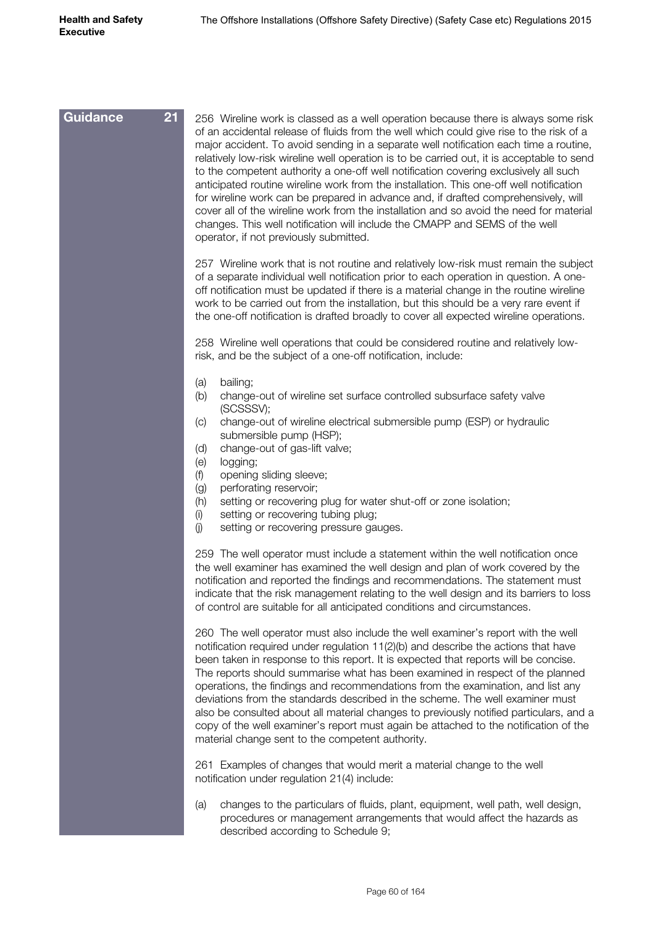| $\overline{21}$<br><b>Guidance</b> | 256 Wireline work is classed as a well operation because there is always some risk<br>of an accidental release of fluids from the well which could give rise to the risk of a<br>major accident. To avoid sending in a separate well notification each time a routine,<br>relatively low-risk wireline well operation is to be carried out, it is acceptable to send<br>to the competent authority a one-off well notification covering exclusively all such<br>anticipated routine wireline work from the installation. This one-off well notification<br>for wireline work can be prepared in advance and, if drafted comprehensively, will<br>cover all of the wireline work from the installation and so avoid the need for material<br>changes. This well notification will include the CMAPP and SEMS of the well<br>operator, if not previously submitted. |
|------------------------------------|-------------------------------------------------------------------------------------------------------------------------------------------------------------------------------------------------------------------------------------------------------------------------------------------------------------------------------------------------------------------------------------------------------------------------------------------------------------------------------------------------------------------------------------------------------------------------------------------------------------------------------------------------------------------------------------------------------------------------------------------------------------------------------------------------------------------------------------------------------------------|
|                                    | 257 Wireline work that is not routine and relatively low-risk must remain the subject<br>of a separate individual well notification prior to each operation in question. A one-<br>off notification must be updated if there is a material change in the routine wireline<br>work to be carried out from the installation, but this should be a very rare event if<br>the one-off notification is drafted broadly to cover all expected wireline operations.                                                                                                                                                                                                                                                                                                                                                                                                      |
|                                    | 258 Wireline well operations that could be considered routine and relatively low-<br>risk, and be the subject of a one-off notification, include:                                                                                                                                                                                                                                                                                                                                                                                                                                                                                                                                                                                                                                                                                                                 |
|                                    | bailing;<br>(a)<br>change-out of wireline set surface controlled subsurface safety valve<br>(b)<br>(SCSSSV);                                                                                                                                                                                                                                                                                                                                                                                                                                                                                                                                                                                                                                                                                                                                                      |
|                                    | change-out of wireline electrical submersible pump (ESP) or hydraulic<br>(C)<br>submersible pump (HSP);<br>change-out of gas-lift valve;<br>(d)<br>(e)<br>logging;<br>(f)<br>opening sliding sleeve;<br>(g)<br>perforating reservoir;<br>setting or recovering plug for water shut-off or zone isolation;<br>(h)<br>(i)<br>setting or recovering tubing plug;                                                                                                                                                                                                                                                                                                                                                                                                                                                                                                     |
|                                    | (j)<br>setting or recovering pressure gauges.                                                                                                                                                                                                                                                                                                                                                                                                                                                                                                                                                                                                                                                                                                                                                                                                                     |
|                                    | 259 The well operator must include a statement within the well notification once<br>the well examiner has examined the well design and plan of work covered by the<br>notification and reported the findings and recommendations. The statement must<br>indicate that the risk management relating to the well design and its barriers to loss<br>of control are suitable for all anticipated conditions and circumstances.                                                                                                                                                                                                                                                                                                                                                                                                                                       |
|                                    | 260 The well operator must also include the well examiner's report with the well<br>notification required under regulation 11(2)(b) and describe the actions that have<br>been taken in response to this report. It is expected that reports will be concise.<br>The reports should summarise what has been examined in respect of the planned<br>operations, the findings and recommendations from the examination, and list any<br>deviations from the standards described in the scheme. The well examiner must<br>also be consulted about all material changes to previously notified particulars, and a<br>copy of the well examiner's report must again be attached to the notification of the<br>material change sent to the competent authority.                                                                                                          |
|                                    | 261 Examples of changes that would merit a material change to the well<br>notification under regulation 21(4) include:                                                                                                                                                                                                                                                                                                                                                                                                                                                                                                                                                                                                                                                                                                                                            |

(a) changes to the particulars of fluids, plant, equipment, well path, well design, procedures or management arrangements that would affect the hazards as described according to Schedule 9;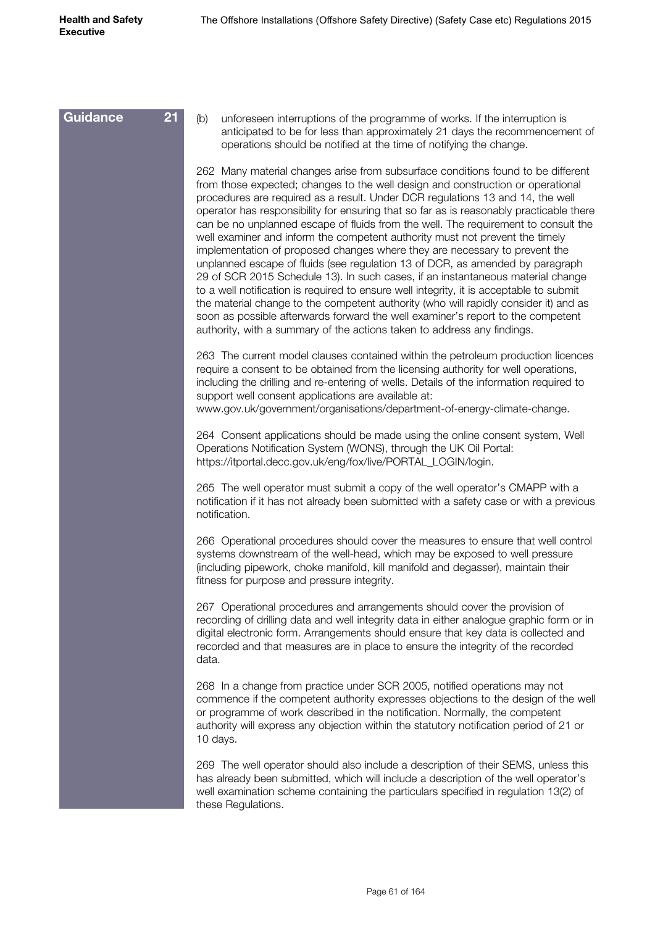(b) unforeseen interruptions of the programme of works. If the interruption is anticipated to be for less than approximately 21 days the recommencement of operations should be notified at the time of notifying the change. 262 Many material changes arise from subsurface conditions found to be different from those expected; changes to the well design and construction or operational procedures are required as a result. Under DCR regulations 13 and 14, the well operator has responsibility for ensuring that so far as is reasonably practicable there can be no unplanned escape of fluids from the well. The requirement to consult the well examiner and inform the competent authority must not prevent the timely implementation of proposed changes where they are necessary to prevent the unplanned escape of fluids (see regulation 13 of DCR, as amended by paragraph 29 of SCR 2015 Schedule 13). In such cases, if an instantaneous material change to a well notification is required to ensure well integrity, it is acceptable to submit the material change to the competent authority (who will rapidly consider it) and as soon as possible afterwards forward the well examiner's report to the competent authority, with a summary of the actions taken to address any findings. 263 The current model clauses contained within the petroleum production licences require a consent to be obtained from the licensing authority for well operations, including the drilling and re-entering of wells. Details of the information required to support well consent applications are available at: www.gov.uk/government/organisations/department-of-energy-climate-change. 264 Consent applications should be made using the online consent system, Well Operations Notification System (WONS), through the UK Oil Portal: [https://itportal.decc.gov.uk/eng/fox/live/PORTAL\\_LOGIN/login](https://itportal.decc.gov.uk/eng/fox/live/PORTAL_LOGIN/login). 265 The well operator must submit a copy of the well operator's CMAPP with a notification if it has not already been submitted with a safety case or with a previous notification. 266 Operational procedures should cover the measures to ensure that well control systems downstream of the well-head, which may be exposed to well pressure (including pipework, choke manifold, kill manifold and degasser), maintain their fitness for purpose and pressure integrity. 267 Operational procedures and arrangements should cover the provision of recording of drilling data and well integrity data in either analogue graphic form or in digital electronic form. Arrangements should ensure that key data is collected and recorded and that measures are in place to ensure the integrity of the recorded data. 268 In a change from practice under SCR 2005, notified operations may not commence if the competent authority expresses objections to the design of the well or programme of work described in the notification. Normally, the competent authority will express any objection within the statutory notification period of 21 or 10 days. 269 The well operator should also include a description of their SEMS, unless this has already been submitted, which will include a description of the well operator's well examination scheme containing the particulars specified in regulation 13(2) of these Regulations. **Guidance 21**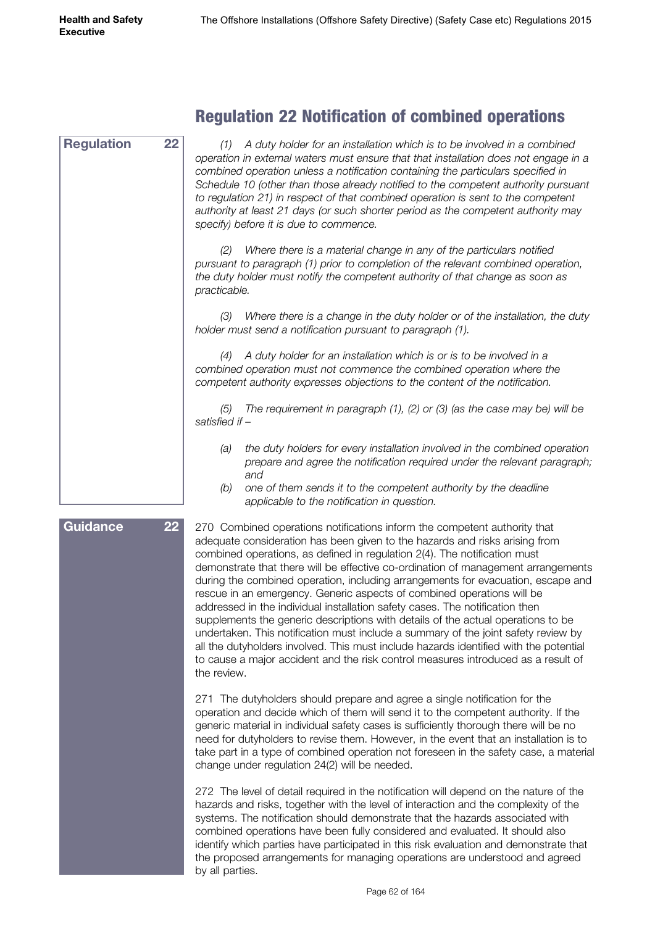| 22<br><b>Regulation</b> | A duty holder for an installation which is to be involved in a combined<br>(1)<br>operation in external waters must ensure that that installation does not engage in a<br>combined operation unless a notification containing the particulars specified in<br>Schedule 10 (other than those already notified to the competent authority pursuant<br>to regulation 21) in respect of that combined operation is sent to the competent<br>authority at least 21 days (or such shorter period as the competent authority may<br>specify) before it is due to commence. |
|-------------------------|---------------------------------------------------------------------------------------------------------------------------------------------------------------------------------------------------------------------------------------------------------------------------------------------------------------------------------------------------------------------------------------------------------------------------------------------------------------------------------------------------------------------------------------------------------------------|
|                         | Where there is a material change in any of the particulars notified<br>pursuant to paragraph (1) prior to completion of the relevant combined operation,<br>the duty holder must notify the competent authority of that change as soon as<br>practicable.                                                                                                                                                                                                                                                                                                           |
|                         | Where there is a change in the duty holder or of the installation, the duty<br>(3)<br>holder must send a notification pursuant to paragraph (1).                                                                                                                                                                                                                                                                                                                                                                                                                    |
|                         | A duty holder for an installation which is or is to be involved in a<br>(4)<br>combined operation must not commence the combined operation where the<br>competent authority expresses objections to the content of the notification.                                                                                                                                                                                                                                                                                                                                |
|                         | The requirement in paragraph $(1)$ , $(2)$ or $(3)$ (as the case may be) will be<br>(5)<br>satisfied if -                                                                                                                                                                                                                                                                                                                                                                                                                                                           |
|                         | the duty holders for every installation involved in the combined operation<br>(a)<br>prepare and agree the notification required under the relevant paragraph;<br>and                                                                                                                                                                                                                                                                                                                                                                                               |
|                         | one of them sends it to the competent authority by the deadline<br>(b)<br>applicable to the notification in question.                                                                                                                                                                                                                                                                                                                                                                                                                                               |
| 22<br><b>Guidance</b>   | 270 Combined operations notifications inform the competent authority that<br>adequate consideration has been given to the hazards and risks arising from<br>combined operations, as defined in regulation 2(4). The notification must<br>demonstrate that there will be effective co-ordination of management arrangements<br>during the combined operation, including arrangements for evacuation, escape and                                                                                                                                                      |

#### Regulation 22 Notification of combined operations

rescue in an emergency. Generic aspects of combined operations will be addressed in the individual installation safety cases. The notification then supplements the generic descriptions with details of the actual operations to be undertaken. This notification must include a summary of the joint safety review by all the dutyholders involved. This must include hazards identified with the potential to cause a major accident and the risk control measures introduced as a result of the review.

271 The dutyholders should prepare and agree a single notification for the operation and decide which of them will send it to the competent authority. If the generic material in individual safety cases is sufficiently thorough there will be no need for dutyholders to revise them. However, in the event that an installation is to take part in a type of combined operation not foreseen in the safety case, a material change under regulation 24(2) will be needed.

272 The level of detail required in the notification will depend on the nature of the hazards and risks, together with the level of interaction and the complexity of the systems. The notification should demonstrate that the hazards associated with combined operations have been fully considered and evaluated. It should also identify which parties have participated in this risk evaluation and demonstrate that the proposed arrangements for managing operations are understood and agreed by all parties.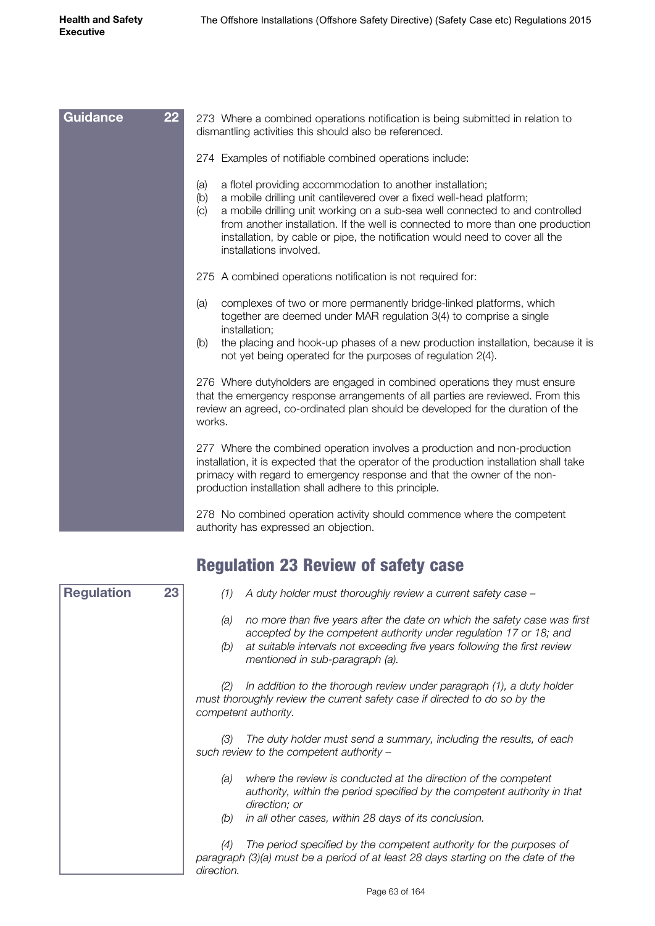| 22<br><b>Guidance</b> | 273 Where a combined operations notification is being submitted in relation to<br>dismantling activities this should also be referenced.                                                                                                                                                                                                                                                                                             |  |  |
|-----------------------|--------------------------------------------------------------------------------------------------------------------------------------------------------------------------------------------------------------------------------------------------------------------------------------------------------------------------------------------------------------------------------------------------------------------------------------|--|--|
|                       | 274 Examples of notifiable combined operations include:                                                                                                                                                                                                                                                                                                                                                                              |  |  |
|                       | a flotel providing accommodation to another installation;<br>(a)<br>a mobile drilling unit cantilevered over a fixed well-head platform;<br>(b)<br>a mobile drilling unit working on a sub-sea well connected to and controlled<br>(C)<br>from another installation. If the well is connected to more than one production<br>installation, by cable or pipe, the notification would need to cover all the<br>installations involved. |  |  |
|                       | 275 A combined operations notification is not required for:                                                                                                                                                                                                                                                                                                                                                                          |  |  |
|                       | complexes of two or more permanently bridge-linked platforms, which<br>(a)<br>together are deemed under MAR regulation 3(4) to comprise a single<br>installation;                                                                                                                                                                                                                                                                    |  |  |
|                       | the placing and hook-up phases of a new production installation, because it is<br>(b)<br>not yet being operated for the purposes of regulation 2(4).                                                                                                                                                                                                                                                                                 |  |  |
|                       | 276 Where dutyholders are engaged in combined operations they must ensure<br>that the emergency response arrangements of all parties are reviewed. From this<br>review an agreed, co-ordinated plan should be developed for the duration of the<br>works.                                                                                                                                                                            |  |  |
|                       | 277 Where the combined operation involves a production and non-production<br>installation, it is expected that the operator of the production installation shall take<br>primacy with regard to emergency response and that the owner of the non-<br>production installation shall adhere to this principle.                                                                                                                         |  |  |
|                       | 278 No combined operation activity should commence where the competent                                                                                                                                                                                                                                                                                                                                                               |  |  |

## Regulation 23 Review of safety case

authority has expressed an objection.

| <b>Regulation</b> | 23 | A duty holder must thoroughly review a current safety case -<br>(1)                                                                                                                |
|-------------------|----|------------------------------------------------------------------------------------------------------------------------------------------------------------------------------------|
|                   |    | no more than five years after the date on which the safety case was first<br>(a)<br>accepted by the competent authority under regulation 17 or 18; and                             |
|                   |    | at suitable intervals not exceeding five years following the first review<br>(b)<br>mentioned in sub-paragraph (a).                                                                |
|                   |    | In addition to the thorough review under paragraph (1), a duty holder<br>(2)<br>must thoroughly review the current safety case if directed to do so by the<br>competent authority. |
|                   |    | The duty holder must send a summary, including the results, of each<br>(3)<br>such review to the competent authority -                                                             |
|                   |    | where the review is conducted at the direction of the competent<br>(a)<br>authority, within the period specified by the competent authority in that<br>direction; or               |
|                   |    | in all other cases, within 28 days of its conclusion.<br>(b)                                                                                                                       |
|                   |    | The period specified by the competent authority for the purposes of<br>(4)<br>paragraph (3)(a) must be a period of at least 28 days starting on the date of the                    |
|                   |    | direction.                                                                                                                                                                         |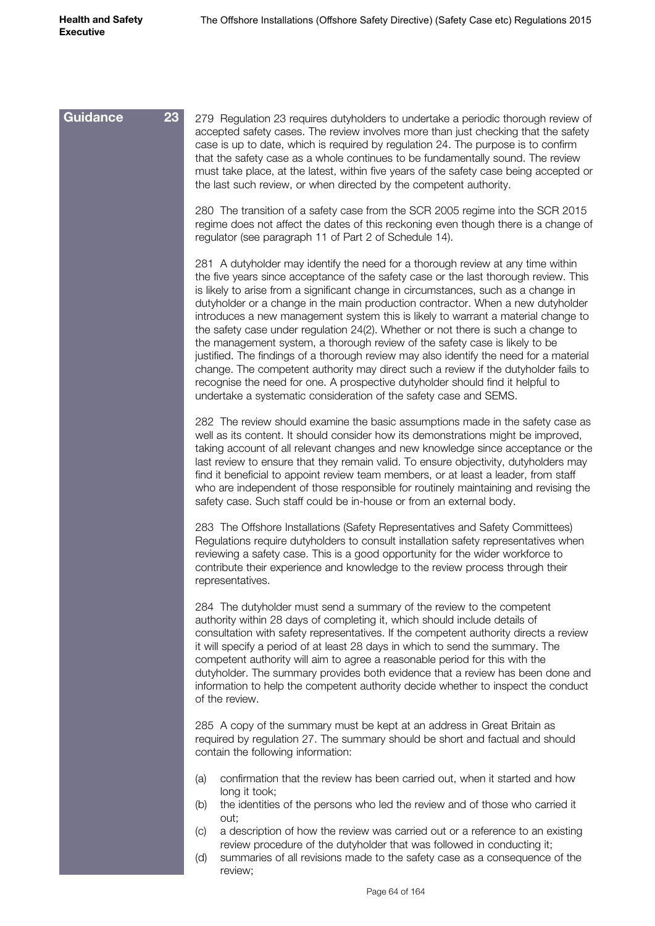| Guidance<br>23 | 279 Regulation 23 requires dutyholders to undertake a periodic thorough review of<br>accepted safety cases. The review involves more than just checking that the safety<br>case is up to date, which is required by regulation 24. The purpose is to confirm<br>that the safety case as a whole continues to be fundamentally sound. The review<br>must take place, at the latest, within five years of the safety case being accepted or<br>the last such review, or when directed by the competent authority.                                                                                                                                                                                                                                                                                                                                                                                                                                  |
|----------------|--------------------------------------------------------------------------------------------------------------------------------------------------------------------------------------------------------------------------------------------------------------------------------------------------------------------------------------------------------------------------------------------------------------------------------------------------------------------------------------------------------------------------------------------------------------------------------------------------------------------------------------------------------------------------------------------------------------------------------------------------------------------------------------------------------------------------------------------------------------------------------------------------------------------------------------------------|
|                | 280 The transition of a safety case from the SCR 2005 regime into the SCR 2015<br>regime does not affect the dates of this reckoning even though there is a change of<br>regulator (see paragraph 11 of Part 2 of Schedule 14).                                                                                                                                                                                                                                                                                                                                                                                                                                                                                                                                                                                                                                                                                                                  |
|                | 281 A dutyholder may identify the need for a thorough review at any time within<br>the five years since acceptance of the safety case or the last thorough review. This<br>is likely to arise from a significant change in circumstances, such as a change in<br>dutyholder or a change in the main production contractor. When a new dutyholder<br>introduces a new management system this is likely to warrant a material change to<br>the safety case under regulation 24(2). Whether or not there is such a change to<br>the management system, a thorough review of the safety case is likely to be<br>justified. The findings of a thorough review may also identify the need for a material<br>change. The competent authority may direct such a review if the dutyholder fails to<br>recognise the need for one. A prospective dutyholder should find it helpful to<br>undertake a systematic consideration of the safety case and SEMS. |
|                | 282 The review should examine the basic assumptions made in the safety case as<br>well as its content. It should consider how its demonstrations might be improved,<br>taking account of all relevant changes and new knowledge since acceptance or the<br>last review to ensure that they remain valid. To ensure objectivity, dutyholders may<br>find it beneficial to appoint review team members, or at least a leader, from staff<br>who are independent of those responsible for routinely maintaining and revising the<br>safety case. Such staff could be in-house or from an external body.                                                                                                                                                                                                                                                                                                                                             |
|                | 283 The Offshore Installations (Safety Representatives and Safety Committees)<br>Regulations require dutyholders to consult installation safety representatives when<br>reviewing a safety case. This is a good opportunity for the wider workforce to<br>contribute their experience and knowledge to the review process through their<br>representatives.                                                                                                                                                                                                                                                                                                                                                                                                                                                                                                                                                                                      |
|                | 284 The dutyholder must send a summary of the review to the competent<br>authority within 28 days of completing it, which should include details of<br>consultation with safety representatives. If the competent authority directs a review<br>it will specify a period of at least 28 days in which to send the summary. The<br>competent authority will aim to agree a reasonable period for this with the<br>dutyholder. The summary provides both evidence that a review has been done and<br>information to help the competent authority decide whether to inspect the conduct<br>of the review.                                                                                                                                                                                                                                                                                                                                           |
|                | 285 A copy of the summary must be kept at an address in Great Britain as<br>required by regulation 27. The summary should be short and factual and should<br>contain the following information:                                                                                                                                                                                                                                                                                                                                                                                                                                                                                                                                                                                                                                                                                                                                                  |
|                | confirmation that the review has been carried out, when it started and how<br>(a)<br>long it took;<br>the identities of the persons who led the review and of those who carried it<br>(b)<br>out;                                                                                                                                                                                                                                                                                                                                                                                                                                                                                                                                                                                                                                                                                                                                                |
|                | a description of how the review was carried out or a reference to an existing<br>(C)<br>review procedure of the dutyholder that was followed in conducting it;<br>summaries of all revisions made to the safety case as a consequence of the<br>(d)                                                                                                                                                                                                                                                                                                                                                                                                                                                                                                                                                                                                                                                                                              |

review;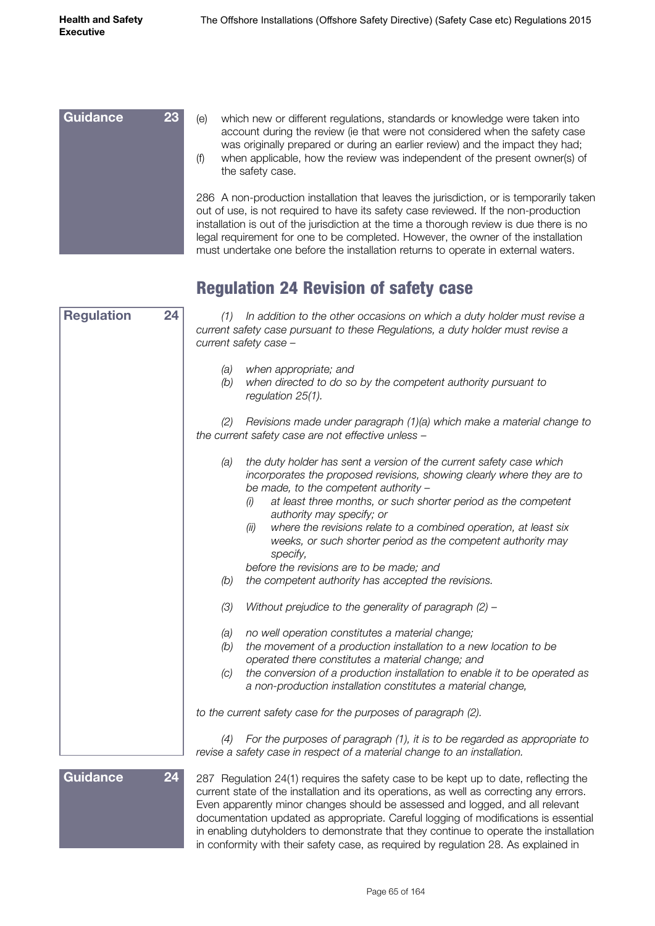

#### Regulation 24 Revision of safety case

| <b>Regulation</b> | 24 | (1) In addition to the other occasions on which a duty holder must revise a<br>current safety case pursuant to these Regulations, a duty holder must revise a<br>current safety case -                                                                                                                                                                                          |
|-------------------|----|---------------------------------------------------------------------------------------------------------------------------------------------------------------------------------------------------------------------------------------------------------------------------------------------------------------------------------------------------------------------------------|
|                   |    | when appropriate; and<br>(a)<br>when directed to do so by the competent authority pursuant to<br>(b)<br>regulation 25(1).                                                                                                                                                                                                                                                       |
|                   |    | (2)<br>Revisions made under paragraph (1)(a) which make a material change to<br>the current safety case are not effective unless -                                                                                                                                                                                                                                              |
|                   |    | the duty holder has sent a version of the current safety case which<br>(a)<br>incorporates the proposed revisions, showing clearly where they are to<br>be made, to the competent authority -<br>at least three months, or such shorter period as the competent<br>(i)<br>authority may specify; or<br>where the revisions relate to a combined operation, at least six<br>(ii) |
|                   |    | weeks, or such shorter period as the competent authority may<br>specify,<br>before the revisions are to be made; and                                                                                                                                                                                                                                                            |
|                   |    | the competent authority has accepted the revisions.<br>(b)                                                                                                                                                                                                                                                                                                                      |
|                   |    | (3)<br>Without prejudice to the generality of paragraph (2) -                                                                                                                                                                                                                                                                                                                   |
|                   |    | no well operation constitutes a material change;<br>(a)<br>the movement of a production installation to a new location to be<br>(b)<br>operated there constitutes a material change; and<br>the conversion of a production installation to enable it to be operated as<br>(C)<br>a non-production installation constitutes a material change,                                   |
|                   |    | to the current safety case for the purposes of paragraph (2).                                                                                                                                                                                                                                                                                                                   |
|                   |    | For the purposes of paragraph (1), it is to be regarded as appropriate to<br>(4)<br>revise a safety case in respect of a material change to an installation.                                                                                                                                                                                                                    |
| <b>Guidance</b>   | 24 | 287 Regulation 24(1) requires the safety case to be kept up to date, reflecting the<br>current state of the installation and its operations, as well as correcting any errors.<br>Even apparently minor changes should be assessed and logged, and all relevant<br>documentation updated as appropriate. Careful logging of modifications is essential                          |

Page 65 of 164

in enabling dutyholders to demonstrate that they continue to operate the installation in conformity with their safety case, as required by regulation 28. As explained in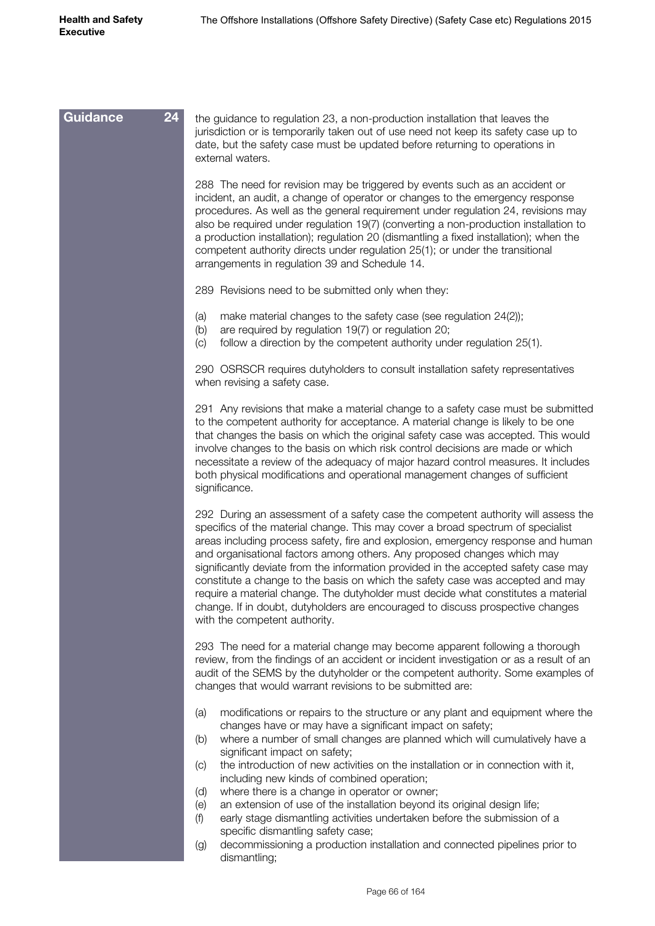| 24<br><b>Guidance</b><br>the guidance to regulation 23, a non-production installation that leaves the<br>jurisdiction or is temporarily taken out of use need not keep its safety case up to<br>date, but the safety case must be updated before returning to operations in<br>external waters.<br>288 The need for revision may be triggered by events such as an accident or<br>incident, an audit, a change of operator or changes to the emergency response<br>procedures. As well as the general requirement under regulation 24, revisions may<br>also be required under regulation 19(7) (converting a non-production installation to<br>a production installation); regulation 20 (dismantling a fixed installation); when the<br>competent authority directs under regulation 25(1); or under the transitional<br>arrangements in regulation 39 and Schedule 14.<br>289 Revisions need to be submitted only when they:<br>make material changes to the safety case (see regulation 24(2));<br>(a)<br>are required by regulation 19(7) or regulation 20;<br>(b)<br>follow a direction by the competent authority under regulation 25(1).<br>$\left( c\right)$<br>290 OSRSCR requires dutyholders to consult installation safety representatives<br>when revising a safety case.<br>291 Any revisions that make a material change to a safety case must be submitted<br>to the competent authority for acceptance. A material change is likely to be one<br>that changes the basis on which the original safety case was accepted. This would<br>involve changes to the basis on which risk control decisions are made or which<br>necessitate a review of the adequacy of major hazard control measures. It includes<br>both physical modifications and operational management changes of sufficient<br>significance.<br>292 During an assessment of a safety case the competent authority will assess the<br>specifics of the material change. This may cover a broad spectrum of specialist<br>areas including process safety, fire and explosion, emergency response and human<br>and organisational factors among others. Any proposed changes which may<br>significantly deviate from the information provided in the accepted safety case may |
|-------------------------------------------------------------------------------------------------------------------------------------------------------------------------------------------------------------------------------------------------------------------------------------------------------------------------------------------------------------------------------------------------------------------------------------------------------------------------------------------------------------------------------------------------------------------------------------------------------------------------------------------------------------------------------------------------------------------------------------------------------------------------------------------------------------------------------------------------------------------------------------------------------------------------------------------------------------------------------------------------------------------------------------------------------------------------------------------------------------------------------------------------------------------------------------------------------------------------------------------------------------------------------------------------------------------------------------------------------------------------------------------------------------------------------------------------------------------------------------------------------------------------------------------------------------------------------------------------------------------------------------------------------------------------------------------------------------------------------------------------------------------------------------------------------------------------------------------------------------------------------------------------------------------------------------------------------------------------------------------------------------------------------------------------------------------------------------------------------------------------------------------------------------------------------------------------------------------------------------------------------------|
|                                                                                                                                                                                                                                                                                                                                                                                                                                                                                                                                                                                                                                                                                                                                                                                                                                                                                                                                                                                                                                                                                                                                                                                                                                                                                                                                                                                                                                                                                                                                                                                                                                                                                                                                                                                                                                                                                                                                                                                                                                                                                                                                                                                                                                                             |
|                                                                                                                                                                                                                                                                                                                                                                                                                                                                                                                                                                                                                                                                                                                                                                                                                                                                                                                                                                                                                                                                                                                                                                                                                                                                                                                                                                                                                                                                                                                                                                                                                                                                                                                                                                                                                                                                                                                                                                                                                                                                                                                                                                                                                                                             |
|                                                                                                                                                                                                                                                                                                                                                                                                                                                                                                                                                                                                                                                                                                                                                                                                                                                                                                                                                                                                                                                                                                                                                                                                                                                                                                                                                                                                                                                                                                                                                                                                                                                                                                                                                                                                                                                                                                                                                                                                                                                                                                                                                                                                                                                             |
|                                                                                                                                                                                                                                                                                                                                                                                                                                                                                                                                                                                                                                                                                                                                                                                                                                                                                                                                                                                                                                                                                                                                                                                                                                                                                                                                                                                                                                                                                                                                                                                                                                                                                                                                                                                                                                                                                                                                                                                                                                                                                                                                                                                                                                                             |
|                                                                                                                                                                                                                                                                                                                                                                                                                                                                                                                                                                                                                                                                                                                                                                                                                                                                                                                                                                                                                                                                                                                                                                                                                                                                                                                                                                                                                                                                                                                                                                                                                                                                                                                                                                                                                                                                                                                                                                                                                                                                                                                                                                                                                                                             |
|                                                                                                                                                                                                                                                                                                                                                                                                                                                                                                                                                                                                                                                                                                                                                                                                                                                                                                                                                                                                                                                                                                                                                                                                                                                                                                                                                                                                                                                                                                                                                                                                                                                                                                                                                                                                                                                                                                                                                                                                                                                                                                                                                                                                                                                             |
| constitute a change to the basis on which the safety case was accepted and may<br>require a material change. The dutyholder must decide what constitutes a material<br>change. If in doubt, dutyholders are encouraged to discuss prospective changes<br>with the competent authority.                                                                                                                                                                                                                                                                                                                                                                                                                                                                                                                                                                                                                                                                                                                                                                                                                                                                                                                                                                                                                                                                                                                                                                                                                                                                                                                                                                                                                                                                                                                                                                                                                                                                                                                                                                                                                                                                                                                                                                      |
| 293 The need for a material change may become apparent following a thorough<br>review, from the findings of an accident or incident investigation or as a result of an<br>audit of the SEMS by the dutyholder or the competent authority. Some examples of<br>changes that would warrant revisions to be submitted are:                                                                                                                                                                                                                                                                                                                                                                                                                                                                                                                                                                                                                                                                                                                                                                                                                                                                                                                                                                                                                                                                                                                                                                                                                                                                                                                                                                                                                                                                                                                                                                                                                                                                                                                                                                                                                                                                                                                                     |
| modifications or repairs to the structure or any plant and equipment where the<br>(a)<br>changes have or may have a significant impact on safety;<br>where a number of small changes are planned which will cumulatively have a<br>(b)<br>significant impact on safety;                                                                                                                                                                                                                                                                                                                                                                                                                                                                                                                                                                                                                                                                                                                                                                                                                                                                                                                                                                                                                                                                                                                                                                                                                                                                                                                                                                                                                                                                                                                                                                                                                                                                                                                                                                                                                                                                                                                                                                                     |
| the introduction of new activities on the installation or in connection with it,<br>(C)<br>including new kinds of combined operation;                                                                                                                                                                                                                                                                                                                                                                                                                                                                                                                                                                                                                                                                                                                                                                                                                                                                                                                                                                                                                                                                                                                                                                                                                                                                                                                                                                                                                                                                                                                                                                                                                                                                                                                                                                                                                                                                                                                                                                                                                                                                                                                       |
| where there is a change in operator or owner;<br>(d)<br>an extension of use of the installation beyond its original design life;<br>(e)                                                                                                                                                                                                                                                                                                                                                                                                                                                                                                                                                                                                                                                                                                                                                                                                                                                                                                                                                                                                                                                                                                                                                                                                                                                                                                                                                                                                                                                                                                                                                                                                                                                                                                                                                                                                                                                                                                                                                                                                                                                                                                                     |
| early stage dismantling activities undertaken before the submission of a<br>(f)<br>specific dismantling safety case;                                                                                                                                                                                                                                                                                                                                                                                                                                                                                                                                                                                                                                                                                                                                                                                                                                                                                                                                                                                                                                                                                                                                                                                                                                                                                                                                                                                                                                                                                                                                                                                                                                                                                                                                                                                                                                                                                                                                                                                                                                                                                                                                        |
| decommissioning a production installation and connected pipelines prior to<br>(g)<br>dismantling;                                                                                                                                                                                                                                                                                                                                                                                                                                                                                                                                                                                                                                                                                                                                                                                                                                                                                                                                                                                                                                                                                                                                                                                                                                                                                                                                                                                                                                                                                                                                                                                                                                                                                                                                                                                                                                                                                                                                                                                                                                                                                                                                                           |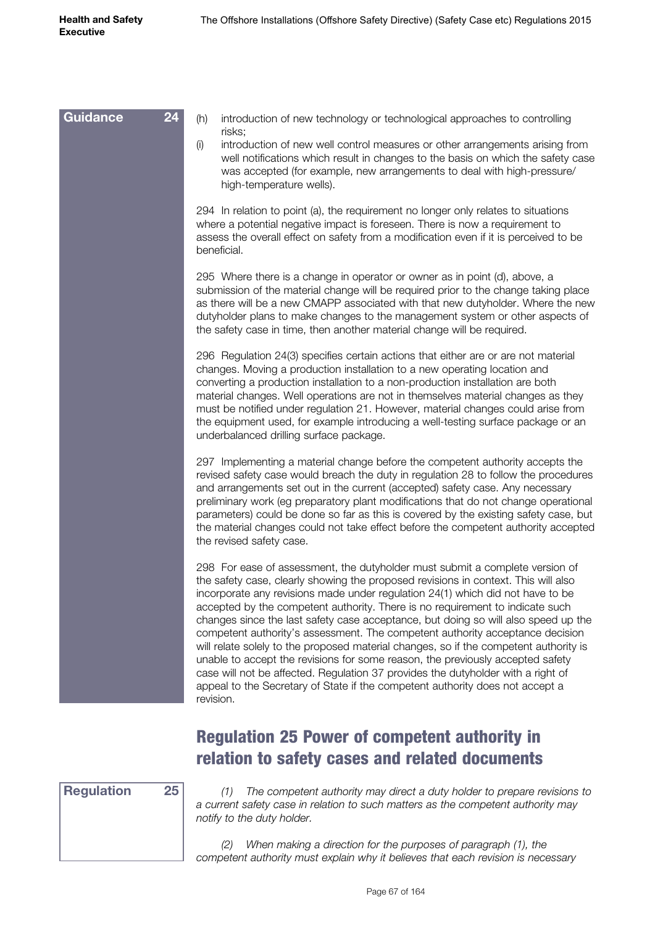| (h)<br>introduction of new technology or technological approaches to controlling<br>risks;<br>(i)<br>introduction of new well control measures or other arrangements arising from<br>well notifications which result in changes to the basis on which the safety case<br>was accepted (for example, new arrangements to deal with high-pressure/<br>high-temperature wells).                                                                                                                                                                                                                                                                                                                                                                                                                                                                                              |
|---------------------------------------------------------------------------------------------------------------------------------------------------------------------------------------------------------------------------------------------------------------------------------------------------------------------------------------------------------------------------------------------------------------------------------------------------------------------------------------------------------------------------------------------------------------------------------------------------------------------------------------------------------------------------------------------------------------------------------------------------------------------------------------------------------------------------------------------------------------------------|
| 294 In relation to point (a), the requirement no longer only relates to situations<br>where a potential negative impact is foreseen. There is now a requirement to<br>assess the overall effect on safety from a modification even if it is perceived to be<br>beneficial.                                                                                                                                                                                                                                                                                                                                                                                                                                                                                                                                                                                                |
| 295 Where there is a change in operator or owner as in point (d), above, a<br>submission of the material change will be required prior to the change taking place<br>as there will be a new CMAPP associated with that new dutyholder. Where the new<br>dutyholder plans to make changes to the management system or other aspects of<br>the safety case in time, then another material change will be required.                                                                                                                                                                                                                                                                                                                                                                                                                                                          |
| 296 Regulation 24(3) specifies certain actions that either are or are not material<br>changes. Moving a production installation to a new operating location and<br>converting a production installation to a non-production installation are both<br>material changes. Well operations are not in themselves material changes as they<br>must be notified under regulation 21. However, material changes could arise from<br>the equipment used, for example introducing a well-testing surface package or an<br>underbalanced drilling surface package.                                                                                                                                                                                                                                                                                                                  |
| 297 Implementing a material change before the competent authority accepts the<br>revised safety case would breach the duty in regulation 28 to follow the procedures<br>and arrangements set out in the current (accepted) safety case. Any necessary<br>preliminary work (eg preparatory plant modifications that do not change operational<br>parameters) could be done so far as this is covered by the existing safety case, but<br>the material changes could not take effect before the competent authority accepted<br>the revised safety case.                                                                                                                                                                                                                                                                                                                    |
| 298 For ease of assessment, the dutyholder must submit a complete version of<br>the safety case, clearly showing the proposed revisions in context. This will also<br>incorporate any revisions made under regulation 24(1) which did not have to be<br>accepted by the competent authority. There is no requirement to indicate such<br>changes since the last safety case acceptance, but doing so will also speed up the<br>competent authority's assessment. The competent authority acceptance decision<br>will relate solely to the proposed material changes, so if the competent authority is<br>unable to accept the revisions for some reason, the previously accepted safety<br>case will not be affected. Regulation 37 provides the dutyholder with a right of<br>appeal to the Secretary of State if the competent authority does not accept a<br>revision. |
|                                                                                                                                                                                                                                                                                                                                                                                                                                                                                                                                                                                                                                                                                                                                                                                                                                                                           |

#### Regulation 25 Power of competent authority in relation to safety cases and related documents



*(1) The competent authority may direct a duty holder to prepare revisions to a current safety case in relation to such matters as the competent authority may notify to the duty holder.*

*(2) When making a direction for the purposes of paragraph (1), the competent authority must explain why it believes that each revision is necessary*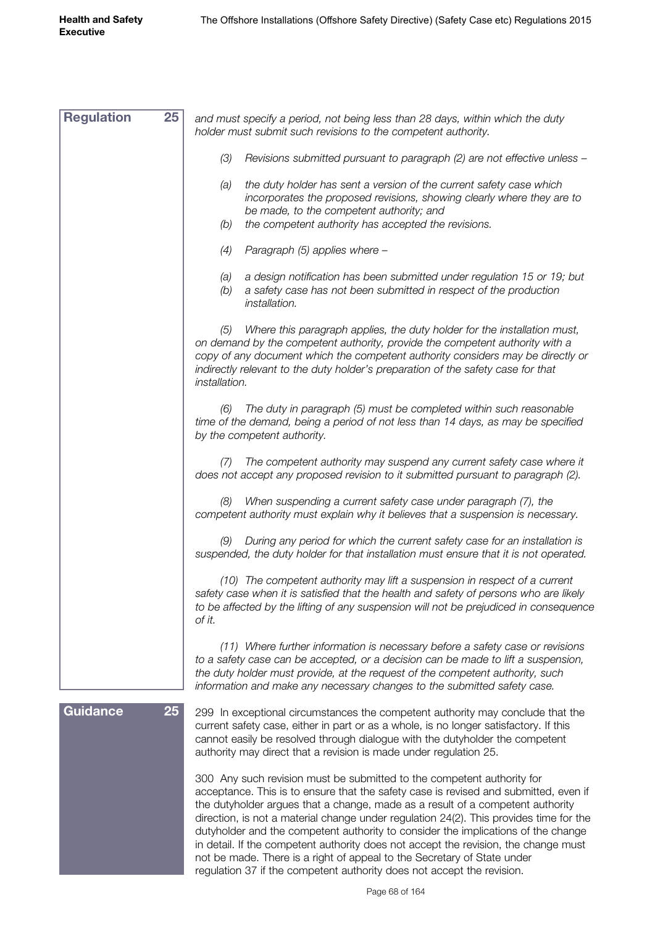| <b>Regulation</b><br>25 | and must specify a period, not being less than 28 days, within which the duty<br>holder must submit such revisions to the competent authority.                                                                                                                                                                                                                                                                                                                                                                                                                                                                                                                              |
|-------------------------|-----------------------------------------------------------------------------------------------------------------------------------------------------------------------------------------------------------------------------------------------------------------------------------------------------------------------------------------------------------------------------------------------------------------------------------------------------------------------------------------------------------------------------------------------------------------------------------------------------------------------------------------------------------------------------|
|                         | (3)<br>Revisions submitted pursuant to paragraph (2) are not effective unless -                                                                                                                                                                                                                                                                                                                                                                                                                                                                                                                                                                                             |
|                         | the duty holder has sent a version of the current safety case which<br>(a)<br>incorporates the proposed revisions, showing clearly where they are to<br>be made, to the competent authority; and<br>the competent authority has accepted the revisions.<br>(b)                                                                                                                                                                                                                                                                                                                                                                                                              |
|                         | (4)                                                                                                                                                                                                                                                                                                                                                                                                                                                                                                                                                                                                                                                                         |
|                         | Paragraph (5) applies where -<br>a design notification has been submitted under regulation 15 or 19; but<br>(a)<br>a safety case has not been submitted in respect of the production<br>(b)<br>installation.                                                                                                                                                                                                                                                                                                                                                                                                                                                                |
|                         | Where this paragraph applies, the duty holder for the installation must,<br>(5)<br>on demand by the competent authority, provide the competent authority with a<br>copy of any document which the competent authority considers may be directly or<br>indirectly relevant to the duty holder's preparation of the safety case for that<br>installation.                                                                                                                                                                                                                                                                                                                     |
|                         | (6) The duty in paragraph (5) must be completed within such reasonable<br>time of the demand, being a period of not less than 14 days, as may be specified<br>by the competent authority.                                                                                                                                                                                                                                                                                                                                                                                                                                                                                   |
|                         | The competent authority may suspend any current safety case where it<br>(7)<br>does not accept any proposed revision to it submitted pursuant to paragraph (2).                                                                                                                                                                                                                                                                                                                                                                                                                                                                                                             |
|                         | When suspending a current safety case under paragraph (7), the<br>(8)<br>competent authority must explain why it believes that a suspension is necessary.                                                                                                                                                                                                                                                                                                                                                                                                                                                                                                                   |
|                         | During any period for which the current safety case for an installation is<br>(9)<br>suspended, the duty holder for that installation must ensure that it is not operated.                                                                                                                                                                                                                                                                                                                                                                                                                                                                                                  |
|                         | (10) The competent authority may lift a suspension in respect of a current<br>safety case when it is satisfied that the health and safety of persons who are likely<br>to be affected by the lifting of any suspension will not be prejudiced in consequence<br>of it.                                                                                                                                                                                                                                                                                                                                                                                                      |
|                         | (11) Where further information is necessary before a safety case or revisions<br>to a safety case can be accepted, or a decision can be made to lift a suspension,<br>the duty holder must provide, at the request of the competent authority, such<br>information and make any necessary changes to the submitted safety case.                                                                                                                                                                                                                                                                                                                                             |
| <b>Guidance</b><br>25   | 299 In exceptional circumstances the competent authority may conclude that the<br>current safety case, either in part or as a whole, is no longer satisfactory. If this<br>cannot easily be resolved through dialogue with the dutyholder the competent<br>authority may direct that a revision is made under regulation 25.                                                                                                                                                                                                                                                                                                                                                |
|                         | 300 Any such revision must be submitted to the competent authority for<br>acceptance. This is to ensure that the safety case is revised and submitted, even if<br>the dutyholder argues that a change, made as a result of a competent authority<br>direction, is not a material change under regulation 24(2). This provides time for the<br>dutyholder and the competent authority to consider the implications of the change<br>in detail. If the competent authority does not accept the revision, the change must<br>not be made. There is a right of appeal to the Secretary of State under<br>regulation 37 if the competent authority does not accept the revision. |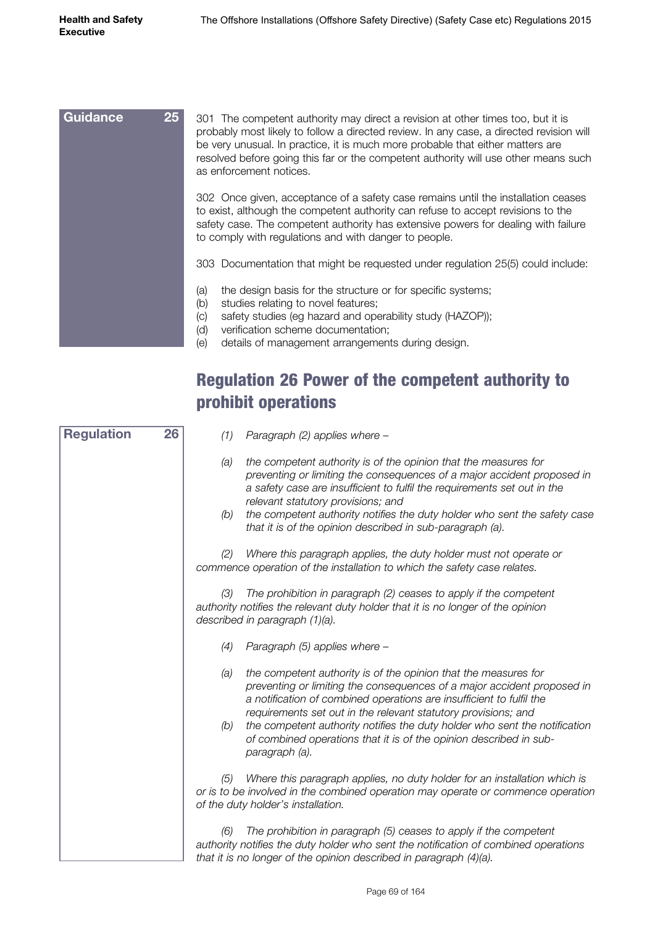| 25<br>301 The competent authority may direct a revision at other times too, but it is<br>probably most likely to follow a directed review. In any case, a directed revision will<br>be very unusual. In practice, it is much more probable that either matters are<br>resolved before going this far or the competent authority will use other means such<br>as enforcement notices. |  |  |  |
|--------------------------------------------------------------------------------------------------------------------------------------------------------------------------------------------------------------------------------------------------------------------------------------------------------------------------------------------------------------------------------------|--|--|--|
| 302 Once given, acceptance of a safety case remains until the installation ceases<br>to exist, although the competent authority can refuse to accept revisions to the<br>safety case. The competent authority has extensive powers for dealing with failure<br>to comply with regulations and with danger to people.                                                                 |  |  |  |
| 303 Documentation that might be requested under regulation 25(5) could include:                                                                                                                                                                                                                                                                                                      |  |  |  |
| the design basis for the structure or for specific systems;<br>(a)<br>studies relating to novel features;<br>(b)<br>safety studies (eg hazard and operability study (HAZOP));<br>(C)<br>verification scheme documentation;<br>(d)<br>details of management arrangements during design.<br>(e)                                                                                        |  |  |  |
|                                                                                                                                                                                                                                                                                                                                                                                      |  |  |  |

#### Regulation 26 Power of the competent authority to prohibit operations

| <b>Regulation</b> | 26 | (1)        | Paragraph (2) applies where -                                                                                                                                                                                                                                                                                                                                                                                                                              |
|-------------------|----|------------|------------------------------------------------------------------------------------------------------------------------------------------------------------------------------------------------------------------------------------------------------------------------------------------------------------------------------------------------------------------------------------------------------------------------------------------------------------|
|                   |    | (a)<br>(b) | the competent authority is of the opinion that the measures for<br>preventing or limiting the consequences of a major accident proposed in<br>a safety case are insufficient to fulfil the requirements set out in the<br>relevant statutory provisions; and<br>the competent authority notifies the duty holder who sent the safety case<br>that it is of the opinion described in sub-paragraph (a).                                                     |
|                   |    | (2)        | Where this paragraph applies, the duty holder must not operate or<br>commence operation of the installation to which the safety case relates.                                                                                                                                                                                                                                                                                                              |
|                   |    | (3)        | The prohibition in paragraph (2) ceases to apply if the competent<br>authority notifies the relevant duty holder that it is no longer of the opinion<br>described in paragraph (1)(a).                                                                                                                                                                                                                                                                     |
|                   |    | (4)        | Paragraph (5) applies where -                                                                                                                                                                                                                                                                                                                                                                                                                              |
|                   |    | (a)<br>(b) | the competent authority is of the opinion that the measures for<br>preventing or limiting the consequences of a major accident proposed in<br>a notification of combined operations are insufficient to fulfil the<br>requirements set out in the relevant statutory provisions; and<br>the competent authority notifies the duty holder who sent the notification<br>of combined operations that it is of the opinion described in sub-<br>paragraph (a). |
|                   |    | (5)        | Where this paragraph applies, no duty holder for an installation which is<br>or is to be involved in the combined operation may operate or commence operation<br>of the duty holder's installation.                                                                                                                                                                                                                                                        |
|                   |    | (6)        | The prohibition in paragraph (5) ceases to apply if the competent<br>authority notifies the duty holder who sent the notification of combined operations<br>that it is no longer of the opinion described in paragraph (4)(a).                                                                                                                                                                                                                             |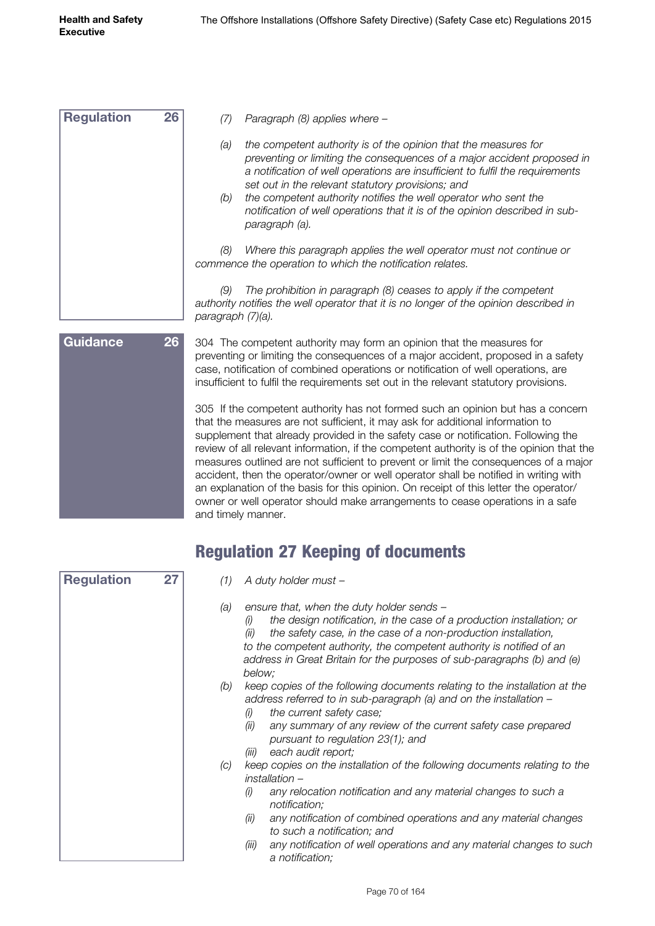| <b>Regulation</b> | 26              | Paragraph (8) applies where -<br>(7)                                                                                                                                                                                                                                                                                                                                                                                                                                                                                                                                                                                                                                                                                                                                                     |  |
|-------------------|-----------------|------------------------------------------------------------------------------------------------------------------------------------------------------------------------------------------------------------------------------------------------------------------------------------------------------------------------------------------------------------------------------------------------------------------------------------------------------------------------------------------------------------------------------------------------------------------------------------------------------------------------------------------------------------------------------------------------------------------------------------------------------------------------------------------|--|
|                   |                 | (a)<br>the competent authority is of the opinion that the measures for<br>preventing or limiting the consequences of a major accident proposed in<br>a notification of well operations are insufficient to fulfil the requirements<br>set out in the relevant statutory provisions; and<br>the competent authority notifies the well operator who sent the<br>(b)<br>notification of well operations that it is of the opinion described in sub-<br>paragraph (a).                                                                                                                                                                                                                                                                                                                       |  |
|                   |                 | Where this paragraph applies the well operator must not continue or<br>(8)<br>commence the operation to which the notification relates.                                                                                                                                                                                                                                                                                                                                                                                                                                                                                                                                                                                                                                                  |  |
|                   |                 | The prohibition in paragraph (8) ceases to apply if the competent<br>(9)<br>authority notifies the well operator that it is no longer of the opinion described in<br>paragraph (7)(a).                                                                                                                                                                                                                                                                                                                                                                                                                                                                                                                                                                                                   |  |
| <b>Guidance</b>   | 26 <sup>°</sup> | 304 The competent authority may form an opinion that the measures for<br>preventing or limiting the consequences of a major accident, proposed in a safety<br>case, notification of combined operations or notification of well operations, are<br>insufficient to fulfil the requirements set out in the relevant statutory provisions.<br>305 If the competent authority has not formed such an opinion but has a concern<br>that the measures are not sufficient, it may ask for additional information to<br>supplement that already provided in the safety case or notification. Following the<br>review of all relevant information, if the competent authority is of the opinion that the<br>measures outlined are not sufficient to prevent or limit the consequences of a major |  |
|                   |                 |                                                                                                                                                                                                                                                                                                                                                                                                                                                                                                                                                                                                                                                                                                                                                                                          |  |

# Regulation 27 Keeping of documents

and timely manner.

accident, then the operator/owner or well operator shall be notified in writing with an explanation of the basis for this opinion. On receipt of this letter the operator/ owner or well operator should make arrangements to cease operations in a safe

| <b>Regulation</b> | 27 | (1) | A duty holder must –                                                                                                                                                                                                                                                                                                                                                               |
|-------------------|----|-----|------------------------------------------------------------------------------------------------------------------------------------------------------------------------------------------------------------------------------------------------------------------------------------------------------------------------------------------------------------------------------------|
|                   |    | (a) | ensure that, when the duty holder sends -<br>the design notification, in the case of a production installation; or<br>(i)<br>the safety case, in the case of a non-production installation,<br>(ii)<br>to the competent authority, the competent authority is notified of an<br>address in Great Britain for the purposes of sub-paragraphs (b) and (e)<br>below;                  |
|                   |    | (b) | keep copies of the following documents relating to the installation at the<br>address referred to in sub-paragraph (a) and on the installation -<br>the current safety case;<br>(i)<br>any summary of any review of the current safety case prepared<br>(ii)<br>pursuant to regulation 23(1); and<br>each audit report;<br>(iii)                                                   |
|                   |    | (C) | keep copies on the installation of the following documents relating to the<br>installation -<br>(i)<br>any relocation notification and any material changes to such a<br>notification;<br>any notification of combined operations and any material changes<br>(ii)<br>to such a notification; and<br>any notification of well operations and any material changes to such<br>(iii) |
|                   |    |     | a notification;                                                                                                                                                                                                                                                                                                                                                                    |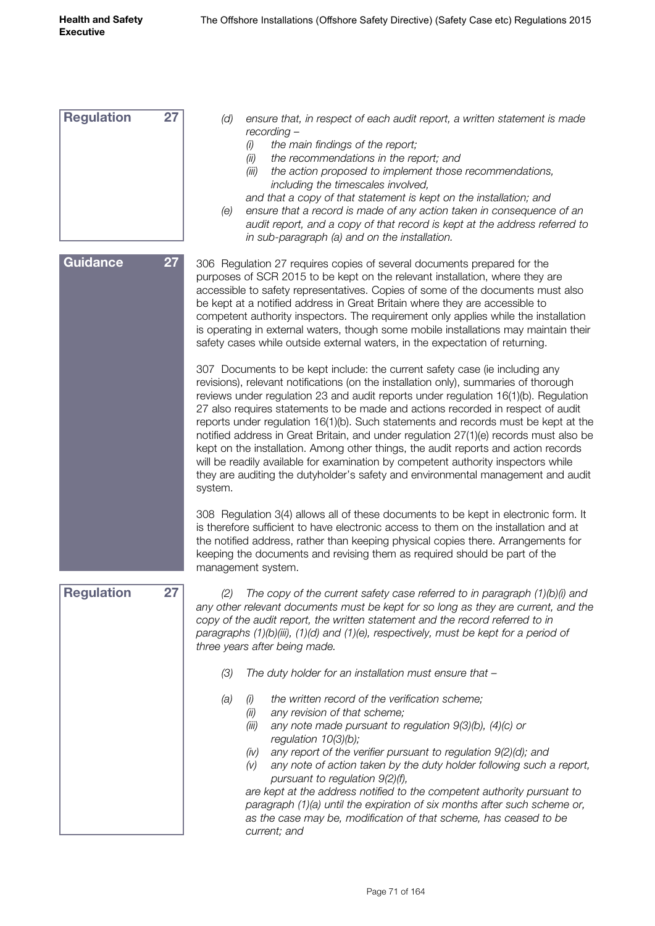| <b>Regulation</b> | 27 | (d)<br>ensure that, in respect of each audit report, a written statement is made<br>recording -<br>the main findings of the report;<br>(i)<br>the recommendations in the report; and<br>(ii)<br>(iii)<br>the action proposed to implement those recommendations,<br>including the timescales involved,<br>and that a copy of that statement is kept on the installation; and<br>ensure that a record is made of any action taken in consequence of an<br>(e)<br>audit report, and a copy of that record is kept at the address referred to<br>in sub-paragraph (a) and on the installation.                                                                                                                                                                                                                                                                                                                                                                                                                                                                                                                              |
|-------------------|----|--------------------------------------------------------------------------------------------------------------------------------------------------------------------------------------------------------------------------------------------------------------------------------------------------------------------------------------------------------------------------------------------------------------------------------------------------------------------------------------------------------------------------------------------------------------------------------------------------------------------------------------------------------------------------------------------------------------------------------------------------------------------------------------------------------------------------------------------------------------------------------------------------------------------------------------------------------------------------------------------------------------------------------------------------------------------------------------------------------------------------|
| Guidance          | 27 | 306 Regulation 27 requires copies of several documents prepared for the<br>purposes of SCR 2015 to be kept on the relevant installation, where they are<br>accessible to safety representatives. Copies of some of the documents must also<br>be kept at a notified address in Great Britain where they are accessible to<br>competent authority inspectors. The requirement only applies while the installation<br>is operating in external waters, though some mobile installations may maintain their<br>safety cases while outside external waters, in the expectation of returning.<br>307 Documents to be kept include: the current safety case (ie including any<br>revisions), relevant notifications (on the installation only), summaries of thorough<br>reviews under regulation 23 and audit reports under regulation 16(1)(b). Regulation<br>27 also requires statements to be made and actions recorded in respect of audit<br>reports under regulation 16(1)(b). Such statements and records must be kept at the<br>notified address in Great Britain, and under regulation 27(1)(e) records must also be |
|                   |    | kept on the installation. Among other things, the audit reports and action records<br>will be readily available for examination by competent authority inspectors while<br>they are auditing the dutyholder's safety and environmental management and audit<br>system.<br>308 Regulation 3(4) allows all of these documents to be kept in electronic form. It                                                                                                                                                                                                                                                                                                                                                                                                                                                                                                                                                                                                                                                                                                                                                            |
|                   |    | is therefore sufficient to have electronic access to them on the installation and at<br>the notified address, rather than keeping physical copies there. Arrangements for<br>keeping the documents and revising them as required should be part of the<br>management system.                                                                                                                                                                                                                                                                                                                                                                                                                                                                                                                                                                                                                                                                                                                                                                                                                                             |
| <b>Regulation</b> | 27 | (2) The copy of the current safety case referred to in paragraph (1)(b)(i) and<br>any other relevant documents must be kept for so long as they are current, and the<br>copy of the audit report, the written statement and the record referred to in<br>paragraphs (1)(b)(iii), (1)(d) and (1)(e), respectively, must be kept for a period of<br>three years after being made.                                                                                                                                                                                                                                                                                                                                                                                                                                                                                                                                                                                                                                                                                                                                          |
|                   |    | (3)<br>The duty holder for an installation must ensure that -                                                                                                                                                                                                                                                                                                                                                                                                                                                                                                                                                                                                                                                                                                                                                                                                                                                                                                                                                                                                                                                            |
|                   |    | the written record of the verification scheme;<br>(a)<br>(i)<br>any revision of that scheme;<br>(ii)<br>any note made pursuant to regulation $9(3)(b)$ , $(4)(c)$ or<br>(iii)<br>regulation $10(3)(b)$ ;<br>any report of the verifier pursuant to regulation 9(2)(d); and<br>(iv)<br>any note of action taken by the duty holder following such a report,<br>(V)<br>pursuant to regulation 9(2)(f),<br>are kept at the address notified to the competent authority pursuant to<br>paragraph (1)(a) until the expiration of six months after such scheme or,<br>as the case may be, modification of that scheme, has ceased to be<br>current; and                                                                                                                                                                                                                                                                                                                                                                                                                                                                        |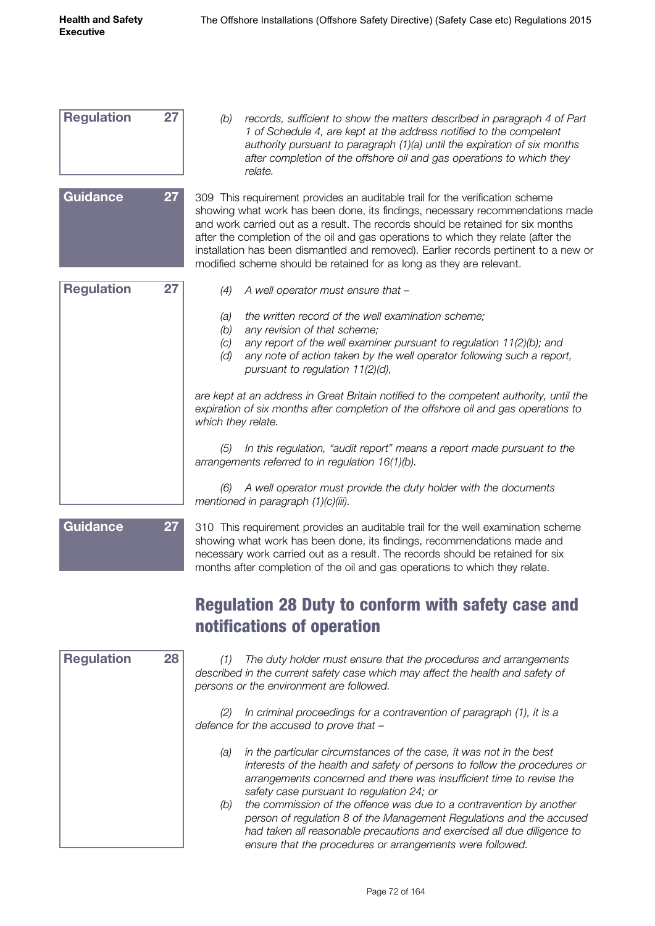| <b>Regulation</b> | 27 | records, sufficient to show the matters described in paragraph 4 of Part<br>(b)<br>1 of Schedule 4, are kept at the address notified to the competent<br>authority pursuant to paragraph (1)(a) until the expiration of six months<br>after completion of the offshore oil and gas operations to which they<br>relate.                                                                                                                                                                                 |
|-------------------|----|--------------------------------------------------------------------------------------------------------------------------------------------------------------------------------------------------------------------------------------------------------------------------------------------------------------------------------------------------------------------------------------------------------------------------------------------------------------------------------------------------------|
| <b>Guidance</b>   | 27 | 309 This requirement provides an auditable trail for the verification scheme<br>showing what work has been done, its findings, necessary recommendations made<br>and work carried out as a result. The records should be retained for six months<br>after the completion of the oil and gas operations to which they relate (after the<br>installation has been dismantled and removed). Earlier records pertinent to a new or<br>modified scheme should be retained for as long as they are relevant. |
| <b>Regulation</b> | 27 | (4)<br>A well operator must ensure that -                                                                                                                                                                                                                                                                                                                                                                                                                                                              |
|                   |    | the written record of the well examination scheme;<br>(a)<br>(b)<br>any revision of that scheme;<br>any report of the well examiner pursuant to regulation $11(2)(b)$ ; and<br>(C)<br>(d)<br>any note of action taken by the well operator following such a report,<br>pursuant to regulation $11(2)(d)$ ,                                                                                                                                                                                             |
|                   |    | are kept at an address in Great Britain notified to the competent authority, until the<br>expiration of six months after completion of the offshore oil and gas operations to<br>which they relate.                                                                                                                                                                                                                                                                                                    |
|                   |    | In this regulation, "audit report" means a report made pursuant to the<br>(5)<br>arrangements referred to in regulation 16(1)(b).                                                                                                                                                                                                                                                                                                                                                                      |
|                   |    | A well operator must provide the duty holder with the documents<br>(6)<br>mentioned in paragraph $(1)(c)(iii)$ .                                                                                                                                                                                                                                                                                                                                                                                       |



310 This requirement provides an auditable trail for the well examination scheme showing what work has been done, its findings, recommendations made and necessary work carried out as a result. The records should be retained for six months after completion of the oil and gas operations to which they relate.

#### Regulation 28 Duty to conform with safety case and notifications of operation

| <b>Regulation</b> | 28 |
|-------------------|----|
|                   |    |
|                   |    |
|                   |    |
|                   |    |
|                   |    |
|                   |    |
|                   |    |
|                   |    |

*(1) The duty holder must ensure that the procedures and arrangements described in the current safety case which may affect the health and safety of persons or the environment are followed.*

*(2) In criminal proceedings for a contravention of paragraph (1), it is a defence for the accused to prove that –*

- *(a) in the particular circumstances of the case, it was not in the best interests of the health and safety of persons to follow the procedures or arrangements concerned and there was insufficient time to revise the safety case pursuant to regulation 24; or*
- *(b) the commission of the offence was due to a contravention by another person of regulation 8 of the Management Regulations and the accused had taken all reasonable precautions and exercised all due diligence to ensure that the procedures or arrangements were followed.*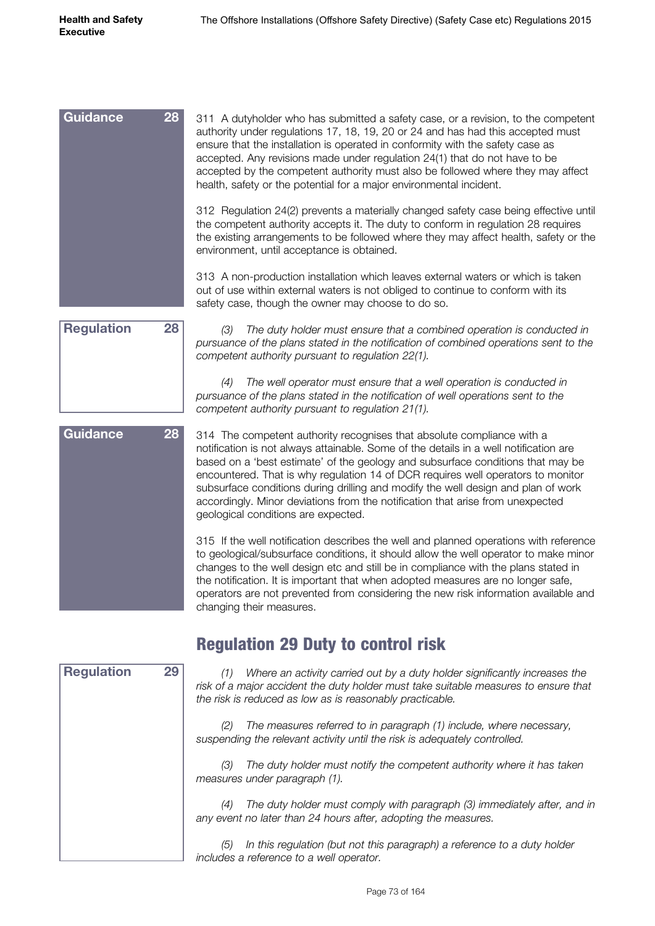| Guidance<br>28       | 311 A dutyholder who has submitted a safety case, or a revision, to the competent<br>authority under regulations 17, 18, 19, 20 or 24 and has had this accepted must<br>ensure that the installation is operated in conformity with the safety case as<br>accepted. Any revisions made under regulation 24(1) that do not have to be<br>accepted by the competent authority must also be followed where they may affect<br>health, safety or the potential for a major environmental incident. |
|----------------------|------------------------------------------------------------------------------------------------------------------------------------------------------------------------------------------------------------------------------------------------------------------------------------------------------------------------------------------------------------------------------------------------------------------------------------------------------------------------------------------------|
|                      | 312 Regulation 24(2) prevents a materially changed safety case being effective until<br>the competent authority accepts it. The duty to conform in regulation 28 requires<br>the existing arrangements to be followed where they may affect health, safety or the<br>environment, until acceptance is obtained.                                                                                                                                                                                |
|                      | 313 A non-production installation which leaves external waters or which is taken<br>out of use within external waters is not obliged to continue to conform with its<br>safety case, though the owner may choose to do so.                                                                                                                                                                                                                                                                     |
| De an de die m<br>ററ |                                                                                                                                                                                                                                                                                                                                                                                                                                                                                                |



*(3) The duty holder must ensure that a combined operation is conducted in pursuance of the plans stated in the notification of combined operations sent to the competent authority pursuant to regulation 22(1).*

*(4) The well operator must ensure that a well operation is conducted in pursuance of the plans stated in the notification of well operations sent to the competent authority pursuant to regulation 21(1).*

314 The competent authority recognises that absolute compliance with a notification is not always attainable. Some of the details in a well notification are based on a 'best estimate' of the geology and subsurface conditions that may be encountered. That is why regulation 14 of DCR requires well operators to monitor subsurface conditions during drilling and modify the well design and plan of work accordingly. Minor deviations from the notification that arise from unexpected geological conditions are expected. 315 If the well notification describes the well and planned operations with reference **Guidance 28**

to geological/subsurface conditions, it should allow the well operator to make minor changes to the well design etc and still be in compliance with the plans stated in the notification. It is important that when adopted measures are no longer safe, operators are not prevented from considering the new risk information available and changing their measures.

#### Regulation 29 Duty to control risk

| <b>Regulation</b> | 29 |
|-------------------|----|
|                   |    |
|                   |    |
|                   |    |
|                   |    |
|                   |    |
|                   |    |
|                   |    |
|                   |    |
|                   |    |
|                   |    |
|                   |    |
|                   |    |
|                   |    |
|                   |    |

*(1) Where an activity carried out by a duty holder significantly increases the risk of a major accident the duty holder must take suitable measures to ensure that the risk is reduced as low as is reasonably practicable.*

*(2) The measures referred to in paragraph (1) include, where necessary, suspending the relevant activity until the risk is adequately controlled.*

*(3) The duty holder must notify the competent authority where it has taken measures under paragraph (1).*

*(4) The duty holder must comply with paragraph (3) immediately after, and in any event no later than 24 hours after, adopting the measures.*

*(5) In this regulation (but not this paragraph) a reference to a duty holder includes a reference to a well operator.*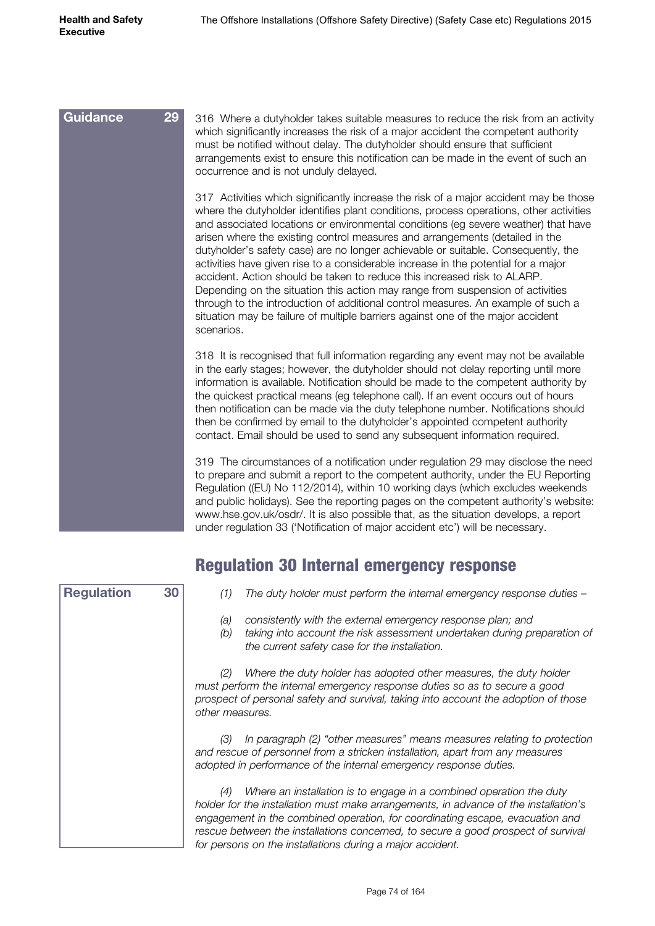| 29<br><b>Guidance</b> | 316 Where a dutyholder takes suitable measures to reduce the risk from an activity<br>which significantly increases the risk of a major accident the competent authority<br>must be notified without delay. The dutyholder should ensure that sufficient<br>arrangements exist to ensure this notification can be made in the event of such an<br>occurrence and is not unduly delayed.                                                                                                                                                                                                                                                                                                                                                                                                                                                                                             |
|-----------------------|-------------------------------------------------------------------------------------------------------------------------------------------------------------------------------------------------------------------------------------------------------------------------------------------------------------------------------------------------------------------------------------------------------------------------------------------------------------------------------------------------------------------------------------------------------------------------------------------------------------------------------------------------------------------------------------------------------------------------------------------------------------------------------------------------------------------------------------------------------------------------------------|
|                       | 317 Activities which significantly increase the risk of a major accident may be those<br>where the dutyholder identifies plant conditions, process operations, other activities<br>and associated locations or environmental conditions (eg severe weather) that have<br>arisen where the existing control measures and arrangements (detailed in the<br>dutyholder's safety case) are no longer achievable or suitable. Consequently, the<br>activities have given rise to a considerable increase in the potential for a major<br>accident. Action should be taken to reduce this increased risk to ALARP.<br>Depending on the situation this action may range from suspension of activities<br>through to the introduction of additional control measures. An example of such a<br>situation may be failure of multiple barriers against one of the major accident<br>scenarios. |
|                       | 318 It is recognised that full information regarding any event may not be available<br>in the early stages; however, the dutyholder should not delay reporting until more<br>information is available. Notification should be made to the competent authority by<br>the quickest practical means (eg telephone call). If an event occurs out of hours<br>then notification can be made via the duty telephone number. Notifications should<br>then be confirmed by email to the dutyholder's appointed competent authority<br>contact. Email should be used to send any subsequent information required.                                                                                                                                                                                                                                                                            |
|                       | 319 The circumstances of a notification under regulation 29 may disclose the need<br>to prepare and submit a report to the competent authority, under the EU Reporting<br>Regulation ((EU) No 112/2014), within 10 working days (which excludes weekends<br>and public holidays). See the reporting pages on the competent authority's website:<br>www.hse.gov.uk/osdr/. It is also possible that, as the situation develops, a report<br>under regulation 33 ('Notification of major accident etc') will be necessary.                                                                                                                                                                                                                                                                                                                                                             |

| <b>Regulation</b> | 30 |        |
|-------------------|----|--------|
|                   |    |        |
|                   |    |        |
|                   |    |        |
|                   |    |        |
|                   |    |        |
|                   |    |        |
|                   |    |        |
|                   |    |        |
|                   |    | $\eta$ |
|                   |    | р      |
|                   |    | O      |
|                   |    |        |
|                   |    |        |
|                   |    |        |
|                   |    | a      |
|                   |    | a      |
|                   |    |        |
|                   |    |        |
|                   |    | h      |
|                   |    |        |
|                   |    | e      |
|                   |    | r      |
|                   |    | fr     |

#### Regulation 30 Internal emergency response

- *(1) The duty holder must perform the internal emergency response duties –*
- *(a) consistently with the external emergency response plan; and*
- *(b) taking into account the risk assessment undertaken during preparation of the current safety case for the installation.*

*(2) Where the duty holder has adopted other measures, the duty holder must perform the internal emergency response duties so as to secure a good prospect of personal safety and survival, taking into account the adoption of those other measures.*

*(3) In paragraph (2) "other measures" means measures relating to protection and rescue of personnel from a stricken installation, apart from any measures adopted in performance of the internal emergency response duties.*

*(4) Where an installation is to engage in a combined operation the duty holder for the installation must make arrangements, in advance of the installation's engagement in the combined operation, for coordinating escape, evacuation and rescue between the installations concerned, to secure a good prospect of survival for persons on the installations during a major accident.*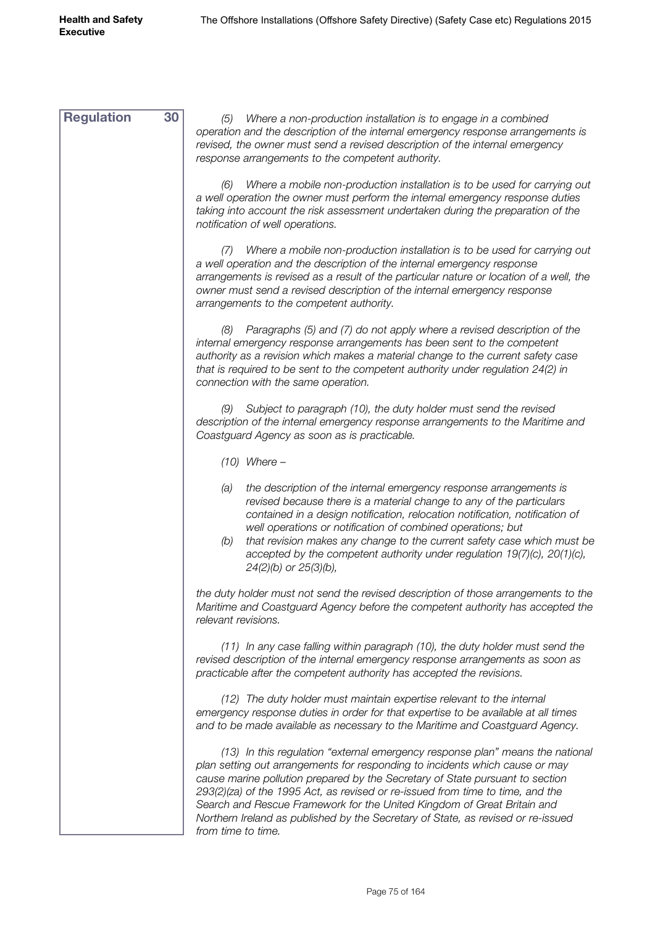| <b>Regulation</b> | 30<br>Where a non-production installation is to engage in a combined<br>(5)                                                                                                                                                                                                                                                                                                                                                                                                                   |
|-------------------|-----------------------------------------------------------------------------------------------------------------------------------------------------------------------------------------------------------------------------------------------------------------------------------------------------------------------------------------------------------------------------------------------------------------------------------------------------------------------------------------------|
|                   | operation and the description of the internal emergency response arrangements is<br>revised, the owner must send a revised description of the internal emergency<br>response arrangements to the competent authority.                                                                                                                                                                                                                                                                         |
|                   | Where a mobile non-production installation is to be used for carrying out<br>(6)<br>a well operation the owner must perform the internal emergency response duties<br>taking into account the risk assessment undertaken during the preparation of the<br>notification of well operations.                                                                                                                                                                                                    |
|                   | Where a mobile non-production installation is to be used for carrying out<br>(1)<br>a well operation and the description of the internal emergency response<br>arrangements is revised as a result of the particular nature or location of a well, the<br>owner must send a revised description of the internal emergency response<br>arrangements to the competent authority.                                                                                                                |
|                   | Paragraphs (5) and (7) do not apply where a revised description of the<br>(8)<br>internal emergency response arrangements has been sent to the competent<br>authority as a revision which makes a material change to the current safety case<br>that is required to be sent to the competent authority under regulation 24(2) in<br>connection with the same operation.                                                                                                                       |
|                   | Subject to paragraph (10), the duty holder must send the revised<br>(9)<br>description of the internal emergency response arrangements to the Maritime and<br>Coastguard Agency as soon as is practicable.                                                                                                                                                                                                                                                                                    |
|                   | $(10)$ Where -                                                                                                                                                                                                                                                                                                                                                                                                                                                                                |
|                   | the description of the internal emergency response arrangements is<br>(a)<br>revised because there is a material change to any of the particulars<br>contained in a design notification, relocation notification, notification of<br>well operations or notification of combined operations; but<br>(b)<br>that revision makes any change to the current safety case which must be<br>accepted by the competent authority under regulation $19(7)(c)$ , $20(1)(c)$ ,<br>24(2)(b) or 25(3)(b), |
|                   | the duty holder must not send the revised description of those arrangements to the<br>Maritime and Coastguard Agency before the competent authority has accepted the<br>relevant revisions.                                                                                                                                                                                                                                                                                                   |
|                   | (11) In any case falling within paragraph (10), the duty holder must send the<br>revised description of the internal emergency response arrangements as soon as<br>practicable after the competent authority has accepted the revisions.                                                                                                                                                                                                                                                      |
|                   | (12) The duty holder must maintain expertise relevant to the internal<br>emergency response duties in order for that expertise to be available at all times<br>and to be made available as necessary to the Maritime and Coastguard Agency.                                                                                                                                                                                                                                                   |
|                   | (13) In this regulation "external emergency response plan" means the national<br>plan setting out arrangements for responding to incidents which cause or may<br>cause marine pollution prepared by the Secretary of State pursuant to section<br>$293(2)(72)$ of the 1995 Act as revised or re-issued from time to time and the                                                                                                                                                              |

*cause marine pollution prepared by the Secretary of State pursuant to section 293(2)(za) of the 1995 Act, as revised or re-issued from time to time, and the Search and Rescue Framework for the United Kingdom of Great Britain and Northern Ireland as published by the Secretary of State, as revised or re-issued from time to time.*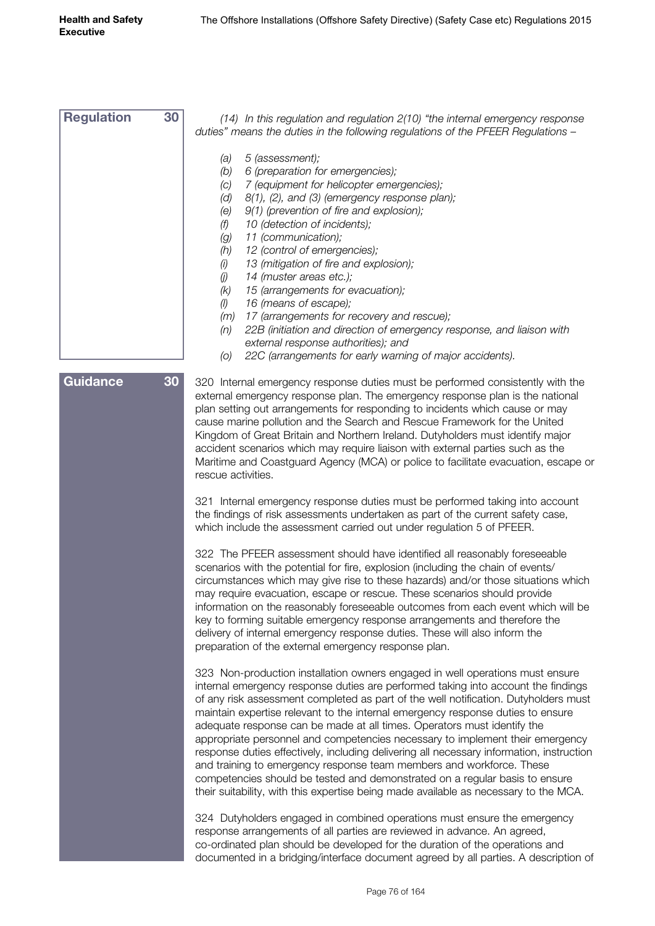| <b>Regulation</b> | 30<br>(14) In this regulation and regulation 2(10) "the internal emergency response<br>duties" means the duties in the following regulations of the PFEER Regulations -                                                                                                                                                                                                                                                                                                                                                                                                                                                                                                                                                                                                                                                                             |
|-------------------|-----------------------------------------------------------------------------------------------------------------------------------------------------------------------------------------------------------------------------------------------------------------------------------------------------------------------------------------------------------------------------------------------------------------------------------------------------------------------------------------------------------------------------------------------------------------------------------------------------------------------------------------------------------------------------------------------------------------------------------------------------------------------------------------------------------------------------------------------------|
|                   | 5 (assessment);<br>(a)<br>6 (preparation for emergencies);<br>(b)<br>7 (equipment for helicopter emergencies);<br>(C)<br>8(1), (2), and (3) (emergency response plan);<br>(d)<br>9(1) (prevention of fire and explosion);<br>(e)<br>10 (detection of incidents);<br>(f)<br>11 (communication);<br>(g)<br>(h)<br>12 (control of emergencies);<br>13 (mitigation of fire and explosion);<br>(i)<br>14 (muster areas etc.);<br>(j)<br>15 (arrangements for evacuation);<br>(k)<br>16 (means of escape);<br>(1)<br>17 (arrangements for recovery and rescue);<br>(m)<br>22B (initiation and direction of emergency response, and liaison with<br>(n)<br>external response authorities); and<br>22C (arrangements for early warning of major accidents).<br>(O)                                                                                          |
| <b>Guidance</b>   | 30<br>320 Internal emergency response duties must be performed consistently with the<br>external emergency response plan. The emergency response plan is the national<br>plan setting out arrangements for responding to incidents which cause or may<br>cause marine pollution and the Search and Rescue Framework for the United<br>Kingdom of Great Britain and Northern Ireland. Dutyholders must identify major<br>accident scenarios which may require liaison with external parties such as the<br>Maritime and Coastguard Agency (MCA) or police to facilitate evacuation, escape or<br>rescue activities.                                                                                                                                                                                                                                  |
|                   | 321 Internal emergency response duties must be performed taking into account<br>the findings of risk assessments undertaken as part of the current safety case,<br>which include the assessment carried out under regulation 5 of PFEER.                                                                                                                                                                                                                                                                                                                                                                                                                                                                                                                                                                                                            |
|                   | 322 The PFEER assessment should have identified all reasonably foreseeable<br>scenarios with the potential for fire, explosion (including the chain of events/<br>circumstances which may give rise to these hazards) and/or those situations which<br>may require evacuation, escape or rescue. These scenarios should provide<br>information on the reasonably foreseeable outcomes from each event which will be<br>key to forming suitable emergency response arrangements and therefore the<br>delivery of internal emergency response duties. These will also inform the<br>preparation of the external emergency response plan.                                                                                                                                                                                                              |
|                   | 323 Non-production installation owners engaged in well operations must ensure<br>internal emergency response duties are performed taking into account the findings<br>of any risk assessment completed as part of the well notification. Dutyholders must<br>maintain expertise relevant to the internal emergency response duties to ensure<br>adequate response can be made at all times. Operators must identify the<br>appropriate personnel and competencies necessary to implement their emergency<br>response duties effectively, including delivering all necessary information, instruction<br>and training to emergency response team members and workforce. These<br>competencies should be tested and demonstrated on a regular basis to ensure<br>their suitability, with this expertise being made available as necessary to the MCA. |
|                   | 324 Dutyholders engaged in combined operations must ensure the emergency<br>response arrangements of all parties are reviewed in advance. An agreed,<br>co-ordinated plan should be developed for the duration of the operations and                                                                                                                                                                                                                                                                                                                                                                                                                                                                                                                                                                                                                |

documented in a bridging/interface document agreed by all parties. A description of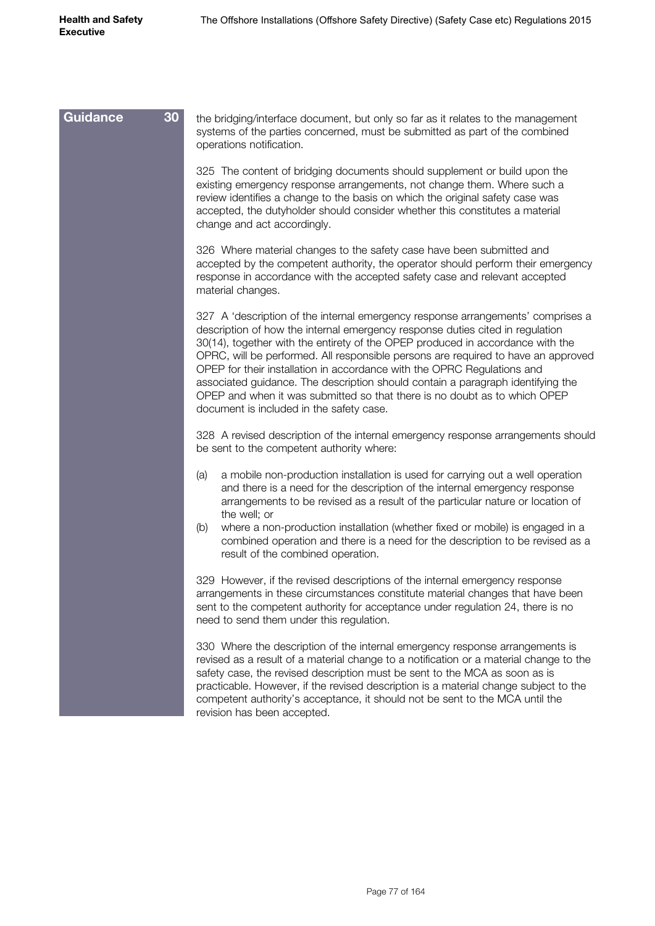| 30<br>Guidance | the bridging/interface document, but only so far as it relates to the management<br>systems of the parties concerned, must be submitted as part of the combined<br>operations notification.                                                                                                                                                                                                                                                                                                                                                                                                                                    |
|----------------|--------------------------------------------------------------------------------------------------------------------------------------------------------------------------------------------------------------------------------------------------------------------------------------------------------------------------------------------------------------------------------------------------------------------------------------------------------------------------------------------------------------------------------------------------------------------------------------------------------------------------------|
|                | 325 The content of bridging documents should supplement or build upon the<br>existing emergency response arrangements, not change them. Where such a<br>review identifies a change to the basis on which the original safety case was<br>accepted, the dutyholder should consider whether this constitutes a material<br>change and act accordingly.                                                                                                                                                                                                                                                                           |
|                | 326 Where material changes to the safety case have been submitted and<br>accepted by the competent authority, the operator should perform their emergency<br>response in accordance with the accepted safety case and relevant accepted<br>material changes.                                                                                                                                                                                                                                                                                                                                                                   |
|                | 327 A 'description of the internal emergency response arrangements' comprises a<br>description of how the internal emergency response duties cited in regulation<br>30(14), together with the entirety of the OPEP produced in accordance with the<br>OPRC, will be performed. All responsible persons are required to have an approved<br>OPEP for their installation in accordance with the OPRC Regulations and<br>associated guidance. The description should contain a paragraph identifying the<br>OPEP and when it was submitted so that there is no doubt as to which OPEP<br>document is included in the safety case. |
|                | 328 A revised description of the internal emergency response arrangements should<br>be sent to the competent authority where:                                                                                                                                                                                                                                                                                                                                                                                                                                                                                                  |
|                | a mobile non-production installation is used for carrying out a well operation<br>(a)<br>and there is a need for the description of the internal emergency response<br>arrangements to be revised as a result of the particular nature or location of<br>the well; or                                                                                                                                                                                                                                                                                                                                                          |
|                | where a non-production installation (whether fixed or mobile) is engaged in a<br>(b)<br>combined operation and there is a need for the description to be revised as a<br>result of the combined operation.                                                                                                                                                                                                                                                                                                                                                                                                                     |
|                | 329 However, if the revised descriptions of the internal emergency response<br>arrangements in these circumstances constitute material changes that have been<br>sent to the competent authority for acceptance under regulation 24, there is no<br>need to send them under this regulation.                                                                                                                                                                                                                                                                                                                                   |
|                | 330 Where the description of the internal emergency response arrangements is<br>revised as a result of a material change to a notification or a material change to the<br>safety case, the revised description must be sent to the MCA as soon as is<br>practicable. However, if the revised description is a material change subject to the<br>competent authority's acceptance, it should not be sent to the MCA until the<br>revision has been accepted.                                                                                                                                                                    |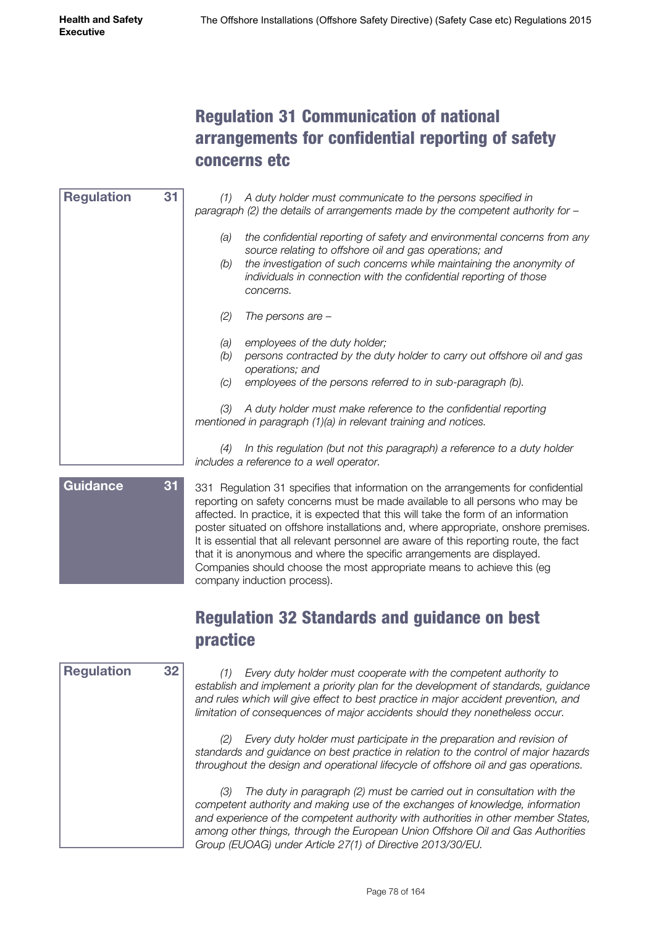## Regulation 31 Communication of national arrangements for confidential reporting of safety concerns etc

| 31<br><b>Regulation</b> | (1)               | A duty holder must communicate to the persons specified in<br>paragraph (2) the details of arrangements made by the competent authority for $-$                                                                                                                                                 |
|-------------------------|-------------------|-------------------------------------------------------------------------------------------------------------------------------------------------------------------------------------------------------------------------------------------------------------------------------------------------|
|                         | (a)<br>(b)        | the confidential reporting of safety and environmental concerns from any<br>source relating to offshore oil and gas operations; and<br>the investigation of such concerns while maintaining the anonymity of<br>individuals in connection with the confidential reporting of those<br>concerns. |
|                         | (2)               | The persons are $-$                                                                                                                                                                                                                                                                             |
|                         | (a)<br>(b)<br>(C) | employees of the duty holder;<br>persons contracted by the duty holder to carry out offshore oil and gas<br>operations; and<br>employees of the persons referred to in sub-paragraph (b).                                                                                                       |
|                         | (3)               | A duty holder must make reference to the confidential reporting<br>mentioned in paragraph (1)(a) in relevant training and notices.                                                                                                                                                              |
|                         | (4)               | In this regulation (but not this paragraph) a reference to a duty holder<br>includes a reference to a well operator.                                                                                                                                                                            |
| Cuidance                |                   | 004 Demokration 04 concelled that before the control control control for conflictivity                                                                                                                                                                                                          |

**iuluanc** 

331 Regulation 31 specifies that information on the arrangements for confidential reporting on safety concerns must be made available to all persons who may be affected. In practice, it is expected that this will take the form of an information poster situated on offshore installations and, where appropriate, onshore premises. It is essential that all relevant personnel are aware of this reporting route, the fact that it is anonymous and where the specific arrangements are displayed. Companies should choose the most appropriate means to achieve this (eg company induction process).

## Regulation 32 Standards and guidance on best practice



*(1) Every duty holder must cooperate with the competent authority to establish and implement a priority plan for the development of standards, guidance and rules which will give effect to best practice in major accident prevention, and limitation of consequences of major accidents should they nonetheless occur.*

*(2) Every duty holder must participate in the preparation and revision of standards and guidance on best practice in relation to the control of major hazards throughout the design and operational lifecycle of offshore oil and gas operations.*

*(3) The duty in paragraph (2) must be carried out in consultation with the competent authority and making use of the exchanges of knowledge, information and experience of the competent authority with authorities in other member States, among other things, through the European Union Offshore Oil and Gas Authorities Group (EUOAG) under Article 27(1) of Directive 2013/30/EU.*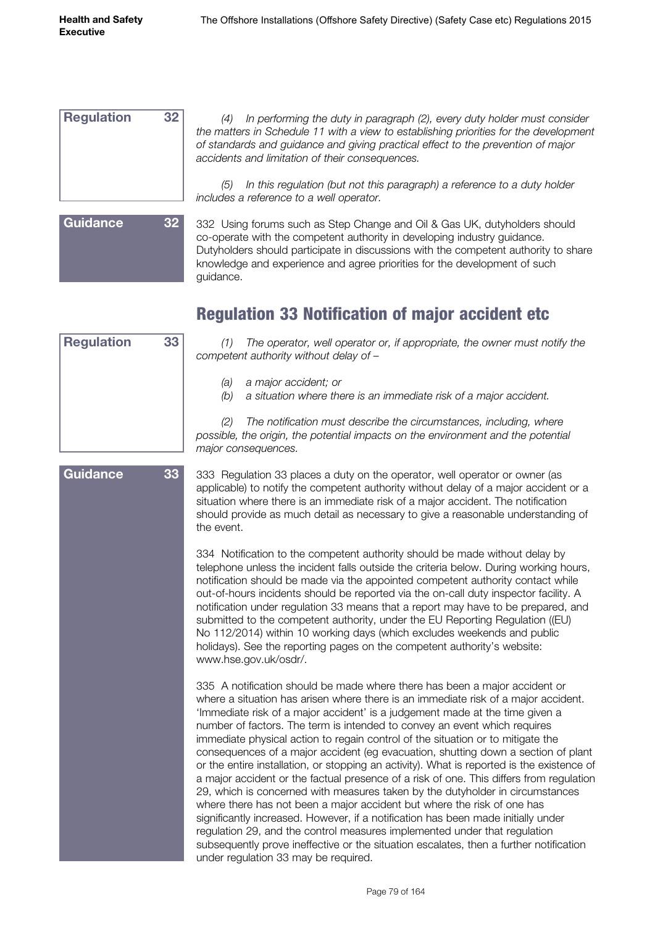| <b>Regulation</b> | 32 |
|-------------------|----|
|                   |    |
|                   |    |
|                   |    |
|                   |    |

*(4) In performing the duty in paragraph (2), every duty holder must consider the matters in Schedule 11 with a view to establishing priorities for the development of standards and guidance and giving practical effect to the prevention of major accidents and limitation of their consequences.*

*(5) In this regulation (but not this paragraph) a reference to a duty holder includes a reference to a well operator.*

# **Guidance 32**

332 Using forums such as Step Change and Oil & Gas UK, dutyholders should co-operate with the competent authority in developing industry guidance. Dutyholders should participate in discussions with the competent authority to share knowledge and experience and agree priorities for the development of such guidance.

## Regulation 33 Notification of major accident etc

| <b>Regulation</b> | 33 |
|-------------------|----|
|                   |    |
|                   |    |
|                   |    |
|                   |    |
|                   |    |
|                   |    |
|                   |    |
|                   |    |
|                   |    |
|                   |    |
|                   |    |
|                   |    |

**Guidance 33**

*(1) The operator, well operator or, if appropriate, the owner must notify the competent authority without delay of –*

- *(a) a major accident; or*
- *(b) a situation where there is an immediate risk of a major accident.*

*(2) The notification must describe the circumstances, including, where possible, the origin, the potential impacts on the environment and the potential major consequences.*

333 Regulation 33 places a duty on the operator, well operator or owner (as applicable) to notify the competent authority without delay of a major accident or a situation where there is an immediate risk of a major accident. The notification should provide as much detail as necessary to give a reasonable understanding of the event.

334 Notification to the competent authority should be made without delay by telephone unless the incident falls outside the criteria below. During working hours, notification should be made via the appointed competent authority contact while out-of-hours incidents should be reported via the on-call duty inspector facility. A notification under regulation 33 means that a report may have to be prepared, and submitted to the competent authority, under the EU Reporting Regulation ((EU) No 112/2014) within 10 working days (which excludes weekends and public holidays). See the reporting pages on the competent authority's website: www.hse.gov.uk/osdr/.

335 A notification should be made where there has been a major accident or where a situation has arisen where there is an immediate risk of a major accident. 'Immediate risk of a major accident' is a judgement made at the time given a number of factors. The term is intended to convey an event which requires immediate physical action to regain control of the situation or to mitigate the consequences of a major accident (eg evacuation, shutting down a section of plant or the entire installation, or stopping an activity). What is reported is the existence of a major accident or the factual presence of a risk of one. This differs from regulation 29, which is concerned with measures taken by the dutyholder in circumstances where there has not been a major accident but where the risk of one has significantly increased. However, if a notification has been made initially under regulation 29, and the control measures implemented under that regulation subsequently prove ineffective or the situation escalates, then a further notification under regulation 33 may be required.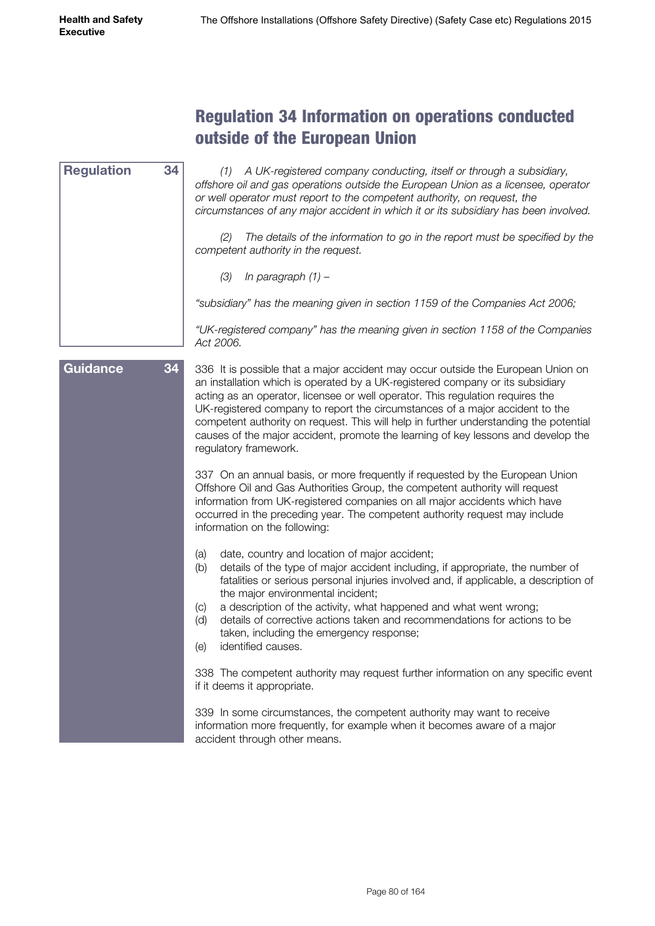# Regulation 34 Information on operations conducted outside of the European Union

| <b>Regulation</b> | 34 | (1) A UK-registered company conducting, itself or through a subsidiary,<br>offshore oil and gas operations outside the European Union as a licensee, operator<br>or well operator must report to the competent authority, on request, the<br>circumstances of any major accident in which it or its subsidiary has been involved.                                                                                                                                                                                                           |
|-------------------|----|---------------------------------------------------------------------------------------------------------------------------------------------------------------------------------------------------------------------------------------------------------------------------------------------------------------------------------------------------------------------------------------------------------------------------------------------------------------------------------------------------------------------------------------------|
|                   |    | The details of the information to go in the report must be specified by the<br>(2)<br>competent authority in the request.                                                                                                                                                                                                                                                                                                                                                                                                                   |
|                   |    | (3)<br>In paragraph $(1)$ -                                                                                                                                                                                                                                                                                                                                                                                                                                                                                                                 |
|                   |    | "subsidiary" has the meaning given in section 1159 of the Companies Act 2006;                                                                                                                                                                                                                                                                                                                                                                                                                                                               |
|                   |    | "UK-registered company" has the meaning given in section 1158 of the Companies<br>Act 2006.                                                                                                                                                                                                                                                                                                                                                                                                                                                 |
| <b>Guidance</b>   | 34 | 336 It is possible that a major accident may occur outside the European Union on<br>an installation which is operated by a UK-registered company or its subsidiary<br>acting as an operator, licensee or well operator. This regulation requires the<br>UK-registered company to report the circumstances of a major accident to the<br>competent authority on request. This will help in further understanding the potential<br>causes of the major accident, promote the learning of key lessons and develop the<br>regulatory framework. |
|                   |    | 337 On an annual basis, or more frequently if requested by the European Union<br>Offshore Oil and Gas Authorities Group, the competent authority will request<br>information from UK-registered companies on all major accidents which have<br>occurred in the preceding year. The competent authority request may include<br>information on the following:                                                                                                                                                                                 |
|                   |    | date, country and location of major accident;<br>(a)<br>details of the type of major accident including, if appropriate, the number of<br>(b)<br>fatalities or serious personal injuries involved and, if applicable, a description of<br>the major environmental incident;                                                                                                                                                                                                                                                                 |

- (c) a description of the activity, what happened and what went wrong;
- (d) details of corrective actions taken and recommendations for actions to be taken, including the emergency response;
- (e) identified causes.

338 The competent authority may request further information on any specific event if it deems it appropriate.

339 In some circumstances, the competent authority may want to receive information more frequently, for example when it becomes aware of a major accident through other means.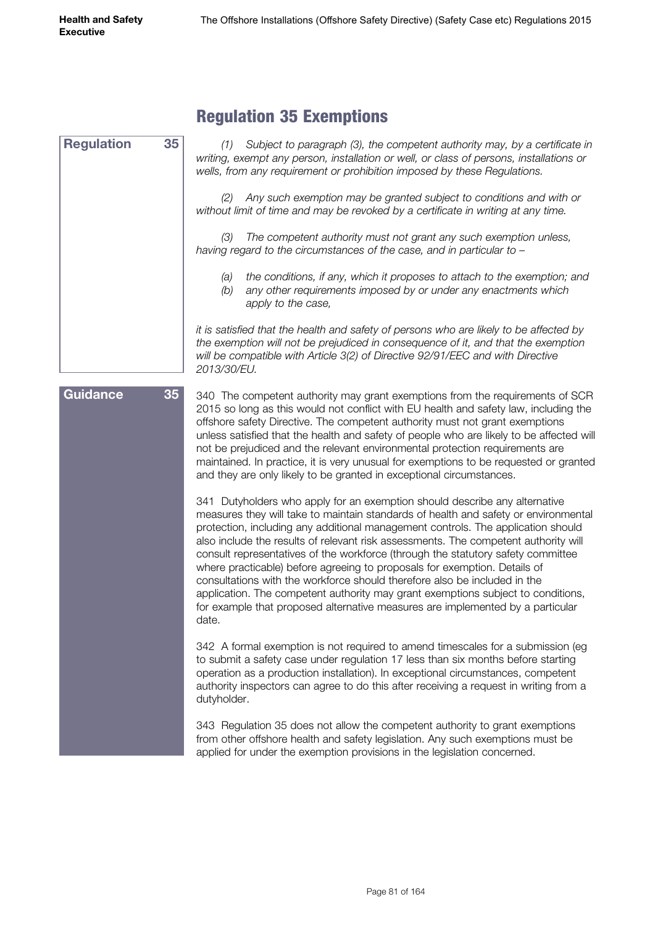#### Regulation 35 Exemptions *(1) Subject to paragraph (3), the competent authority may, by a certificate in writing, exempt any person, installation or well, or class of persons, installations or wells, from any requirement or prohibition imposed by these Regulations. (2) Any such exemption may be granted subject to conditions and with or without limit of time and may be revoked by a certificate in writing at any time. (3) The competent authority must not grant any such exemption unless, having regard to the circumstances of the case, and in particular to – (a) the conditions, if any, which it proposes to attach to the exemption; and (b) any other requirements imposed by or under any enactments which apply to the case, it is satisfied that the health and safety of persons who are likely to be affected by the exemption will not be prejudiced in consequence of it, and that the exemption*  will be compatible with Article 3(2) of Directive 92/91/EEC and with Directive *2013/30/EU.* 340 The competent authority may grant exemptions from the requirements of SCR 2015 so long as this would not conflict with EU health and safety law, including the offshore safety Directive. The competent authority must not grant exemptions unless satisfied that the health and safety of people who are likely to be affected will not be prejudiced and the relevant environmental protection requirements are maintained. In practice, it is very unusual for exemptions to be requested or granted and they are only likely to be granted in exceptional circumstances. 341 Dutyholders who apply for an exemption should describe any alternative measures they will take to maintain standards of health and safety or environmental protection, including any additional management controls. The application should also include the results of relevant risk assessments. The competent authority will consult representatives of the workforce (through the statutory safety committee where practicable) before agreeing to proposals for exemption. Details of consultations with the workforce should therefore also be included in the application. The competent authority may grant exemptions subject to conditions, for example that proposed alternative measures are implemented by a particular date. 342 A formal exemption is not required to amend timescales for a submission (eg to submit a safety case under regulation 17 less than six months before starting operation as a production installation). In exceptional circumstances, competent authority inspectors can agree to do this after receiving a request in writing from a dutyholder. 343 Regulation 35 does not allow the competent authority to grant exemptions from other offshore health and safety legislation. Any such exemptions must be applied for under the exemption provisions in the legislation concerned. **Regulation 35 Guidance 35**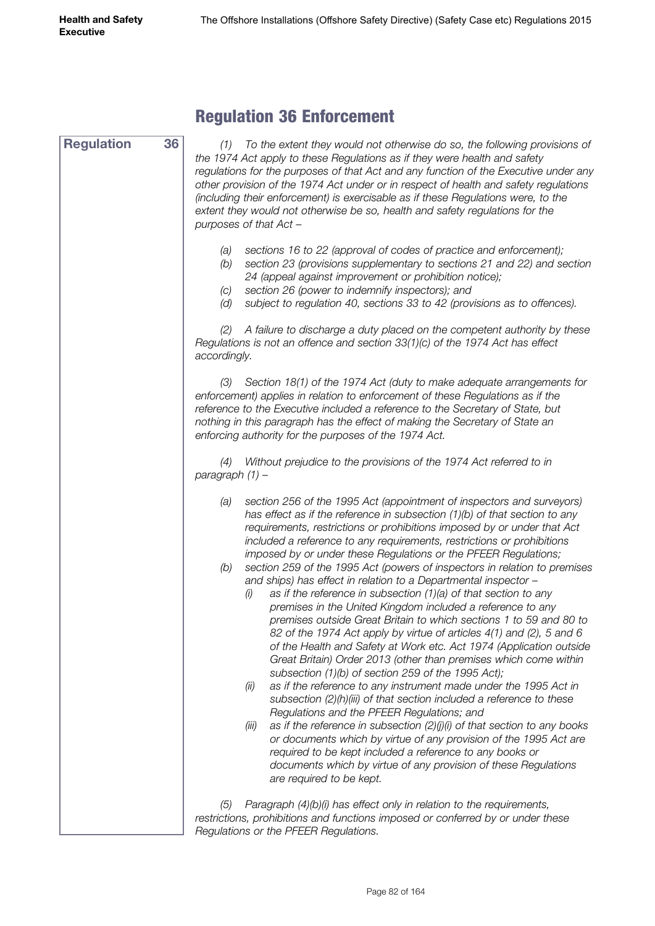**Regulation 36**

#### Regulation 36 Enforcement

*(1) To the extent they would not otherwise do so, the following provisions of the 1974 Act apply to these Regulations as if they were health and safety regulations for the purposes of that Act and any function of the Executive under any other provision of the 1974 Act under or in respect of health and safety regulations (including their enforcement) is exercisable as if these Regulations were, to the extent they would not otherwise be so, health and safety regulations for the purposes of that Act –*

- *(a) sections 16 to 22 (approval of codes of practice and enforcement);*
- *(b) section 23 (provisions supplementary to sections 21 and 22) and section 24 (appeal against improvement or prohibition notice);*
- *(c) section 26 (power to indemnify inspectors); and*
- *(d) subject to regulation 40, sections 33 to 42 (provisions as to offences).*

*(2) A failure to discharge a duty placed on the competent authority by these Regulations is not an offence and section 33(1)(c) of the 1974 Act has effect accordingly.*

*(3) Section 18(1) of the 1974 Act (duty to make adequate arrangements for enforcement) applies in relation to enforcement of these Regulations as if the reference to the Executive included a reference to the Secretary of State, but nothing in this paragraph has the effect of making the Secretary of State an enforcing authority for the purposes of the 1974 Act.*

*(4) Without prejudice to the provisions of the 1974 Act referred to in paragraph (1) –*

- *(a) section 256 of the 1995 Act (appointment of inspectors and surveyors) has effect as if the reference in subsection (1)(b) of that section to any requirements, restrictions or prohibitions imposed by or under that Act included a reference to any requirements, restrictions or prohibitions imposed by or under these Regulations or the PFEER Regulations;*
- *(b) section 259 of the 1995 Act (powers of inspectors in relation to premises and ships) has effect in relation to a Departmental inspector –*
	- *(i) as if the reference in subsection (1)(a) of that section to any premises in the United Kingdom included a reference to any premises outside Great Britain to which sections 1 to 59 and 80 to 82 of the 1974 Act apply by virtue of articles 4(1) and (2), 5 and 6 of the Health and Safety at Work etc. Act 1974 (Application outside Great Britain) Order 2013 (other than premises which come within subsection (1)(b) of section 259 of the 1995 Act);*
	- *(ii) as if the reference to any instrument made under the 1995 Act in subsection (2)(h)(iii) of that section included a reference to these Regulations and the PFEER Regulations; and*
	- *(iii) as if the reference in subsection (2)(j)(i) of that section to any books or documents which by virtue of any provision of the 1995 Act are required to be kept included a reference to any books or documents which by virtue of any provision of these Regulations are required to be kept.*

*(5) Paragraph (4)(b)(i) has effect only in relation to the requirements, restrictions, prohibitions and functions imposed or conferred by or under these Regulations or the PFEER Regulations.*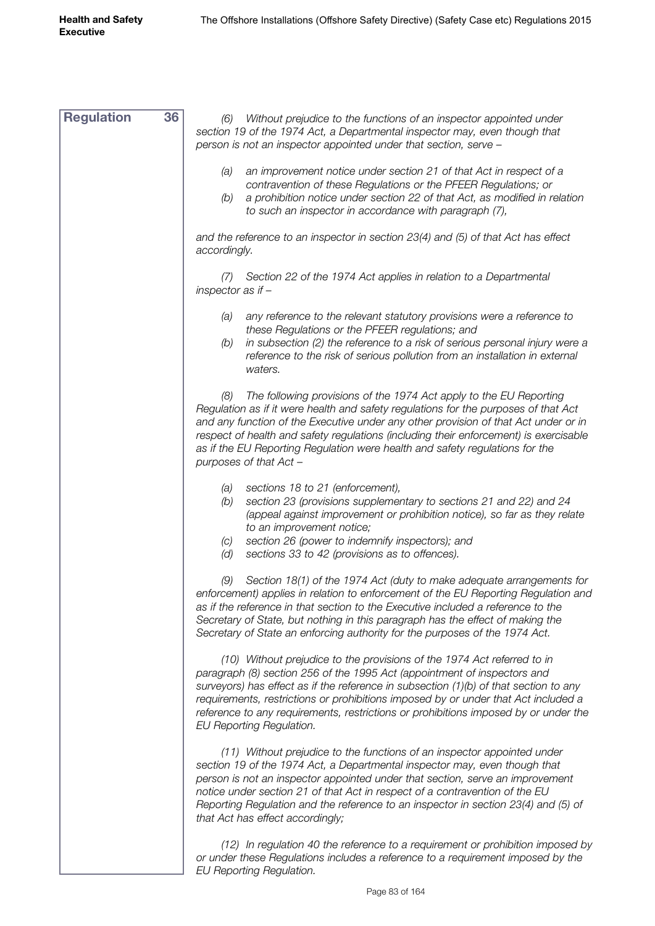| <b>Regulation</b> | 36 | Without prejudice to the functions of an inspector appointed under<br>(6)<br>section 19 of the 1974 Act, a Departmental inspector may, even though that<br>person is not an inspector appointed under that section, serve -                                                                                                                                                                                                                                |
|-------------------|----|------------------------------------------------------------------------------------------------------------------------------------------------------------------------------------------------------------------------------------------------------------------------------------------------------------------------------------------------------------------------------------------------------------------------------------------------------------|
|                   |    | an improvement notice under section 21 of that Act in respect of a<br>(a)<br>contravention of these Regulations or the PFEER Regulations; or<br>a prohibition notice under section 22 of that Act, as modified in relation<br>(b)<br>to such an inspector in accordance with paragraph (7),                                                                                                                                                                |
|                   |    | and the reference to an inspector in section 23(4) and (5) of that Act has effect<br>accordingly.                                                                                                                                                                                                                                                                                                                                                          |
|                   |    | Section 22 of the 1974 Act applies in relation to a Departmental<br>(1)<br>inspector as if $-$                                                                                                                                                                                                                                                                                                                                                             |
|                   |    | any reference to the relevant statutory provisions were a reference to<br>(a)<br>these Regulations or the PFEER regulations; and<br>in subsection (2) the reference to a risk of serious personal injury were a<br>(b)<br>reference to the risk of serious pollution from an installation in external<br>waters.                                                                                                                                           |
|                   |    | The following provisions of the 1974 Act apply to the EU Reporting<br>(8)<br>Regulation as if it were health and safety regulations for the purposes of that Act<br>and any function of the Executive under any other provision of that Act under or in<br>respect of health and safety regulations (including their enforcement) is exercisable<br>as if the EU Reporting Regulation were health and safety regulations for the<br>purposes of that Act - |
|                   |    | sections 18 to 21 (enforcement),<br>(a)<br>section 23 (provisions supplementary to sections 21 and 22) and 24<br>(b)<br>(appeal against improvement or prohibition notice), so far as they relate<br>to an improvement notice;<br>section 26 (power to indemnify inspectors); and<br>(C)<br>(d)<br>sections 33 to 42 (provisions as to offences).                                                                                                          |
|                   |    | (9) Section 18(1) of the 1974 Act (duty to make adequate arrangements for<br>enforcement) applies in relation to enforcement of the EU Reporting Regulation and<br>as if the reference in that section to the Executive included a reference to the<br>Secretary of State, but nothing in this paragraph has the effect of making the<br>Secretary of State an enforcing authority for the purposes of the 1974 Act.                                       |
|                   |    | (10) Without prejudice to the provisions of the 1974 Act referred to in<br>paragraph (8) section 256 of the 1995 Act (appointment of inspectors and<br>surveyors) has effect as if the reference in subsection $(1)(b)$ of that section to any<br>requirements, restrictions or prohibitions imposed by or under that Act included a<br>reference to any requirements, restrictions or prohibitions imposed by or under the<br>EU Reporting Regulation.    |
|                   |    | (11) Without prejudice to the functions of an inspector appointed under<br>section 19 of the 1974 Act, a Departmental inspector may, even though that<br>person is not an inspector appointed under that section, serve an improvement<br>notice under section 21 of that Act in respect of a contravention of the EU<br>Reporting Regulation and the reference to an inspector in section 23(4) and (5) of<br>that Act has effect accordingly;            |
|                   |    | (12) In regulation 40 the reference to a requirement or prohibition imposed by<br>or under these Regulations includes a reference to a requirement imposed by the<br>EU Reporting Regulation.                                                                                                                                                                                                                                                              |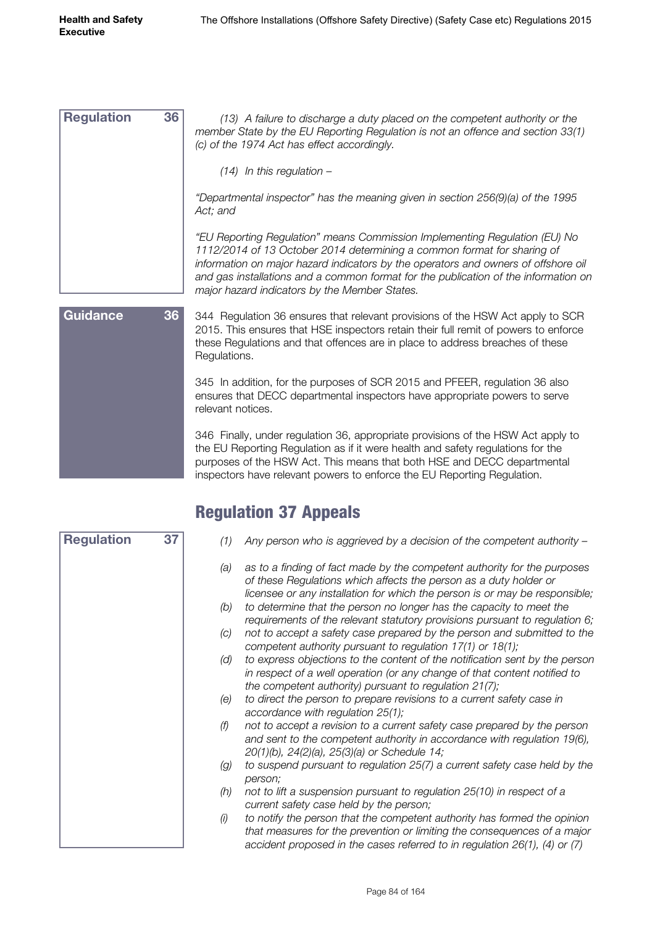| <b>Regulation</b> | 36 | (13) A failure to discharge a duty placed on the competent authority or the<br>member State by the EU Reporting Regulation is not an offence and section 33(1)<br>(c) of the 1974 Act has effect accordingly.                                                                                                                                                                       |
|-------------------|----|-------------------------------------------------------------------------------------------------------------------------------------------------------------------------------------------------------------------------------------------------------------------------------------------------------------------------------------------------------------------------------------|
|                   |    | $(14)$ In this regulation –                                                                                                                                                                                                                                                                                                                                                         |
|                   |    | "Departmental inspector" has the meaning given in section 256(9)(a) of the 1995<br>Act; and                                                                                                                                                                                                                                                                                         |
|                   |    | "EU Reporting Regulation" means Commission Implementing Regulation (EU) No<br>1112/2014 of 13 October 2014 determining a common format for sharing of<br>information on major hazard indicators by the operators and owners of offshore oil<br>and gas installations and a common format for the publication of the information on<br>major hazard indicators by the Member States. |
| <b>Guidance</b>   | 36 | 344 Regulation 36 ensures that relevant provisions of the HSW Act apply to SCR<br>2015. This ensures that HSE inspectors retain their full remit of powers to enforce<br>these Regulations and that offences are in place to address breaches of these<br>Regulations.                                                                                                              |
|                   |    | 345 In addition, for the purposes of SCR 2015 and PFEER, regulation 36 also<br>ensures that DECC departmental inspectors have appropriate powers to serve<br>relevant notices.                                                                                                                                                                                                      |
|                   |    | 346 Finally, under regulation 36, appropriate provisions of the HSW Act apply to<br>the ELI Reporting Requistion as if it were health and safety requistions for the                                                                                                                                                                                                                |

the EU Reporting Regulation as if it were health and safety regulations for the purposes of the HSW Act. This means that both HSE and DECC departmental inspectors have relevant powers to enforce the EU Reporting Regulation.

## Regulation 37 Appeals

| <b>Regulation</b> | 37 | (1) | Any person who is aggrieved by a decision of the competent authority -                                                                                                                                                                |
|-------------------|----|-----|---------------------------------------------------------------------------------------------------------------------------------------------------------------------------------------------------------------------------------------|
|                   |    | (a) | as to a finding of fact made by the competent authority for the purposes<br>of these Regulations which affects the person as a duty holder or<br>licensee or any installation for which the person is or may be responsible;          |
|                   |    | (b) | to determine that the person no longer has the capacity to meet the<br>requirements of the relevant statutory provisions pursuant to regulation 6;                                                                                    |
|                   |    | (C) | not to accept a safety case prepared by the person and submitted to the<br>competent authority pursuant to regulation 17(1) or 18(1);                                                                                                 |
|                   |    | (d) | to express objections to the content of the notification sent by the person<br>in respect of a well operation (or any change of that content notified to<br>the competent authority) pursuant to regulation $21(7)$ ;                 |
|                   |    | (e) | to direct the person to prepare revisions to a current safety case in<br>accordance with regulation $25(1)$ ;                                                                                                                         |
|                   |    | (f) | not to accept a revision to a current safety case prepared by the person<br>and sent to the competent authority in accordance with regulation 19(6),<br>20(1)(b), 24(2)(a), 25(3)(a) or Schedule 14;                                  |
|                   |    | (g) | to suspend pursuant to regulation 25(7) a current safety case held by the<br>person:                                                                                                                                                  |
|                   |    | (h) | not to lift a suspension pursuant to regulation 25(10) in respect of a<br>current safety case held by the person;                                                                                                                     |
|                   |    | (i) | to notify the person that the competent authority has formed the opinion<br>that measures for the prevention or limiting the consequences of a major<br>accident proposed in the cases referred to in regulation $26(1)$ , (4) or (7) |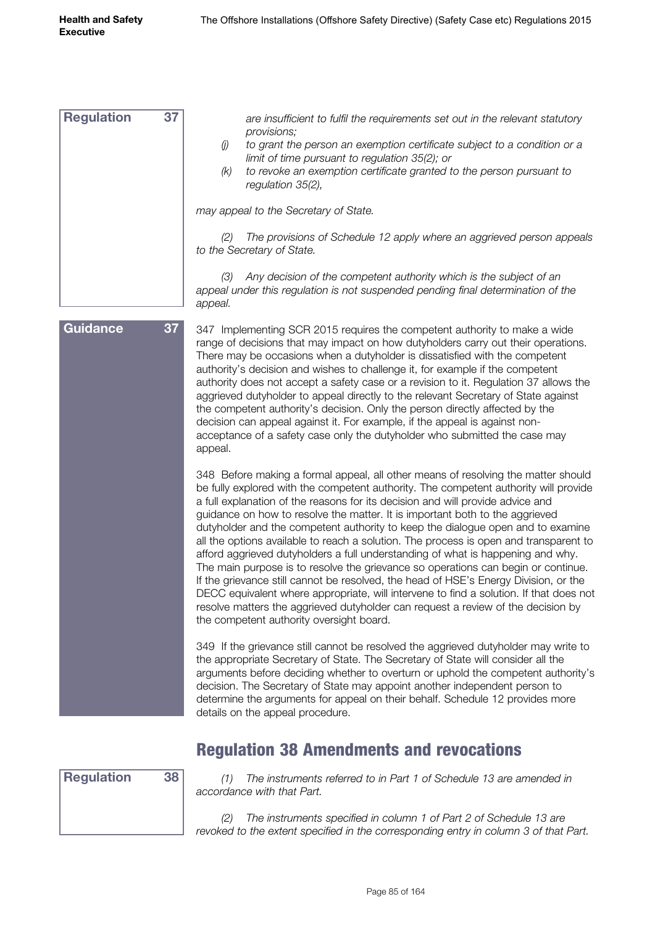*are insufficient to fulfil the requirements set out in the relevant statutory provisions; (j) to grant the person an exemption certificate subject to a condition or a limit of time pursuant to regulation 35(2); or (k) to revoke an exemption certificate granted to the person pursuant to regulation 35(2), may appeal to the Secretary of State. (2) The provisions of Schedule 12 apply where an aggrieved person appeals to the Secretary of State. (3) Any decision of the competent authority which is the subject of an appeal under this regulation is not suspended pending final determination of the appeal.* 347 Implementing SCR 2015 requires the competent authority to make a wide range of decisions that may impact on how dutyholders carry out their operations. **Regulation 37 Guidance 37**

There may be occasions when a dutyholder is dissatisfied with the competent authority's decision and wishes to challenge it, for example if the competent authority does not accept a safety case or a revision to it. Regulation 37 allows the aggrieved dutyholder to appeal directly to the relevant Secretary of State against the competent authority's decision. Only the person directly affected by the decision can appeal against it. For example, if the appeal is against nonacceptance of a safety case only the dutyholder who submitted the case may appeal.

348 Before making a formal appeal, all other means of resolving the matter should be fully explored with the competent authority. The competent authority will provide a full explanation of the reasons for its decision and will provide advice and guidance on how to resolve the matter. It is important both to the aggrieved dutyholder and the competent authority to keep the dialogue open and to examine all the options available to reach a solution. The process is open and transparent to afford aggrieved dutyholders a full understanding of what is happening and why. The main purpose is to resolve the grievance so operations can begin or continue. If the grievance still cannot be resolved, the head of HSE's Energy Division, or the DECC equivalent where appropriate, will intervene to find a solution. If that does not resolve matters the aggrieved dutyholder can request a review of the decision by the competent authority oversight board.

349 If the grievance still cannot be resolved the aggrieved dutyholder may write to the appropriate Secretary of State. The Secretary of State will consider all the arguments before deciding whether to overturn or uphold the competent authority's decision. The Secretary of State may appoint another independent person to determine the arguments for appeal on their behalf. Schedule 12 provides more details on the appeal procedure.

#### Regulation 38 Amendments and revocations



*(1) The instruments referred to in Part 1 of Schedule 13 are amended in accordance with that Part.*

*(2) The instruments specified in column 1 of Part 2 of Schedule 13 are revoked to the extent specified in the corresponding entry in column 3 of that Part.*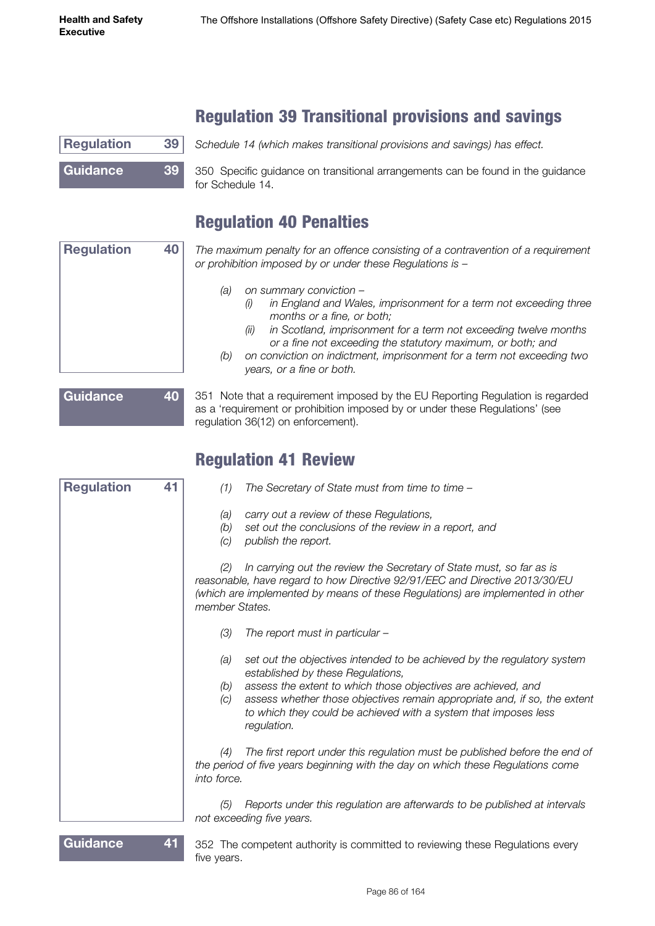# Regulation 39 Transitional provisions and savings

| <b>Regulation</b> | 39 <sup>1</sup> | Schedule 14 (which makes transitional provisions and savings) has effect.                           |
|-------------------|-----------------|-----------------------------------------------------------------------------------------------------|
| <b>Guidance</b>   | 39              | 350 Specific guidance on transitional arrangements can be found in the guidance<br>for Schedule 14. |

#### Regulation 40 Penalties

*The maximum penalty for an offence consisting of a contravention of a requirement or prohibition imposed by or under these Regulations is –* **Regulation 40**

- *(a) on summary conviction –*
	- *(i) in England and Wales, imprisonment for a term not exceeding three months or a fine, or both;*
	- *(ii) in Scotland, imprisonment for a term not exceeding twelve months or a fine not exceeding the statutory maximum, or both; and*
- *(b) on conviction on indictment, imprisonment for a term not exceeding two years, or a fine or both.*

| Guidance | 40 |
|----------|----|
|          |    |

351 Note that a requirement imposed by the EU Reporting Regulation is regarded as a 'requirement or prohibition imposed by or under these Regulations' (see regulation 36(12) on enforcement).

#### Regulation 41 Review

| <b>Regulation</b> | 41 | (1)<br>The Secretary of State must from time to time -                                                                                                                                                                                                                                                                                                            |
|-------------------|----|-------------------------------------------------------------------------------------------------------------------------------------------------------------------------------------------------------------------------------------------------------------------------------------------------------------------------------------------------------------------|
|                   |    | carry out a review of these Regulations,<br>(a)<br>(b)<br>set out the conclusions of the review in a report, and<br>publish the report.<br>(C)                                                                                                                                                                                                                    |
|                   |    | In carrying out the review the Secretary of State must, so far as is<br>(2)<br>reasonable, have regard to how Directive 92/91/EEC and Directive 2013/30/EU<br>(which are implemented by means of these Regulations) are implemented in other<br>member States.                                                                                                    |
|                   |    | (3)<br>The report must in particular -                                                                                                                                                                                                                                                                                                                            |
|                   |    | set out the objectives intended to be achieved by the regulatory system<br>(a)<br>established by these Regulations,<br>assess the extent to which those objectives are achieved, and<br>(b)<br>assess whether those objectives remain appropriate and, if so, the extent<br>(C)<br>to which they could be achieved with a system that imposes less<br>regulation. |
|                   |    | The first report under this regulation must be published before the end of<br>(4)<br>the period of five years beginning with the day on which these Regulations come<br>into force.                                                                                                                                                                               |
|                   |    | Reports under this regulation are afterwards to be published at intervals<br>(5)<br>not exceeding five years.                                                                                                                                                                                                                                                     |
| Guidance          |    | 352 The competent authority is committed to reviewing these Regulations every                                                                                                                                                                                                                                                                                     |

five years.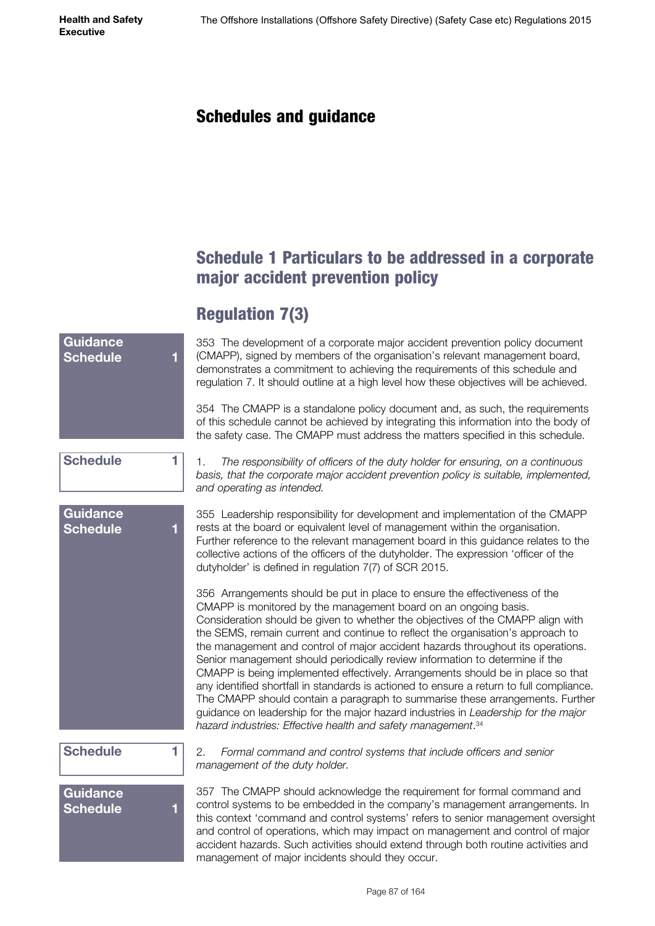**Health and Safety Executive**

#### Schedules and guidance

#### Schedule 1 Particulars to be addressed in a corporate major accident prevention policy

# Regulation 7(3)

| Guidance<br><b>Schedule</b><br>1        | 353 The development of a corporate major accident prevention policy document<br>(CMAPP), signed by members of the organisation's relevant management board,<br>demonstrates a commitment to achieving the requirements of this schedule and<br>regulation 7. It should outline at a high level how these objectives will be achieved.                                                                                                                                                                                                                                                                                                                                                                                                                                                                                                                                                                                    |
|-----------------------------------------|--------------------------------------------------------------------------------------------------------------------------------------------------------------------------------------------------------------------------------------------------------------------------------------------------------------------------------------------------------------------------------------------------------------------------------------------------------------------------------------------------------------------------------------------------------------------------------------------------------------------------------------------------------------------------------------------------------------------------------------------------------------------------------------------------------------------------------------------------------------------------------------------------------------------------|
|                                         | 354 The CMAPP is a standalone policy document and, as such, the requirements<br>of this schedule cannot be achieved by integrating this information into the body of<br>the safety case. The CMAPP must address the matters specified in this schedule.                                                                                                                                                                                                                                                                                                                                                                                                                                                                                                                                                                                                                                                                  |
| <b>Schedule</b><br>1                    | 1.<br>The responsibility of officers of the duty holder for ensuring, on a continuous<br>basis, that the corporate major accident prevention policy is suitable, implemented,<br>and operating as intended.                                                                                                                                                                                                                                                                                                                                                                                                                                                                                                                                                                                                                                                                                                              |
| Guidance<br><b>Schedule</b><br>1        | 355 Leadership responsibility for development and implementation of the CMAPP<br>rests at the board or equivalent level of management within the organisation.<br>Further reference to the relevant management board in this guidance relates to the<br>collective actions of the officers of the dutyholder. The expression 'officer of the<br>dutyholder' is defined in regulation 7(7) of SCR 2015.                                                                                                                                                                                                                                                                                                                                                                                                                                                                                                                   |
|                                         | 356 Arrangements should be put in place to ensure the effectiveness of the<br>CMAPP is monitored by the management board on an ongoing basis.<br>Consideration should be given to whether the objectives of the CMAPP align with<br>the SEMS, remain current and continue to reflect the organisation's approach to<br>the management and control of major accident hazards throughout its operations.<br>Senior management should periodically review information to determine if the<br>CMAPP is being implemented effectively. Arrangements should be in place so that<br>any identified shortfall in standards is actioned to ensure a return to full compliance.<br>The CMAPP should contain a paragraph to summarise these arrangements. Further<br>guidance on leadership for the major hazard industries in Leadership for the major<br>hazard industries: Effective health and safety management. <sup>34</sup> |
| <b>Schedule</b><br>1                    | 2.<br>Formal command and control systems that include officers and senior<br>management of the duty holder.                                                                                                                                                                                                                                                                                                                                                                                                                                                                                                                                                                                                                                                                                                                                                                                                              |
| <b>Guidance</b><br><b>Schedule</b><br>1 | 357 The CMAPP should acknowledge the requirement for formal command and<br>control systems to be embedded in the company's management arrangements. In<br>this context 'command and control systems' refers to senior management oversight<br>and control of operations, which may impact on management and control of major<br>accident hazards. Such activities should extend through both routine activities and<br>management of major incidents should they occur.                                                                                                                                                                                                                                                                                                                                                                                                                                                  |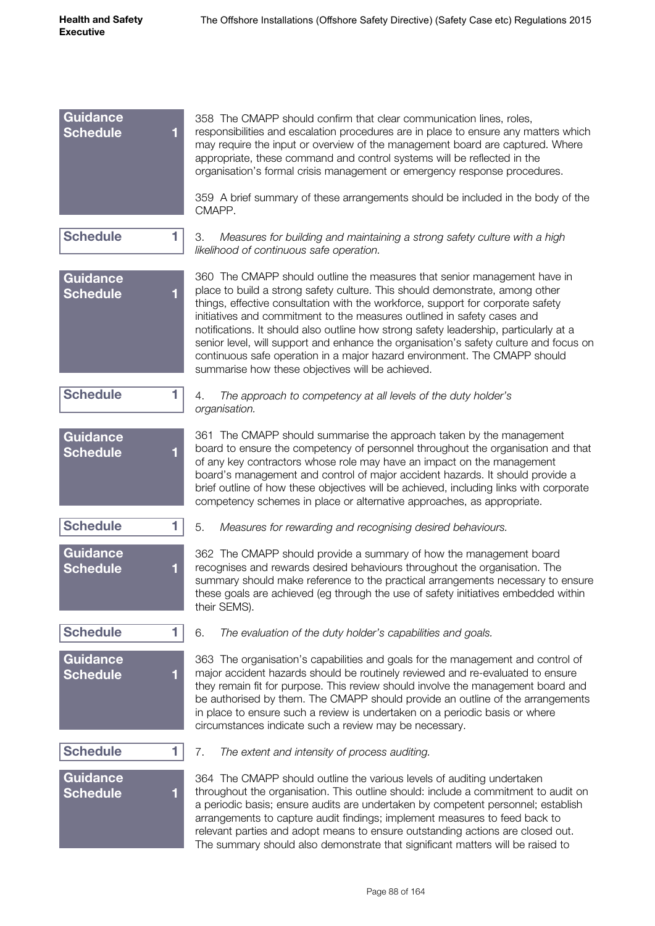| Guidance<br><b>Schedule</b><br>1        | 358 The CMAPP should confirm that clear communication lines, roles,<br>responsibilities and escalation procedures are in place to ensure any matters which<br>may require the input or overview of the management board are captured. Where<br>appropriate, these command and control systems will be reflected in the<br>organisation's formal crisis management or emergency response procedures.                                                                                                                                                                                                                                       |
|-----------------------------------------|-------------------------------------------------------------------------------------------------------------------------------------------------------------------------------------------------------------------------------------------------------------------------------------------------------------------------------------------------------------------------------------------------------------------------------------------------------------------------------------------------------------------------------------------------------------------------------------------------------------------------------------------|
|                                         | 359 A brief summary of these arrangements should be included in the body of the<br>CMAPP.                                                                                                                                                                                                                                                                                                                                                                                                                                                                                                                                                 |
| <b>Schedule</b><br>1                    | 3.<br>Measures for building and maintaining a strong safety culture with a high<br>likelihood of continuous safe operation.                                                                                                                                                                                                                                                                                                                                                                                                                                                                                                               |
| <b>Guidance</b><br><b>Schedule</b><br>1 | 360 The CMAPP should outline the measures that senior management have in<br>place to build a strong safety culture. This should demonstrate, among other<br>things, effective consultation with the workforce, support for corporate safety<br>initiatives and commitment to the measures outlined in safety cases and<br>notifications. It should also outline how strong safety leadership, particularly at a<br>senior level, will support and enhance the organisation's safety culture and focus on<br>continuous safe operation in a major hazard environment. The CMAPP should<br>summarise how these objectives will be achieved. |
| <b>Schedule</b><br>1                    | 4.<br>The approach to competency at all levels of the duty holder's<br>organisation.                                                                                                                                                                                                                                                                                                                                                                                                                                                                                                                                                      |
| <b>Guidance</b><br><b>Schedule</b><br>1 | 361 The CMAPP should summarise the approach taken by the management<br>board to ensure the competency of personnel throughout the organisation and that<br>of any key contractors whose role may have an impact on the management<br>board's management and control of major accident hazards. It should provide a<br>brief outline of how these objectives will be achieved, including links with corporate<br>competency schemes in place or alternative approaches, as appropriate.                                                                                                                                                    |
| <b>Schedule</b><br>1                    | 5.<br>Measures for rewarding and recognising desired behaviours.                                                                                                                                                                                                                                                                                                                                                                                                                                                                                                                                                                          |
| Guidance<br>Schedule                    | 362 The CMAPP should provide a summary of how the management board<br>recognises and rewards desired behaviours throughout the organisation. The<br>summary should make reference to the practical arrangements necessary to ensure<br>these goals are achieved (eg through the use of safety initiatives embedded within<br>their SEMS).                                                                                                                                                                                                                                                                                                 |
| <b>Schedule</b><br>1                    | 6.<br>The evaluation of the duty holder's capabilities and goals.                                                                                                                                                                                                                                                                                                                                                                                                                                                                                                                                                                         |
| Guidance<br><b>Schedule</b><br>1        | 363 The organisation's capabilities and goals for the management and control of<br>major accident hazards should be routinely reviewed and re-evaluated to ensure<br>they remain fit for purpose. This review should involve the management board and<br>be authorised by them. The CMAPP should provide an outline of the arrangements<br>in place to ensure such a review is undertaken on a periodic basis or where<br>circumstances indicate such a review may be necessary.                                                                                                                                                          |
| <b>Schedule</b><br>1                    | 7.<br>The extent and intensity of process auditing.                                                                                                                                                                                                                                                                                                                                                                                                                                                                                                                                                                                       |
| Guidance<br><b>Schedule</b>             | 364 The CMAPP should outline the various levels of auditing undertaken<br>throughout the organisation. This outline should: include a commitment to audit on<br>a periodic basis; ensure audits are undertaken by competent personnel; establish<br>arrangements to capture audit findings; implement measures to feed back to<br>relevant parties and adopt means to ensure outstanding actions are closed out.<br>The summary should also demonstrate that significant matters will be raised to                                                                                                                                        |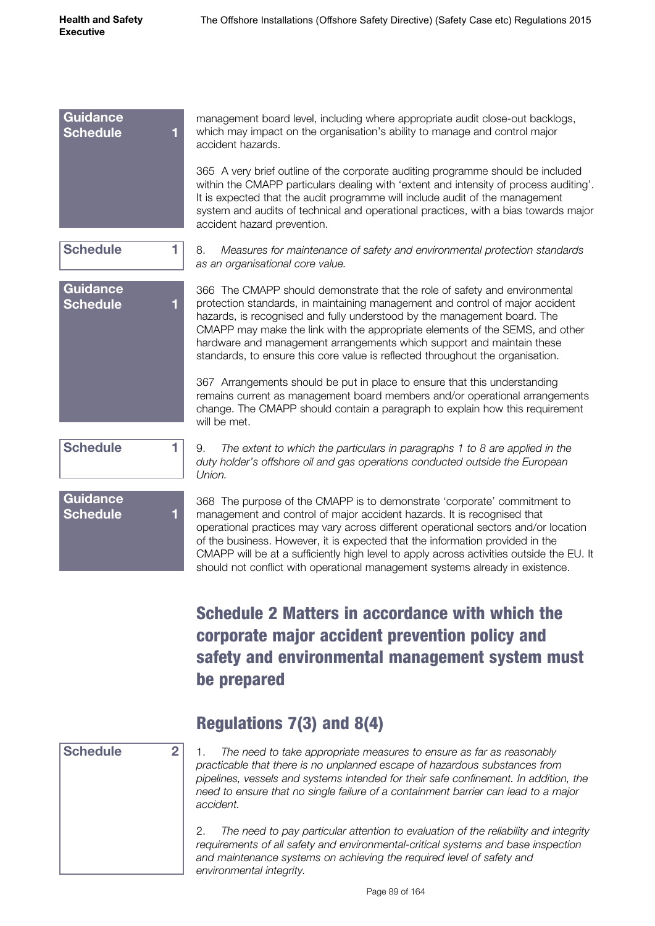management board level, including where appropriate audit close-out backlogs, which may impact on the organisation's ability to manage and control major accident hazards. 365 A very brief outline of the corporate auditing programme should be included within the CMAPP particulars dealing with 'extent and intensity of process auditing'. It is expected that the audit programme will include audit of the management system and audits of technical and operational practices, with a bias towards major accident hazard prevention. 8. *Measures for maintenance of safety and environmental protection standards as an organisational core value.* 366 The CMAPP should demonstrate that the role of safety and environmental protection standards, in maintaining management and control of major accident hazards, is recognised and fully understood by the management board. The CMAPP may make the link with the appropriate elements of the SEMS, and other hardware and management arrangements which support and maintain these standards, to ensure this core value is reflected throughout the organisation. 367 Arrangements should be put in place to ensure that this understanding remains current as management board members and/or operational arrangements change. The CMAPP should contain a paragraph to explain how this requirement will be met. 9. *The extent to which the particulars in paragraphs 1 to 8 are applied in the duty holder's offshore oil and gas operations conducted outside the European Union.* **Schedule 1 Schedule 1 Guidance Schedule 1 Guidance Schedule 1**

**Guidance Schedule 1**

368 The purpose of the CMAPP is to demonstrate 'corporate' commitment to management and control of major accident hazards. It is recognised that operational practices may vary across different operational sectors and/or location of the business. However, it is expected that the information provided in the CMAPP will be at a sufficiently high level to apply across activities outside the EU. It

should not conflict with operational management systems already in existence.

# Schedule 2 Matters in accordance with which the corporate major accident prevention policy and safety and environmental management system must be prepared

#### Regulations 7(3) and 8(4)

#### **Schedule 2**

1. *The need to take appropriate measures to ensure as far as reasonably practicable that there is no unplanned escape of hazardous substances from pipelines, vessels and systems intended for their safe confinement. In addition, the need to ensure that no single failure of a containment barrier can lead to a major accident.*

2. *The need to pay particular attention to evaluation of the reliability and integrity requirements of all safety and environmental-critical systems and base inspection and maintenance systems on achieving the required level of safety and environmental integrity.*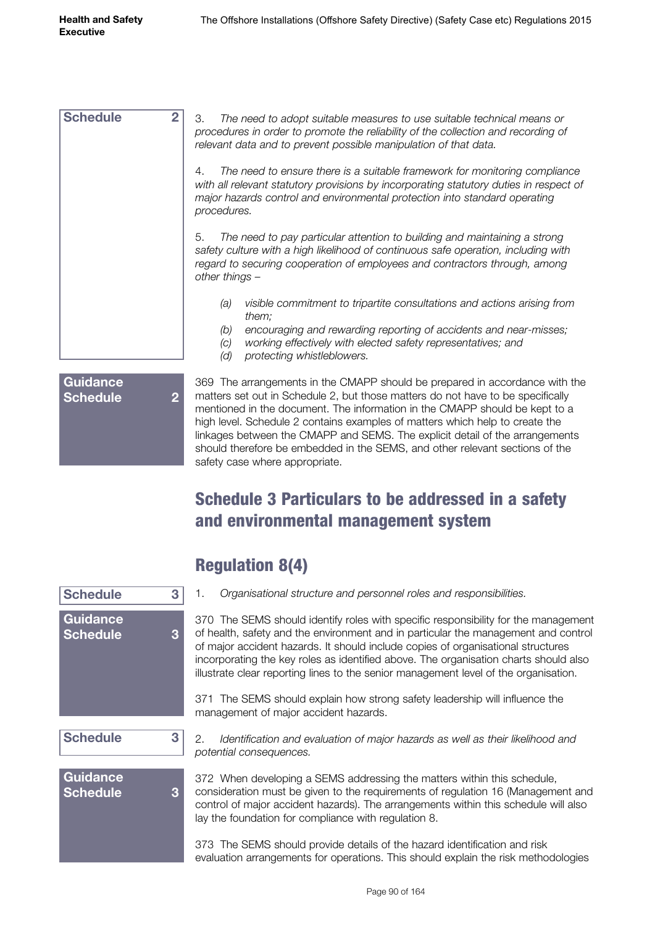| <b>Schedule</b>                    | $\overline{2}$ | З.<br>The need to adopt suitable measures to use suitable technical means or<br>procedures in order to promote the reliability of the collection and recording of<br>relevant data and to prevent possible manipulation of that data.                                   |
|------------------------------------|----------------|-------------------------------------------------------------------------------------------------------------------------------------------------------------------------------------------------------------------------------------------------------------------------|
|                                    |                | The need to ensure there is a suitable framework for monitoring compliance<br>4.<br>with all relevant statutory provisions by incorporating statutory duties in respect of<br>major hazards control and environmental protection into standard operating<br>procedures. |
|                                    |                | The need to pay particular attention to building and maintaining a strong<br>5.<br>safety culture with a high likelihood of continuous safe operation, including with<br>regard to securing cooperation of employees and contractors through, among<br>other things -   |
|                                    |                | visible commitment to tripartite consultations and actions arising from<br>(a)<br>them;                                                                                                                                                                                 |
|                                    |                | encouraging and rewarding reporting of accidents and near-misses;<br>(b)<br>working effectively with elected safety representatives; and<br>(c)<br>(d)<br>protecting whistleblowers.                                                                                    |
| <b>Guidance</b><br><b>Schedule</b> | $\overline{2}$ | 369 The arrangements in the CMAPP should be prepared in accordance with the<br>matters set out in Schedule 2, but those matters do not have to be specifically                                                                                                          |

matters set out in Schedule 2, but those matters do not have to be specifically mentioned in the document. The information in the CMAPP should be kept to a high level. Schedule 2 contains examples of matters which help to create the linkages between the CMAPP and SEMS. The explicit detail of the arrangements should therefore be embedded in the SEMS, and other relevant sections of the safety case where appropriate.

# Schedule 3 Particulars to be addressed in a safety and environmental management system

| <b>Schedule</b><br>3                    | Organisational structure and personnel roles and responsibilities.<br>1.                                                                                                                                                                                                                                                                                                                                                                     |
|-----------------------------------------|----------------------------------------------------------------------------------------------------------------------------------------------------------------------------------------------------------------------------------------------------------------------------------------------------------------------------------------------------------------------------------------------------------------------------------------------|
| Guidance<br>3<br><b>Schedule</b>        | 370 The SEMS should identify roles with specific responsibility for the management<br>of health, safety and the environment and in particular the management and control<br>of major accident hazards. It should include copies of organisational structures<br>incorporating the key roles as identified above. The organisation charts should also<br>illustrate clear reporting lines to the senior management level of the organisation. |
|                                         | 371 The SEMS should explain how strong safety leadership will influence the<br>management of major accident hazards.                                                                                                                                                                                                                                                                                                                         |
| <b>Schedule</b><br>3                    | Identification and evaluation of major hazards as well as their likelihood and<br>2.<br>potential consequences.                                                                                                                                                                                                                                                                                                                              |
| <b>Guidance</b><br>3<br><b>Schedule</b> | 372 When developing a SEMS addressing the matters within this schedule,<br>consideration must be given to the requirements of regulation 16 (Management and<br>control of major accident hazards). The arrangements within this schedule will also<br>lay the foundation for compliance with regulation 8.                                                                                                                                   |
|                                         | 373 The SEMS should provide details of the hazard identification and risk<br>evaluation arrangements for operations. This should explain the risk methodologies                                                                                                                                                                                                                                                                              |

# Regulation 8(4)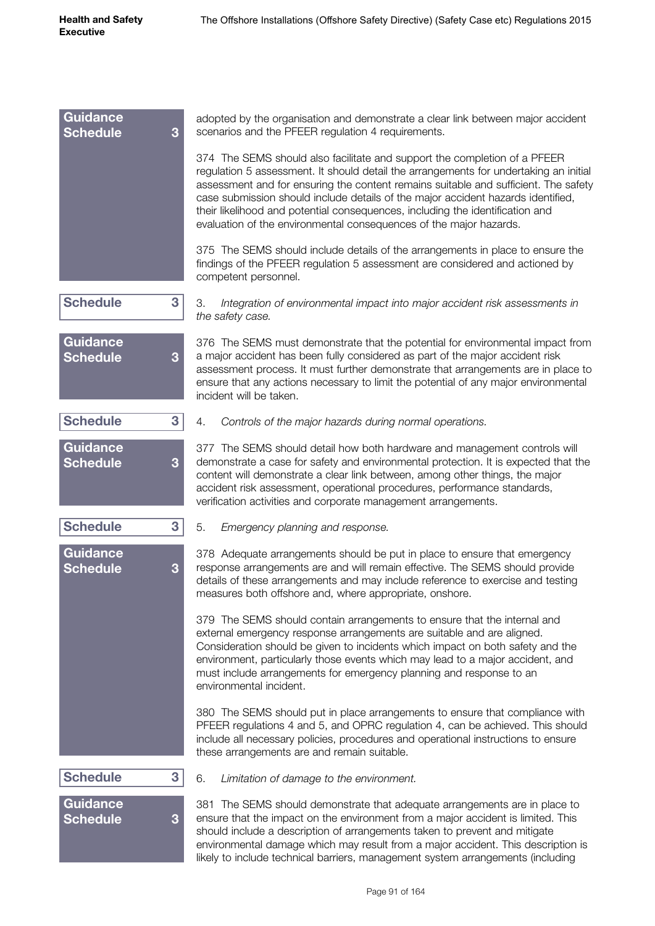| <b>Guidance</b><br><b>Schedule</b> | 3 | adopted by the organisation and demonstrate a clear link between major accident<br>scenarios and the PFEER regulation 4 requirements.                                                                                                                                                                                                                                                                                                                                                                |
|------------------------------------|---|------------------------------------------------------------------------------------------------------------------------------------------------------------------------------------------------------------------------------------------------------------------------------------------------------------------------------------------------------------------------------------------------------------------------------------------------------------------------------------------------------|
|                                    |   | 374 The SEMS should also facilitate and support the completion of a PFEER<br>regulation 5 assessment. It should detail the arrangements for undertaking an initial<br>assessment and for ensuring the content remains suitable and sufficient. The safety<br>case submission should include details of the major accident hazards identified,<br>their likelihood and potential consequences, including the identification and<br>evaluation of the environmental consequences of the major hazards. |
|                                    |   | 375 The SEMS should include details of the arrangements in place to ensure the<br>findings of the PFEER regulation 5 assessment are considered and actioned by<br>competent personnel.                                                                                                                                                                                                                                                                                                               |
| <b>Schedule</b>                    | 3 | 3.<br>Integration of environmental impact into major accident risk assessments in<br>the safety case.                                                                                                                                                                                                                                                                                                                                                                                                |
| <b>Guidance</b><br><b>Schedule</b> | 3 | 376 The SEMS must demonstrate that the potential for environmental impact from<br>a major accident has been fully considered as part of the major accident risk<br>assessment process. It must further demonstrate that arrangements are in place to<br>ensure that any actions necessary to limit the potential of any major environmental<br>incident will be taken.                                                                                                                               |
| <b>Schedule</b>                    | 3 | 4.<br>Controls of the major hazards during normal operations.                                                                                                                                                                                                                                                                                                                                                                                                                                        |
| <b>Guidance</b><br><b>Schedule</b> | 3 | 377 The SEMS should detail how both hardware and management controls will<br>demonstrate a case for safety and environmental protection. It is expected that the<br>content will demonstrate a clear link between, among other things, the major<br>accident risk assessment, operational procedures, performance standards,<br>verification activities and corporate management arrangements.                                                                                                       |
| <b>Schedule</b>                    | 3 | 5.<br>Emergency planning and response.                                                                                                                                                                                                                                                                                                                                                                                                                                                               |
| <b>Guidance</b><br><b>Schedule</b> | 3 | 378 Adequate arrangements should be put in place to ensure that emergency<br>response arrangements are and will remain effective. The SEMS should provide<br>details of these arrangements and may include reference to exercise and testing<br>measures both offshore and, where appropriate, onshore.                                                                                                                                                                                              |
|                                    |   | 379 The SEMS should contain arrangements to ensure that the internal and<br>external emergency response arrangements are suitable and are aligned.<br>Consideration should be given to incidents which impact on both safety and the<br>environment, particularly those events which may lead to a major accident, and<br>must include arrangements for emergency planning and response to an<br>environmental incident.                                                                             |
|                                    |   | 380 The SEMS should put in place arrangements to ensure that compliance with<br>PFEER regulations 4 and 5, and OPRC regulation 4, can be achieved. This should<br>include all necessary policies, procedures and operational instructions to ensure<br>these arrangements are and remain suitable.                                                                                                                                                                                                   |
| <b>Schedule</b>                    | 3 | 6.<br>Limitation of damage to the environment.                                                                                                                                                                                                                                                                                                                                                                                                                                                       |
| <b>Guidance</b><br><b>Schedule</b> | 3 | 381 The SEMS should demonstrate that adequate arrangements are in place to<br>ensure that the impact on the environment from a major accident is limited. This<br>should include a description of arrangements taken to prevent and mitigate<br>environmental damage which may result from a major accident. This description is<br>likely to include technical barriers, management system arrangements (including                                                                                  |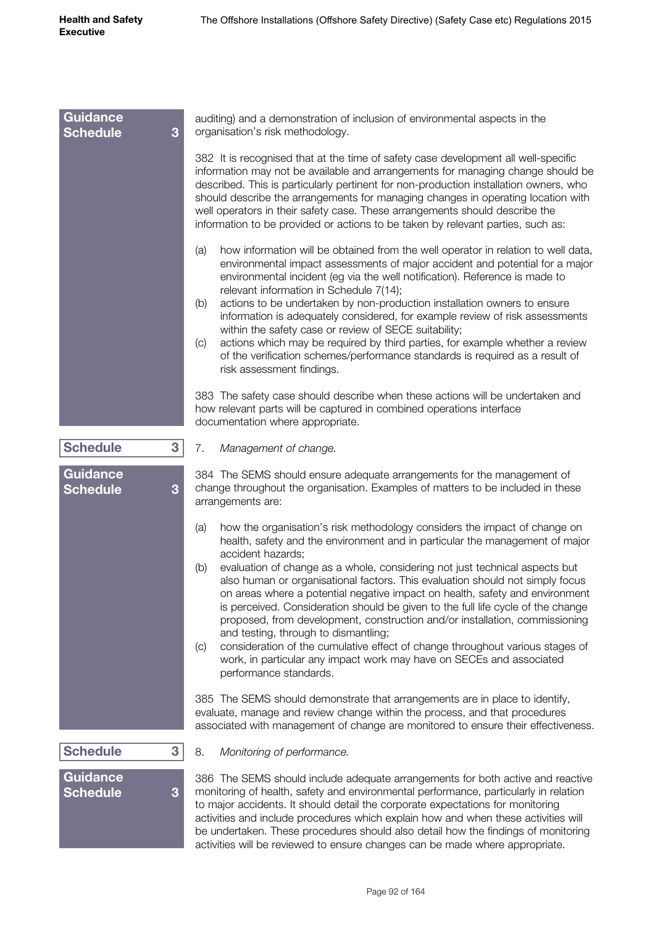| <b>Guidance</b><br><b>Schedule</b><br>3 | auditing) and a demonstration of inclusion of environmental aspects in the<br>organisation's risk methodology.                                                                                                                                                                                                                                                                                                                                                                                                                                                                                                                                                                                                                                                                                                                                    |
|-----------------------------------------|---------------------------------------------------------------------------------------------------------------------------------------------------------------------------------------------------------------------------------------------------------------------------------------------------------------------------------------------------------------------------------------------------------------------------------------------------------------------------------------------------------------------------------------------------------------------------------------------------------------------------------------------------------------------------------------------------------------------------------------------------------------------------------------------------------------------------------------------------|
|                                         | 382 It is recognised that at the time of safety case development all well-specific<br>information may not be available and arrangements for managing change should be<br>described. This is particularly pertinent for non-production installation owners, who<br>should describe the arrangements for managing changes in operating location with<br>well operators in their safety case. These arrangements should describe the<br>information to be provided or actions to be taken by relevant parties, such as:                                                                                                                                                                                                                                                                                                                              |
|                                         | how information will be obtained from the well operator in relation to well data,<br>(a)<br>environmental impact assessments of major accident and potential for a major<br>environmental incident (eg via the well notification). Reference is made to<br>relevant information in Schedule 7(14);<br>actions to be undertaken by non-production installation owners to ensure<br>(b)<br>information is adequately considered, for example review of risk assessments<br>within the safety case or review of SECE suitability;<br>actions which may be required by third parties, for example whether a review<br>$\left( $<br>of the verification schemes/performance standards is required as a result of<br>risk assessment findings.                                                                                                          |
|                                         | 383 The safety case should describe when these actions will be undertaken and<br>how relevant parts will be captured in combined operations interface<br>documentation where appropriate.                                                                                                                                                                                                                                                                                                                                                                                                                                                                                                                                                                                                                                                         |
| <b>Schedule</b><br>3                    | 7.<br>Management of change.                                                                                                                                                                                                                                                                                                                                                                                                                                                                                                                                                                                                                                                                                                                                                                                                                       |
| Guidance<br><b>Schedule</b><br>3        | 384 The SEMS should ensure adequate arrangements for the management of<br>change throughout the organisation. Examples of matters to be included in these<br>arrangements are:                                                                                                                                                                                                                                                                                                                                                                                                                                                                                                                                                                                                                                                                    |
|                                         | how the organisation's risk methodology considers the impact of change on<br>(a)<br>health, safety and the environment and in particular the management of major<br>accident hazards;<br>evaluation of change as a whole, considering not just technical aspects but<br>(b)<br>also human or organisational factors. This evaluation should not simply focus<br>on areas where a potential negative impact on health, safety and environment<br>is perceived. Consideration should be given to the full life cycle of the change<br>proposed, from development, construction and/or installation, commissioning<br>and testing, through to dismantling;<br>consideration of the cumulative effect of change throughout various stages of<br>(c)<br>work, in particular any impact work may have on SECEs and associated<br>performance standards. |
|                                         | 385 The SEMS should demonstrate that arrangements are in place to identify,<br>evaluate, manage and review change within the process, and that procedures<br>associated with management of change are monitored to ensure their effectiveness.                                                                                                                                                                                                                                                                                                                                                                                                                                                                                                                                                                                                    |
| <b>Schedule</b><br>3                    | 8.<br>Monitoring of performance.                                                                                                                                                                                                                                                                                                                                                                                                                                                                                                                                                                                                                                                                                                                                                                                                                  |
| Guidance<br><b>Schedule</b><br>3        | 386 The SEMS should include adequate arrangements for both active and reactive<br>monitoring of health, safety and environmental performance, particularly in relation<br>to major accidents. It should detail the corporate expectations for monitoring<br>activities and include procedures which explain how and when these activities will<br>be undertaken. These procedures should also detail how the findings of monitoring                                                                                                                                                                                                                                                                                                                                                                                                               |

activities will be reviewed to ensure changes can be made where appropriate.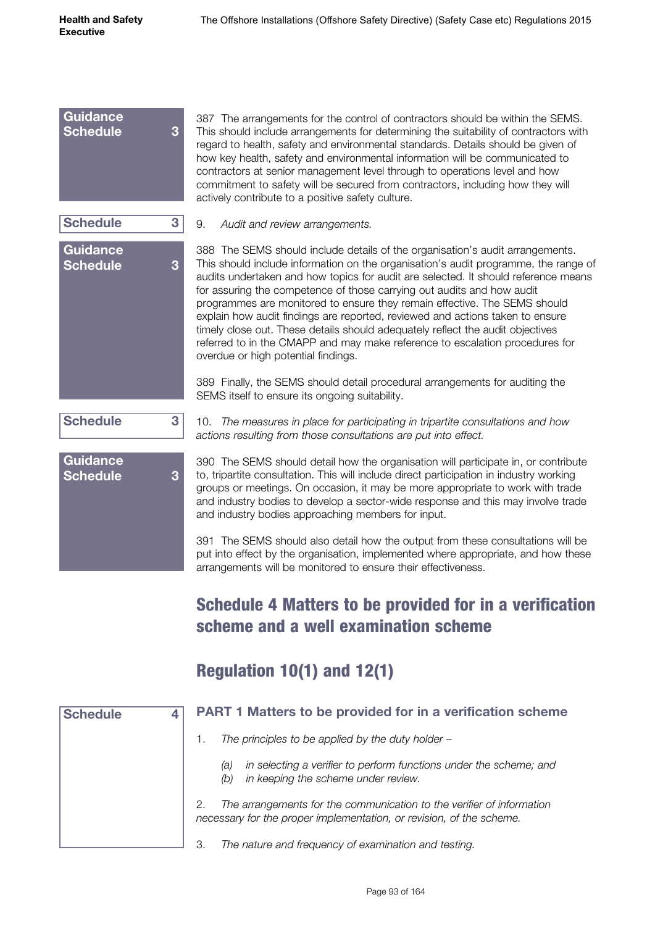| <b>Guidance</b><br><b>Schedule</b> | 387 The arrangements for the control of contractors should be within the SEMS.<br>3<br>This should include arrangements for determining the suitability of contractors with<br>regard to health, safety and environmental standards. Details should be given of<br>how key health, safety and environmental information will be communicated to<br>contractors at senior management level through to operations level and how<br>commitment to safety will be secured from contractors, including how they will<br>actively contribute to a positive safety culture.                                                                                                                                             |
|------------------------------------|------------------------------------------------------------------------------------------------------------------------------------------------------------------------------------------------------------------------------------------------------------------------------------------------------------------------------------------------------------------------------------------------------------------------------------------------------------------------------------------------------------------------------------------------------------------------------------------------------------------------------------------------------------------------------------------------------------------|
| <b>Schedule</b>                    | 3<br>9.<br>Audit and review arrangements.                                                                                                                                                                                                                                                                                                                                                                                                                                                                                                                                                                                                                                                                        |
| <b>Guidance</b><br><b>Schedule</b> | 388 The SEMS should include details of the organisation's audit arrangements.<br>This should include information on the organisation's audit programme, the range of<br>3<br>audits undertaken and how topics for audit are selected. It should reference means<br>for assuring the competence of those carrying out audits and how audit<br>programmes are monitored to ensure they remain effective. The SEMS should<br>explain how audit findings are reported, reviewed and actions taken to ensure<br>timely close out. These details should adequately reflect the audit objectives<br>referred to in the CMAPP and may make reference to escalation procedures for<br>overdue or high potential findings. |
|                                    | 389 Finally, the SEMS should detail procedural arrangements for auditing the<br>SEMS itself to ensure its ongoing suitability.                                                                                                                                                                                                                                                                                                                                                                                                                                                                                                                                                                                   |
| <b>Schedule</b>                    | 3<br>10. The measures in place for participating in tripartite consultations and how<br>actions resulting from those consultations are put into effect.                                                                                                                                                                                                                                                                                                                                                                                                                                                                                                                                                          |
| <b>Guidance</b><br><b>Schedule</b> | 390 The SEMS should detail how the organisation will participate in, or contribute<br>to, tripartite consultation. This will include direct participation in industry working<br>3<br>groups or meetings. On occasion, it may be more appropriate to work with trade<br>and industry bodies to develop a sector-wide response and this may involve trade<br>and industry bodies approaching members for input.                                                                                                                                                                                                                                                                                                   |
|                                    | 391 The SEMS should also detail how the output from these consultations will be<br>put into effect by the organisation, implemented where appropriate, and how these<br>arrangements will be monitored to ensure their effectiveness.                                                                                                                                                                                                                                                                                                                                                                                                                                                                            |

# Schedule 4 Matters to be provided for in a verification scheme and a well examination scheme

# Regulation 10(1) and 12(1)

| <b>Schedule</b> | 4 | <b>PART 1 Matters to be provided for in a verification scheme</b>                                                                                   |
|-----------------|---|-----------------------------------------------------------------------------------------------------------------------------------------------------|
|                 |   | The principles to be applied by the duty holder $-$                                                                                                 |
|                 |   | in selecting a verifier to perform functions under the scheme; and<br>(a)<br>in keeping the scheme under review.<br>(b)                             |
|                 |   | The arrangements for the communication to the verifier of information<br>2.<br>necessary for the proper implementation, or revision, of the scheme. |
|                 |   | 3.<br>The nature and frequency of examination and testing.                                                                                          |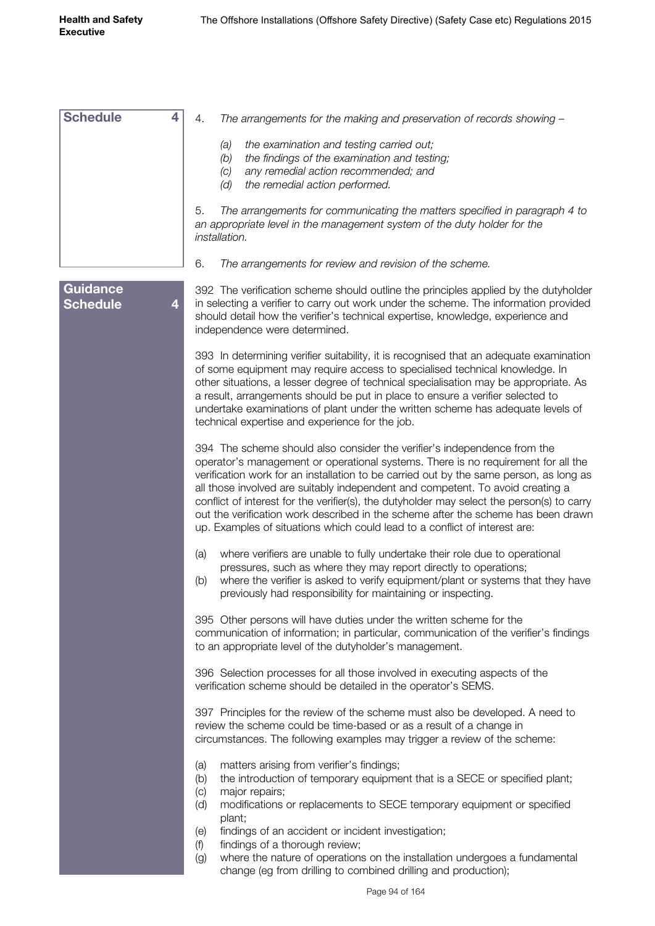| <b>Schedule</b> | 4 | 4.<br>The arrangements for the making and preservation of records showing -                                                                                                                              |
|-----------------|---|----------------------------------------------------------------------------------------------------------------------------------------------------------------------------------------------------------|
|                 |   | the examination and testing carried out;<br>(a)<br>the findings of the examination and testing;<br>(b)                                                                                                   |
|                 |   | any remedial action recommended; and<br>(C)                                                                                                                                                              |
|                 |   | (d)<br>the remedial action performed.                                                                                                                                                                    |
|                 |   | 5.<br>The arrangements for communicating the matters specified in paragraph 4 to<br>an appropriate level in the management system of the duty holder for the<br><i>installation.</i>                     |
|                 |   | 6.<br>The arrangements for review and revision of the scheme.                                                                                                                                            |
| <b>Guidance</b> |   | 392 The verification scheme should outline the principles applied by the dutyholder                                                                                                                      |
| <b>Schedule</b> | 4 | in selecting a verifier to carry out work under the scheme. The information provided<br>should detail how the verifier's technical expertise, knowledge, experience and<br>independence were determined. |
|                 |   | 393 In determining verifier suitability, it is recognised that an adequate examination                                                                                                                   |
|                 |   | of some equipment may require access to specialised technical knowledge. In<br>other situations, a lesser degree of technical specialisation may be appropriate. As                                      |
|                 |   | a result, arrangements should be put in place to ensure a verifier selected to                                                                                                                           |
|                 |   | undertake examinations of plant under the written scheme has adequate levels of<br>technical expertise and experience for the job.                                                                       |
|                 |   |                                                                                                                                                                                                          |
|                 |   | 394 The scheme should also consider the verifier's independence from the<br>operator's management or operational systems. There is no requirement for all the                                            |
|                 |   | verification work for an installation to be carried out by the same person, as long as                                                                                                                   |
|                 |   | all those involved are suitably independent and competent. To avoid creating a<br>conflict of interest for the verifier(s), the dutyholder may select the person(s) to carry                             |
|                 |   | out the verification work described in the scheme after the scheme has been drawn                                                                                                                        |
|                 |   | up. Examples of situations which could lead to a conflict of interest are:                                                                                                                               |
|                 |   | where verifiers are unable to fully undertake their role due to operational<br>(a)                                                                                                                       |
|                 |   | pressures, such as where they may report directly to operations;<br>where the verifier is asked to verify equipment/plant or systems that they have<br>(b)                                               |
|                 |   | previously had responsibility for maintaining or inspecting.                                                                                                                                             |
|                 |   | 395 Other persons will have duties under the written scheme for the                                                                                                                                      |
|                 |   | communication of information; in particular, communication of the verifier's findings<br>to an appropriate level of the dutyholder's management.                                                         |
|                 |   |                                                                                                                                                                                                          |
|                 |   | 396 Selection processes for all those involved in executing aspects of the<br>verification scheme should be detailed in the operator's SEMS.                                                             |
|                 |   |                                                                                                                                                                                                          |
|                 |   | 397 Principles for the review of the scheme must also be developed. A need to<br>review the scheme could be time-based or as a result of a change in                                                     |
|                 |   | circumstances. The following examples may trigger a review of the scheme:                                                                                                                                |
|                 |   | matters arising from verifier's findings;<br>(a)                                                                                                                                                         |
|                 |   | the introduction of temporary equipment that is a SECE or specified plant;<br>(b)                                                                                                                        |
|                 |   | major repairs;<br>(c)<br>modifications or replacements to SECE temporary equipment or specified<br>(d)                                                                                                   |
|                 |   | plant;                                                                                                                                                                                                   |
|                 |   | findings of an accident or incident investigation;<br>(e)<br>findings of a thorough review;<br>(f)                                                                                                       |
|                 |   | where the nature of operations on the installation undergoes a fundamental<br>(g)                                                                                                                        |
|                 |   | change (eg from drilling to combined drilling and production);                                                                                                                                           |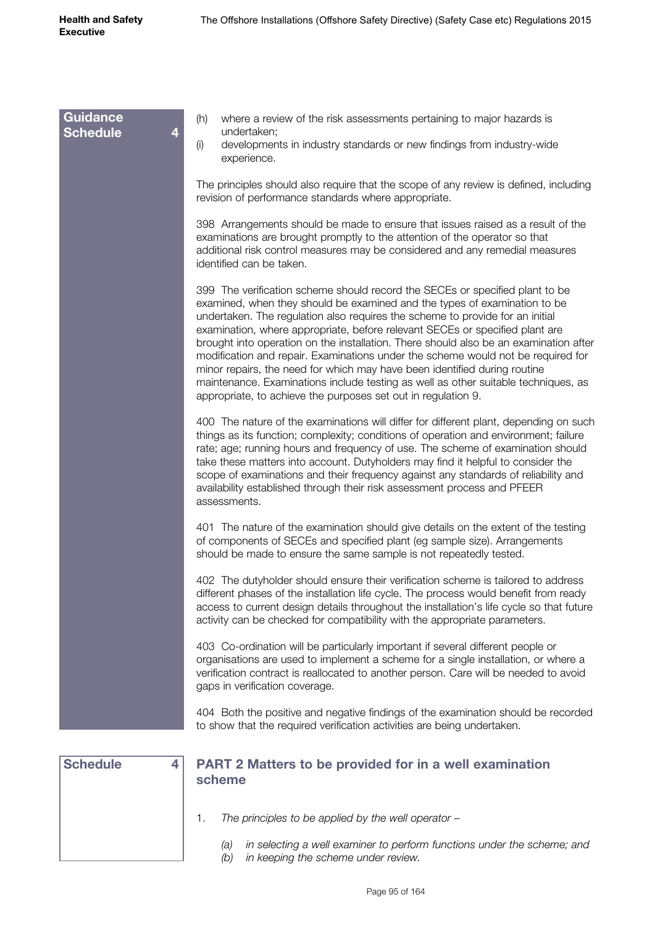| <b>Guidance</b><br><b>Schedule</b><br>4 | where a review of the risk assessments pertaining to major hazards is<br>(h)<br>undertaken;<br>developments in industry standards or new findings from industry-wide<br>(i)<br>experience.                                                                                                                                                                                                                                                                                                                                                                                                                                                                                                                                                  |
|-----------------------------------------|---------------------------------------------------------------------------------------------------------------------------------------------------------------------------------------------------------------------------------------------------------------------------------------------------------------------------------------------------------------------------------------------------------------------------------------------------------------------------------------------------------------------------------------------------------------------------------------------------------------------------------------------------------------------------------------------------------------------------------------------|
|                                         | The principles should also require that the scope of any review is defined, including<br>revision of performance standards where appropriate.                                                                                                                                                                                                                                                                                                                                                                                                                                                                                                                                                                                               |
|                                         | 398 Arrangements should be made to ensure that issues raised as a result of the<br>examinations are brought promptly to the attention of the operator so that<br>additional risk control measures may be considered and any remedial measures<br>identified can be taken.                                                                                                                                                                                                                                                                                                                                                                                                                                                                   |
|                                         | 399 The verification scheme should record the SECEs or specified plant to be<br>examined, when they should be examined and the types of examination to be<br>undertaken. The regulation also requires the scheme to provide for an initial<br>examination, where appropriate, before relevant SECEs or specified plant are<br>brought into operation on the installation. There should also be an examination after<br>modification and repair. Examinations under the scheme would not be required for<br>minor repairs, the need for which may have been identified during routine<br>maintenance. Examinations include testing as well as other suitable techniques, as<br>appropriate, to achieve the purposes set out in regulation 9. |
|                                         | 400 The nature of the examinations will differ for different plant, depending on such<br>things as its function; complexity; conditions of operation and environment; failure<br>rate; age; running hours and frequency of use. The scheme of examination should<br>take these matters into account. Dutyholders may find it helpful to consider the<br>scope of examinations and their frequency against any standards of reliability and<br>availability established through their risk assessment process and PFEER<br>assessments.                                                                                                                                                                                                      |
|                                         | 401 The nature of the examination should give details on the extent of the testing<br>of components of SECEs and specified plant (eg sample size). Arrangements<br>should be made to ensure the same sample is not repeatedly tested.                                                                                                                                                                                                                                                                                                                                                                                                                                                                                                       |
|                                         | 402 The dutyholder should ensure their verification scheme is tailored to address<br>different phases of the installation life cycle. The process would benefit from ready<br>access to current design details throughout the installation's life cycle so that future<br>activity can be checked for compatibility with the appropriate parameters.                                                                                                                                                                                                                                                                                                                                                                                        |
|                                         | 403 Co-ordination will be particularly important if several different people or<br>organisations are used to implement a scheme for a single installation, or where a<br>verification contract is reallocated to another person. Care will be needed to avoid<br>gaps in verification coverage.                                                                                                                                                                                                                                                                                                                                                                                                                                             |
|                                         | 404 Both the positive and negative findings of the examination should be recorded<br>to show that the required verification activities are being undertaken.                                                                                                                                                                                                                                                                                                                                                                                                                                                                                                                                                                                |
| <b>Schedule</b><br>4                    | <b>PART 2 Matters to be provided for in a well examination</b><br>scheme                                                                                                                                                                                                                                                                                                                                                                                                                                                                                                                                                                                                                                                                    |
|                                         | The principles to be applied by the well operator $-$<br>1.                                                                                                                                                                                                                                                                                                                                                                                                                                                                                                                                                                                                                                                                                 |
|                                         | in selecting a well examiner to perform functions under the scheme; and<br>(a)<br>in keeping the scheme under review.<br>(b)                                                                                                                                                                                                                                                                                                                                                                                                                                                                                                                                                                                                                |

*(b) in keeping the scheme under review.*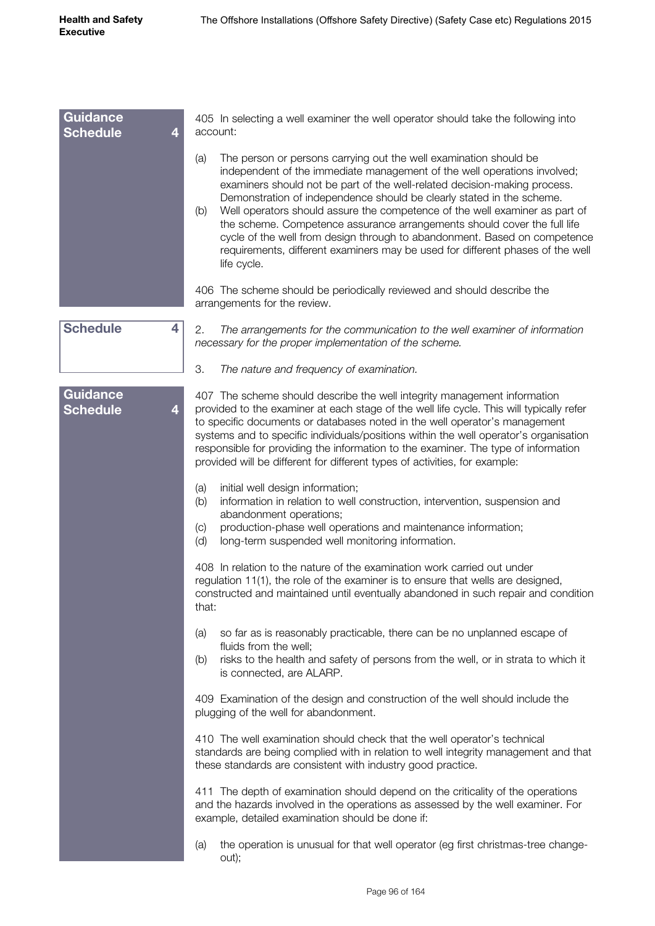| <b>Guidance</b><br><b>Schedule</b><br>4 | 405 In selecting a well examiner the well operator should take the following into<br>account:                                                                                                                                                                                                                                                                                                                                                                                                                   |
|-----------------------------------------|-----------------------------------------------------------------------------------------------------------------------------------------------------------------------------------------------------------------------------------------------------------------------------------------------------------------------------------------------------------------------------------------------------------------------------------------------------------------------------------------------------------------|
|                                         | The person or persons carrying out the well examination should be<br>(a)<br>independent of the immediate management of the well operations involved;<br>examiners should not be part of the well-related decision-making process.                                                                                                                                                                                                                                                                               |
|                                         | Demonstration of independence should be clearly stated in the scheme.<br>Well operators should assure the competence of the well examiner as part of<br>(b)<br>the scheme. Competence assurance arrangements should cover the full life<br>cycle of the well from design through to abandonment. Based on competence<br>requirements, different examiners may be used for different phases of the well<br>life cycle.                                                                                           |
|                                         | 406 The scheme should be periodically reviewed and should describe the<br>arrangements for the review.                                                                                                                                                                                                                                                                                                                                                                                                          |
| <b>Schedule</b><br>4                    | 2.<br>The arrangements for the communication to the well examiner of information<br>necessary for the proper implementation of the scheme.                                                                                                                                                                                                                                                                                                                                                                      |
|                                         | 3.<br>The nature and frequency of examination.                                                                                                                                                                                                                                                                                                                                                                                                                                                                  |
| <b>Guidance</b><br><b>Schedule</b><br>4 | 407 The scheme should describe the well integrity management information<br>provided to the examiner at each stage of the well life cycle. This will typically refer<br>to specific documents or databases noted in the well operator's management<br>systems and to specific individuals/positions within the well operator's organisation<br>responsible for providing the information to the examiner. The type of information<br>provided will be different for different types of activities, for example: |
|                                         | initial well design information;<br>(a)<br>information in relation to well construction, intervention, suspension and<br>(b)<br>abandonment operations;<br>production-phase well operations and maintenance information;<br>(c)<br>long-term suspended well monitoring information.<br>(d)                                                                                                                                                                                                                      |
|                                         | 408 In relation to the nature of the examination work carried out under<br>regulation 11(1), the role of the examiner is to ensure that wells are designed,<br>constructed and maintained until eventually abandoned in such repair and condition<br>that:                                                                                                                                                                                                                                                      |
|                                         | so far as is reasonably practicable, there can be no unplanned escape of<br>(a)<br>fluids from the well;<br>risks to the health and safety of persons from the well, or in strata to which it<br>(b)<br>is connected, are ALARP.                                                                                                                                                                                                                                                                                |
|                                         | 409 Examination of the design and construction of the well should include the<br>plugging of the well for abandonment.                                                                                                                                                                                                                                                                                                                                                                                          |
|                                         | 410 The well examination should check that the well operator's technical<br>standards are being complied with in relation to well integrity management and that<br>these standards are consistent with industry good practice.                                                                                                                                                                                                                                                                                  |
|                                         | 411 The depth of examination should depend on the criticality of the operations<br>and the hazards involved in the operations as assessed by the well examiner. For<br>example, detailed examination should be done if:                                                                                                                                                                                                                                                                                         |
|                                         | the operation is unusual for that well operator (eg first christmas-tree change-<br>(a)<br>out);                                                                                                                                                                                                                                                                                                                                                                                                                |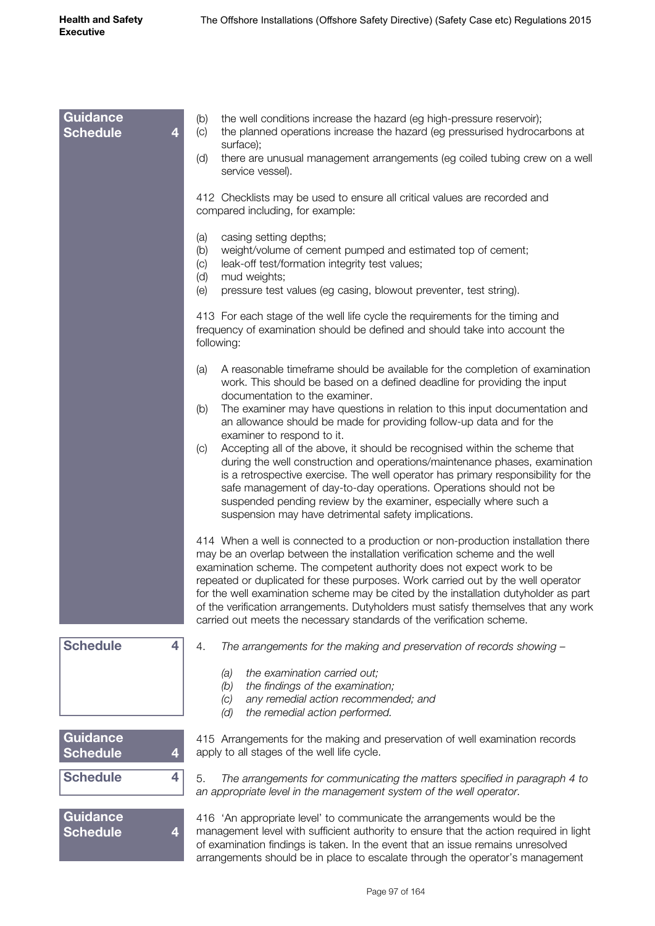| <b>Guidance</b><br><b>Schedule</b> | 4 | the well conditions increase the hazard (eg high-pressure reservoir);<br>(b)<br>the planned operations increase the hazard (eg pressurised hydrocarbons at<br>(c)<br>surface);<br>there are unusual management arrangements (eg coiled tubing crew on a well<br>(d)<br>service vessel).                                                                                                                                                                                                                                                                                               |
|------------------------------------|---|---------------------------------------------------------------------------------------------------------------------------------------------------------------------------------------------------------------------------------------------------------------------------------------------------------------------------------------------------------------------------------------------------------------------------------------------------------------------------------------------------------------------------------------------------------------------------------------|
|                                    |   | 412 Checklists may be used to ensure all critical values are recorded and<br>compared including, for example:                                                                                                                                                                                                                                                                                                                                                                                                                                                                         |
|                                    |   | casing setting depths;<br>(a)<br>weight/volume of cement pumped and estimated top of cement;<br>(b)<br>leak-off test/formation integrity test values;<br>(C)<br>(d)<br>mud weights;<br>(e)<br>pressure test values (eg casing, blowout preventer, test string).                                                                                                                                                                                                                                                                                                                       |
|                                    |   | 413 For each stage of the well life cycle the requirements for the timing and<br>frequency of examination should be defined and should take into account the<br>following:                                                                                                                                                                                                                                                                                                                                                                                                            |
|                                    |   | A reasonable timeframe should be available for the completion of examination<br>(a)<br>work. This should be based on a defined deadline for providing the input<br>documentation to the examiner.                                                                                                                                                                                                                                                                                                                                                                                     |
|                                    |   | The examiner may have questions in relation to this input documentation and<br>(b)<br>an allowance should be made for providing follow-up data and for the<br>examiner to respond to it.                                                                                                                                                                                                                                                                                                                                                                                              |
|                                    |   | Accepting all of the above, it should be recognised within the scheme that<br>(C)<br>during the well construction and operations/maintenance phases, examination<br>is a retrospective exercise. The well operator has primary responsibility for the<br>safe management of day-to-day operations. Operations should not be<br>suspended pending review by the examiner, especially where such a<br>suspension may have detrimental safety implications.                                                                                                                              |
|                                    |   | 414 When a well is connected to a production or non-production installation there<br>may be an overlap between the installation verification scheme and the well<br>examination scheme. The competent authority does not expect work to be<br>repeated or duplicated for these purposes. Work carried out by the well operator<br>for the well examination scheme may be cited by the installation dutyholder as part<br>of the verification arrangements. Dutyholders must satisfy themselves that any work<br>carried out meets the necessary standards of the verification scheme. |
| <b>Schedule</b>                    | 4 | The arrangements for the making and preservation of records showing -<br>4.                                                                                                                                                                                                                                                                                                                                                                                                                                                                                                           |
|                                    |   | the examination carried out;<br>(a)<br>the findings of the examination;<br>(b)<br>any remedial action recommended; and<br>(C)<br>(d)<br>the remedial action performed.                                                                                                                                                                                                                                                                                                                                                                                                                |
| <b>Guidance</b><br><b>Schedule</b> | 4 | 415 Arrangements for the making and preservation of well examination records<br>apply to all stages of the well life cycle.                                                                                                                                                                                                                                                                                                                                                                                                                                                           |
| <b>Schedule</b>                    | 4 | 5.<br>The arrangements for communicating the matters specified in paragraph 4 to<br>an appropriate level in the management system of the well operator.                                                                                                                                                                                                                                                                                                                                                                                                                               |
| <b>Guidance</b><br><b>Schedule</b> | 4 | 416 'An appropriate level' to communicate the arrangements would be the<br>management level with sufficient authority to ensure that the action required in light<br>of examination findings is taken. In the event that an issue remains unresolved<br>arrangements should be in place to escalate through the operator's management                                                                                                                                                                                                                                                 |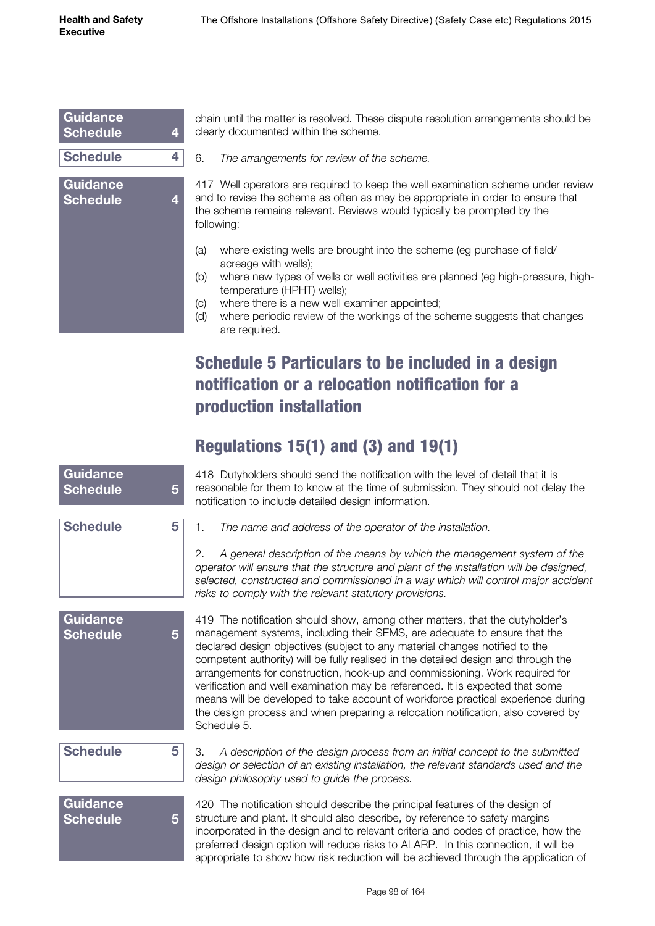| Guidance<br><b>Schedule</b><br>4        |  |
|-----------------------------------------|--|
| <b>Schedule</b><br>4                    |  |
| <b>Guidance</b><br><b>Schedule</b><br>4 |  |

chain until the matter is resolved. These dispute resolution arrangements should be clearly documented within the scheme.

6. *The arrangements for review of the scheme.*

417 Well operators are required to keep the well examination scheme under review and to revise the scheme as often as may be appropriate in order to ensure that the scheme remains relevant. Reviews would typically be prompted by the following:

- (a) where existing wells are brought into the scheme (eg purchase of field/ acreage with wells);
- (b) where new types of wells or well activities are planned (eg high-pressure, hightemperature (HPHT) wells);
- (c) where there is a new well examiner appointed;
- (d) where periodic review of the workings of the scheme suggests that changes are required.

# Schedule 5 Particulars to be included in a design notification or a relocation notification for a production installation

## Regulations 15(1) and (3) and 19(1)

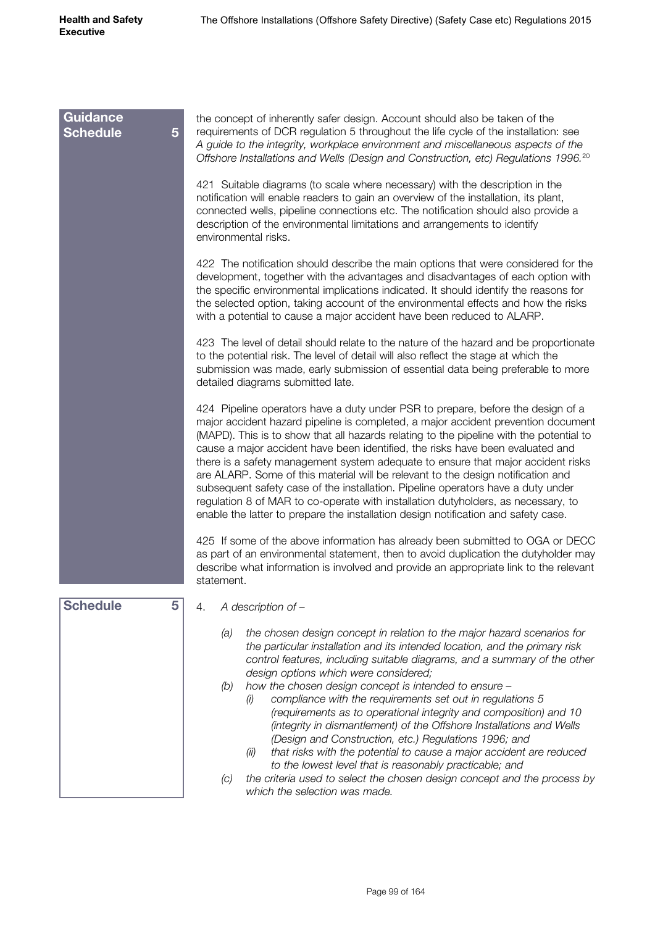| <b>Guidance</b><br><b>Schedule</b><br>5 | the concept of inherently safer design. Account should also be taken of the<br>requirements of DCR regulation 5 throughout the life cycle of the installation: see<br>A guide to the integrity, workplace environment and miscellaneous aspects of the<br>Offshore Installations and Wells (Design and Construction, etc) Regulations 1996. <sup>20</sup>                                                                                                                                                                                                                                                                                                                                                                                                                                |
|-----------------------------------------|------------------------------------------------------------------------------------------------------------------------------------------------------------------------------------------------------------------------------------------------------------------------------------------------------------------------------------------------------------------------------------------------------------------------------------------------------------------------------------------------------------------------------------------------------------------------------------------------------------------------------------------------------------------------------------------------------------------------------------------------------------------------------------------|
|                                         | 421 Suitable diagrams (to scale where necessary) with the description in the<br>notification will enable readers to gain an overview of the installation, its plant,<br>connected wells, pipeline connections etc. The notification should also provide a<br>description of the environmental limitations and arrangements to identify<br>environmental risks.                                                                                                                                                                                                                                                                                                                                                                                                                           |
|                                         | 422 The notification should describe the main options that were considered for the<br>development, together with the advantages and disadvantages of each option with<br>the specific environmental implications indicated. It should identify the reasons for<br>the selected option, taking account of the environmental effects and how the risks<br>with a potential to cause a major accident have been reduced to ALARP.                                                                                                                                                                                                                                                                                                                                                           |
|                                         | 423 The level of detail should relate to the nature of the hazard and be proportionate<br>to the potential risk. The level of detail will also reflect the stage at which the<br>submission was made, early submission of essential data being preferable to more<br>detailed diagrams submitted late.                                                                                                                                                                                                                                                                                                                                                                                                                                                                                   |
|                                         | 424 Pipeline operators have a duty under PSR to prepare, before the design of a<br>major accident hazard pipeline is completed, a major accident prevention document<br>(MAPD). This is to show that all hazards relating to the pipeline with the potential to<br>cause a major accident have been identified, the risks have been evaluated and<br>there is a safety management system adequate to ensure that major accident risks<br>are ALARP. Some of this material will be relevant to the design notification and<br>subsequent safety case of the installation. Pipeline operators have a duty under<br>regulation 8 of MAR to co-operate with installation dutyholders, as necessary, to<br>enable the latter to prepare the installation design notification and safety case. |
|                                         | 425 If some of the above information has already been submitted to OGA or DECC<br>as part of an environmental statement, then to avoid duplication the dutyholder may<br>describe what information is involved and provide an appropriate link to the relevant<br>statement.                                                                                                                                                                                                                                                                                                                                                                                                                                                                                                             |
| <b>Schedule</b><br>5                    | A description of -<br>4.                                                                                                                                                                                                                                                                                                                                                                                                                                                                                                                                                                                                                                                                                                                                                                 |
|                                         | the chosen design concept in relation to the major hazard scenarios for<br>(a)<br>the particular installation and its intended location, and the primary risk<br>control features, including suitable diagrams, and a summary of the other<br>design options which were considered;<br>how the chosen design concept is intended to ensure -<br>(b)<br>compliance with the requirements set out in regulations 5<br>(i)<br>(requirements as to operational integrity and composition) and 10<br>(integrity in dismantlement) of the Offshore Installations and Wells<br>(Design and Construction, etc.) Regulations 1996; and<br>that risks with the potential to cause a major accident are reduced<br>(ii)<br>to the lowest level that is reasonably practicable; and                  |
|                                         | the criteria used to select the chosen design concept and the process by<br>(C)<br>which the selection was made.                                                                                                                                                                                                                                                                                                                                                                                                                                                                                                                                                                                                                                                                         |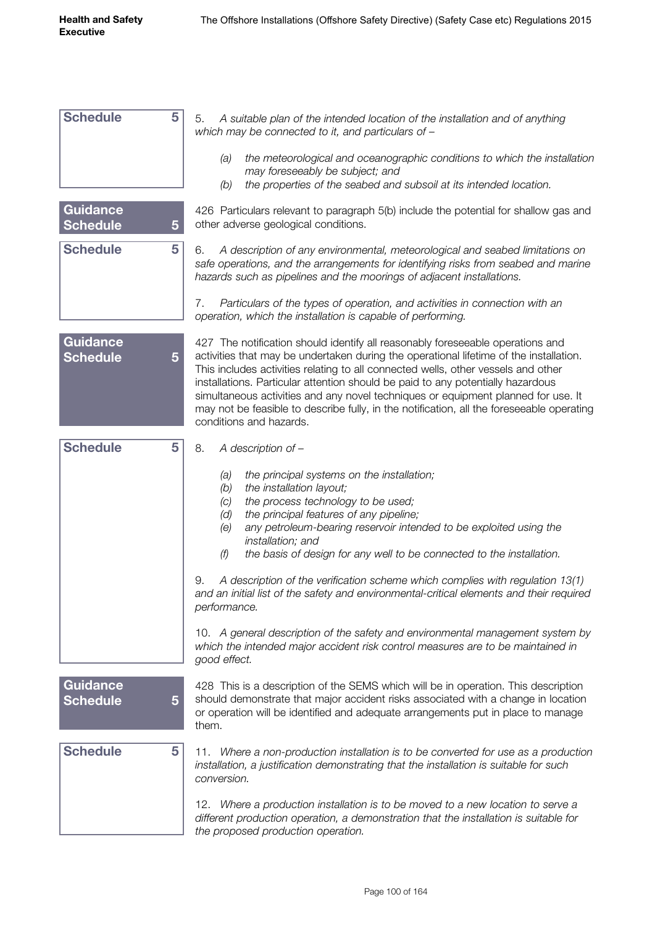| <b>Schedule</b>                    | 5              | 5.<br>A suitable plan of the intended location of the installation and of anything<br>which may be connected to it, and particulars of -                                                                                                                                                                                                                                                                                                                                                                                                                      |
|------------------------------------|----------------|---------------------------------------------------------------------------------------------------------------------------------------------------------------------------------------------------------------------------------------------------------------------------------------------------------------------------------------------------------------------------------------------------------------------------------------------------------------------------------------------------------------------------------------------------------------|
|                                    |                | the meteorological and oceanographic conditions to which the installation<br>(a)<br>may foreseeably be subject; and                                                                                                                                                                                                                                                                                                                                                                                                                                           |
|                                    |                | the properties of the seabed and subsoil at its intended location.<br>(b)                                                                                                                                                                                                                                                                                                                                                                                                                                                                                     |
| <b>Guidance</b><br><b>Schedule</b> | $\overline{5}$ | 426 Particulars relevant to paragraph 5(b) include the potential for shallow gas and<br>other adverse geological conditions.                                                                                                                                                                                                                                                                                                                                                                                                                                  |
| <b>Schedule</b>                    | 5              | A description of any environmental, meteorological and seabed limitations on<br>6.<br>safe operations, and the arrangements for identifying risks from seabed and marine<br>hazards such as pipelines and the moorings of adjacent installations.                                                                                                                                                                                                                                                                                                             |
|                                    |                | 7.<br>Particulars of the types of operation, and activities in connection with an<br>operation, which the installation is capable of performing.                                                                                                                                                                                                                                                                                                                                                                                                              |
| <b>Guidance</b><br><b>Schedule</b> | 5              | 427 The notification should identify all reasonably foreseeable operations and<br>activities that may be undertaken during the operational lifetime of the installation.<br>This includes activities relating to all connected wells, other vessels and other<br>installations. Particular attention should be paid to any potentially hazardous<br>simultaneous activities and any novel techniques or equipment planned for use. It<br>may not be feasible to describe fully, in the notification, all the foreseeable operating<br>conditions and hazards. |
| <b>Schedule</b>                    | 5              | 8.<br>A description of -                                                                                                                                                                                                                                                                                                                                                                                                                                                                                                                                      |
|                                    |                | the principal systems on the installation;<br>(a)<br>the installation layout;<br>(b)<br>the process technology to be used;<br>(C)<br>the principal features of any pipeline;<br>(d)<br>any petroleum-bearing reservoir intended to be exploited using the<br>(e)<br>installation; and<br>the basis of design for any well to be connected to the installation.<br>(f)<br>A description of the verification scheme which complies with regulation 13(1)<br>9.                                                                                                  |
|                                    |                | and an initial list of the safety and environmental-critical elements and their required<br>performance.                                                                                                                                                                                                                                                                                                                                                                                                                                                      |
|                                    |                | 10. A general description of the safety and environmental management system by<br>which the intended major accident risk control measures are to be maintained in<br>good effect.                                                                                                                                                                                                                                                                                                                                                                             |
| <b>Guidance</b><br><b>Schedule</b> | 5              | 428 This is a description of the SEMS which will be in operation. This description<br>should demonstrate that major accident risks associated with a change in location<br>or operation will be identified and adequate arrangements put in place to manage<br>them.                                                                                                                                                                                                                                                                                          |
| <b>Schedule</b>                    | 5              | 11. Where a non-production installation is to be converted for use as a production<br>installation, a justification demonstrating that the installation is suitable for such<br>conversion.                                                                                                                                                                                                                                                                                                                                                                   |
|                                    |                | 12. Where a production installation is to be moved to a new location to serve a<br>different production operation, a demonstration that the installation is suitable for<br>the proposed production operation.                                                                                                                                                                                                                                                                                                                                                |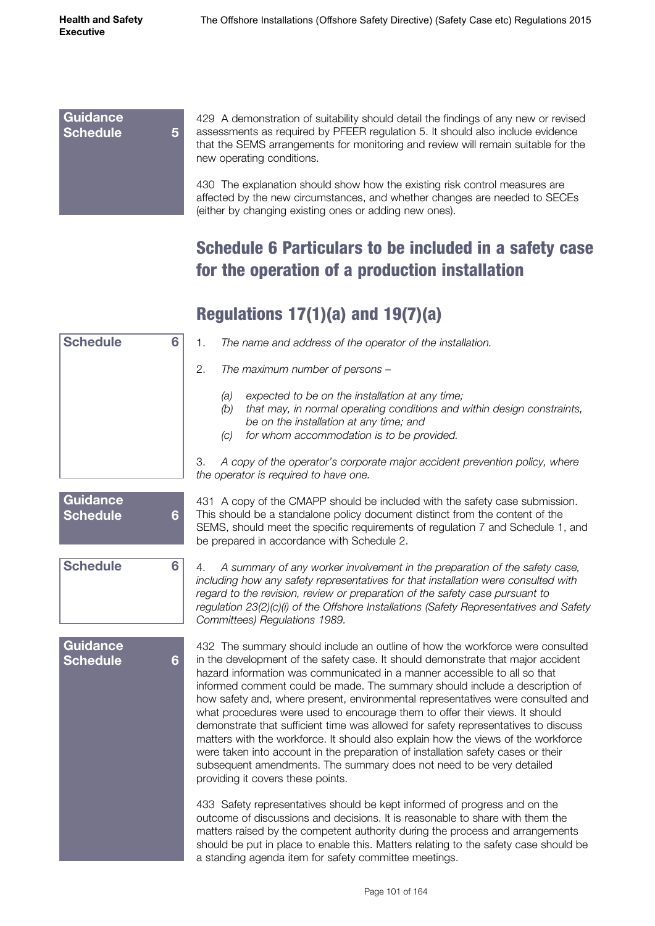#### **Guidance Schedule 5**

429 A demonstration of suitability should detail the findings of any new or revised assessments as required by PFEER regulation 5. It should also include evidence that the SEMS arrangements for monitoring and review will remain suitable for the new operating conditions.

430 The explanation should show how the existing risk control measures are affected by the new circumstances, and whether changes are needed to SECEs (either by changing existing ones or adding new ones).

# Schedule 6 Particulars to be included in a safety case for the operation of a production installation

# Regulations 17(1)(a) and 19(7)(a)

| <b>Schedule</b>                    | 6               | 1.<br>The name and address of the operator of the installation.                                                                                                                                                                                                                                                                                                                                                                                                                                                                                                                                                                                                                                                                                                                                                                                                             |
|------------------------------------|-----------------|-----------------------------------------------------------------------------------------------------------------------------------------------------------------------------------------------------------------------------------------------------------------------------------------------------------------------------------------------------------------------------------------------------------------------------------------------------------------------------------------------------------------------------------------------------------------------------------------------------------------------------------------------------------------------------------------------------------------------------------------------------------------------------------------------------------------------------------------------------------------------------|
|                                    |                 | 2.<br>The maximum number of persons -                                                                                                                                                                                                                                                                                                                                                                                                                                                                                                                                                                                                                                                                                                                                                                                                                                       |
|                                    |                 | expected to be on the installation at any time;<br>(a)<br>that may, in normal operating conditions and within design constraints,<br>(b)<br>be on the installation at any time; and<br>for whom accommodation is to be provided.<br>(C)                                                                                                                                                                                                                                                                                                                                                                                                                                                                                                                                                                                                                                     |
|                                    |                 | 3.<br>A copy of the operator's corporate major accident prevention policy, where<br>the operator is required to have one.                                                                                                                                                                                                                                                                                                                                                                                                                                                                                                                                                                                                                                                                                                                                                   |
| <b>Guidance</b><br><b>Schedule</b> | $6\phantom{1}6$ | 431 A copy of the CMAPP should be included with the safety case submission.<br>This should be a standalone policy document distinct from the content of the<br>SEMS, should meet the specific requirements of regulation 7 and Schedule 1, and<br>be prepared in accordance with Schedule 2.                                                                                                                                                                                                                                                                                                                                                                                                                                                                                                                                                                                |
| <b>Schedule</b>                    | 6               | A summary of any worker involvement in the preparation of the safety case,<br>4.<br>including how any safety representatives for that installation were consulted with<br>regard to the revision, review or preparation of the safety case pursuant to<br>regulation 23(2)(c)(i) of the Offshore Installations (Safety Representatives and Safety<br>Committees) Regulations 1989.                                                                                                                                                                                                                                                                                                                                                                                                                                                                                          |
| <b>Guidance</b><br><b>Schedule</b> | $6\phantom{1}$  | 432 The summary should include an outline of how the workforce were consulted<br>in the development of the safety case. It should demonstrate that major accident<br>hazard information was communicated in a manner accessible to all so that<br>informed comment could be made. The summary should include a description of<br>how safety and, where present, environmental representatives were consulted and<br>what procedures were used to encourage them to offer their views. It should<br>demonstrate that sufficient time was allowed for safety representatives to discuss<br>matters with the workforce. It should also explain how the views of the workforce<br>were taken into account in the preparation of installation safety cases or their<br>subsequent amendments. The summary does not need to be very detailed<br>providing it covers these points. |
|                                    |                 | 433 Safety representatives should be kept informed of progress and on the<br>outcome of discussions and decisions. It is reasonable to share with them the<br>matters raised by the competent authority during the process and arrangements<br>should be put in place to enable this. Matters relating to the safety case should be<br>a standing agenda item for safety committee meetings.                                                                                                                                                                                                                                                                                                                                                                                                                                                                                |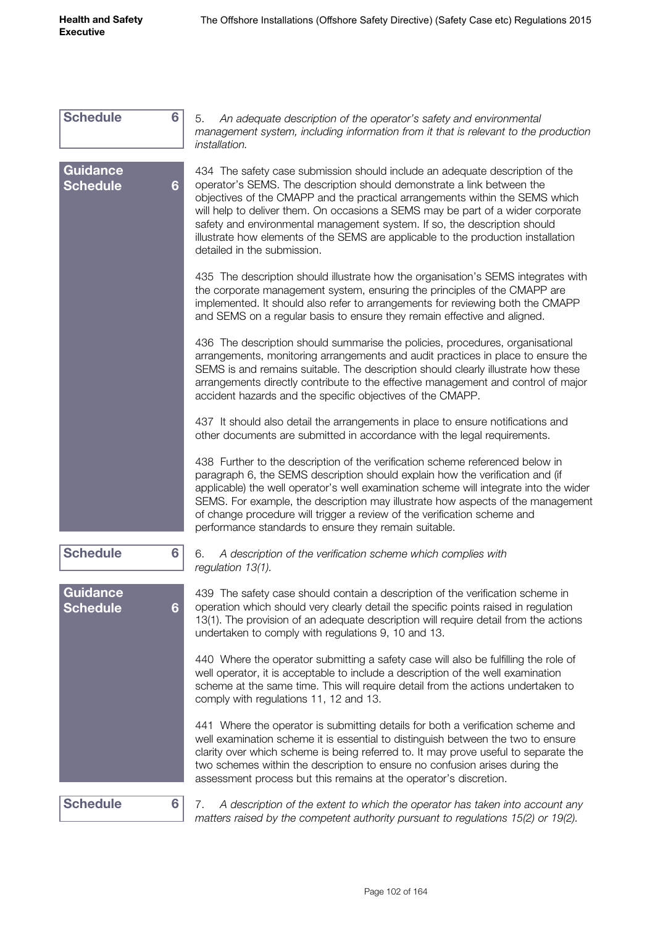| <b>Schedule</b>                    | 6 | 5.<br>An adequate description of the operator's safety and environmental<br>management system, including information from it that is relevant to the production<br>installation.                                                                                                                                                                                                                                                                                                                                           |
|------------------------------------|---|----------------------------------------------------------------------------------------------------------------------------------------------------------------------------------------------------------------------------------------------------------------------------------------------------------------------------------------------------------------------------------------------------------------------------------------------------------------------------------------------------------------------------|
| <b>Guidance</b><br><b>Schedule</b> | 6 | 434 The safety case submission should include an adequate description of the<br>operator's SEMS. The description should demonstrate a link between the<br>objectives of the CMAPP and the practical arrangements within the SEMS which<br>will help to deliver them. On occasions a SEMS may be part of a wider corporate<br>safety and environmental management system. If so, the description should<br>illustrate how elements of the SEMS are applicable to the production installation<br>detailed in the submission. |
|                                    |   | 435 The description should illustrate how the organisation's SEMS integrates with<br>the corporate management system, ensuring the principles of the CMAPP are<br>implemented. It should also refer to arrangements for reviewing both the CMAPP<br>and SEMS on a regular basis to ensure they remain effective and aligned.                                                                                                                                                                                               |
|                                    |   | 436 The description should summarise the policies, procedures, organisational<br>arrangements, monitoring arrangements and audit practices in place to ensure the<br>SEMS is and remains suitable. The description should clearly illustrate how these<br>arrangements directly contribute to the effective management and control of major<br>accident hazards and the specific objectives of the CMAPP.                                                                                                                  |
|                                    |   | 437 It should also detail the arrangements in place to ensure notifications and<br>other documents are submitted in accordance with the legal requirements.                                                                                                                                                                                                                                                                                                                                                                |
|                                    |   | 438 Further to the description of the verification scheme referenced below in<br>paragraph 6, the SEMS description should explain how the verification and (if<br>applicable) the well operator's well examination scheme will integrate into the wider<br>SEMS. For example, the description may illustrate how aspects of the management<br>of change procedure will trigger a review of the verification scheme and<br>performance standards to ensure they remain suitable.                                            |
| <b>Schedule</b>                    | 6 | A description of the verification scheme which complies with<br>6.<br>regulation 13(1).                                                                                                                                                                                                                                                                                                                                                                                                                                    |
| <b>Guidance</b><br><b>Schedule</b> | 6 | 439 The safety case should contain a description of the verification scheme in<br>operation which should very clearly detail the specific points raised in regulation<br>13(1). The provision of an adequate description will require detail from the actions<br>undertaken to comply with regulations 9, 10 and 13.                                                                                                                                                                                                       |
|                                    |   | 440 Where the operator submitting a safety case will also be fulfilling the role of<br>well operator, it is acceptable to include a description of the well examination<br>scheme at the same time. This will require detail from the actions undertaken to<br>comply with regulations 11, 12 and 13.                                                                                                                                                                                                                      |
|                                    |   | 441 Where the operator is submitting details for both a verification scheme and<br>well examination scheme it is essential to distinguish between the two to ensure<br>clarity over which scheme is being referred to. It may prove useful to separate the<br>two schemes within the description to ensure no confusion arises during the<br>assessment process but this remains at the operator's discretion.                                                                                                             |
| <b>Schedule</b>                    | 6 | A description of the extent to which the operator has taken into account any<br>7.<br>matters raised by the competent authority pursuant to regulations $15(2)$ or $19(2)$ .                                                                                                                                                                                                                                                                                                                                               |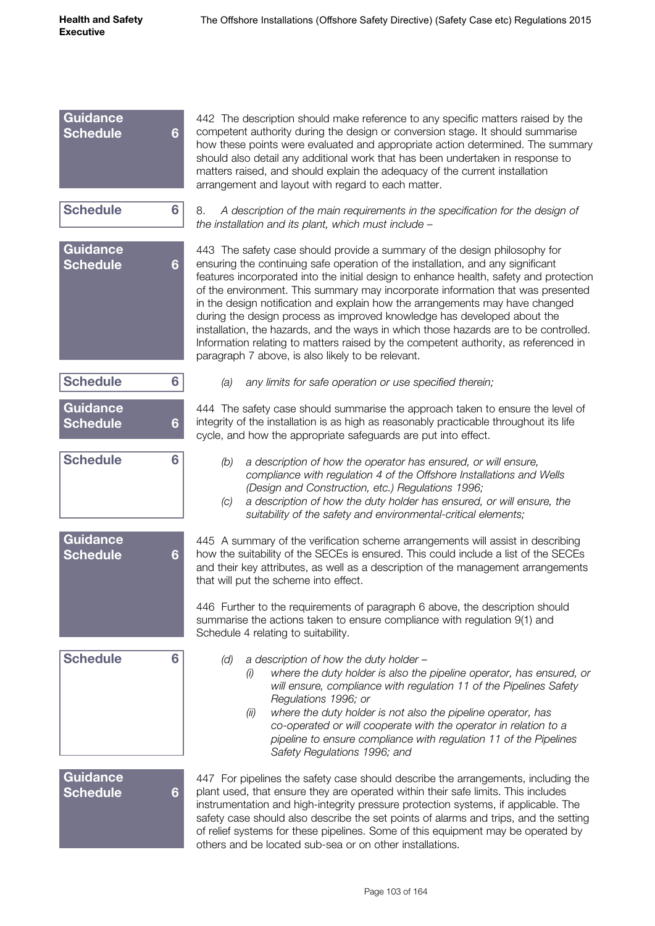| <b>Guidance</b><br><b>Schedule</b> | $6\phantom{1}$ | 442 The description should make reference to any specific matters raised by the<br>competent authority during the design or conversion stage. It should summarise<br>how these points were evaluated and appropriate action determined. The summary<br>should also detail any additional work that has been undertaken in response to<br>matters raised, and should explain the adequacy of the current installation<br>arrangement and layout with regard to each matter.                                                                                                                                                                                                                                                               |
|------------------------------------|----------------|------------------------------------------------------------------------------------------------------------------------------------------------------------------------------------------------------------------------------------------------------------------------------------------------------------------------------------------------------------------------------------------------------------------------------------------------------------------------------------------------------------------------------------------------------------------------------------------------------------------------------------------------------------------------------------------------------------------------------------------|
| <b>Schedule</b>                    | 6              | 8.<br>A description of the main requirements in the specification for the design of<br>the installation and its plant, which must include -                                                                                                                                                                                                                                                                                                                                                                                                                                                                                                                                                                                              |
| <b>Guidance</b><br><b>Schedule</b> | $6\phantom{1}$ | 443 The safety case should provide a summary of the design philosophy for<br>ensuring the continuing safe operation of the installation, and any significant<br>features incorporated into the initial design to enhance health, safety and protection<br>of the environment. This summary may incorporate information that was presented<br>in the design notification and explain how the arrangements may have changed<br>during the design process as improved knowledge has developed about the<br>installation, the hazards, and the ways in which those hazards are to be controlled.<br>Information relating to matters raised by the competent authority, as referenced in<br>paragraph 7 above, is also likely to be relevant. |
| <b>Schedule</b>                    | 6              | (a)<br>any limits for safe operation or use specified therein;                                                                                                                                                                                                                                                                                                                                                                                                                                                                                                                                                                                                                                                                           |
| <b>Guidance</b><br><b>Schedule</b> | 6              | 444 The safety case should summarise the approach taken to ensure the level of<br>integrity of the installation is as high as reasonably practicable throughout its life<br>cycle, and how the appropriate safeguards are put into effect.                                                                                                                                                                                                                                                                                                                                                                                                                                                                                               |
| <b>Schedule</b>                    | 6              | a description of how the operator has ensured, or will ensure,<br>(b)<br>compliance with regulation 4 of the Offshore Installations and Wells<br>(Design and Construction, etc.) Regulations 1996;<br>a description of how the duty holder has ensured, or will ensure, the<br>(C)<br>suitability of the safety and environmental-critical elements;                                                                                                                                                                                                                                                                                                                                                                                     |
| <b>Guidance</b><br><b>Schedule</b> | 6              | 445 A summary of the verification scheme arrangements will assist in describing<br>how the suitability of the SECEs is ensured. This could include a list of the SECEs<br>and their key attributes, as well as a description of the management arrangements<br>that will put the scheme into effect.                                                                                                                                                                                                                                                                                                                                                                                                                                     |
|                                    |                | 446 Further to the requirements of paragraph 6 above, the description should<br>summarise the actions taken to ensure compliance with regulation 9(1) and<br>Schedule 4 relating to suitability.                                                                                                                                                                                                                                                                                                                                                                                                                                                                                                                                         |
| <b>Schedule</b>                    | 6              | a description of how the duty holder -<br>(d)<br>where the duty holder is also the pipeline operator, has ensured, or<br>(i)<br>will ensure, compliance with regulation 11 of the Pipelines Safety<br>Regulations 1996; or<br>where the duty holder is not also the pipeline operator, has<br>(ii)<br>co-operated or will cooperate with the operator in relation to a<br>pipeline to ensure compliance with regulation 11 of the Pipelines<br>Safety Regulations 1996; and                                                                                                                                                                                                                                                              |
| <b>Guidance</b><br><b>Schedule</b> | $6\phantom{1}$ | 447 For pipelines the safety case should describe the arrangements, including the<br>plant used, that ensure they are operated within their safe limits. This includes<br>instrumentation and high-integrity pressure protection systems, if applicable. The<br>safety case should also describe the set points of alarms and trips, and the setting<br>of relief systems for these pipelines. Some of this equipment may be operated by<br>others and be located sub-sea or on other installations.                                                                                                                                                                                                                                     |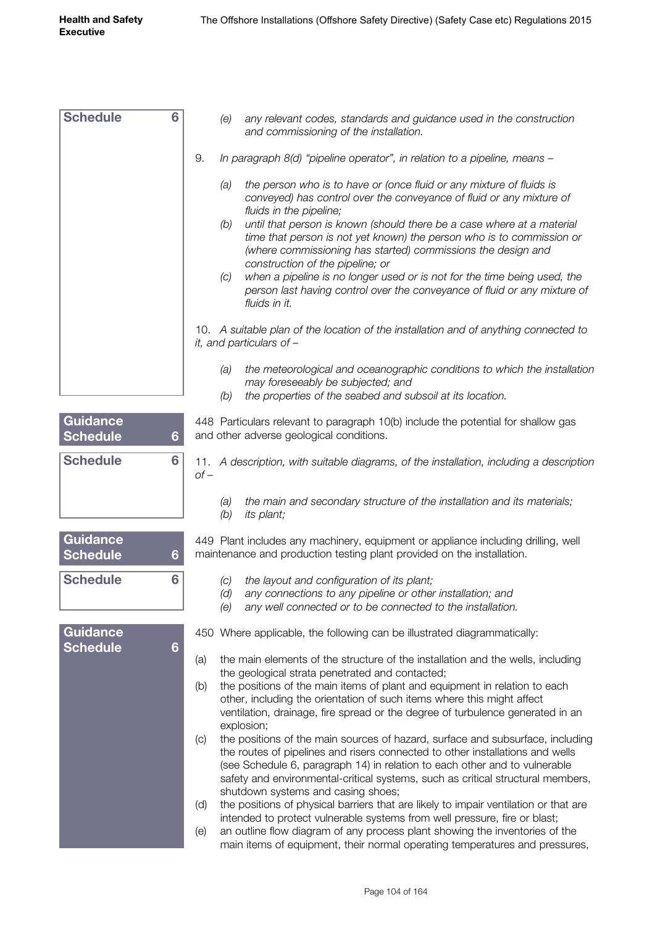| <b>Schedule</b>                    | 6 | any relevant codes, standards and guidance used in the construction<br>(e)<br>and commissioning of the installation.                                                                                                                                                                                                                                                          |  |
|------------------------------------|---|-------------------------------------------------------------------------------------------------------------------------------------------------------------------------------------------------------------------------------------------------------------------------------------------------------------------------------------------------------------------------------|--|
|                                    |   | 9.<br>In paragraph 8(d) "pipeline operator", in relation to a pipeline, means -                                                                                                                                                                                                                                                                                               |  |
|                                    |   | the person who is to have or (once fluid or any mixture of fluids is<br>(a)<br>conveyed) has control over the conveyance of fluid or any mixture of<br>fluids in the pipeline;<br>until that person is known (should there be a case where at a material<br>(b)<br>time that person is not yet known) the person who is to commission or                                      |  |
|                                    |   | (where commissioning has started) commissions the design and<br>construction of the pipeline; or                                                                                                                                                                                                                                                                              |  |
|                                    |   | when a pipeline is no longer used or is not for the time being used, the<br>(C)<br>person last having control over the conveyance of fluid or any mixture of<br>fluids in it.                                                                                                                                                                                                 |  |
|                                    |   | 10. A suitable plan of the location of the installation and of anything connected to<br>it, and particulars of $-$                                                                                                                                                                                                                                                            |  |
|                                    |   | the meteorological and oceanographic conditions to which the installation<br>(a)<br>may foreseeably be subjected; and<br>the properties of the seabed and subsoil at its location.<br>(b)                                                                                                                                                                                     |  |
|                                    |   |                                                                                                                                                                                                                                                                                                                                                                               |  |
| Guidance<br><b>Schedule</b>        | 6 | 448 Particulars relevant to paragraph 10(b) include the potential for shallow gas<br>and other adverse geological conditions.                                                                                                                                                                                                                                                 |  |
| <b>Schedule</b>                    | 6 | 11. A description, with suitable diagrams, of the installation, including a description<br>$of -$                                                                                                                                                                                                                                                                             |  |
|                                    |   | the main and secondary structure of the installation and its materials;<br>(a)<br>its plant;<br>(b)                                                                                                                                                                                                                                                                           |  |
| Guidance<br><b>Schedule</b>        | 6 | 449 Plant includes any machinery, equipment or appliance including drilling, well<br>maintenance and production testing plant provided on the installation.                                                                                                                                                                                                                   |  |
| <b>Schedule</b>                    | 6 | (c) the layout and configuration of its plant;                                                                                                                                                                                                                                                                                                                                |  |
|                                    |   | any connections to any pipeline or other installation; and<br>(d)<br>(e)<br>any well connected or to be connected to the installation.                                                                                                                                                                                                                                        |  |
| <b>Guidance</b><br><b>Schedule</b> | 6 | 450 Where applicable, the following can be illustrated diagrammatically:                                                                                                                                                                                                                                                                                                      |  |
|                                    |   | the main elements of the structure of the installation and the wells, including<br>(a)<br>the geological strata penetrated and contacted;                                                                                                                                                                                                                                     |  |
|                                    |   | the positions of the main items of plant and equipment in relation to each<br>(b)<br>other, including the orientation of such items where this might affect<br>ventilation, drainage, fire spread or the degree of turbulence generated in an<br>explosion;                                                                                                                   |  |
|                                    |   | the positions of the main sources of hazard, surface and subsurface, including<br>(C)<br>the routes of pipelines and risers connected to other installations and wells<br>(see Schedule 6, paragraph 14) in relation to each other and to vulnerable<br>safety and environmental-critical systems, such as critical structural members,<br>shutdown systems and casing shoes; |  |
|                                    |   | the positions of physical barriers that are likely to impair ventilation or that are<br>(d)<br>intended to protect vulnerable systems from well pressure, fire or blast;                                                                                                                                                                                                      |  |
|                                    |   | an outline flow diagram of any process plant showing the inventories of the<br>(e)<br>main items of equipment, their normal operating temperatures and pressures,                                                                                                                                                                                                             |  |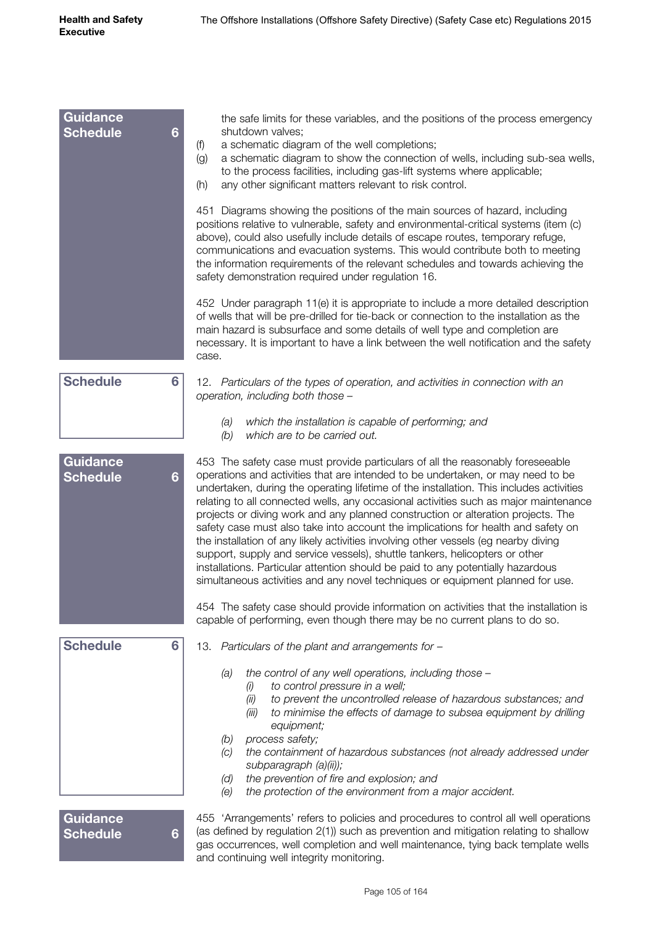| <b>Guidance</b>                         | the safe limits for these variables, and the positions of the process emergency                                                                                                                                                                                                                                                                                                                                                                                                                                                                                                                                                                                                                                                                                                                                                                                          |
|-----------------------------------------|--------------------------------------------------------------------------------------------------------------------------------------------------------------------------------------------------------------------------------------------------------------------------------------------------------------------------------------------------------------------------------------------------------------------------------------------------------------------------------------------------------------------------------------------------------------------------------------------------------------------------------------------------------------------------------------------------------------------------------------------------------------------------------------------------------------------------------------------------------------------------|
| <b>Schedule</b><br>$6\phantom{a}$       | shutdown valves;<br>a schematic diagram of the well completions;<br>(f)                                                                                                                                                                                                                                                                                                                                                                                                                                                                                                                                                                                                                                                                                                                                                                                                  |
|                                         | (g)<br>a schematic diagram to show the connection of wells, including sub-sea wells,                                                                                                                                                                                                                                                                                                                                                                                                                                                                                                                                                                                                                                                                                                                                                                                     |
|                                         | to the process facilities, including gas-lift systems where applicable;<br>(h)<br>any other significant matters relevant to risk control.                                                                                                                                                                                                                                                                                                                                                                                                                                                                                                                                                                                                                                                                                                                                |
|                                         | 451 Diagrams showing the positions of the main sources of hazard, including<br>positions relative to vulnerable, safety and environmental-critical systems (item (c)<br>above), could also usefully include details of escape routes, temporary refuge,<br>communications and evacuation systems. This would contribute both to meeting<br>the information requirements of the relevant schedules and towards achieving the<br>safety demonstration required under regulation 16.                                                                                                                                                                                                                                                                                                                                                                                        |
|                                         | 452 Under paragraph 11(e) it is appropriate to include a more detailed description<br>of wells that will be pre-drilled for tie-back or connection to the installation as the<br>main hazard is subsurface and some details of well type and completion are<br>necessary. It is important to have a link between the well notification and the safety<br>case.                                                                                                                                                                                                                                                                                                                                                                                                                                                                                                           |
| <b>Schedule</b><br>6                    | 12. Particulars of the types of operation, and activities in connection with an<br>operation, including both those -                                                                                                                                                                                                                                                                                                                                                                                                                                                                                                                                                                                                                                                                                                                                                     |
|                                         | which the installation is capable of performing; and<br>(a)<br>(b)<br>which are to be carried out.                                                                                                                                                                                                                                                                                                                                                                                                                                                                                                                                                                                                                                                                                                                                                                       |
| <b>Guidance</b><br><b>Schedule</b><br>6 | 453 The safety case must provide particulars of all the reasonably foreseeable<br>operations and activities that are intended to be undertaken, or may need to be<br>undertaken, during the operating lifetime of the installation. This includes activities<br>relating to all connected wells, any occasional activities such as major maintenance<br>projects or diving work and any planned construction or alteration projects. The<br>safety case must also take into account the implications for health and safety on<br>the installation of any likely activities involving other vessels (eg nearby diving<br>support, supply and service vessels), shuttle tankers, helicopters or other<br>installations. Particular attention should be paid to any potentially hazardous<br>simultaneous activities and any novel techniques or equipment planned for use. |
|                                         | 454 The safety case should provide information on activities that the installation is<br>capable of performing, even though there may be no current plans to do so.                                                                                                                                                                                                                                                                                                                                                                                                                                                                                                                                                                                                                                                                                                      |
| <b>Schedule</b><br>6                    | 13. Particulars of the plant and arrangements for -                                                                                                                                                                                                                                                                                                                                                                                                                                                                                                                                                                                                                                                                                                                                                                                                                      |
|                                         | the control of any well operations, including those -<br>(a)<br>to control pressure in a well;<br>(i)<br>to prevent the uncontrolled release of hazardous substances; and<br>(ii)                                                                                                                                                                                                                                                                                                                                                                                                                                                                                                                                                                                                                                                                                        |
|                                         | to minimise the effects of damage to subsea equipment by drilling<br>(iii)<br>equipment;                                                                                                                                                                                                                                                                                                                                                                                                                                                                                                                                                                                                                                                                                                                                                                                 |
|                                         | (b)<br>process safety;<br>the containment of hazardous substances (not already addressed under<br>(C)<br>subparagraph (a)(ii));                                                                                                                                                                                                                                                                                                                                                                                                                                                                                                                                                                                                                                                                                                                                          |
|                                         | the prevention of fire and explosion; and<br>(d)<br>the protection of the environment from a major accident.<br>(e)                                                                                                                                                                                                                                                                                                                                                                                                                                                                                                                                                                                                                                                                                                                                                      |
| <b>Guidance</b><br><b>Schedule</b><br>6 | 455 'Arrangements' refers to policies and procedures to control all well operations<br>(as defined by regulation 2(1)) such as prevention and mitigation relating to shallow<br>gas occurrences, well completion and well maintenance, tying back template wells                                                                                                                                                                                                                                                                                                                                                                                                                                                                                                                                                                                                         |

and continuing well integrity monitoring.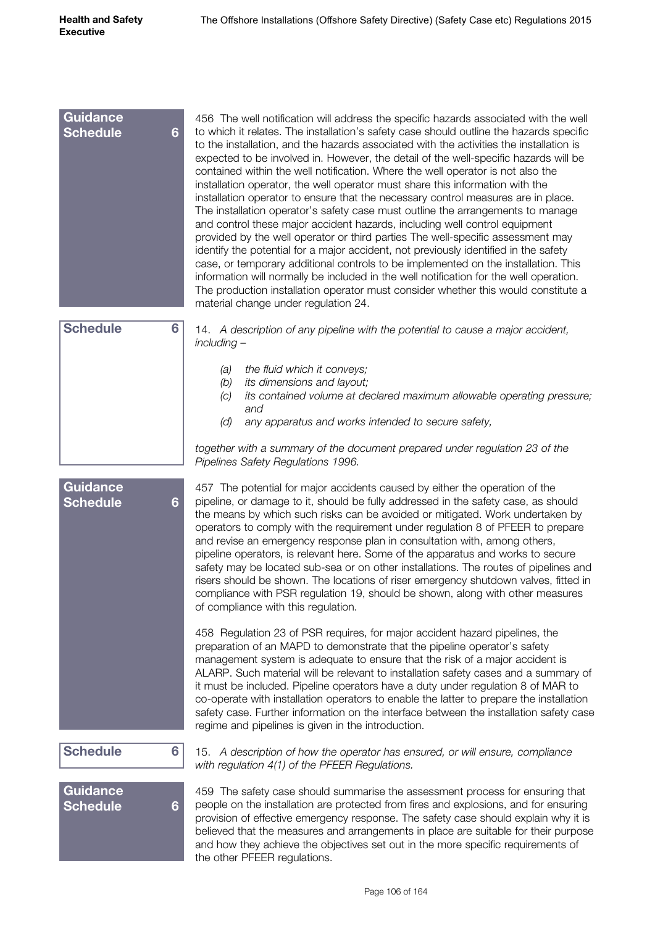| <b>Guidance</b><br><b>Schedule</b><br>6              | 456 The well notification will address the specific hazards associated with the well<br>to which it relates. The installation's safety case should outline the hazards specific<br>to the installation, and the hazards associated with the activities the installation is<br>expected to be involved in. However, the detail of the well-specific hazards will be<br>contained within the well notification. Where the well operator is not also the<br>installation operator, the well operator must share this information with the<br>installation operator to ensure that the necessary control measures are in place.<br>The installation operator's safety case must outline the arrangements to manage<br>and control these major accident hazards, including well control equipment<br>provided by the well operator or third parties The well-specific assessment may<br>identify the potential for a major accident, not previously identified in the safety<br>case, or temporary additional controls to be implemented on the installation. This<br>information will normally be included in the well notification for the well operation.<br>The production installation operator must consider whether this would constitute a<br>material change under regulation 24. |
|------------------------------------------------------|---------------------------------------------------------------------------------------------------------------------------------------------------------------------------------------------------------------------------------------------------------------------------------------------------------------------------------------------------------------------------------------------------------------------------------------------------------------------------------------------------------------------------------------------------------------------------------------------------------------------------------------------------------------------------------------------------------------------------------------------------------------------------------------------------------------------------------------------------------------------------------------------------------------------------------------------------------------------------------------------------------------------------------------------------------------------------------------------------------------------------------------------------------------------------------------------------------------------------------------------------------------------------------------|
| <b>Schedule</b><br>6                                 | 14. A description of any pipeline with the potential to cause a major accident,<br>$including -$                                                                                                                                                                                                                                                                                                                                                                                                                                                                                                                                                                                                                                                                                                                                                                                                                                                                                                                                                                                                                                                                                                                                                                                      |
|                                                      | the fluid which it conveys;<br>(a)<br>its dimensions and layout;<br>(b)<br>its contained volume at declared maximum allowable operating pressure;<br>(C)<br>and<br>(d)<br>any apparatus and works intended to secure safety,                                                                                                                                                                                                                                                                                                                                                                                                                                                                                                                                                                                                                                                                                                                                                                                                                                                                                                                                                                                                                                                          |
|                                                      | together with a summary of the document prepared under regulation 23 of the<br>Pipelines Safety Regulations 1996.                                                                                                                                                                                                                                                                                                                                                                                                                                                                                                                                                                                                                                                                                                                                                                                                                                                                                                                                                                                                                                                                                                                                                                     |
| <b>Guidance</b><br><b>Schedule</b><br>$6\phantom{1}$ | 457 The potential for major accidents caused by either the operation of the<br>pipeline, or damage to it, should be fully addressed in the safety case, as should<br>the means by which such risks can be avoided or mitigated. Work undertaken by<br>operators to comply with the requirement under regulation 8 of PFEER to prepare<br>and revise an emergency response plan in consultation with, among others,<br>pipeline operators, is relevant here. Some of the apparatus and works to secure<br>safety may be located sub-sea or on other installations. The routes of pipelines and<br>risers should be shown. The locations of riser emergency shutdown valves, fitted in<br>compliance with PSR regulation 19, should be shown, along with other measures<br>of compliance with this regulation.                                                                                                                                                                                                                                                                                                                                                                                                                                                                          |
|                                                      | 458 Regulation 23 of PSR requires, for major accident hazard pipelines, the<br>preparation of an MAPD to demonstrate that the pipeline operator's safety<br>management system is adequate to ensure that the risk of a major accident is<br>ALARP. Such material will be relevant to installation safety cases and a summary of<br>it must be included. Pipeline operators have a duty under regulation 8 of MAR to<br>co-operate with installation operators to enable the latter to prepare the installation<br>safety case. Further information on the interface between the installation safety case<br>regime and pipelines is given in the introduction.                                                                                                                                                                                                                                                                                                                                                                                                                                                                                                                                                                                                                        |
| <b>Schedule</b><br>6                                 | 15. A description of how the operator has ensured, or will ensure, compliance<br>with regulation 4(1) of the PFEER Regulations.                                                                                                                                                                                                                                                                                                                                                                                                                                                                                                                                                                                                                                                                                                                                                                                                                                                                                                                                                                                                                                                                                                                                                       |
| <b>Guidance</b><br><b>Schedule</b><br>6              | 459 The safety case should summarise the assessment process for ensuring that<br>people on the installation are protected from fires and explosions, and for ensuring<br>provision of effective emergency response. The safety case should explain why it is<br>believed that the measures and arrangements in place are suitable for their purpose<br>and how they achieve the objectives set out in the more specific requirements of<br>the other PFEER regulations.                                                                                                                                                                                                                                                                                                                                                                                                                                                                                                                                                                                                                                                                                                                                                                                                               |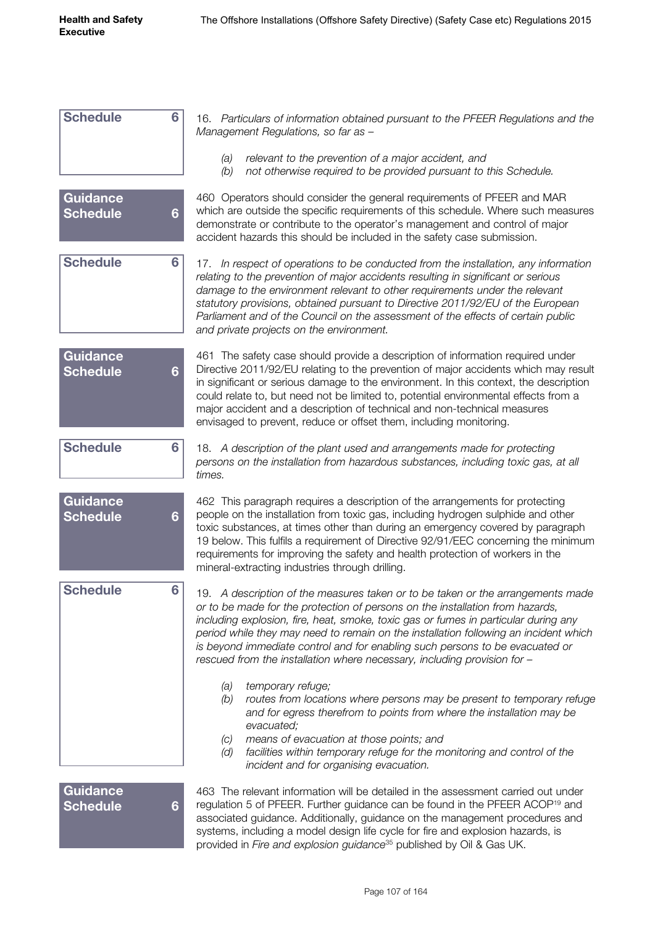| <b>Schedule</b>                    | 6 | 16. Particulars of information obtained pursuant to the PFEER Regulations and the<br>Management Regulations, so far as -                                                                                                                                                                                                                                                                                                                                                                                    |
|------------------------------------|---|-------------------------------------------------------------------------------------------------------------------------------------------------------------------------------------------------------------------------------------------------------------------------------------------------------------------------------------------------------------------------------------------------------------------------------------------------------------------------------------------------------------|
|                                    |   | (a)<br>relevant to the prevention of a major accident, and<br>(b)<br>not otherwise required to be provided pursuant to this Schedule.                                                                                                                                                                                                                                                                                                                                                                       |
| <b>Guidance</b><br><b>Schedule</b> | 6 | 460 Operators should consider the general requirements of PFEER and MAR<br>which are outside the specific requirements of this schedule. Where such measures<br>demonstrate or contribute to the operator's management and control of major<br>accident hazards this should be included in the safety case submission.                                                                                                                                                                                      |
| <b>Schedule</b>                    | 6 | 17. In respect of operations to be conducted from the installation, any information<br>relating to the prevention of major accidents resulting in significant or serious<br>damage to the environment relevant to other requirements under the relevant<br>statutory provisions, obtained pursuant to Directive 2011/92/EU of the European<br>Parliament and of the Council on the assessment of the effects of certain public<br>and private projects on the environment.                                  |
| <b>Guidance</b><br><b>Schedule</b> | 6 | 461 The safety case should provide a description of information required under<br>Directive 2011/92/EU relating to the prevention of major accidents which may result<br>in significant or serious damage to the environment. In this context, the description<br>could relate to, but need not be limited to, potential environmental effects from a<br>major accident and a description of technical and non-technical measures<br>envisaged to prevent, reduce or offset them, including monitoring.     |
| <b>Schedule</b>                    | 6 | 18. A description of the plant used and arrangements made for protecting<br>persons on the installation from hazardous substances, including toxic gas, at all<br>times.                                                                                                                                                                                                                                                                                                                                    |
| <b>Guidance</b><br><b>Schedule</b> | 6 | 462 This paragraph requires a description of the arrangements for protecting<br>people on the installation from toxic gas, including hydrogen sulphide and other<br>toxic substances, at times other than during an emergency covered by paragraph<br>19 below. This fulfils a requirement of Directive 92/91/EEC concerning the minimum<br>requirements for improving the safety and health protection of workers in the<br>mineral-extracting industries through drilling.                                |
| <b>Schedule</b>                    | 6 | 19. A description of the measures taken or to be taken or the arrangements made<br>or to be made for the protection of persons on the installation from hazards,<br>including explosion, fire, heat, smoke, toxic gas or fumes in particular during any<br>period while they may need to remain on the installation following an incident which<br>is beyond immediate control and for enabling such persons to be evacuated or<br>rescued from the installation where necessary, including provision for - |
|                                    |   | temporary refuge;<br>(a)<br>routes from locations where persons may be present to temporary refuge<br>(b)<br>and for egress therefrom to points from where the installation may be<br>evacuated;<br>means of evacuation at those points; and<br>(C)<br>facilities within temporary refuge for the monitoring and control of the<br>(d)<br>incident and for organising evacuation.                                                                                                                           |
| <b>Guidance</b><br><b>Schedule</b> | 6 | 463 The relevant information will be detailed in the assessment carried out under<br>regulation 5 of PFEER. Further guidance can be found in the PFEER ACOP <sup>19</sup> and<br>associated guidance. Additionally, guidance on the management procedures and<br>systems, including a model design life cycle for fire and explosion hazards, is                                                                                                                                                            |

provided in *Fire and explosion guidance*35 published by Oil & Gas UK.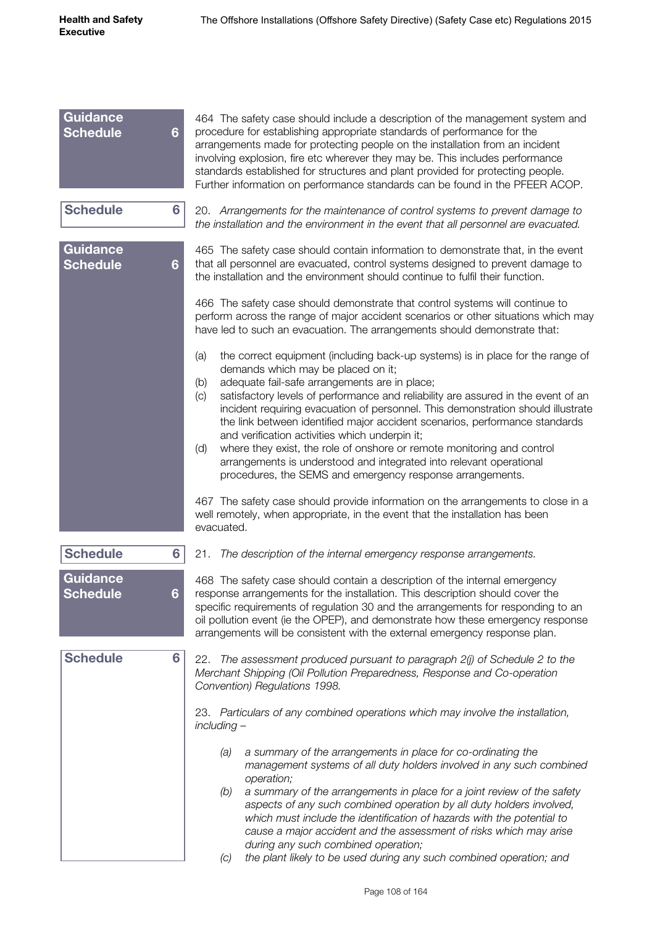| Guidance<br><b>Schedule</b>        | $6\phantom{a}$ | 464 The safety case should include a description of the management system and<br>procedure for establishing appropriate standards of performance for the<br>arrangements made for protecting people on the installation from an incident<br>involving explosion, fire etc wherever they may be. This includes performance<br>standards established for structures and plant provided for protecting people.<br>Further information on performance standards can be found in the PFEER ACOP.                                                                                                                                                                                                                               |
|------------------------------------|----------------|---------------------------------------------------------------------------------------------------------------------------------------------------------------------------------------------------------------------------------------------------------------------------------------------------------------------------------------------------------------------------------------------------------------------------------------------------------------------------------------------------------------------------------------------------------------------------------------------------------------------------------------------------------------------------------------------------------------------------|
| <b>Schedule</b>                    | 6              | 20. Arrangements for the maintenance of control systems to prevent damage to<br>the installation and the environment in the event that all personnel are evacuated.                                                                                                                                                                                                                                                                                                                                                                                                                                                                                                                                                       |
| <b>Guidance</b><br><b>Schedule</b> | $6\phantom{a}$ | 465 The safety case should contain information to demonstrate that, in the event<br>that all personnel are evacuated, control systems designed to prevent damage to<br>the installation and the environment should continue to fulfil their function.                                                                                                                                                                                                                                                                                                                                                                                                                                                                     |
|                                    |                | 466 The safety case should demonstrate that control systems will continue to<br>perform across the range of major accident scenarios or other situations which may<br>have led to such an evacuation. The arrangements should demonstrate that:                                                                                                                                                                                                                                                                                                                                                                                                                                                                           |
|                                    |                | the correct equipment (including back-up systems) is in place for the range of<br>(a)<br>demands which may be placed on it;<br>adequate fail-safe arrangements are in place;<br>(b)<br>satisfactory levels of performance and reliability are assured in the event of an<br>(c)<br>incident requiring evacuation of personnel. This demonstration should illustrate<br>the link between identified major accident scenarios, performance standards<br>and verification activities which underpin it;<br>where they exist, the role of onshore or remote monitoring and control<br>(d)<br>arrangements is understood and integrated into relevant operational<br>procedures, the SEMS and emergency response arrangements. |
|                                    |                | 467 The safety case should provide information on the arrangements to close in a<br>well remotely, when appropriate, in the event that the installation has been<br>evacuated.                                                                                                                                                                                                                                                                                                                                                                                                                                                                                                                                            |
| <b>Schedule</b>                    | 6              | 21.<br>The description of the internal emergency response arrangements.                                                                                                                                                                                                                                                                                                                                                                                                                                                                                                                                                                                                                                                   |
| <b>Guidance</b><br><b>Schedule</b> | 6              | 468 The safety case should contain a description of the internal emergency<br>response arrangements for the installation. This description should cover the<br>specific requirements of regulation 30 and the arrangements for responding to an<br>oil pollution event (ie the OPEP), and demonstrate how these emergency response<br>arrangements will be consistent with the external emergency response plan.                                                                                                                                                                                                                                                                                                          |
| <b>Schedule</b>                    | 6              | The assessment produced pursuant to paragraph 2(j) of Schedule 2 to the<br>22.<br>Merchant Shipping (Oil Pollution Preparedness, Response and Co-operation<br>Convention) Regulations 1998.                                                                                                                                                                                                                                                                                                                                                                                                                                                                                                                               |
|                                    |                | 23. Particulars of any combined operations which may involve the installation,<br>including -                                                                                                                                                                                                                                                                                                                                                                                                                                                                                                                                                                                                                             |
|                                    |                | a summary of the arrangements in place for co-ordinating the<br>(a)<br>management systems of all duty holders involved in any such combined<br>operation;<br>a summary of the arrangements in place for a joint review of the safety<br>(b)<br>aspects of any such combined operation by all duty holders involved,<br>which must include the identification of hazards with the potential to<br>cause a major accident and the assessment of risks which may arise<br>during any such combined operation;<br>the plant likely to be used during any such combined operation; and<br>(C)                                                                                                                                  |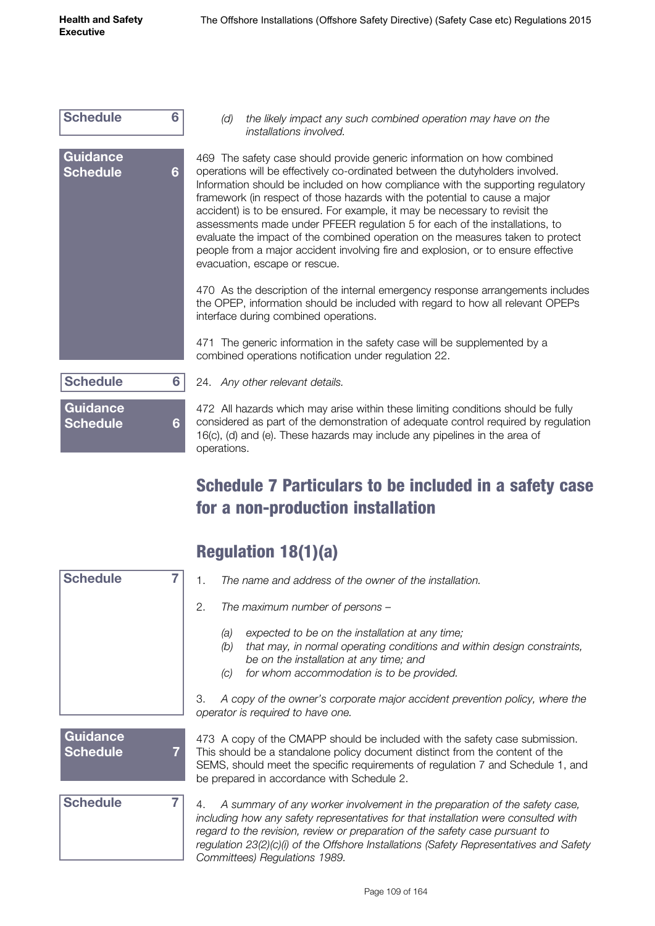| <b>Schedule</b>             | 6 | (                                                                                |
|-----------------------------|---|----------------------------------------------------------------------------------|
| Guidance<br><b>Schedule</b> | 6 | 469 -<br>opera<br>Inform<br>frame<br>accide<br>asses<br>evalua<br>peopl<br>evacu |
|                             |   | 470 /<br>the O<br>interfa                                                        |
|                             |   | 471<br>Ξ<br>comb                                                                 |
| Schedule                    | 6 | 24.<br>$\overline{\phantom{a}}$                                                  |
| Guidance<br><b>Schedule</b> | 6 | 472 /<br>consid<br>16(c),<br>onera                                               |

*(d) the likely impact any such combined operation may have on the installations involved.*

The safety case should provide generic information on how combined ations will be effectively co-ordinated between the dutyholders involved. nation should be included on how compliance with the supporting regulatory work (in respect of those hazards with the potential to cause a major ent) is to be ensured. For example, it may be necessary to revisit the sments made under PFEER regulation 5 for each of the installations, to ate the impact of the combined operation on the measures taken to protect le from a major accident involving fire and explosion, or to ensure effective ation, escape or rescue.

As the description of the internal emergency response arrangements includes PEP, information should be included with regard to how all relevant OPEPs ace during combined operations.

The generic information in the safety case will be supplemented by a ined operations notification under regulation 22.

24. *Any other relevant details.*

All hazards which may arise within these limiting conditions should be fully dered as part of the demonstration of adequate control required by regulation (d) and (e). These hazards may include any pipelines in the area of ations.

#### Schedule 7 Particulars to be included in a safety case for a non-production installation

| <b>Schedule</b>             | The name and address of the owner of the installation.<br>1.                                                                                                                                                                                                                                                                                                                       |
|-----------------------------|------------------------------------------------------------------------------------------------------------------------------------------------------------------------------------------------------------------------------------------------------------------------------------------------------------------------------------------------------------------------------------|
|                             | 2.<br>The maximum number of persons -                                                                                                                                                                                                                                                                                                                                              |
|                             | expected to be on the installation at any time;<br>(a)<br>that may, in normal operating conditions and within design constraints,<br>(b)<br>be on the installation at any time; and<br>for whom accommodation is to be provided.<br>(c)                                                                                                                                            |
|                             | A copy of the owner's corporate major accident prevention policy, where the<br>З.<br>operator is required to have one.                                                                                                                                                                                                                                                             |
| Guidance<br><b>Schedule</b> | 473 A copy of the CMAPP should be included with the safety case submission.<br>This should be a standalone policy document distinct from the content of the<br>SEMS, should meet the specific requirements of regulation 7 and Schedule 1, and<br>be prepared in accordance with Schedule 2.                                                                                       |
| <b>Schedule</b>             | A summary of any worker involvement in the preparation of the safety case,<br>4.<br>including how any safety representatives for that installation were consulted with<br>regard to the revision, review or preparation of the safety case pursuant to<br>regulation 23(2)(c)(i) of the Offshore Installations (Safety Representatives and Safety<br>Committees) Regulations 1989. |

#### Regulation 18(1)(a)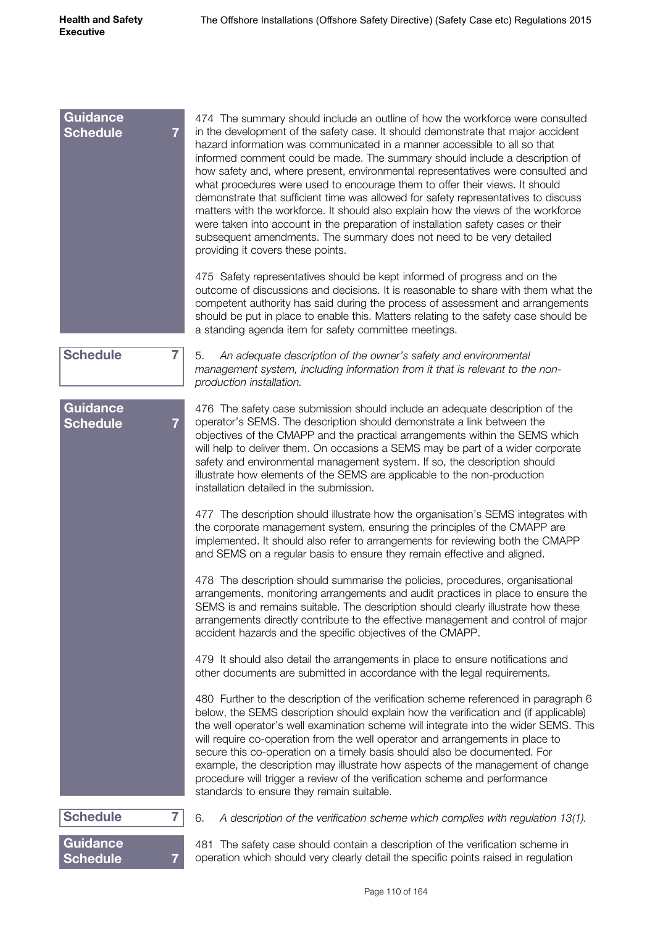| <b>Guidance</b><br><b>Schedule</b><br>$\overline{7}$ | 474 The summary should include an outline of how the workforce were consulted<br>in the development of the safety case. It should demonstrate that major accident<br>hazard information was communicated in a manner accessible to all so that<br>informed comment could be made. The summary should include a description of<br>how safety and, where present, environmental representatives were consulted and<br>what procedures were used to encourage them to offer their views. It should<br>demonstrate that sufficient time was allowed for safety representatives to discuss<br>matters with the workforce. It should also explain how the views of the workforce<br>were taken into account in the preparation of installation safety cases or their<br>subsequent amendments. The summary does not need to be very detailed<br>providing it covers these points. |
|------------------------------------------------------|-----------------------------------------------------------------------------------------------------------------------------------------------------------------------------------------------------------------------------------------------------------------------------------------------------------------------------------------------------------------------------------------------------------------------------------------------------------------------------------------------------------------------------------------------------------------------------------------------------------------------------------------------------------------------------------------------------------------------------------------------------------------------------------------------------------------------------------------------------------------------------|
|                                                      | 475 Safety representatives should be kept informed of progress and on the<br>outcome of discussions and decisions. It is reasonable to share with them what the<br>competent authority has said during the process of assessment and arrangements<br>should be put in place to enable this. Matters relating to the safety case should be<br>a standing agenda item for safety committee meetings.                                                                                                                                                                                                                                                                                                                                                                                                                                                                          |
| <b>Schedule</b><br>$\overline{7}$                    | 5.<br>An adequate description of the owner's safety and environmental<br>management system, including information from it that is relevant to the non-<br>production installation.                                                                                                                                                                                                                                                                                                                                                                                                                                                                                                                                                                                                                                                                                          |
| <b>Guidance</b><br><b>Schedule</b><br>$\overline{7}$ | 476 The safety case submission should include an adequate description of the<br>operator's SEMS. The description should demonstrate a link between the<br>objectives of the CMAPP and the practical arrangements within the SEMS which<br>will help to deliver them. On occasions a SEMS may be part of a wider corporate<br>safety and environmental management system. If so, the description should<br>illustrate how elements of the SEMS are applicable to the non-production<br>installation detailed in the submission.                                                                                                                                                                                                                                                                                                                                              |
|                                                      | 477 The description should illustrate how the organisation's SEMS integrates with<br>the corporate management system, ensuring the principles of the CMAPP are<br>implemented. It should also refer to arrangements for reviewing both the CMAPP<br>and SEMS on a regular basis to ensure they remain effective and aligned.                                                                                                                                                                                                                                                                                                                                                                                                                                                                                                                                                |
|                                                      | 478 The description should summarise the policies, procedures, organisational<br>arrangements, monitoring arrangements and audit practices in place to ensure the<br>SEMS is and remains suitable. The description should clearly illustrate how these<br>arrangements directly contribute to the effective management and control of major<br>accident hazards and the specific objectives of the CMAPP.                                                                                                                                                                                                                                                                                                                                                                                                                                                                   |
|                                                      | 479 It should also detail the arrangements in place to ensure notifications and<br>other documents are submitted in accordance with the legal requirements.                                                                                                                                                                                                                                                                                                                                                                                                                                                                                                                                                                                                                                                                                                                 |
|                                                      | 480 Further to the description of the verification scheme referenced in paragraph 6<br>below, the SEMS description should explain how the verification and (if applicable)<br>the well operator's well examination scheme will integrate into the wider SEMS. This<br>will require co-operation from the well operator and arrangements in place to<br>secure this co-operation on a timely basis should also be documented. For<br>example, the description may illustrate how aspects of the management of change<br>procedure will trigger a review of the verification scheme and performance<br>standards to ensure they remain suitable.                                                                                                                                                                                                                              |
| <b>Schedule</b><br>7                                 | 6.<br>A description of the verification scheme which complies with regulation 13(1).                                                                                                                                                                                                                                                                                                                                                                                                                                                                                                                                                                                                                                                                                                                                                                                        |
| <b>Guidance</b><br><b>Schedule</b><br>7              | 481 The safety case should contain a description of the verification scheme in<br>operation which should very clearly detail the specific points raised in regulation                                                                                                                                                                                                                                                                                                                                                                                                                                                                                                                                                                                                                                                                                                       |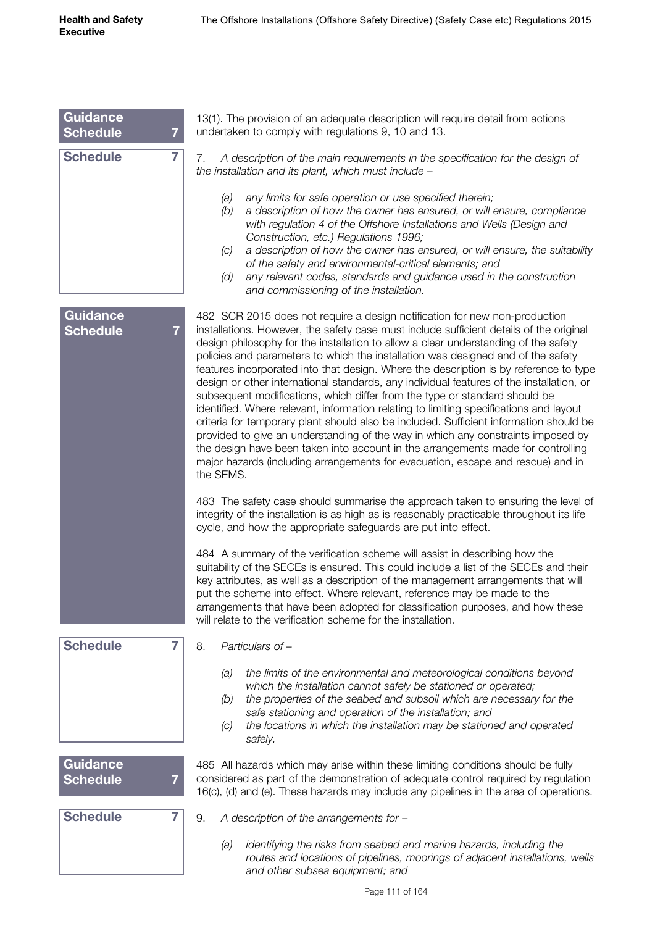| Guidance<br><b>Schedule</b><br>$\overline{7}$ | 13(1). The provision of an adequate description will require detail from actions<br>undertaken to comply with regulations 9, 10 and 13.                                                                                                                                                                                                                                                                                                                                                                                                                                                                                                                                                                                                                                                                                                                                                                                                                                                                                                                                         |
|-----------------------------------------------|---------------------------------------------------------------------------------------------------------------------------------------------------------------------------------------------------------------------------------------------------------------------------------------------------------------------------------------------------------------------------------------------------------------------------------------------------------------------------------------------------------------------------------------------------------------------------------------------------------------------------------------------------------------------------------------------------------------------------------------------------------------------------------------------------------------------------------------------------------------------------------------------------------------------------------------------------------------------------------------------------------------------------------------------------------------------------------|
| <b>Schedule</b><br>$\overline{7}$             | A description of the main requirements in the specification for the design of<br>7.<br>the installation and its plant, which must include -                                                                                                                                                                                                                                                                                                                                                                                                                                                                                                                                                                                                                                                                                                                                                                                                                                                                                                                                     |
|                                               | any limits for safe operation or use specified therein;<br>(a)<br>a description of how the owner has ensured, or will ensure, compliance<br>(b)<br>with regulation 4 of the Offshore Installations and Wells (Design and<br>Construction, etc.) Regulations 1996;<br>a description of how the owner has ensured, or will ensure, the suitability<br>(C)<br>of the safety and environmental-critical elements; and<br>any relevant codes, standards and guidance used in the construction<br>(d)<br>and commissioning of the installation.                                                                                                                                                                                                                                                                                                                                                                                                                                                                                                                                       |
| <b>Guidance</b><br><b>Schedule</b><br>7       | 482 SCR 2015 does not require a design notification for new non-production<br>installations. However, the safety case must include sufficient details of the original<br>design philosophy for the installation to allow a clear understanding of the safety<br>policies and parameters to which the installation was designed and of the safety<br>features incorporated into that design. Where the description is by reference to type<br>design or other international standards, any individual features of the installation, or<br>subsequent modifications, which differ from the type or standard should be<br>identified. Where relevant, information relating to limiting specifications and layout<br>criteria for temporary plant should also be included. Sufficient information should be<br>provided to give an understanding of the way in which any constraints imposed by<br>the design have been taken into account in the arrangements made for controlling<br>major hazards (including arrangements for evacuation, escape and rescue) and in<br>the SEMS. |
|                                               | 483 The safety case should summarise the approach taken to ensuring the level of<br>integrity of the installation is as high as is reasonably practicable throughout its life<br>cycle, and how the appropriate safeguards are put into effect.                                                                                                                                                                                                                                                                                                                                                                                                                                                                                                                                                                                                                                                                                                                                                                                                                                 |
|                                               | 484 A summary of the verification scheme will assist in describing how the<br>suitability of the SECEs is ensured. This could include a list of the SECEs and their<br>key attributes, as well as a description of the management arrangements that will<br>put the scheme into effect. Where relevant, reference may be made to the<br>arrangements that have been adopted for classification purposes, and how these<br>will relate to the verification scheme for the installation.                                                                                                                                                                                                                                                                                                                                                                                                                                                                                                                                                                                          |
| <b>Schedule</b><br>7                          | 8.<br>Particulars of -                                                                                                                                                                                                                                                                                                                                                                                                                                                                                                                                                                                                                                                                                                                                                                                                                                                                                                                                                                                                                                                          |
|                                               | the limits of the environmental and meteorological conditions beyond<br>(a)<br>which the installation cannot safely be stationed or operated;<br>the properties of the seabed and subsoil which are necessary for the<br>(b)<br>safe stationing and operation of the installation; and<br>the locations in which the installation may be stationed and operated<br>(C)<br>safely.                                                                                                                                                                                                                                                                                                                                                                                                                                                                                                                                                                                                                                                                                               |
| <b>Guidance</b><br><b>Schedule</b>            | 485 All hazards which may arise within these limiting conditions should be fully<br>considered as part of the demonstration of adequate control required by regulation<br>16(c), (d) and (e). These hazards may include any pipelines in the area of operations.                                                                                                                                                                                                                                                                                                                                                                                                                                                                                                                                                                                                                                                                                                                                                                                                                |
| <b>Schedule</b><br>7                          | 9.<br>A description of the arrangements for -                                                                                                                                                                                                                                                                                                                                                                                                                                                                                                                                                                                                                                                                                                                                                                                                                                                                                                                                                                                                                                   |
|                                               | identifying the risks from seabed and marine hazards, including the<br>(a)<br>routes and locations of pipelines, moorings of adjacent installations, wells<br>and other subsea equipment; and                                                                                                                                                                                                                                                                                                                                                                                                                                                                                                                                                                                                                                                                                                                                                                                                                                                                                   |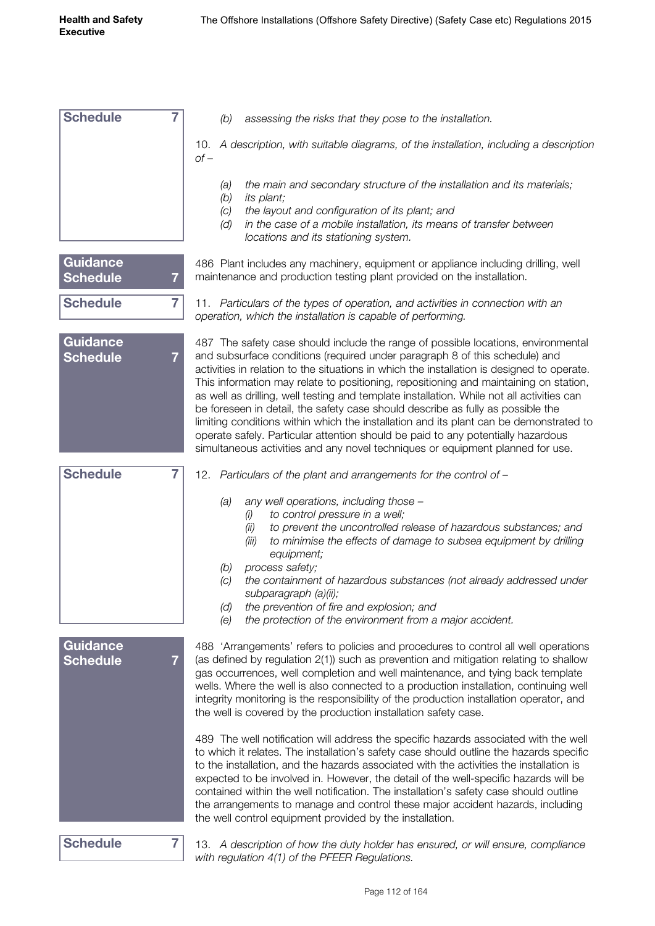| <b>Schedule</b>                    | $\overline{7}$ | assessing the risks that they pose to the installation.<br>(b)                                                                                                                                                                                                                                                                                                                                                                                                                                                                                                                                                                                                                                                                                                                                          |
|------------------------------------|----------------|---------------------------------------------------------------------------------------------------------------------------------------------------------------------------------------------------------------------------------------------------------------------------------------------------------------------------------------------------------------------------------------------------------------------------------------------------------------------------------------------------------------------------------------------------------------------------------------------------------------------------------------------------------------------------------------------------------------------------------------------------------------------------------------------------------|
|                                    |                | 10. A description, with suitable diagrams, of the installation, including a description<br>$of -$                                                                                                                                                                                                                                                                                                                                                                                                                                                                                                                                                                                                                                                                                                       |
|                                    |                | the main and secondary structure of the installation and its materials;<br>(a)<br>(b)<br>its plant;<br>the layout and configuration of its plant; and<br>(C)<br>in the case of a mobile installation, its means of transfer between<br>(d)<br>locations and its stationing system.                                                                                                                                                                                                                                                                                                                                                                                                                                                                                                                      |
| <b>Guidance</b><br><b>Schedule</b> | 7              | 486 Plant includes any machinery, equipment or appliance including drilling, well<br>maintenance and production testing plant provided on the installation.                                                                                                                                                                                                                                                                                                                                                                                                                                                                                                                                                                                                                                             |
| <b>Schedule</b>                    | $\overline{7}$ | 11. Particulars of the types of operation, and activities in connection with an<br>operation, which the installation is capable of performing.                                                                                                                                                                                                                                                                                                                                                                                                                                                                                                                                                                                                                                                          |
| <b>Guidance</b><br><b>Schedule</b> | $\overline{7}$ | 487 The safety case should include the range of possible locations, environmental<br>and subsurface conditions (required under paragraph 8 of this schedule) and<br>activities in relation to the situations in which the installation is designed to operate.<br>This information may relate to positioning, repositioning and maintaining on station,<br>as well as drilling, well testing and template installation. While not all activities can<br>be foreseen in detail, the safety case should describe as fully as possible the<br>limiting conditions within which the installation and its plant can be demonstrated to<br>operate safely. Particular attention should be paid to any potentially hazardous<br>simultaneous activities and any novel techniques or equipment planned for use. |
| <b>Schedule</b>                    | 7              | 12. Particulars of the plant and arrangements for the control of -                                                                                                                                                                                                                                                                                                                                                                                                                                                                                                                                                                                                                                                                                                                                      |
|                                    |                | any well operations, including those -<br>(a)<br>to control pressure in a well;<br>(i)<br>to prevent the uncontrolled release of hazardous substances; and<br>(ii)<br>(iii)<br>to minimise the effects of damage to subsea equipment by drilling<br>equipment;<br>process safety;<br>(b)<br>the containment of hazardous substances (not already addressed under<br>(C)<br>subparagraph (a)(ii);<br>the prevention of fire and explosion; and<br>(d)<br>(e)<br>the protection of the environment from a major accident.                                                                                                                                                                                                                                                                                 |
| <b>Guidance</b><br><b>Schedule</b> | 7              | 488 'Arrangements' refers to policies and procedures to control all well operations<br>(as defined by regulation 2(1)) such as prevention and mitigation relating to shallow<br>gas occurrences, well completion and well maintenance, and tying back template<br>wells. Where the well is also connected to a production installation, continuing well<br>integrity monitoring is the responsibility of the production installation operator, and<br>the well is covered by the production installation safety case.                                                                                                                                                                                                                                                                                   |
|                                    |                | 489 The well notification will address the specific hazards associated with the well<br>to which it relates. The installation's safety case should outline the hazards specific<br>to the installation, and the hazards associated with the activities the installation is<br>expected to be involved in. However, the detail of the well-specific hazards will be<br>contained within the well notification. The installation's safety case should outline<br>the arrangements to manage and control these major accident hazards, including<br>the well control equipment provided by the installation.                                                                                                                                                                                               |

**Schedule 7**

13. *A description of how the duty holder has ensured, or will ensure, compliance with regulation 4(1) of the PFEER Regulations.*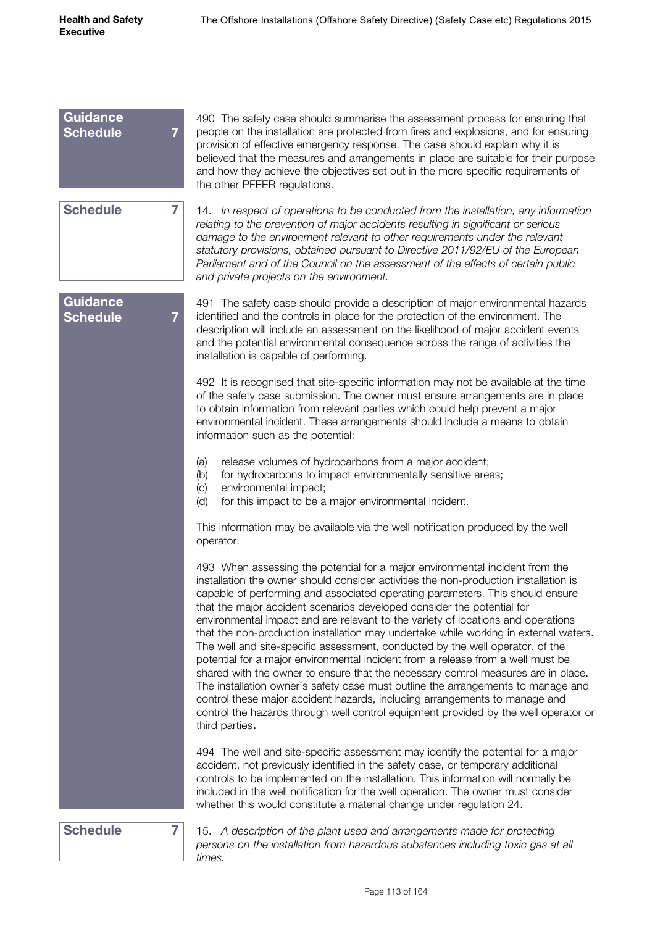| <b>Guidance</b><br><b>Schedule</b><br>$\overline{7}$ | 490 The safety case should summarise the assessment process for ensuring that<br>people on the installation are protected from fires and explosions, and for ensuring<br>provision of effective emergency response. The case should explain why it is<br>believed that the measures and arrangements in place are suitable for their purpose<br>and how they achieve the objectives set out in the more specific requirements of<br>the other PFEER regulations.                                                                                                                                                                                                                                                                                                                                                                                                                                                                                                                                                                                |
|------------------------------------------------------|-------------------------------------------------------------------------------------------------------------------------------------------------------------------------------------------------------------------------------------------------------------------------------------------------------------------------------------------------------------------------------------------------------------------------------------------------------------------------------------------------------------------------------------------------------------------------------------------------------------------------------------------------------------------------------------------------------------------------------------------------------------------------------------------------------------------------------------------------------------------------------------------------------------------------------------------------------------------------------------------------------------------------------------------------|
| <b>Schedule</b><br>$\overline{7}$                    | 14. In respect of operations to be conducted from the installation, any information<br>relating to the prevention of major accidents resulting in significant or serious<br>damage to the environment relevant to other requirements under the relevant<br>statutory provisions, obtained pursuant to Directive 2011/92/EU of the European<br>Parliament and of the Council on the assessment of the effects of certain public<br>and private projects on the environment.                                                                                                                                                                                                                                                                                                                                                                                                                                                                                                                                                                      |
| Guidance<br><b>Schedule</b><br>$\overline{7}$        | 491 The safety case should provide a description of major environmental hazards<br>identified and the controls in place for the protection of the environment. The<br>description will include an assessment on the likelihood of major accident events<br>and the potential environmental consequence across the range of activities the<br>installation is capable of performing.                                                                                                                                                                                                                                                                                                                                                                                                                                                                                                                                                                                                                                                             |
|                                                      | 492 It is recognised that site-specific information may not be available at the time<br>of the safety case submission. The owner must ensure arrangements are in place<br>to obtain information from relevant parties which could help prevent a major<br>environmental incident. These arrangements should include a means to obtain<br>information such as the potential:                                                                                                                                                                                                                                                                                                                                                                                                                                                                                                                                                                                                                                                                     |
|                                                      | release volumes of hydrocarbons from a major accident;<br>(a)<br>for hydrocarbons to impact environmentally sensitive areas;<br>(b)<br>environmental impact;<br>(c)<br>(d)<br>for this impact to be a major environmental incident.                                                                                                                                                                                                                                                                                                                                                                                                                                                                                                                                                                                                                                                                                                                                                                                                             |
|                                                      | This information may be available via the well notification produced by the well<br>operator.                                                                                                                                                                                                                                                                                                                                                                                                                                                                                                                                                                                                                                                                                                                                                                                                                                                                                                                                                   |
|                                                      | 493 When assessing the potential for a major environmental incident from the<br>installation the owner should consider activities the non-production installation is<br>capable of performing and associated operating parameters. This should ensure<br>that the major accident scenarios developed consider the potential for<br>environmental impact and are relevant to the variety of locations and operations<br>that the non-production installation may undertake while working in external waters.<br>The well and site-specific assessment, conducted by the well operator, of the<br>potential for a major environmental incident from a release from a well must be<br>shared with the owner to ensure that the necessary control measures are in place.<br>The installation owner's safety case must outline the arrangements to manage and<br>control these major accident hazards, including arrangements to manage and<br>control the hazards through well control equipment provided by the well operator or<br>third parties. |
|                                                      | 494 The well and site-specific assessment may identify the potential for a major<br>accident, not previously identified in the safety case, or temporary additional<br>controls to be implemented on the installation. This information will normally be<br>included in the well notification for the well operation. The owner must consider<br>whether this would constitute a material change under regulation 24.                                                                                                                                                                                                                                                                                                                                                                                                                                                                                                                                                                                                                           |
| <b>Schedule</b><br>7                                 | 15. A description of the plant used and arrangements made for protecting<br>persons on the installation from hazardous substances including toxic gas at all                                                                                                                                                                                                                                                                                                                                                                                                                                                                                                                                                                                                                                                                                                                                                                                                                                                                                    |

*times.*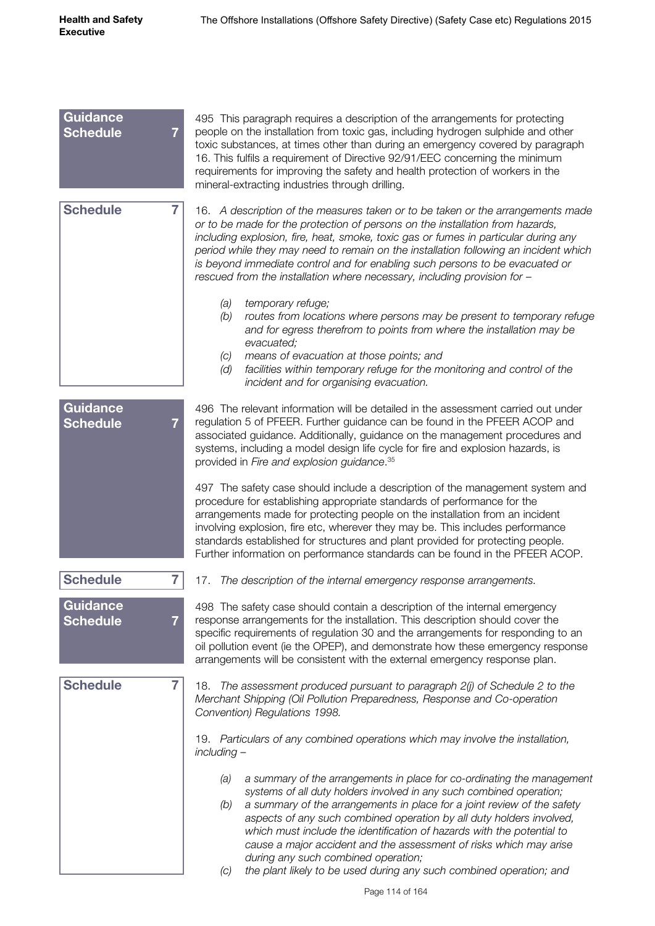| <b>Guidance</b><br><b>Schedule</b> | $\overline{7}$ | 495 This paragraph requires a description of the arrangements for protecting<br>people on the installation from toxic gas, including hydrogen sulphide and other<br>toxic substances, at times other than during an emergency covered by paragraph<br>16. This fulfils a requirement of Directive 92/91/EEC concerning the minimum<br>requirements for improving the safety and health protection of workers in the<br>mineral-extracting industries through drilling.                                                                                                                |
|------------------------------------|----------------|---------------------------------------------------------------------------------------------------------------------------------------------------------------------------------------------------------------------------------------------------------------------------------------------------------------------------------------------------------------------------------------------------------------------------------------------------------------------------------------------------------------------------------------------------------------------------------------|
| <b>Schedule</b>                    | $\overline{7}$ | 16. A description of the measures taken or to be taken or the arrangements made<br>or to be made for the protection of persons on the installation from hazards,<br>including explosion, fire, heat, smoke, toxic gas or fumes in particular during any<br>period while they may need to remain on the installation following an incident which<br>is beyond immediate control and for enabling such persons to be evacuated or<br>rescued from the installation where necessary, including provision for -                                                                           |
|                                    |                | temporary refuge;<br>(a)<br>(b)<br>routes from locations where persons may be present to temporary refuge<br>and for egress therefrom to points from where the installation may be<br>evacuated;<br>means of evacuation at those points; and<br>(C)<br>facilities within temporary refuge for the monitoring and control of the<br>(d)<br>incident and for organising evacuation.                                                                                                                                                                                                     |
| <b>Guidance</b><br><b>Schedule</b> | $\overline{7}$ | 496 The relevant information will be detailed in the assessment carried out under<br>regulation 5 of PFEER. Further guidance can be found in the PFEER ACOP and<br>associated guidance. Additionally, guidance on the management procedures and<br>systems, including a model design life cycle for fire and explosion hazards, is<br>provided in Fire and explosion guidance. 35                                                                                                                                                                                                     |
|                                    |                | 497 The safety case should include a description of the management system and<br>procedure for establishing appropriate standards of performance for the<br>arrangements made for protecting people on the installation from an incident<br>involving explosion, fire etc, wherever they may be. This includes performance<br>standards established for structures and plant provided for protecting people.<br>Further information on performance standards can be found in the PFEER ACOP.                                                                                          |
| <b>Schedule</b>                    | $\overline{7}$ | The description of the internal emergency response arrangements.<br>17.                                                                                                                                                                                                                                                                                                                                                                                                                                                                                                               |
| <b>Guidance</b><br><b>Schedule</b> | 7              | 498 The safety case should contain a description of the internal emergency<br>response arrangements for the installation. This description should cover the<br>specific requirements of regulation 30 and the arrangements for responding to an<br>oil pollution event (ie the OPEP), and demonstrate how these emergency response<br>arrangements will be consistent with the external emergency response plan.                                                                                                                                                                      |
| <b>Schedule</b>                    | $\overline{7}$ | The assessment produced pursuant to paragraph 2(j) of Schedule 2 to the<br>18.<br>Merchant Shipping (Oil Pollution Preparedness, Response and Co-operation<br>Convention) Regulations 1998.                                                                                                                                                                                                                                                                                                                                                                                           |
|                                    |                | 19. Particulars of any combined operations which may involve the installation,<br>including -                                                                                                                                                                                                                                                                                                                                                                                                                                                                                         |
|                                    |                | a summary of the arrangements in place for co-ordinating the management<br>(a)<br>systems of all duty holders involved in any such combined operation;<br>a summary of the arrangements in place for a joint review of the safety<br>(b)<br>aspects of any such combined operation by all duty holders involved,<br>which must include the identification of hazards with the potential to<br>cause a major accident and the assessment of risks which may arise<br>during any such combined operation;<br>the plant likely to be used during any such combined operation; and<br>(C) |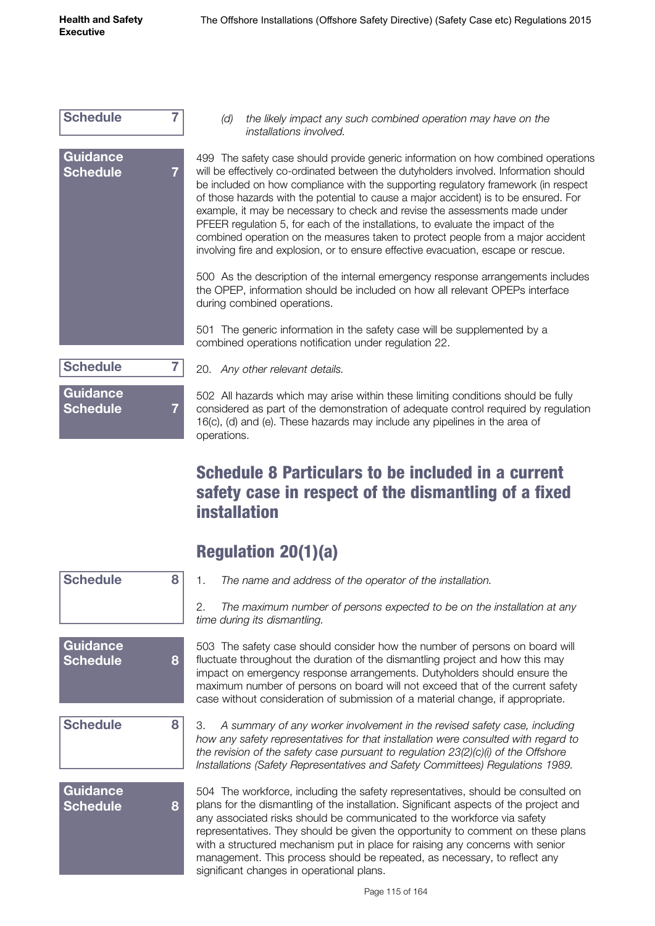

*(d) the likely impact any such combined operation may have on the installations involved.*

499 The safety case should provide generic information on how combined operations will be effectively co-ordinated between the dutyholders involved. Information should be included on how compliance with the supporting regulatory framework (in respect of those hazards with the potential to cause a major accident) is to be ensured. For example, it may be necessary to check and revise the assessments made under PFEER regulation 5, for each of the installations, to evaluate the impact of the combined operation on the measures taken to protect people from a major accident involving fire and explosion, or to ensure effective evacuation, escape or rescue.

500 As the description of the internal emergency response arrangements includes the OPEP, information should be included on how all relevant OPEPs interface during combined operations.

501 The generic information in the safety case will be supplemented by a combined operations notification under regulation 22.

| <b>Schedule</b>             |  |
|-----------------------------|--|
| Guidance<br><b>Schedule</b> |  |

**Guidance** 

**Schedule 8**

**Schedule 8**

**Schedule 8**

20. *Any other relevant details.*

502 All hazards which may arise within these limiting conditions should be fully considered as part of the demonstration of adequate control required by regulation 16(c), (d) and (e). These hazards may include any pipelines in the area of operations.

#### Schedule 8 Particulars to be included in a current safety case in respect of the dismantling of a fixed installation

| <b>Regulation 20(1)(a)</b> |  |
|----------------------------|--|
|----------------------------|--|

1. *The name and address of the operator of the installation.*

2. *The maximum number of persons expected to be on the installation at any time during its dismantling.*

503 The safety case should consider how the number of persons on board will fluctuate throughout the duration of the dismantling project and how this may impact on emergency response arrangements. Dutyholders should ensure the maximum number of persons on board will not exceed that of the current safety case without consideration of submission of a material change, if appropriate.

3. *A summary of any worker involvement in the revised safety case, including how any safety representatives for that installation were consulted with regard to the revision of the safety case pursuant to regulation 23(2)(c)(i) of the Offshore Installations (Safety Representatives and Safety Committees) Regulations 1989.*

# **Guidance Schedule 8**

504 The workforce, including the safety representatives, should be consulted on plans for the dismantling of the installation. Significant aspects of the project and any associated risks should be communicated to the workforce via safety representatives. They should be given the opportunity to comment on these plans with a structured mechanism put in place for raising any concerns with senior management. This process should be repeated, as necessary, to reflect any significant changes in operational plans.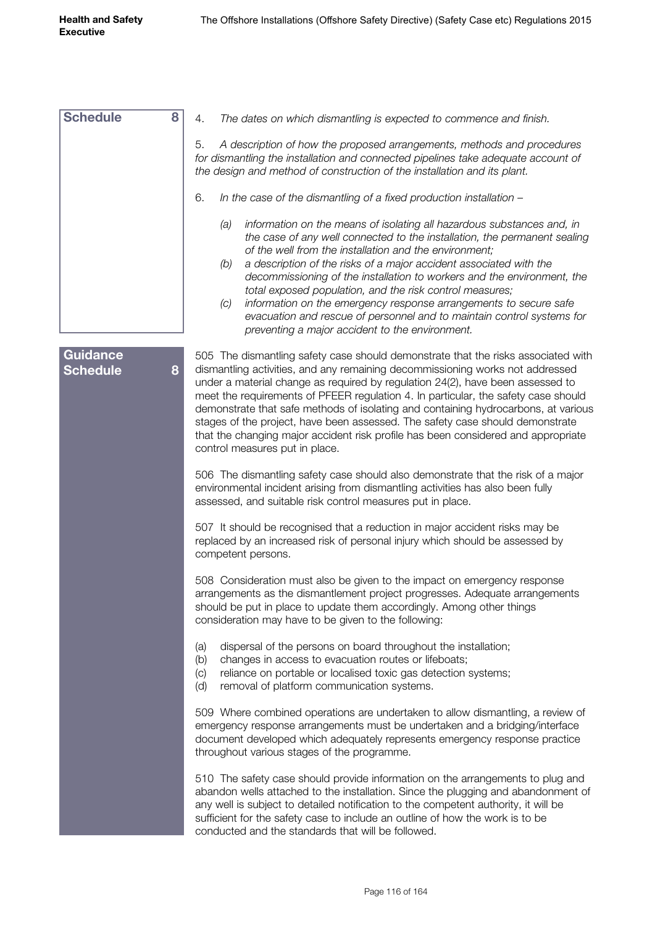| <b>Schedule</b>                    | 8<br>The dates on which dismantling is expected to commence and finish.<br>4.                                                                                                                                                                                                                                                                                                                                                                                                                                                                                                                                                                     |
|------------------------------------|---------------------------------------------------------------------------------------------------------------------------------------------------------------------------------------------------------------------------------------------------------------------------------------------------------------------------------------------------------------------------------------------------------------------------------------------------------------------------------------------------------------------------------------------------------------------------------------------------------------------------------------------------|
|                                    | A description of how the proposed arrangements, methods and procedures<br>5.<br>for dismantling the installation and connected pipelines take adequate account of<br>the design and method of construction of the installation and its plant.                                                                                                                                                                                                                                                                                                                                                                                                     |
|                                    | 6.<br>In the case of the dismantling of a fixed production installation -                                                                                                                                                                                                                                                                                                                                                                                                                                                                                                                                                                         |
|                                    | information on the means of isolating all hazardous substances and, in<br>(a)<br>the case of any well connected to the installation, the permanent sealing<br>of the well from the installation and the environment;<br>a description of the risks of a major accident associated with the<br>(b)<br>decommissioning of the installation to workers and the environment, the<br>total exposed population, and the risk control measures;<br>information on the emergency response arrangements to secure safe<br>(C)<br>evacuation and rescue of personnel and to maintain control systems for<br>preventing a major accident to the environment. |
| <b>Guidance</b><br><b>Schedule</b> | 505 The dismantling safety case should demonstrate that the risks associated with<br>dismantling activities, and any remaining decommissioning works not addressed<br>8<br>under a material change as required by regulation 24(2), have been assessed to<br>meet the requirements of PFEER regulation 4. In particular, the safety case should<br>demonstrate that safe methods of isolating and containing hydrocarbons, at various<br>stages of the project, have been assessed. The safety case should demonstrate<br>that the changing major accident risk profile has been considered and appropriate<br>control measures put in place.     |
|                                    | 506 The dismantling safety case should also demonstrate that the risk of a major<br>environmental incident arising from dismantling activities has also been fully<br>assessed, and suitable risk control measures put in place.                                                                                                                                                                                                                                                                                                                                                                                                                  |
|                                    | 507 It should be recognised that a reduction in major accident risks may be<br>replaced by an increased risk of personal injury which should be assessed by<br>competent persons.                                                                                                                                                                                                                                                                                                                                                                                                                                                                 |
|                                    | 508 Consideration must also be given to the impact on emergency response<br>arrangements as the dismantlement project progresses. Adequate arrangements<br>should be put in place to update them accordingly. Among other things<br>consideration may have to be given to the following:                                                                                                                                                                                                                                                                                                                                                          |
|                                    | dispersal of the persons on board throughout the installation;<br>(a)<br>changes in access to evacuation routes or lifeboats;<br>(b)<br>reliance on portable or localised toxic gas detection systems;<br>(C)<br>(d)<br>removal of platform communication systems.                                                                                                                                                                                                                                                                                                                                                                                |
|                                    | 509 Where combined operations are undertaken to allow dismantling, a review of<br>emergency response arrangements must be undertaken and a bridging/interface<br>document developed which adequately represents emergency response practice<br>throughout various stages of the programme.                                                                                                                                                                                                                                                                                                                                                        |
|                                    | 510 The safety case should provide information on the arrangements to plug and<br>abandon wells attached to the installation. Since the plugging and abandonment of<br>any well is subject to detailed notification to the competent authority, it will be<br>sufficient for the safety case to include an outline of how the work is to be<br>conducted and the standards that will be followed.                                                                                                                                                                                                                                                 |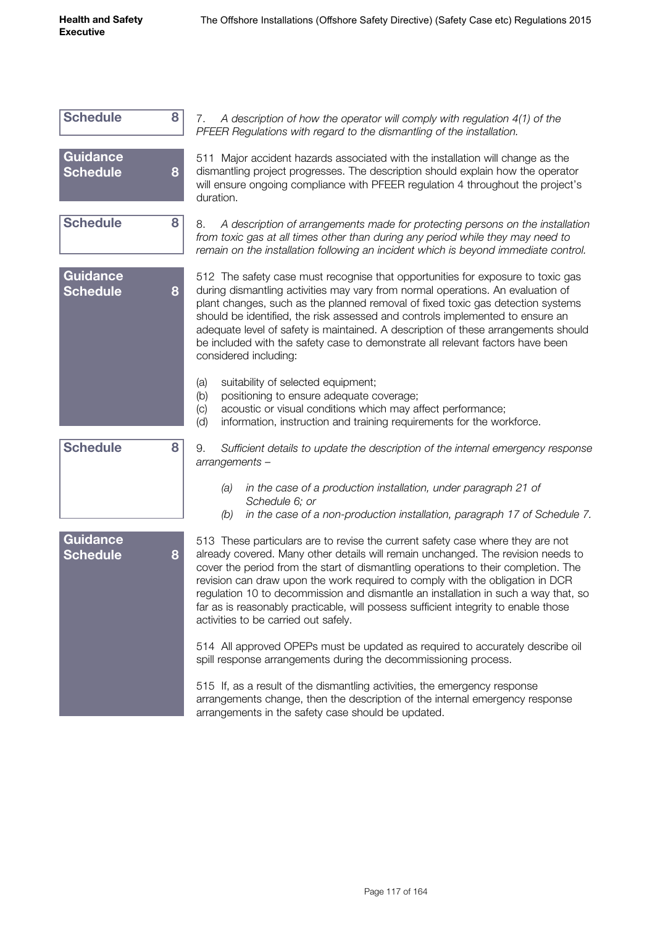| <b>Schedule</b>                    | 8<br>A description of how the operator will comply with regulation 4(1) of the<br>7.<br>PFEER Regulations with regard to the dismantling of the installation.                                                                                                                                                                                                                                                                                                                                                                                                       |
|------------------------------------|---------------------------------------------------------------------------------------------------------------------------------------------------------------------------------------------------------------------------------------------------------------------------------------------------------------------------------------------------------------------------------------------------------------------------------------------------------------------------------------------------------------------------------------------------------------------|
| <b>Guidance</b><br><b>Schedule</b> | 511 Major accident hazards associated with the installation will change as the<br>dismantling project progresses. The description should explain how the operator<br>8<br>will ensure ongoing compliance with PFEER regulation 4 throughout the project's<br>duration.                                                                                                                                                                                                                                                                                              |
| <b>Schedule</b>                    | 8<br>8.<br>A description of arrangements made for protecting persons on the installation<br>from toxic gas at all times other than during any period while they may need to<br>remain on the installation following an incident which is beyond immediate control.                                                                                                                                                                                                                                                                                                  |
| <b>Guidance</b><br><b>Schedule</b> | 512 The safety case must recognise that opportunities for exposure to toxic gas<br>during dismantling activities may vary from normal operations. An evaluation of<br>8<br>plant changes, such as the planned removal of fixed toxic gas detection systems<br>should be identified, the risk assessed and controls implemented to ensure an<br>adequate level of safety is maintained. A description of these arrangements should<br>be included with the safety case to demonstrate all relevant factors have been<br>considered including:                        |
|                                    | (a)<br>suitability of selected equipment;<br>positioning to ensure adequate coverage;<br>(b)<br>acoustic or visual conditions which may affect performance;<br>(c)<br>(d)<br>information, instruction and training requirements for the workforce.                                                                                                                                                                                                                                                                                                                  |
| <b>Schedule</b>                    | 8<br>9.<br>Sufficient details to update the description of the internal emergency response<br>arrangements-                                                                                                                                                                                                                                                                                                                                                                                                                                                         |
|                                    | in the case of a production installation, under paragraph 21 of<br>(a)<br>Schedule 6; or<br>in the case of a non-production installation, paragraph 17 of Schedule 7.<br>(b)                                                                                                                                                                                                                                                                                                                                                                                        |
| <b>Guidance</b><br><b>Schedule</b> | 513 These particulars are to revise the current safety case where they are not<br>already covered. Many other details will remain unchanged. The revision needs to<br>8<br>cover the period from the start of dismantling operations to their completion. The<br>revision can draw upon the work required to comply with the obligation in DCR<br>regulation 10 to decommission and dismantle an installation in such a way that, so<br>far as is reasonably practicable, will possess sufficient integrity to enable those<br>activities to be carried out safely. |
|                                    | 514 All approved OPEPs must be updated as required to accurately describe oil<br>spill response arrangements during the decommissioning process.                                                                                                                                                                                                                                                                                                                                                                                                                    |
|                                    | 515 If, as a result of the dismantling activities, the emergency response<br>arrangements change, then the description of the internal emergency response<br>arrangements in the safety case should be updated.                                                                                                                                                                                                                                                                                                                                                     |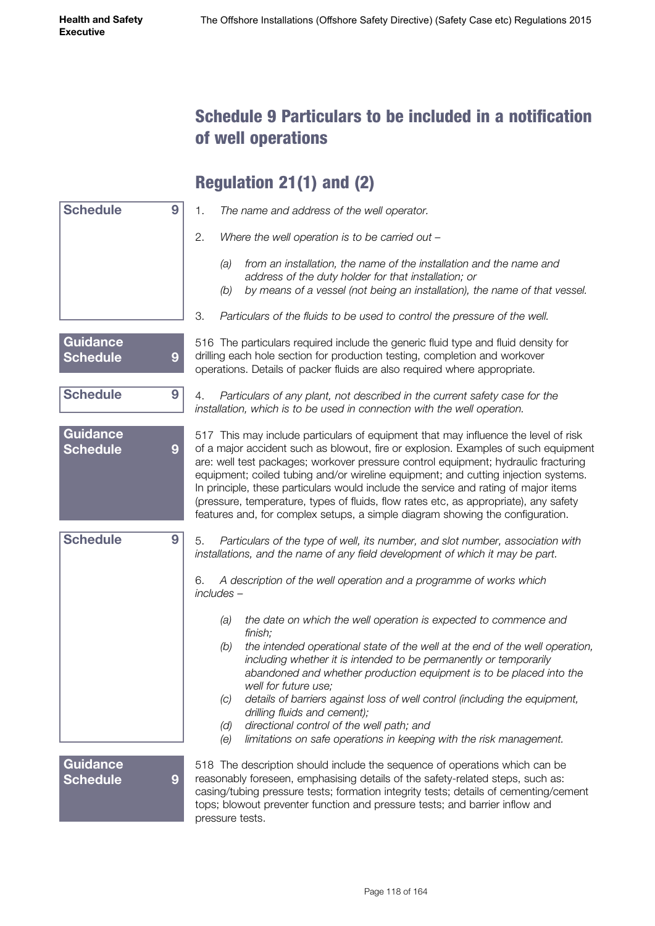#### Schedule 9 Particulars to be included in a notification of well operations

## Regulation 21(1) and (2)

| <b>Schedule</b>                    | 9                | 1.<br>The name and address of the well operator.                                                                                                                                                                                                                                                                                                                                                                                                                                                                                                                                                                     |
|------------------------------------|------------------|----------------------------------------------------------------------------------------------------------------------------------------------------------------------------------------------------------------------------------------------------------------------------------------------------------------------------------------------------------------------------------------------------------------------------------------------------------------------------------------------------------------------------------------------------------------------------------------------------------------------|
|                                    |                  | 2.<br>Where the well operation is to be carried out -                                                                                                                                                                                                                                                                                                                                                                                                                                                                                                                                                                |
|                                    |                  | from an installation, the name of the installation and the name and<br>(a)<br>address of the duty holder for that installation; or<br>by means of a vessel (not being an installation), the name of that vessel.<br>(b)                                                                                                                                                                                                                                                                                                                                                                                              |
|                                    |                  | 3.<br>Particulars of the fluids to be used to control the pressure of the well.                                                                                                                                                                                                                                                                                                                                                                                                                                                                                                                                      |
| <b>Guidance</b><br><b>Schedule</b> | $\boldsymbol{9}$ | 516 The particulars required include the generic fluid type and fluid density for<br>drilling each hole section for production testing, completion and workover<br>operations. Details of packer fluids are also required where appropriate.                                                                                                                                                                                                                                                                                                                                                                         |
| <b>Schedule</b>                    | 9                | Particulars of any plant, not described in the current safety case for the<br>4.<br>installation, which is to be used in connection with the well operation.                                                                                                                                                                                                                                                                                                                                                                                                                                                         |
| <b>Guidance</b><br><b>Schedule</b> | 9                | 517 This may include particulars of equipment that may influence the level of risk<br>of a major accident such as blowout, fire or explosion. Examples of such equipment<br>are: well test packages; workover pressure control equipment; hydraulic fracturing<br>equipment; coiled tubing and/or wireline equipment; and cutting injection systems.<br>In principle, these particulars would include the service and rating of major items<br>(pressure, temperature, types of fluids, flow rates etc, as appropriate), any safety<br>features and, for complex setups, a simple diagram showing the configuration. |
| <b>Schedule</b>                    | 9                | Particulars of the type of well, its number, and slot number, association with<br>5.<br>installations, and the name of any field development of which it may be part.                                                                                                                                                                                                                                                                                                                                                                                                                                                |
|                                    |                  | A description of the well operation and a programme of works which<br>6.<br>$includees -$                                                                                                                                                                                                                                                                                                                                                                                                                                                                                                                            |
|                                    |                  | the date on which the well operation is expected to commence and<br>(a)<br>finish;<br>the intended operational state of the well at the end of the well operation,<br>(b)<br>including whether it is intended to be permanently or temporarily<br>abandoned and whether production equipment is to be placed into the<br>well for future use;<br>details of barriers against loss of well control (including the equipment,<br>(C)<br>drilling fluids and cement);<br>directional control of the well path; and<br>(d)<br>limitations on safe operations in keeping with the risk management.<br>(e)                 |
| Guidance<br><b>Schedule</b>        | 9                | 518 The description should include the sequence of operations which can be<br>reasonably foreseen, emphasising details of the safety-related steps, such as:<br>casing/tubing pressure tests; formation integrity tests; details of cementing/cement<br>tops; blowout preventer function and pressure tests; and barrier inflow and<br>pressure tests.                                                                                                                                                                                                                                                               |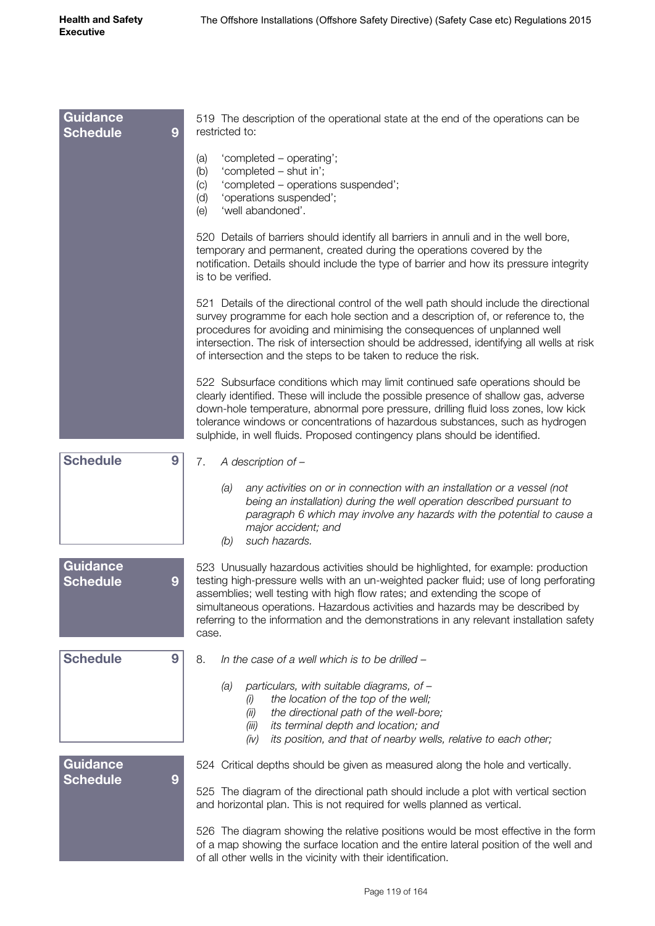| <b>Guidance</b><br><b>Schedule</b><br>9 | 519 The description of the operational state at the end of the operations can be<br>restricted to:                                                                                                                                                                                                                                                                                                                                           |
|-----------------------------------------|----------------------------------------------------------------------------------------------------------------------------------------------------------------------------------------------------------------------------------------------------------------------------------------------------------------------------------------------------------------------------------------------------------------------------------------------|
|                                         | 'completed - operating';<br>(a)<br>(b)<br>'completed - shut in';<br>'completed - operations suspended';<br>(c)<br>(d)<br>'operations suspended';<br>'well abandoned'.<br>(e)                                                                                                                                                                                                                                                                 |
|                                         | 520 Details of barriers should identify all barriers in annuli and in the well bore,<br>temporary and permanent, created during the operations covered by the<br>notification. Details should include the type of barrier and how its pressure integrity<br>is to be verified.                                                                                                                                                               |
|                                         | 521 Details of the directional control of the well path should include the directional<br>survey programme for each hole section and a description of, or reference to, the<br>procedures for avoiding and minimising the consequences of unplanned well<br>intersection. The risk of intersection should be addressed, identifying all wells at risk<br>of intersection and the steps to be taken to reduce the risk.                       |
|                                         | 522 Subsurface conditions which may limit continued safe operations should be<br>clearly identified. These will include the possible presence of shallow gas, adverse<br>down-hole temperature, abnormal pore pressure, drilling fluid loss zones, low kick<br>tolerance windows or concentrations of hazardous substances, such as hydrogen<br>sulphide, in well fluids. Proposed contingency plans should be identified.                   |
| <b>Schedule</b><br>9                    | A description of -<br>7.                                                                                                                                                                                                                                                                                                                                                                                                                     |
|                                         | any activities on or in connection with an installation or a vessel (not<br>(a)<br>being an installation) during the well operation described pursuant to<br>paragraph 6 which may involve any hazards with the potential to cause a<br>major accident; and<br>such hazards.<br>(b)                                                                                                                                                          |
| <b>Guidance</b><br><b>Schedule</b><br>9 | 523 Unusually hazardous activities should be highlighted, for example: production<br>testing high-pressure wells with an un-weighted packer fluid; use of long perforating<br>assemblies; well testing with high flow rates; and extending the scope of<br>simultaneous operations. Hazardous activities and hazards may be described by<br>referring to the information and the demonstrations in any relevant installation safety<br>case. |
| <b>Schedule</b><br>9                    | 8.<br>In the case of a well which is to be drilled -                                                                                                                                                                                                                                                                                                                                                                                         |
|                                         | particulars, with suitable diagrams, of -<br>(a)<br>the location of the top of the well;<br>(1)<br>the directional path of the well-bore;<br>(ii)<br>its terminal depth and location; and<br>(iii)<br>its position, and that of nearby wells, relative to each other;<br>(iv)                                                                                                                                                                |
| <b>Guidance</b>                         | 524 Critical depths should be given as measured along the hole and vertically.                                                                                                                                                                                                                                                                                                                                                               |
| <b>Schedule</b><br>9                    | 525 The diagram of the directional path should include a plot with vertical section<br>and horizontal plan. This is not required for wells planned as vertical.                                                                                                                                                                                                                                                                              |
|                                         | 526 The diagram showing the relative positions would be most effective in the form<br>of a map showing the surface location and the entire lateral position of the well and<br>of all other wells in the vicinity with their identification.                                                                                                                                                                                                 |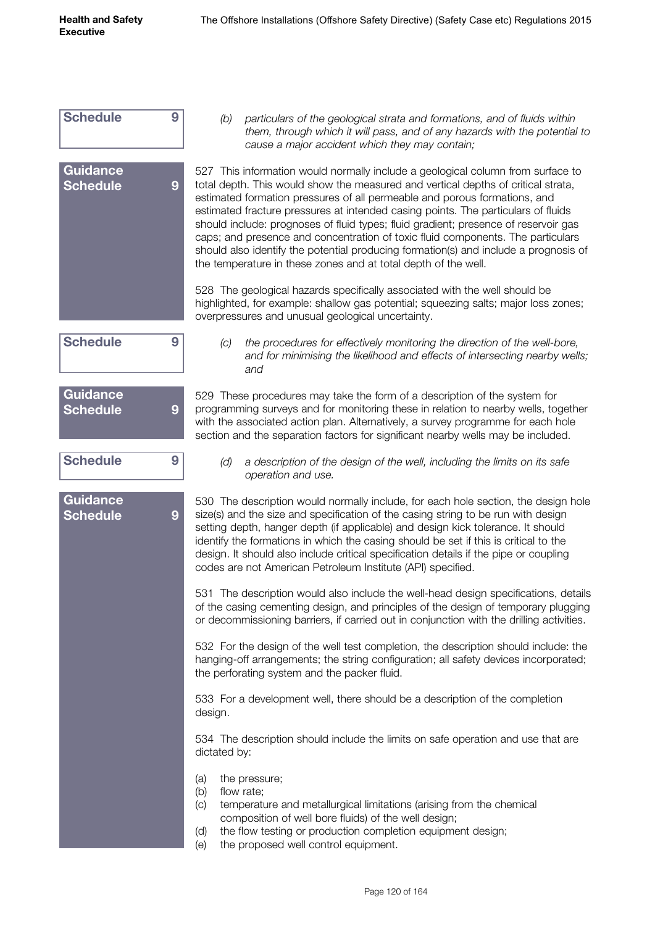| <b>Schedule</b>                    | 9 | particulars of the geological strata and formations, and of fluids within<br>(b)<br>them, through which it will pass, and of any hazards with the potential to<br>cause a major accident which they may contain;                                                                                                                                                                                                                                                                                                                                                                                                                                                           |
|------------------------------------|---|----------------------------------------------------------------------------------------------------------------------------------------------------------------------------------------------------------------------------------------------------------------------------------------------------------------------------------------------------------------------------------------------------------------------------------------------------------------------------------------------------------------------------------------------------------------------------------------------------------------------------------------------------------------------------|
| <b>Guidance</b><br><b>Schedule</b> | 9 | 527 This information would normally include a geological column from surface to<br>total depth. This would show the measured and vertical depths of critical strata,<br>estimated formation pressures of all permeable and porous formations, and<br>estimated fracture pressures at intended casing points. The particulars of fluids<br>should include: prognoses of fluid types; fluid gradient; presence of reservoir gas<br>caps; and presence and concentration of toxic fluid components. The particulars<br>should also identify the potential producing formation(s) and include a prognosis of<br>the temperature in these zones and at total depth of the well. |
|                                    |   | 528 The geological hazards specifically associated with the well should be<br>highlighted, for example: shallow gas potential; squeezing salts; major loss zones;<br>overpressures and unusual geological uncertainty.                                                                                                                                                                                                                                                                                                                                                                                                                                                     |
| <b>Schedule</b>                    | 9 | the procedures for effectively monitoring the direction of the well-bore,<br>(C)<br>and for minimising the likelihood and effects of intersecting nearby wells;<br>and                                                                                                                                                                                                                                                                                                                                                                                                                                                                                                     |
| Guidance<br><b>Schedule</b>        | 9 | 529 These procedures may take the form of a description of the system for<br>programming surveys and for monitoring these in relation to nearby wells, together<br>with the associated action plan. Alternatively, a survey programme for each hole<br>section and the separation factors for significant nearby wells may be included.                                                                                                                                                                                                                                                                                                                                    |
| <b>Schedule</b>                    | 9 | (d)<br>a description of the design of the well, including the limits on its safe<br>operation and use.                                                                                                                                                                                                                                                                                                                                                                                                                                                                                                                                                                     |
| <b>Guidance</b><br><b>Schedule</b> | 9 | 530 The description would normally include, for each hole section, the design hole<br>size(s) and the size and specification of the casing string to be run with design<br>setting depth, hanger depth (if applicable) and design kick tolerance. It should<br>identify the formations in which the casing should be set if this is critical to the<br>design. It should also include critical specification details if the pipe or coupling<br>codes are not American Petroleum Institute (API) specified.                                                                                                                                                                |
|                                    |   | 531 The description would also include the well-head design specifications, details<br>of the casing cementing design, and principles of the design of temporary plugging<br>or decommissioning barriers, if carried out in conjunction with the drilling activities.                                                                                                                                                                                                                                                                                                                                                                                                      |
|                                    |   | 532 For the design of the well test completion, the description should include: the<br>hanging-off arrangements; the string configuration; all safety devices incorporated;<br>the perforating system and the packer fluid.                                                                                                                                                                                                                                                                                                                                                                                                                                                |
|                                    |   | 533 For a development well, there should be a description of the completion<br>design.                                                                                                                                                                                                                                                                                                                                                                                                                                                                                                                                                                                     |
|                                    |   | 534 The description should include the limits on safe operation and use that are<br>dictated by:                                                                                                                                                                                                                                                                                                                                                                                                                                                                                                                                                                           |
|                                    |   | (a)<br>the pressure;<br>(b)<br>flow rate;<br>(c)<br>temperature and metallurgical limitations (arising from the chemical<br>composition of well bore fluids) of the well design;<br>the flow testing or production completion equipment design;<br>(d)<br>the proposed well control equipment.<br>(e)                                                                                                                                                                                                                                                                                                                                                                      |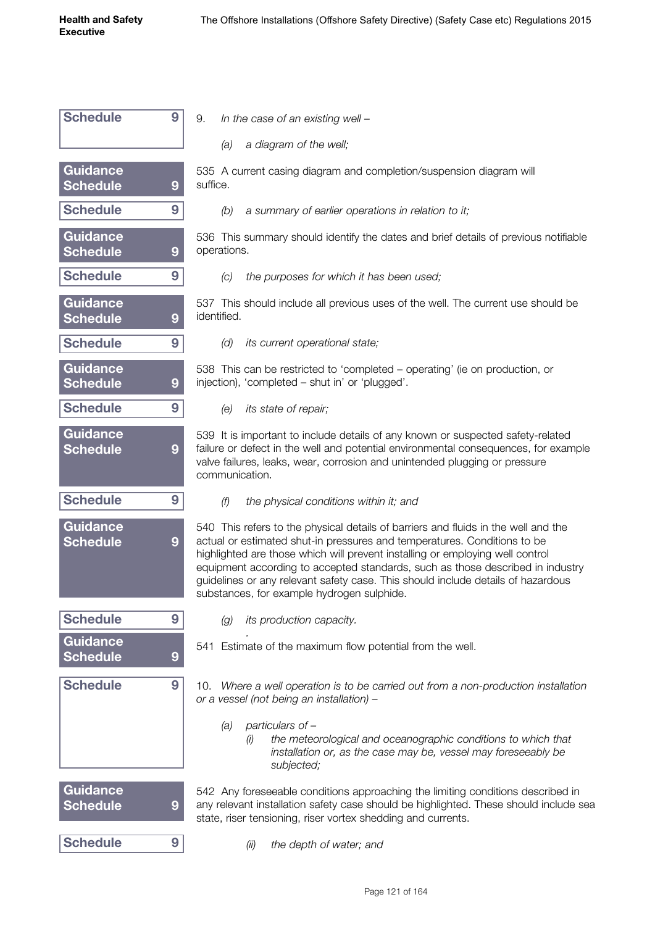| <b>Schedule</b>                    | 9 | 9.       |                                                                                                            | In the cas  |
|------------------------------------|---|----------|------------------------------------------------------------------------------------------------------------|-------------|
|                                    |   |          | (a)                                                                                                        | a di        |
| Guidance<br><b>Schedule</b>        | 9 | suffice. | 535 A current                                                                                              |             |
| Schedule                           | 9 |          |                                                                                                            | $(b)$ asu   |
| Guidance<br><b>Schedule</b>        | 9 |          | 536 This sum<br>operations.                                                                                |             |
| Schedule                           | 9 |          | (C)                                                                                                        | the         |
| Guidance<br><b>Schedule</b>        | 9 |          | 537 This shou<br>identified.                                                                               |             |
| <b>Schedule</b>                    | 9 |          | (d)                                                                                                        | its c       |
| Guidance<br><b>Schedule</b>        | 9 |          | 538 This can<br>injection), 'con                                                                           |             |
| Schedule                           | 9 |          | (e)                                                                                                        | its s       |
| <b>Guidance</b><br><b>Schedule</b> | 9 |          | 539 It is impo<br>failure or defed<br>valve failures, I<br>communicatio                                    |             |
| <b>Schedule</b>                    | 9 |          | (f)                                                                                                        | the         |
| <b>Guidance</b><br><b>Schedule</b> | 9 |          | 540 This refer<br>actual or estim<br>highlighted are<br>equipment acd<br>guidelines or a<br>substances, fo |             |
| <b>Schedule</b>                    | 9 |          | (g)                                                                                                        | its p       |
| Guidance<br><b>Schedule</b>        | 9 |          | 541 Estimate                                                                                               |             |
| <b>Schedule</b>                    | 9 |          | 10. Where a<br>or a vessel (nc                                                                             |             |
|                                    |   |          | (a)                                                                                                        | part<br>(i) |
| <b>Guidance</b><br><b>Schedule</b> | 9 |          | 542 Any fores<br>any relevant in<br>state, riser ten                                                       |             |
| <b>Schedule</b>                    | 9 |          |                                                                                                            | (ii)        |

| In the case of an existing well $-$ | 9. |  |  |  |  |  |  |
|-------------------------------------|----|--|--|--|--|--|--|
|-------------------------------------|----|--|--|--|--|--|--|

*(a) a diagram of the well;*

casing diagram and completion/suspension diagram will

*(b) a summary of earlier operations in relation to it;*

mary should identify the dates and brief details of previous notifiable

*(c) the purposes for which it has been used;*

Include all previous uses of the well. The current use should be

*(d) its current operational state;*

be restricted to 'completed – operating' (ie on production, or npleted – shut in' or 'plugged'.

*<i>f itate of repair:* 

ortant to include details of any known or suspected safety-related ct in the well and potential environmental consequences, for example leaks, wear, corrosion and unintended plugging or pressure n.

*(f) the physical conditions within it; and*

rs to the physical details of barriers and fluids in the well and the hated shut-in pressures and temperatures. Conditions to be e those which will prevent installing or employing well control cording to accepted standards, such as those described in industry any relevant safety case. This should include details of hazardous or example hydrogen sulphide.

*(g) its production capacity.*

of the maximum flow potential from the well.

well operation is to be carried out from a non-production installation *ot being an installation) –* 

- *(a) particulars of –*
	- *(i) the meteorological and oceanographic conditions to which that installation or, as the case may be, vessel may foreseeably be subjected;*

seeable conditions approaching the limiting conditions described in astallation safety case should be highlighted. These should include sea isioning, riser vortex shedding and currents.

*(ii) the depth of water; and*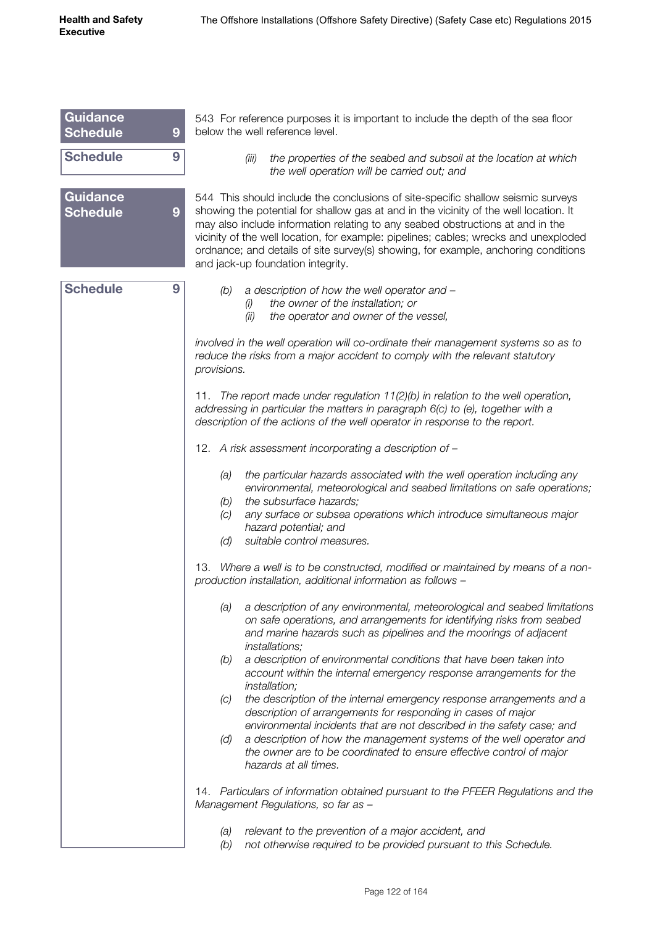| <b>Guidance</b><br><b>Schedule</b> | 9 | 543 For reference purposes it is important to include the depth of the sea floor<br>below the well reference level.                                                                                                                                                                                                                                                                                                                                                            |
|------------------------------------|---|--------------------------------------------------------------------------------------------------------------------------------------------------------------------------------------------------------------------------------------------------------------------------------------------------------------------------------------------------------------------------------------------------------------------------------------------------------------------------------|
| <b>Schedule</b>                    | 9 | the properties of the seabed and subsoil at the location at which<br>(iii)<br>the well operation will be carried out; and                                                                                                                                                                                                                                                                                                                                                      |
| <b>Guidance</b><br><b>Schedule</b> | 9 | 544 This should include the conclusions of site-specific shallow seismic surveys<br>showing the potential for shallow gas at and in the vicinity of the well location. It<br>may also include information relating to any seabed obstructions at and in the<br>vicinity of the well location, for example: pipelines; cables; wrecks and unexploded<br>ordnance; and details of site survey(s) showing, for example, anchoring conditions<br>and jack-up foundation integrity. |
| <b>Schedule</b>                    | 9 | a description of how the well operator and -<br>(b)<br>the owner of the installation; or<br>(i)<br>the operator and owner of the vessel,<br>(ii)<br>involved in the well operation will co-ordinate their management systems so as to<br>reduce the risks from a major accident to comply with the relevant statutory<br>provisions.                                                                                                                                           |
|                                    |   | 11. The report made under regulation 11(2)(b) in relation to the well operation,<br>addressing in particular the matters in paragraph 6(c) to (e), together with a<br>description of the actions of the well operator in response to the report.                                                                                                                                                                                                                               |
|                                    |   | 12. A risk assessment incorporating a description of -                                                                                                                                                                                                                                                                                                                                                                                                                         |
|                                    |   | the particular hazards associated with the well operation including any<br>(a)<br>environmental, meteorological and seabed limitations on safe operations;<br>the subsurface hazards;<br>(b)<br>any surface or subsea operations which introduce simultaneous major<br>(C)<br>hazard potential; and<br>suitable control measures.<br>(d)                                                                                                                                       |
|                                    |   | 13. Where a well is to be constructed, modified or maintained by means of a non-<br>production installation, additional information as follows -                                                                                                                                                                                                                                                                                                                               |
|                                    |   | a description of any environmental, meteorological and seabed limitations<br>(a)<br>on safe operations, and arrangements for identifying risks from seabed<br>and marine hazards such as pipelines and the moorings of adjacent<br><i>installations;</i>                                                                                                                                                                                                                       |
|                                    |   | a description of environmental conditions that have been taken into<br>(b)<br>account within the internal emergency response arrangements for the<br><i>installation;</i>                                                                                                                                                                                                                                                                                                      |
|                                    |   | the description of the internal emergency response arrangements and a<br>(C)<br>description of arrangements for responding in cases of major<br>environmental incidents that are not described in the safety case; and                                                                                                                                                                                                                                                         |
|                                    |   | a description of how the management systems of the well operator and<br>(d)<br>the owner are to be coordinated to ensure effective control of major<br>hazards at all times.                                                                                                                                                                                                                                                                                                   |
|                                    |   | 14. Particulars of information obtained pursuant to the PFEER Regulations and the<br>Management Regulations, so far as -                                                                                                                                                                                                                                                                                                                                                       |
|                                    |   | relevant to the prevention of a major accident, and<br>(a)<br>(b)<br>not otherwise required to be provided pursuant to this Schedule.                                                                                                                                                                                                                                                                                                                                          |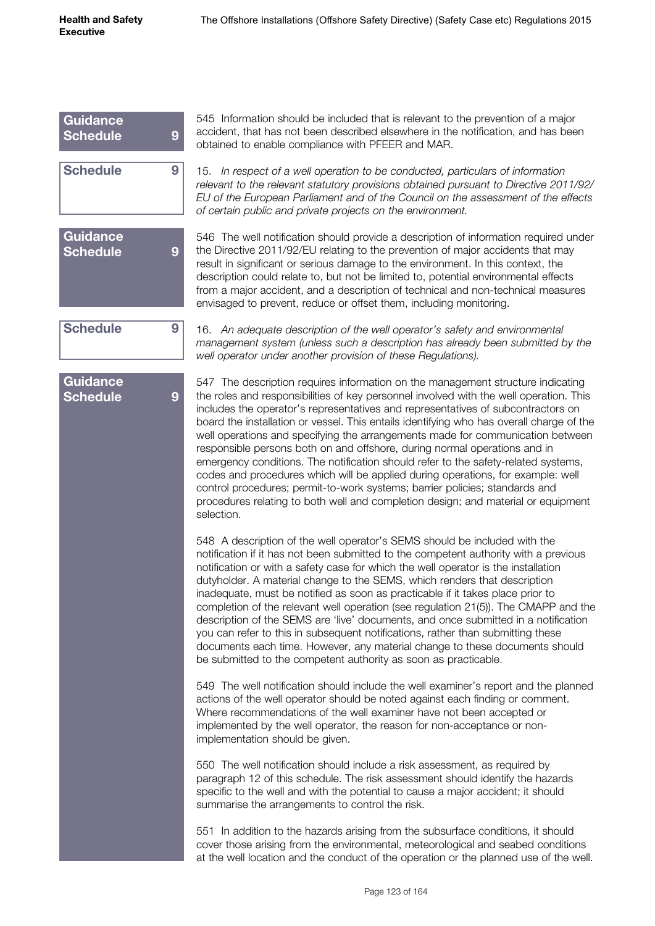| <b>Guidance</b><br><b>Schedule</b> | 9 | 545 Information should be included that is relevant to the prevention of a major<br>accident, that has not been described elsewhere in the notification, and has been<br>obtained to enable compliance with PFEER and MAR.                                                                                                                                                                                                                                                                                                                                                                                                                                                                                                                                                                                                                                                                                                                                                                                                                                                                                                                                                                                                                                                                                                                                                                                                                                                                                                                                                                                                                                                                                                      |
|------------------------------------|---|---------------------------------------------------------------------------------------------------------------------------------------------------------------------------------------------------------------------------------------------------------------------------------------------------------------------------------------------------------------------------------------------------------------------------------------------------------------------------------------------------------------------------------------------------------------------------------------------------------------------------------------------------------------------------------------------------------------------------------------------------------------------------------------------------------------------------------------------------------------------------------------------------------------------------------------------------------------------------------------------------------------------------------------------------------------------------------------------------------------------------------------------------------------------------------------------------------------------------------------------------------------------------------------------------------------------------------------------------------------------------------------------------------------------------------------------------------------------------------------------------------------------------------------------------------------------------------------------------------------------------------------------------------------------------------------------------------------------------------|
| <b>Schedule</b>                    | 9 | 15. In respect of a well operation to be conducted, particulars of information<br>relevant to the relevant statutory provisions obtained pursuant to Directive 2011/92/<br>EU of the European Parliament and of the Council on the assessment of the effects<br>of certain public and private projects on the environment.                                                                                                                                                                                                                                                                                                                                                                                                                                                                                                                                                                                                                                                                                                                                                                                                                                                                                                                                                                                                                                                                                                                                                                                                                                                                                                                                                                                                      |
| <b>Guidance</b><br><b>Schedule</b> | 9 | 546 The well notification should provide a description of information required under<br>the Directive 2011/92/EU relating to the prevention of major accidents that may<br>result in significant or serious damage to the environment. In this context, the<br>description could relate to, but not be limited to, potential environmental effects<br>from a major accident, and a description of technical and non-technical measures<br>envisaged to prevent, reduce or offset them, including monitoring.                                                                                                                                                                                                                                                                                                                                                                                                                                                                                                                                                                                                                                                                                                                                                                                                                                                                                                                                                                                                                                                                                                                                                                                                                    |
| <b>Schedule</b>                    | 9 | 16. An adequate description of the well operator's safety and environmental<br>management system (unless such a description has already been submitted by the<br>well operator under another provision of these Regulations).                                                                                                                                                                                                                                                                                                                                                                                                                                                                                                                                                                                                                                                                                                                                                                                                                                                                                                                                                                                                                                                                                                                                                                                                                                                                                                                                                                                                                                                                                                   |
| <b>Guidance</b><br><b>Schedule</b> | 9 | 547 The description requires information on the management structure indicating<br>the roles and responsibilities of key personnel involved with the well operation. This<br>includes the operator's representatives and representatives of subcontractors on<br>board the installation or vessel. This entails identifying who has overall charge of the<br>well operations and specifying the arrangements made for communication between<br>responsible persons both on and offshore, during normal operations and in<br>emergency conditions. The notification should refer to the safety-related systems,<br>codes and procedures which will be applied during operations, for example: well<br>control procedures; permit-to-work systems; barrier policies; standards and<br>procedures relating to both well and completion design; and material or equipment<br>selection.<br>548 A description of the well operator's SEMS should be included with the<br>notification if it has not been submitted to the competent authority with a previous<br>notification or with a safety case for which the well operator is the installation<br>dutyholder. A material change to the SEMS, which renders that description<br>inadequate, must be notified as soon as practicable if it takes place prior to<br>completion of the relevant well operation (see regulation 21(5)). The CMAPP and the<br>description of the SEMS are 'live' documents, and once submitted in a notification<br>you can refer to this in subsequent notifications, rather than submitting these<br>documents each time. However, any material change to these documents should<br>be submitted to the competent authority as soon as practicable. |
|                                    |   | 549 The well notification should include the well examiner's report and the planned<br>actions of the well operator should be noted against each finding or comment.<br>Where recommendations of the well examiner have not been accepted or<br>implemented by the well operator, the reason for non-acceptance or non-<br>implementation should be given.                                                                                                                                                                                                                                                                                                                                                                                                                                                                                                                                                                                                                                                                                                                                                                                                                                                                                                                                                                                                                                                                                                                                                                                                                                                                                                                                                                      |
|                                    |   | 550 The well notification should include a risk assessment, as required by<br>paragraph 12 of this schedule. The risk assessment should identify the hazards<br>specific to the well and with the potential to cause a major accident; it should<br>summarise the arrangements to control the risk.                                                                                                                                                                                                                                                                                                                                                                                                                                                                                                                                                                                                                                                                                                                                                                                                                                                                                                                                                                                                                                                                                                                                                                                                                                                                                                                                                                                                                             |
|                                    |   | 551 In addition to the hazards arising from the subsurface conditions, it should<br>cover those arising from the environmental, meteorological and seabed conditions<br>at the well location and the conduct of the operation or the planned use of the well.                                                                                                                                                                                                                                                                                                                                                                                                                                                                                                                                                                                                                                                                                                                                                                                                                                                                                                                                                                                                                                                                                                                                                                                                                                                                                                                                                                                                                                                                   |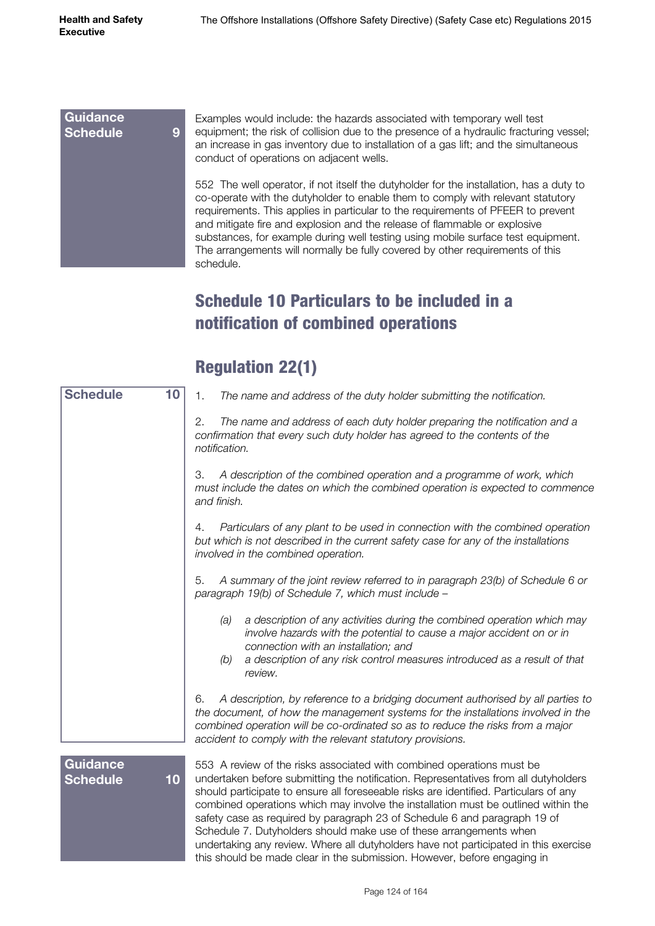#### **Guidance Schedule 9**

Examples would include: the hazards associated with temporary well test equipment; the risk of collision due to the presence of a hydraulic fracturing vessel; an increase in gas inventory due to installation of a gas lift; and the simultaneous conduct of operations on adjacent wells.

552 The well operator, if not itself the dutyholder for the installation, has a duty to co-operate with the dutyholder to enable them to comply with relevant statutory requirements. This applies in particular to the requirements of PFEER to prevent and mitigate fire and explosion and the release of flammable or explosive substances, for example during well testing using mobile surface test equipment. The arrangements will normally be fully covered by other requirements of this schedule.

### Schedule 10 Particulars to be included in a notification of combined operations

| <b>Schedule</b><br>10                    | The name and address of the duty holder submitting the notification.<br>1.                                                                                                                                                                                                                                                                                                                                                                                                                                                                                                             |
|------------------------------------------|----------------------------------------------------------------------------------------------------------------------------------------------------------------------------------------------------------------------------------------------------------------------------------------------------------------------------------------------------------------------------------------------------------------------------------------------------------------------------------------------------------------------------------------------------------------------------------------|
|                                          | The name and address of each duty holder preparing the notification and a<br>2.<br>confirmation that every such duty holder has agreed to the contents of the<br>notification.                                                                                                                                                                                                                                                                                                                                                                                                         |
|                                          | A description of the combined operation and a programme of work, which<br>З.<br>must include the dates on which the combined operation is expected to commence<br>and finish.                                                                                                                                                                                                                                                                                                                                                                                                          |
|                                          | Particulars of any plant to be used in connection with the combined operation<br>4.<br>but which is not described in the current safety case for any of the installations<br>involved in the combined operation.                                                                                                                                                                                                                                                                                                                                                                       |
|                                          | A summary of the joint review referred to in paragraph 23(b) of Schedule 6 or<br>5.<br>paragraph 19(b) of Schedule 7, which must include -                                                                                                                                                                                                                                                                                                                                                                                                                                             |
|                                          | a description of any activities during the combined operation which may<br>(a)<br>involve hazards with the potential to cause a major accident on or in<br>connection with an installation; and<br>a description of any risk control measures introduced as a result of that<br>(b)<br>review.                                                                                                                                                                                                                                                                                         |
|                                          | A description, by reference to a bridging document authorised by all parties to<br>6.<br>the document, of how the management systems for the installations involved in the<br>combined operation will be co-ordinated so as to reduce the risks from a major<br>accident to comply with the relevant statutory provisions.                                                                                                                                                                                                                                                             |
| <b>Guidance</b><br><b>Schedule</b><br>10 | 553 A review of the risks associated with combined operations must be<br>undertaken before submitting the notification. Representatives from all dutyholders<br>should participate to ensure all foreseeable risks are identified. Particulars of any<br>combined operations which may involve the installation must be outlined within the<br>safety case as required by paragraph 23 of Schedule 6 and paragraph 19 of<br>Schedule 7. Dutyholders should make use of these arrangements when<br>undertaking any review. Where all dutyholders have not participated in this exercise |

#### Regulation 22(1)

**this should be made clear in the submission. However, before engaging in**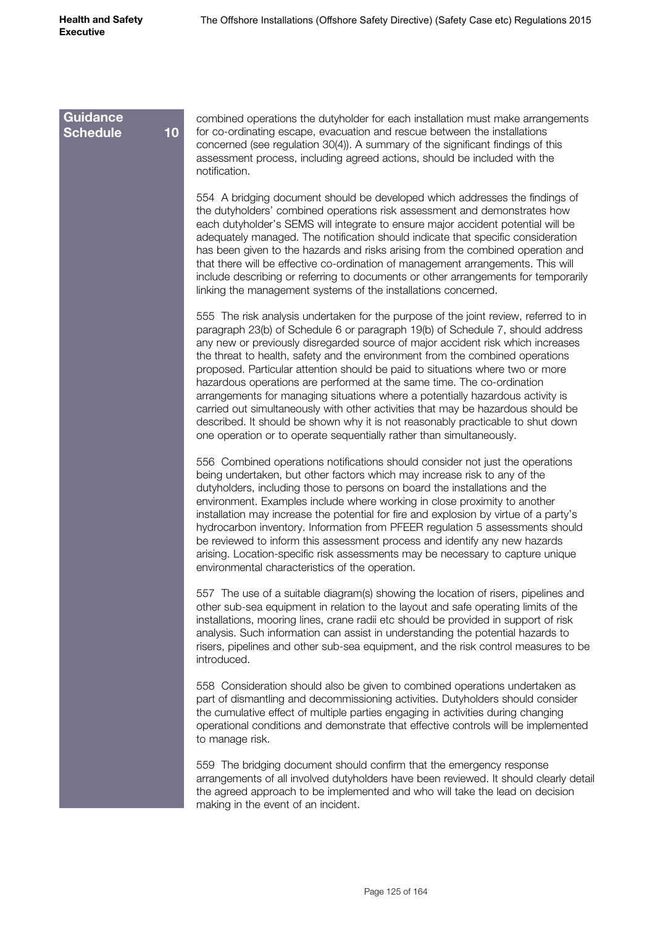**Guidance** 

#### combined operations the dutyholder for each installation must make arrangements for co-ordinating escape, evacuation and rescue between the installations concerned (see regulation 30(4)). A summary of the significant findings of this assessment process, including agreed actions, should be included with the notification. **Schedule 10**

554 A bridging document should be developed which addresses the findings of the dutyholders' combined operations risk assessment and demonstrates how each dutyholder's SEMS will integrate to ensure major accident potential will be adequately managed. The notification should indicate that specific consideration has been given to the hazards and risks arising from the combined operation and that there will be effective co-ordination of management arrangements. This will include describing or referring to documents or other arrangements for temporarily linking the management systems of the installations concerned.

555 The risk analysis undertaken for the purpose of the joint review, referred to in paragraph 23(b) of Schedule 6 or paragraph 19(b) of Schedule 7, should address any new or previously disregarded source of major accident risk which increases the threat to health, safety and the environment from the combined operations proposed. Particular attention should be paid to situations where two or more hazardous operations are performed at the same time. The co-ordination arrangements for managing situations where a potentially hazardous activity is carried out simultaneously with other activities that may be hazardous should be described. It should be shown why it is not reasonably practicable to shut down one operation or to operate sequentially rather than simultaneously.

556 Combined operations notifications should consider not just the operations being undertaken, but other factors which may increase risk to any of the dutyholders, including those to persons on board the installations and the environment. Examples include where working in close proximity to another installation may increase the potential for fire and explosion by virtue of a party's hydrocarbon inventory. Information from PFEER regulation 5 assessments should be reviewed to inform this assessment process and identify any new hazards arising. Location-specific risk assessments may be necessary to capture unique environmental characteristics of the operation.

557 The use of a suitable diagram(s) showing the location of risers, pipelines and other sub-sea equipment in relation to the layout and safe operating limits of the installations, mooring lines, crane radii etc should be provided in support of risk analysis. Such information can assist in understanding the potential hazards to risers, pipelines and other sub-sea equipment, and the risk control measures to be introduced.

558 Consideration should also be given to combined operations undertaken as part of dismantling and decommissioning activities. Dutyholders should consider the cumulative effect of multiple parties engaging in activities during changing operational conditions and demonstrate that effective controls will be implemented to manage risk.

559 The bridging document should confirm that the emergency response arrangements of all involved dutyholders have been reviewed. It should clearly detail the agreed approach to be implemented and who will take the lead on decision making in the event of an incident.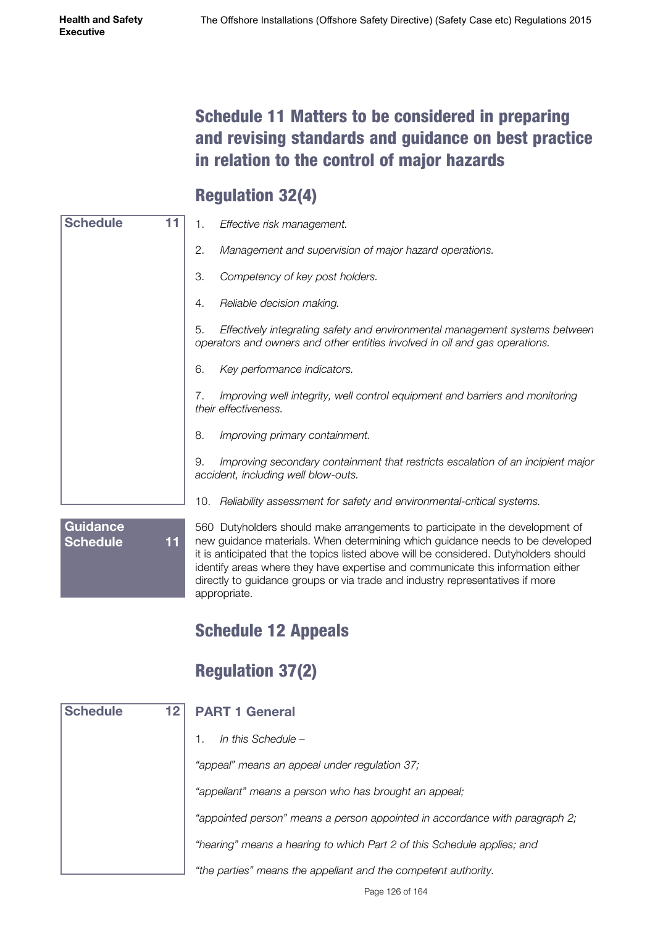### Schedule 11 Matters to be considered in preparing and revising standards and guidance on best practice in relation to the control of major hazards

## Regulation 32(4)

| <b>Schedule</b> | 1.  | Effective risk management.                                                                                                                                 |
|-----------------|-----|------------------------------------------------------------------------------------------------------------------------------------------------------------|
|                 | 2.  | Management and supervision of major hazard operations.                                                                                                     |
|                 | 3.  | Competency of key post holders.                                                                                                                            |
|                 | 4.  | Reliable decision making.                                                                                                                                  |
|                 | 5.  | Effectively integrating safety and environmental management systems between<br>operators and owners and other entities involved in oil and gas operations. |
|                 | 6.  | Key performance indicators.                                                                                                                                |
|                 | 7.  | Improving well integrity, well control equipment and barriers and monitoring<br>their effectiveness.                                                       |
|                 | 8.  | Improving primary containment.                                                                                                                             |
|                 | 9.  | Improving secondary containment that restricts escalation of an incipient major<br>accident, including well blow-outs.                                     |
|                 | 10. | Reliability assessment for safety and environmental-critical systems.                                                                                      |
| <b>Guidance</b> |     | 560 Dutyholders should make arrangements to participate in the development of                                                                              |

**Schedule 11**

new guidance materials. When determining which guidance needs to be developed it is anticipated that the topics listed above will be considered. Dutyholders should identify areas where they have expertise and communicate this information either directly to guidance groups or via trade and industry representatives if more appropriate.

## Schedule 12 Appeals

## Regulation 37(2)

| <b>Schedule</b> | 12 <sub>1</sub> | <b>PART 1 General</b>                                                       |
|-----------------|-----------------|-----------------------------------------------------------------------------|
|                 |                 | In this Schedule -                                                          |
|                 |                 | "appeal" means an appeal under regulation 37;                               |
|                 |                 | "appellant" means a person who has brought an appeal;                       |
|                 |                 | "appointed person" means a person appointed in accordance with paragraph 2; |
|                 |                 | "hearing" means a hearing to which Part 2 of this Schedule applies; and     |
|                 |                 | "the parties" means the appellant and the competent authority.              |

Page 126 of 164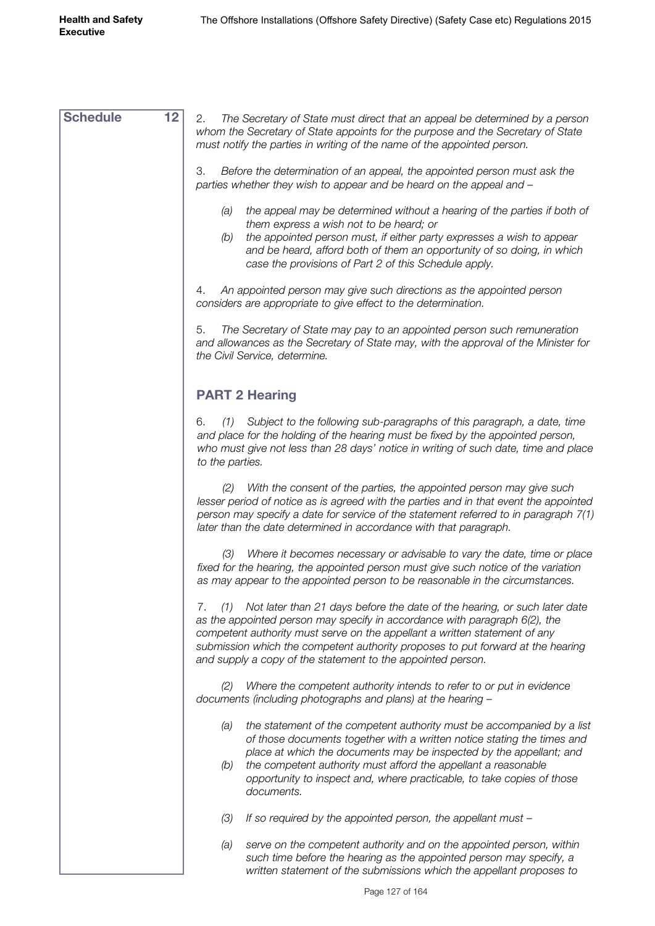| <b>Schedule</b> | 12 <sub>2</sub> | 2.<br>The Secretary of State must direct that an appeal be determined by a person<br>whom the Secretary of State appoints for the purpose and the Secretary of State<br>must notify the parties in writing of the name of the appointed person.                                                                                                                                                      |
|-----------------|-----------------|------------------------------------------------------------------------------------------------------------------------------------------------------------------------------------------------------------------------------------------------------------------------------------------------------------------------------------------------------------------------------------------------------|
|                 |                 | 3.<br>Before the determination of an appeal, the appointed person must ask the<br>parties whether they wish to appear and be heard on the appeal and -                                                                                                                                                                                                                                               |
|                 |                 | the appeal may be determined without a hearing of the parties if both of<br>(a)<br>them express a wish not to be heard; or                                                                                                                                                                                                                                                                           |
|                 |                 | the appointed person must, if either party expresses a wish to appear<br>(b)<br>and be heard, afford both of them an opportunity of so doing, in which<br>case the provisions of Part 2 of this Schedule apply.                                                                                                                                                                                      |
|                 |                 | An appointed person may give such directions as the appointed person<br>4.<br>considers are appropriate to give effect to the determination.                                                                                                                                                                                                                                                         |
|                 |                 | 5.<br>The Secretary of State may pay to an appointed person such remuneration<br>and allowances as the Secretary of State may, with the approval of the Minister for<br>the Civil Service, determine.                                                                                                                                                                                                |
|                 |                 | <b>PART 2 Hearing</b>                                                                                                                                                                                                                                                                                                                                                                                |
|                 |                 | Subject to the following sub-paragraphs of this paragraph, a date, time<br>6.<br>(1)<br>and place for the holding of the hearing must be fixed by the appointed person,<br>who must give not less than 28 days' notice in writing of such date, time and place<br>to the parties.                                                                                                                    |
|                 |                 | With the consent of the parties, the appointed person may give such<br>(2)<br>lesser period of notice as is agreed with the parties and in that event the appointed<br>person may specify a date for service of the statement referred to in paragraph 7(1)<br>later than the date determined in accordance with that paragraph.                                                                     |
|                 |                 | Where it becomes necessary or advisable to vary the date, time or place<br>(3)<br>fixed for the hearing, the appointed person must give such notice of the variation<br>as may appear to the appointed person to be reasonable in the circumstances.                                                                                                                                                 |
|                 |                 | Not later than 21 days before the date of the hearing, or such later date<br>7.<br>(1)<br>as the appointed person may specify in accordance with paragraph 6(2), the<br>competent authority must serve on the appellant a written statement of any<br>submission which the competent authority proposes to put forward at the hearing<br>and supply a copy of the statement to the appointed person. |
|                 |                 | Where the competent authority intends to refer to or put in evidence<br>(2)<br>documents (including photographs and plans) at the hearing -                                                                                                                                                                                                                                                          |
|                 |                 | the statement of the competent authority must be accompanied by a list<br>(a)<br>of those documents together with a written notice stating the times and<br>place at which the documents may be inspected by the appellant; and<br>the competent authority must afford the appellant a reasonable<br>(b)                                                                                             |
|                 |                 | opportunity to inspect and, where practicable, to take copies of those<br>documents.                                                                                                                                                                                                                                                                                                                 |
|                 |                 | If so required by the appointed person, the appellant must -<br>(3)                                                                                                                                                                                                                                                                                                                                  |
|                 |                 | serve on the competent authority and on the appointed person, within<br>(a)<br>such time before the hearing as the appointed person may specify, a<br>written statement of the submissions which the appellant proposes to                                                                                                                                                                           |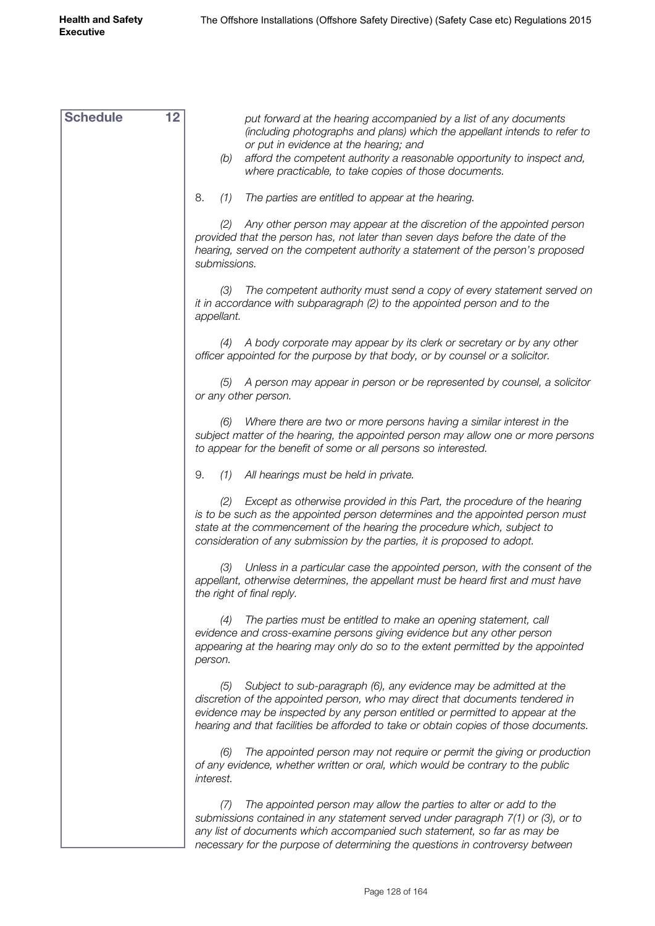| <b>Schedule</b> | 12 | put forward at the hearing accompanied by a list of any documents<br>(including photographs and plans) which the appellant intends to refer to<br>or put in evidence at the hearing; and<br>afford the competent authority a reasonable opportunity to inspect and,<br>(b)<br>where practicable, to take copies of those documents. |
|-----------------|----|-------------------------------------------------------------------------------------------------------------------------------------------------------------------------------------------------------------------------------------------------------------------------------------------------------------------------------------|
|                 |    | 8.<br>(1)<br>The parties are entitled to appear at the hearing.                                                                                                                                                                                                                                                                     |
|                 |    | (2) Any other person may appear at the discretion of the appointed person<br>provided that the person has, not later than seven days before the date of the<br>hearing, served on the competent authority a statement of the person's proposed<br>submissions.                                                                      |
|                 |    | The competent authority must send a copy of every statement served on<br>(3)<br>it in accordance with subparagraph (2) to the appointed person and to the<br>appellant.                                                                                                                                                             |
|                 |    | (4) A body corporate may appear by its clerk or secretary or by any other<br>officer appointed for the purpose by that body, or by counsel or a solicitor.                                                                                                                                                                          |
|                 |    | (5) A person may appear in person or be represented by counsel, a solicitor<br>or any other person.                                                                                                                                                                                                                                 |
|                 |    | Where there are two or more persons having a similar interest in the<br>(6)<br>subject matter of the hearing, the appointed person may allow one or more persons<br>to appear for the benefit of some or all persons so interested.                                                                                                 |
|                 |    | 9.<br>All hearings must be held in private.<br>(1)                                                                                                                                                                                                                                                                                  |
|                 |    | Except as otherwise provided in this Part, the procedure of the hearing<br>(2)<br>is to be such as the appointed person determines and the appointed person must<br>state at the commencement of the hearing the procedure which, subject to<br>consideration of any submission by the parties, it is proposed to adopt.            |
|                 |    | Unless in a particular case the appointed person, with the consent of the<br>(3)<br>appellant, otherwise determines, the appellant must be heard first and must have<br>the right of final reply.                                                                                                                                   |
|                 |    | The parties must be entitled to make an opening statement, call<br>(4)<br>evidence and cross-examine persons giving evidence but any other person<br>appearing at the hearing may only do so to the extent permitted by the appointed<br>person.                                                                                    |
|                 |    | Subject to sub-paragraph (6), any evidence may be admitted at the<br>(5)<br>discretion of the appointed person, who may direct that documents tendered in<br>evidence may be inspected by any person entitled or permitted to appear at the<br>hearing and that facilities be afforded to take or obtain copies of those documents. |
|                 |    | The appointed person may not require or permit the giving or production<br>(6)<br>of any evidence, whether written or oral, which would be contrary to the public<br>interest.                                                                                                                                                      |
|                 |    | The appointed person may allow the parties to alter or add to the<br>(7)<br>submissions contained in any statement served under paragraph 7(1) or (3), or to<br>any list of documents which accompanied such statement, so far as may be<br>necessary for the purpose of determining the questions in controversy between           |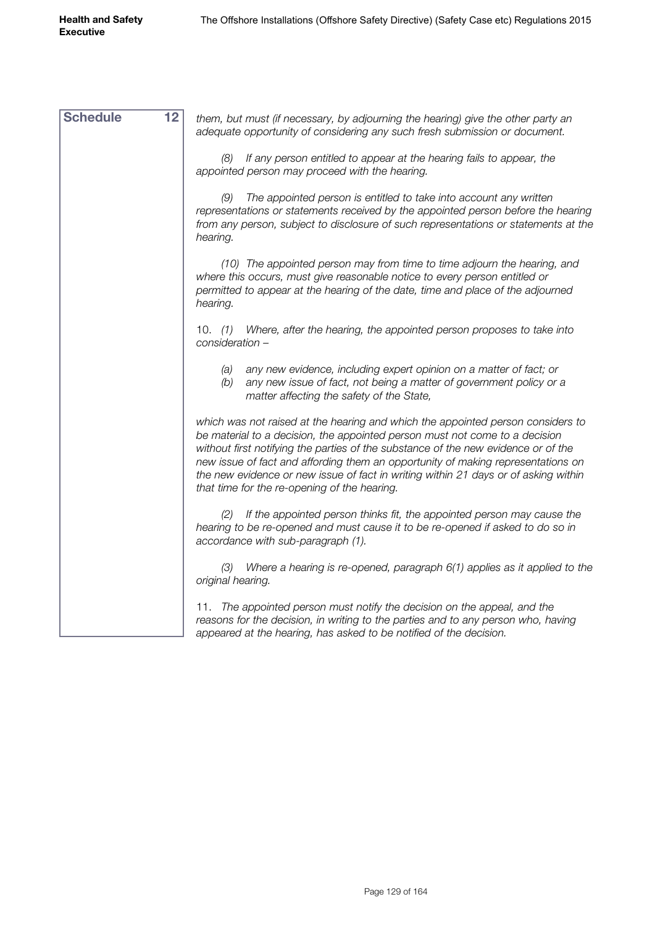| <b>Schedule</b> | 12 | them, but must (if necessary, by adjourning the hearing) give the other party an<br>adequate opportunity of considering any such fresh submission or document.                                                                                                                                                                                                                                                                                                                  |
|-----------------|----|---------------------------------------------------------------------------------------------------------------------------------------------------------------------------------------------------------------------------------------------------------------------------------------------------------------------------------------------------------------------------------------------------------------------------------------------------------------------------------|
|                 |    | If any person entitled to appear at the hearing fails to appear, the<br>(8)<br>appointed person may proceed with the hearing.                                                                                                                                                                                                                                                                                                                                                   |
|                 |    | The appointed person is entitled to take into account any written<br>(9)<br>representations or statements received by the appointed person before the hearing<br>from any person, subject to disclosure of such representations or statements at the<br>hearing.                                                                                                                                                                                                                |
|                 |    | (10) The appointed person may from time to time adjourn the hearing, and<br>where this occurs, must give reasonable notice to every person entitled or<br>permitted to appear at the hearing of the date, time and place of the adjourned<br>hearing.                                                                                                                                                                                                                           |
|                 |    | Where, after the hearing, the appointed person proposes to take into<br>10. $(1)$<br>consideration -                                                                                                                                                                                                                                                                                                                                                                            |
|                 |    | any new evidence, including expert opinion on a matter of fact; or<br>(a)<br>any new issue of fact, not being a matter of government policy or a<br>(b)<br>matter affecting the safety of the State,                                                                                                                                                                                                                                                                            |
|                 |    | which was not raised at the hearing and which the appointed person considers to<br>be material to a decision, the appointed person must not come to a decision<br>without first notifying the parties of the substance of the new evidence or of the<br>new issue of fact and affording them an opportunity of making representations on<br>the new evidence or new issue of fact in writing within 21 days or of asking within<br>that time for the re-opening of the hearing. |
|                 |    | If the appointed person thinks fit, the appointed person may cause the<br>(2)<br>hearing to be re-opened and must cause it to be re-opened if asked to do so in<br>accordance with sub-paragraph (1).                                                                                                                                                                                                                                                                           |
|                 |    | Where a hearing is re-opened, paragraph 6(1) applies as it applied to the<br>(3)<br>original hearing.                                                                                                                                                                                                                                                                                                                                                                           |
|                 |    | 11. The appointed person must notify the decision on the appeal, and the<br>reasons for the decision, in writing to the parties and to any person who, having<br>appeared at the hearing, has asked to be notified of the decision.                                                                                                                                                                                                                                             |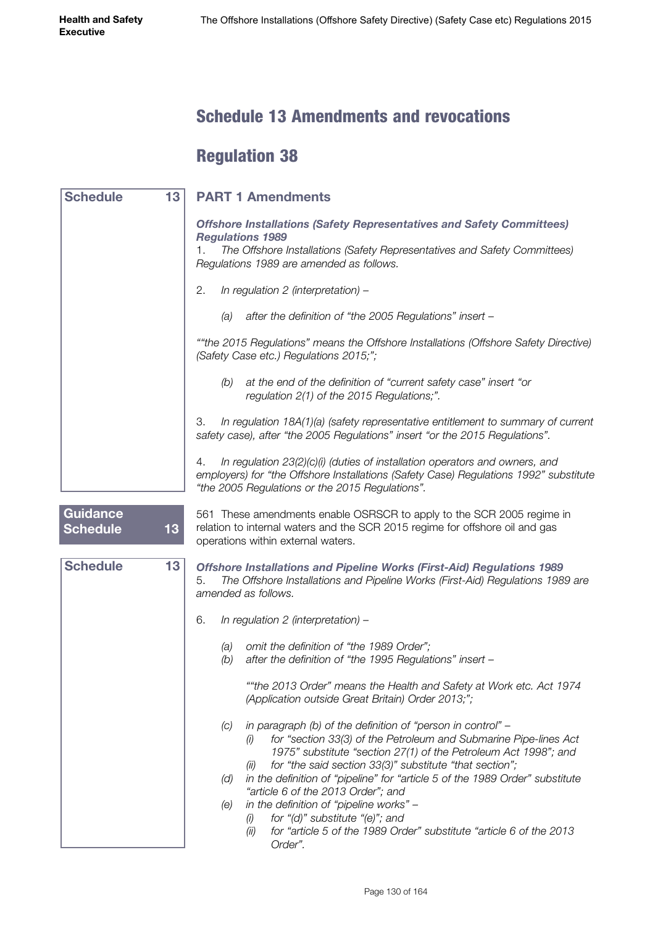#### Schedule 13 Amendments and revocations

## Regulation 38

| <b>Schedule</b>                    | 13 | <b>PART 1 Amendments</b>                                                                                                                                                                                                               |
|------------------------------------|----|----------------------------------------------------------------------------------------------------------------------------------------------------------------------------------------------------------------------------------------|
|                                    |    | <b>Offshore Installations (Safety Representatives and Safety Committees)</b><br><b>Regulations 1989</b><br>The Offshore Installations (Safety Representatives and Safety Committees)<br>1.<br>Regulations 1989 are amended as follows. |
|                                    |    |                                                                                                                                                                                                                                        |
|                                    |    | In regulation 2 (interpretation) -<br>2.                                                                                                                                                                                               |
|                                    |    | after the definition of "the 2005 Regulations" insert -<br>(a)                                                                                                                                                                         |
|                                    |    | ""the 2015 Regulations" means the Offshore Installations (Offshore Safety Directive)<br>(Safety Case etc.) Regulations 2015;";                                                                                                         |
|                                    |    | at the end of the definition of "current safety case" insert "or<br>(b)<br>regulation 2(1) of the 2015 Regulations;".                                                                                                                  |
|                                    |    | In regulation 18A(1)(a) (safety representative entitlement to summary of current<br>З.<br>safety case), after "the 2005 Regulations" insert "or the 2015 Regulations".                                                                 |
|                                    |    | In regulation 23(2)(c)(i) (duties of installation operators and owners, and<br>4.<br>employers) for "the Offshore Installations (Safety Case) Regulations 1992" substitute<br>"the 2005 Regulations or the 2015 Regulations".          |
| <b>Guidance</b><br><b>Schedule</b> | 13 | 561 These amendments enable OSRSCR to apply to the SCR 2005 regime in<br>relation to internal waters and the SCR 2015 regime for offshore oil and gas<br>operations within external waters.                                            |
| <b>Schedule</b>                    | 13 | <b>Offshore Installations and Pipeline Works (First-Aid) Regulations 1989</b><br>The Offshore Installations and Pipeline Works (First-Aid) Regulations 1989 are<br>5.<br>amended as follows.                                           |
|                                    |    | In regulation 2 (interpretation) -<br>6.                                                                                                                                                                                               |
|                                    |    | omit the definition of "the 1989 Order";<br>(a)<br>after the definition of "the 1995 Regulations" insert -<br>(b)                                                                                                                      |
|                                    |    | ""the 2013 Order" means the Health and Safety at Work etc. Act 1974<br>(Application outside Great Britain) Order 2013;";                                                                                                               |
|                                    |    | in paragraph (b) of the definition of "person in control" -<br>(C)<br>for "section 33(3) of the Petroleum and Submarine Pipe-lines Act<br>(i)<br>1975" substitute "section 27(1) of the Petroleum Act 1998"; and                       |
|                                    |    | for "the said section 33(3)" substitute "that section";<br>(III)<br>in the definition of "pipeline" for "article 5 of the 1989 Order" substitute<br>(d)                                                                                |
|                                    |    | "article 6 of the 2013 Order"; and<br>in the definition of "pipeline works" -                                                                                                                                                          |
|                                    |    | (e)<br>for "(d)" substitute "(e)"; and<br>(i)                                                                                                                                                                                          |
|                                    |    | for "article 5 of the 1989 Order" substitute "article 6 of the 2013<br>(ii)<br>Order".                                                                                                                                                 |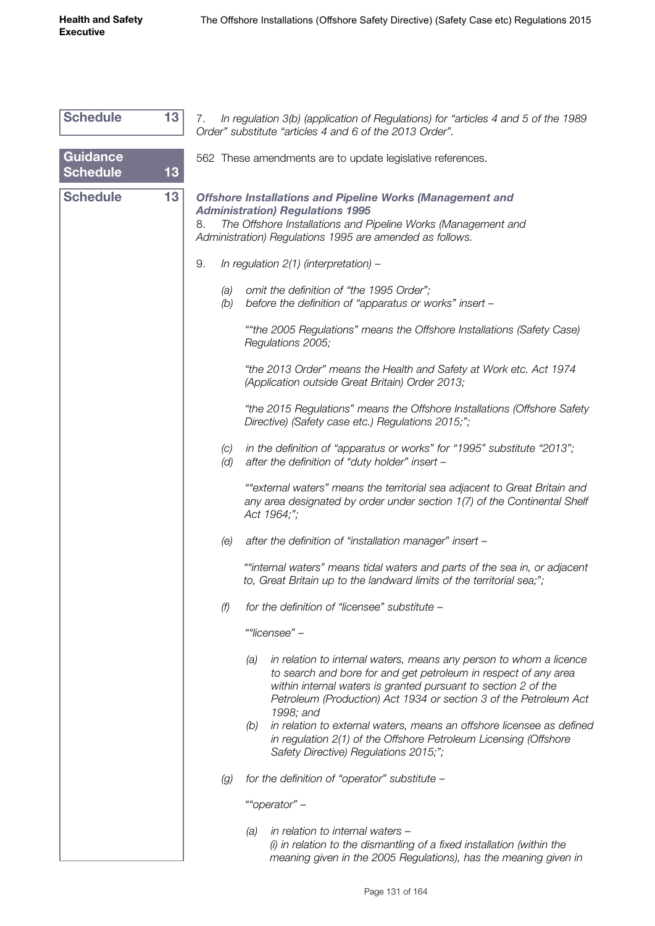| <b>Schedule</b>                    | 13 <sub>1</sub> | 7.<br>In regulation 3(b) (application of Regulations) for "articles 4 and 5 of the 1989<br>Order" substitute "articles 4 and 6 of the 2013 Order".                                                                                                                                               |
|------------------------------------|-----------------|--------------------------------------------------------------------------------------------------------------------------------------------------------------------------------------------------------------------------------------------------------------------------------------------------|
| <b>Guidance</b><br><b>Schedule</b> | 13              | 562 These amendments are to update legislative references.                                                                                                                                                                                                                                       |
| <b>Schedule</b>                    | 13              | <b>Offshore Installations and Pipeline Works (Management and</b><br><b>Administration) Regulations 1995</b><br>The Offshore Installations and Pipeline Works (Management and<br>8.<br>Administration) Regulations 1995 are amended as follows.                                                   |
|                                    |                 | 9.<br>In regulation $2(1)$ (interpretation) –                                                                                                                                                                                                                                                    |
|                                    |                 | omit the definition of "the 1995 Order";<br>(a)<br>before the definition of "apparatus or works" insert -<br>(b)                                                                                                                                                                                 |
|                                    |                 | ""the 2005 Regulations" means the Offshore Installations (Safety Case)<br>Regulations 2005;                                                                                                                                                                                                      |
|                                    |                 | "the 2013 Order" means the Health and Safety at Work etc. Act 1974<br>(Application outside Great Britain) Order 2013;                                                                                                                                                                            |
|                                    |                 | "the 2015 Regulations" means the Offshore Installations (Offshore Safety<br>Directive) (Safety case etc.) Regulations 2015;";                                                                                                                                                                    |
|                                    |                 | in the definition of "apparatus or works" for "1995" substitute "2013";<br>(C)<br>after the definition of "duty holder" insert -<br>(d)                                                                                                                                                          |
|                                    |                 | ""external waters" means the territorial sea adjacent to Great Britain and<br>any area designated by order under section 1(7) of the Continental Shelf<br>Act 1964;";                                                                                                                            |
|                                    |                 | (e)<br>after the definition of "installation manager" insert -                                                                                                                                                                                                                                   |
|                                    |                 | ""internal waters" means tidal waters and parts of the sea in, or adjacent<br>to, Great Britain up to the landward limits of the territorial sea;";                                                                                                                                              |
|                                    |                 | for the definition of "licensee" substitute -<br>(f)                                                                                                                                                                                                                                             |
|                                    |                 | ""licensee" -                                                                                                                                                                                                                                                                                    |
|                                    |                 | in relation to internal waters, means any person to whom a licence<br>(a)<br>to search and bore for and get petroleum in respect of any area<br>within internal waters is granted pursuant to section 2 of the<br>Petroleum (Production) Act 1934 or section 3 of the Petroleum Act<br>1998; and |
|                                    |                 | in relation to external waters, means an offshore licensee as defined<br>(b)<br>in regulation 2(1) of the Offshore Petroleum Licensing (Offshore<br>Safety Directive) Regulations 2015;";                                                                                                        |
|                                    |                 | for the definition of "operator" substitute -<br>(g)                                                                                                                                                                                                                                             |
|                                    |                 | ""operator" -                                                                                                                                                                                                                                                                                    |
|                                    |                 | in relation to internal waters -<br>(a)<br>(i) in relation to the dismantling of a fixed installation (within the<br>meaning given in the 2005 Regulations), has the meaning given in                                                                                                            |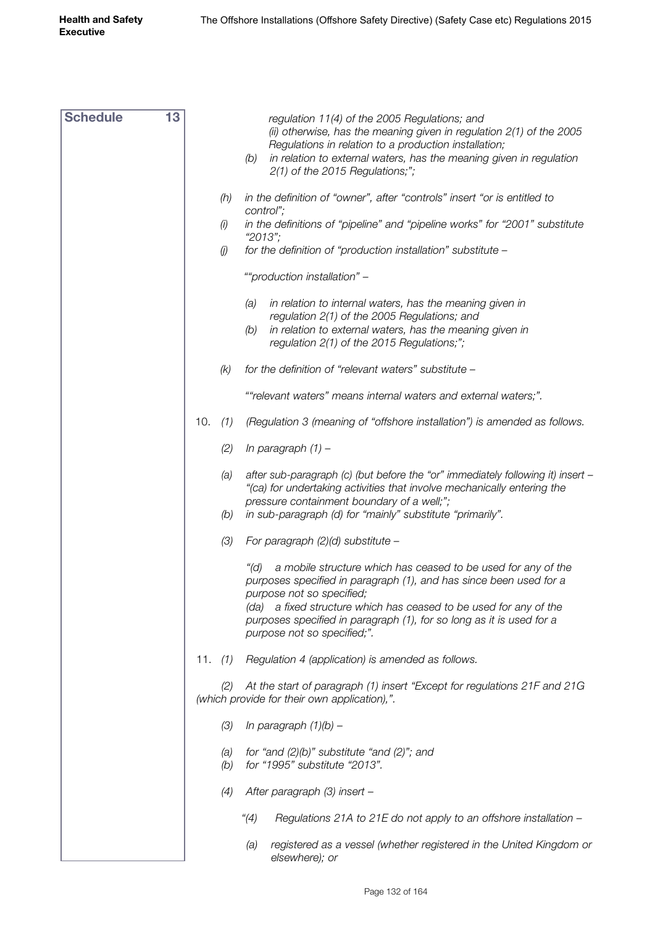| <b>Schedule</b> | 13 |     |                                       | regulation 11(4) of the 2005 Regulations; and<br>(ii) otherwise, has the meaning given in regulation 2(1) of the 2005<br>Regulations in relation to a production installation;<br>in relation to external waters, has the meaning given in regulation<br>(b)<br>$2(1)$ of the 2015 Regulations;";                                                       |
|-----------------|----|-----|---------------------------------------|---------------------------------------------------------------------------------------------------------------------------------------------------------------------------------------------------------------------------------------------------------------------------------------------------------------------------------------------------------|
|                 |    |     | (h)                                   | in the definition of "owner", after "controls" insert "or is entitled to                                                                                                                                                                                                                                                                                |
|                 |    |     | (i)                                   | control";<br>in the definitions of "pipeline" and "pipeline works" for "2001" substitute                                                                                                                                                                                                                                                                |
|                 |    |     | $\left(\!\!\left j\right \!\!\right)$ | "2013";<br>for the definition of "production installation" substitute -                                                                                                                                                                                                                                                                                 |
|                 |    |     |                                       | ""production installation" -                                                                                                                                                                                                                                                                                                                            |
|                 |    |     |                                       | in relation to internal waters, has the meaning given in<br>(a)<br>regulation 2(1) of the 2005 Regulations; and<br>in relation to external waters, has the meaning given in<br>(b)<br>regulation 2(1) of the 2015 Regulations;";                                                                                                                        |
|                 |    |     | (k)                                   | for the definition of "relevant waters" substitute -                                                                                                                                                                                                                                                                                                    |
|                 |    |     |                                       | ""relevant waters" means internal waters and external waters;".                                                                                                                                                                                                                                                                                         |
|                 |    | 10. | (1)                                   | (Regulation 3 (meaning of "offshore installation") is amended as follows.                                                                                                                                                                                                                                                                               |
|                 |    |     | (2)                                   | In paragraph $(1)$ –                                                                                                                                                                                                                                                                                                                                    |
|                 |    |     | (a)<br>(b)                            | after sub-paragraph (c) (but before the "or" immediately following it) insert -<br>"(ca) for undertaking activities that involve mechanically entering the<br>pressure containment boundary of a well;";<br>in sub-paragraph (d) for "mainly" substitute "primarily".                                                                                   |
|                 |    |     | (3)                                   | For paragraph $(2)(d)$ substitute –                                                                                                                                                                                                                                                                                                                     |
|                 |    |     |                                       | a mobile structure which has ceased to be used for any of the<br>"(d)<br>purposes specified in paragraph (1), and has since been used for a<br>purpose not so specified;<br>a fixed structure which has ceased to be used for any of the<br>(da)<br>purposes specified in paragraph (1), for so long as it is used for a<br>purpose not so specified;". |
|                 |    | 11. | (1)                                   | Regulation 4 (application) is amended as follows.                                                                                                                                                                                                                                                                                                       |
|                 |    |     | (2)                                   | At the start of paragraph (1) insert "Except for regulations 21F and 21G<br>(which provide for their own application),".                                                                                                                                                                                                                                |
|                 |    |     | (3)                                   | In paragraph $(1)(b)$ –                                                                                                                                                                                                                                                                                                                                 |
|                 |    |     | (a)<br>(b)                            | for "and $(2)(b)$ " substitute "and $(2)$ "; and<br>for "1995" substitute "2013".                                                                                                                                                                                                                                                                       |
|                 |    |     | (4)                                   | After paragraph (3) insert -                                                                                                                                                                                                                                                                                                                            |
|                 |    |     |                                       | "(4)<br>Regulations 21A to 21E do not apply to an offshore installation -                                                                                                                                                                                                                                                                               |
|                 |    |     |                                       | registered as a vessel (whether registered in the United Kingdom or<br>(a)<br>elsewhere); or                                                                                                                                                                                                                                                            |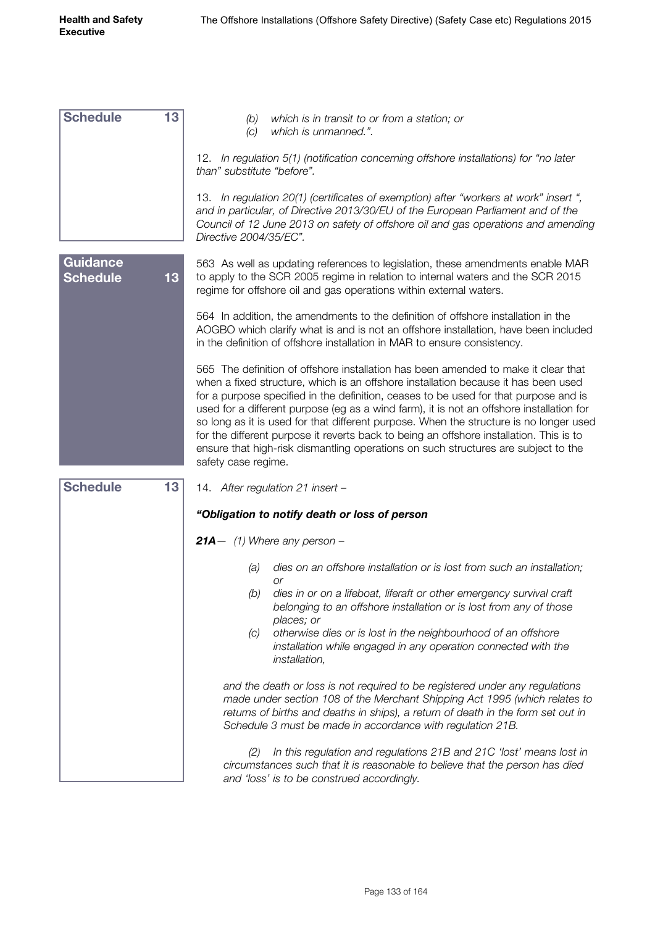| <b>Schedule</b>                    | 13 | which is in transit to or from a station; or<br>(b)<br>which is unmanned.".<br>(C)                                                                                                                                                                                                                                                                                                                                                                                                                                                                                                                                                                             |
|------------------------------------|----|----------------------------------------------------------------------------------------------------------------------------------------------------------------------------------------------------------------------------------------------------------------------------------------------------------------------------------------------------------------------------------------------------------------------------------------------------------------------------------------------------------------------------------------------------------------------------------------------------------------------------------------------------------------|
|                                    |    | 12. In regulation 5(1) (notification concerning offshore installations) for "no later<br>than" substitute "before".                                                                                                                                                                                                                                                                                                                                                                                                                                                                                                                                            |
|                                    |    | 13. In regulation 20(1) (certificates of exemption) after "workers at work" insert",<br>and in particular, of Directive 2013/30/EU of the European Parliament and of the<br>Council of 12 June 2013 on safety of offshore oil and gas operations and amending<br>Directive 2004/35/EC".                                                                                                                                                                                                                                                                                                                                                                        |
| <b>Guidance</b><br><b>Schedule</b> | 13 | 563 As well as updating references to legislation, these amendments enable MAR<br>to apply to the SCR 2005 regime in relation to internal waters and the SCR 2015<br>regime for offshore oil and gas operations within external waters.                                                                                                                                                                                                                                                                                                                                                                                                                        |
|                                    |    | 564 In addition, the amendments to the definition of offshore installation in the<br>AOGBO which clarify what is and is not an offshore installation, have been included<br>in the definition of offshore installation in MAR to ensure consistency.                                                                                                                                                                                                                                                                                                                                                                                                           |
|                                    |    | 565 The definition of offshore installation has been amended to make it clear that<br>when a fixed structure, which is an offshore installation because it has been used<br>for a purpose specified in the definition, ceases to be used for that purpose and is<br>used for a different purpose (eg as a wind farm), it is not an offshore installation for<br>so long as it is used for that different purpose. When the structure is no longer used<br>for the different purpose it reverts back to being an offshore installation. This is to<br>ensure that high-risk dismantling operations on such structures are subject to the<br>safety case regime. |
| <b>Schedule</b>                    | 13 | 14. After regulation 21 insert -                                                                                                                                                                                                                                                                                                                                                                                                                                                                                                                                                                                                                               |
|                                    |    | "Obligation to notify death or loss of person                                                                                                                                                                                                                                                                                                                                                                                                                                                                                                                                                                                                                  |
|                                    |    | <b>21A</b> $-$ (1) Where any person $-$                                                                                                                                                                                                                                                                                                                                                                                                                                                                                                                                                                                                                        |
|                                    |    | dies on an offshore installation or is lost from such an installation;<br>(a)                                                                                                                                                                                                                                                                                                                                                                                                                                                                                                                                                                                  |
|                                    |    | or<br>(b)<br>dies in or on a lifeboat, liferaft or other emergency survival craft<br>belonging to an offshore installation or is lost from any of those<br>places; or                                                                                                                                                                                                                                                                                                                                                                                                                                                                                          |
|                                    |    | otherwise dies or is lost in the neighbourhood of an offshore<br>(C)<br>installation while engaged in any operation connected with the<br>installation,                                                                                                                                                                                                                                                                                                                                                                                                                                                                                                        |
|                                    |    | and the death or loss is not required to be registered under any regulations<br>made under section 108 of the Merchant Shipping Act 1995 (which relates to<br>returns of births and deaths in ships), a return of death in the form set out in<br>Schedule 3 must be made in accordance with regulation 21B.                                                                                                                                                                                                                                                                                                                                                   |
|                                    |    | In this regulation and regulations 21B and 21C 'lost' means lost in<br>(2)<br>circumstances such that it is reasonable to believe that the person has died<br>and 'loss' is to be construed accordingly.                                                                                                                                                                                                                                                                                                                                                                                                                                                       |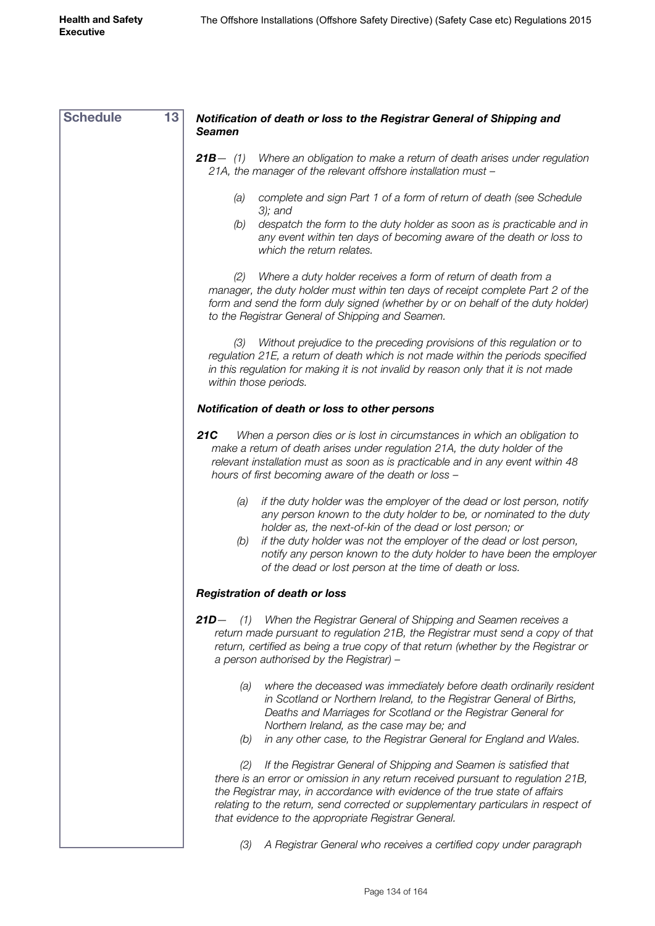| <b>Schedule</b> | 13<br>Notification of death or loss to the Registrar General of Shipping and<br><b>Seamen</b>                                                                                                                                                                                                                                                                                                                                       |
|-----------------|-------------------------------------------------------------------------------------------------------------------------------------------------------------------------------------------------------------------------------------------------------------------------------------------------------------------------------------------------------------------------------------------------------------------------------------|
|                 | <b>21B</b> - (1) Where an obligation to make a return of death arises under regulation<br>21A, the manager of the relevant offshore installation must -                                                                                                                                                                                                                                                                             |
|                 | complete and sign Part 1 of a form of return of death (see Schedule<br>(a)<br>$3$ ; and                                                                                                                                                                                                                                                                                                                                             |
|                 | despatch the form to the duty holder as soon as is practicable and in<br>(b)<br>any event within ten days of becoming aware of the death or loss to<br>which the return relates.                                                                                                                                                                                                                                                    |
|                 | Where a duty holder receives a form of return of death from a<br>(2)<br>manager, the duty holder must within ten days of receipt complete Part 2 of the<br>form and send the form duly signed (whether by or on behalf of the duty holder)<br>to the Registrar General of Shipping and Seamen.                                                                                                                                      |
|                 | Without prejudice to the preceding provisions of this regulation or to<br>(3)<br>regulation 21E, a return of death which is not made within the periods specified<br>in this regulation for making it is not invalid by reason only that it is not made<br>within those periods.                                                                                                                                                    |
|                 | Notification of death or loss to other persons                                                                                                                                                                                                                                                                                                                                                                                      |
|                 | 21C<br>When a person dies or is lost in circumstances in which an obligation to<br>make a return of death arises under regulation 21A, the duty holder of the<br>relevant installation must as soon as is practicable and in any event within 48<br>hours of first becoming aware of the death or loss -                                                                                                                            |
|                 | if the duty holder was the employer of the dead or lost person, notify<br>(a)<br>any person known to the duty holder to be, or nominated to the duty<br>holder as, the next-of-kin of the dead or lost person; or<br>if the duty holder was not the employer of the dead or lost person,<br>(b)<br>notify any person known to the duty holder to have been the employer<br>of the dead or lost person at the time of death or loss. |
|                 | <b>Registration of death or loss</b>                                                                                                                                                                                                                                                                                                                                                                                                |
|                 | $21D-$<br>When the Registrar General of Shipping and Seamen receives a<br>(1)<br>return made pursuant to regulation 21B, the Registrar must send a copy of that<br>return, certified as being a true copy of that return (whether by the Registrar or<br>a person authorised by the Registrar) -                                                                                                                                    |
|                 | where the deceased was immediately before death ordinarily resident<br>(a)<br>in Scotland or Northern Ireland, to the Registrar General of Births,<br>Deaths and Marriages for Scotland or the Registrar General for<br>Northern Ireland, as the case may be; and                                                                                                                                                                   |
|                 | in any other case, to the Registrar General for England and Wales.<br>(b)                                                                                                                                                                                                                                                                                                                                                           |
|                 | If the Registrar General of Shipping and Seamen is satisfied that<br>(2)<br>there is an error or omission in any return received pursuant to regulation 21B,<br>the Registrar may, in accordance with evidence of the true state of affairs<br>relating to the return, send corrected or supplementary particulars in respect of<br>that evidence to the appropriate Registrar General.                                             |
|                 | A Registrar General who receives a certified copy under paragraph<br>(3)                                                                                                                                                                                                                                                                                                                                                            |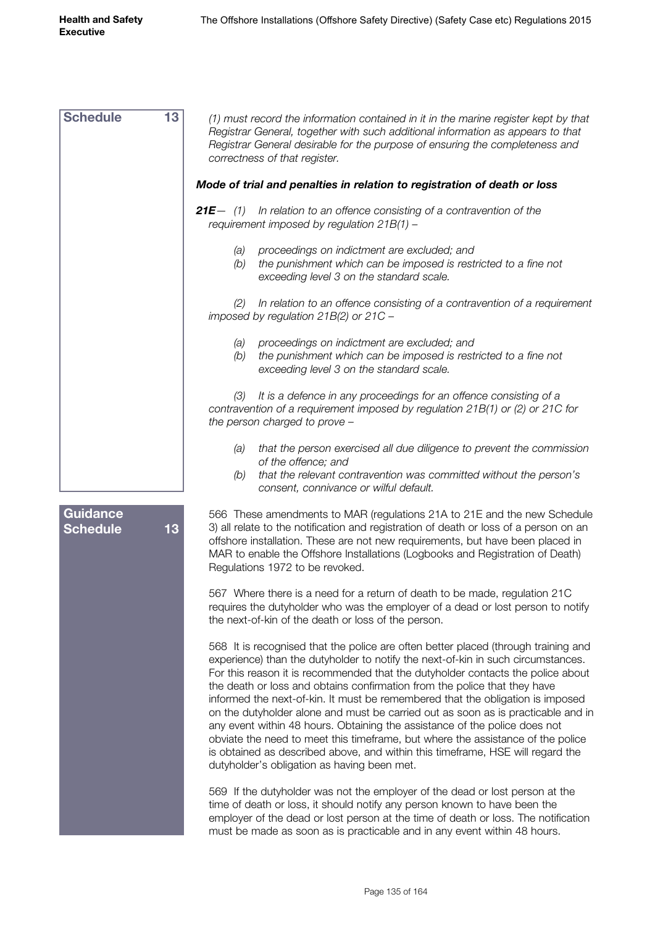| <b>Schedule</b>                    | 13 | (1) must record the information contained in it in the marine register kept by that<br>Registrar General, together with such additional information as appears to that<br>Registrar General desirable for the purpose of ensuring the completeness and<br>correctness of that register.                                                                                                                                                                                                                                                                                                                                                                                                                                                                                                                        |
|------------------------------------|----|----------------------------------------------------------------------------------------------------------------------------------------------------------------------------------------------------------------------------------------------------------------------------------------------------------------------------------------------------------------------------------------------------------------------------------------------------------------------------------------------------------------------------------------------------------------------------------------------------------------------------------------------------------------------------------------------------------------------------------------------------------------------------------------------------------------|
|                                    |    | Mode of trial and penalties in relation to registration of death or loss                                                                                                                                                                                                                                                                                                                                                                                                                                                                                                                                                                                                                                                                                                                                       |
|                                    |    | <b>21E</b> $-$ (1) In relation to an offence consisting of a contravention of the<br>requirement imposed by regulation $21B(1)$ -                                                                                                                                                                                                                                                                                                                                                                                                                                                                                                                                                                                                                                                                              |
|                                    |    | proceedings on indictment are excluded; and<br>(a)<br>the punishment which can be imposed is restricted to a fine not<br>(b)<br>exceeding level 3 on the standard scale.                                                                                                                                                                                                                                                                                                                                                                                                                                                                                                                                                                                                                                       |
|                                    |    | In relation to an offence consisting of a contravention of a requirement<br>(2)<br>imposed by regulation $21B(2)$ or $21C -$                                                                                                                                                                                                                                                                                                                                                                                                                                                                                                                                                                                                                                                                                   |
|                                    |    | proceedings on indictment are excluded; and<br>(a)<br>the punishment which can be imposed is restricted to a fine not<br>(b)<br>exceeding level 3 on the standard scale.                                                                                                                                                                                                                                                                                                                                                                                                                                                                                                                                                                                                                                       |
|                                    |    | It is a defence in any proceedings for an offence consisting of a<br>(3)<br>contravention of a requirement imposed by regulation 21B(1) or (2) or 21C for<br>the person charged to prove -                                                                                                                                                                                                                                                                                                                                                                                                                                                                                                                                                                                                                     |
|                                    |    | that the person exercised all due diligence to prevent the commission<br>(a)<br>of the offence; and<br>that the relevant contravention was committed without the person's<br>(b)<br>consent, connivance or wilful default.                                                                                                                                                                                                                                                                                                                                                                                                                                                                                                                                                                                     |
| <b>Guidance</b><br><b>Schedule</b> | 13 | 566 These amendments to MAR (regulations 21A to 21E and the new Schedule<br>3) all relate to the notification and registration of death or loss of a person on an<br>offshore installation. These are not new requirements, but have been placed in<br>MAR to enable the Offshore Installations (Logbooks and Registration of Death)<br>Regulations 1972 to be revoked.                                                                                                                                                                                                                                                                                                                                                                                                                                        |
|                                    |    | 567 Where there is a need for a return of death to be made, regulation 21C<br>requires the dutyholder who was the employer of a dead or lost person to notify<br>the next-of-kin of the death or loss of the person.                                                                                                                                                                                                                                                                                                                                                                                                                                                                                                                                                                                           |
|                                    |    | 568 It is recognised that the police are often better placed (through training and<br>experience) than the dutyholder to notify the next-of-kin in such circumstances.<br>For this reason it is recommended that the dutyholder contacts the police about<br>the death or loss and obtains confirmation from the police that they have<br>informed the next-of-kin. It must be remembered that the obligation is imposed<br>on the dutyholder alone and must be carried out as soon as is practicable and in<br>any event within 48 hours. Obtaining the assistance of the police does not<br>obviate the need to meet this timeframe, but where the assistance of the police<br>is obtained as described above, and within this timeframe, HSE will regard the<br>dutyholder's obligation as having been met. |
|                                    |    | 569 If the dutyholder was not the employer of the dead or lost person at the<br>time of death or loss, it should notify any person known to have been the<br>employer of the dead or lost person at the time of death or loss. The notification<br>must be made as soon as is practicable and in any event within 48 hours.                                                                                                                                                                                                                                                                                                                                                                                                                                                                                    |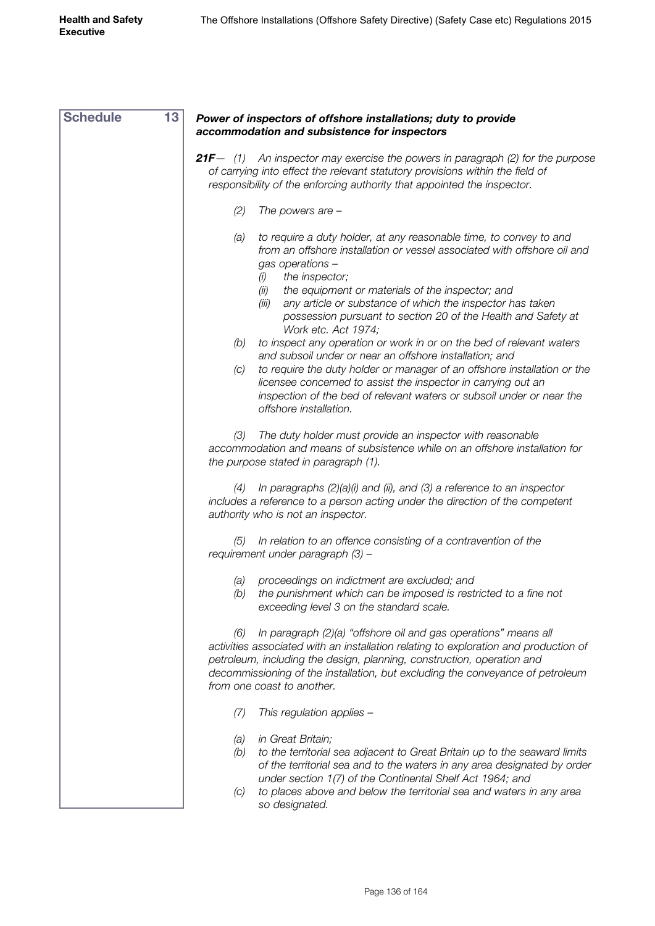| <b>Schedule</b> | 13<br>Power of inspectors of offshore installations; duty to provide                                                                                                                                                                                                                                                                                                                          |
|-----------------|-----------------------------------------------------------------------------------------------------------------------------------------------------------------------------------------------------------------------------------------------------------------------------------------------------------------------------------------------------------------------------------------------|
|                 | accommodation and subsistence for inspectors                                                                                                                                                                                                                                                                                                                                                  |
|                 | <b>21F</b> $-$ (1) An inspector may exercise the powers in paragraph (2) for the purpose<br>of carrying into effect the relevant statutory provisions within the field of<br>responsibility of the enforcing authority that appointed the inspector.                                                                                                                                          |
|                 | (2)<br>The powers are $-$                                                                                                                                                                                                                                                                                                                                                                     |
|                 | to require a duty holder, at any reasonable time, to convey to and<br>(a)<br>from an offshore installation or vessel associated with offshore oil and<br>gas operations -<br>the inspector;<br>(i)                                                                                                                                                                                            |
|                 | the equipment or materials of the inspector; and<br>(ii)<br>any article or substance of which the inspector has taken<br>(iii)<br>possession pursuant to section 20 of the Health and Safety at<br>Work etc. Act 1974;                                                                                                                                                                        |
|                 | to inspect any operation or work in or on the bed of relevant waters<br>(b)<br>and subsoil under or near an offshore installation; and<br>to require the duty holder or manager of an offshore installation or the<br>(C)<br>licensee concerned to assist the inspector in carrying out an<br>inspection of the bed of relevant waters or subsoil under or near the<br>offshore installation. |
|                 | The duty holder must provide an inspector with reasonable<br>(3)<br>accommodation and means of subsistence while on an offshore installation for<br>the purpose stated in paragraph (1).                                                                                                                                                                                                      |
|                 | In paragraphs $(2)(a)(i)$ and $(ii)$ , and $(3)$ a reference to an inspector<br>(4)<br>includes a reference to a person acting under the direction of the competent<br>authority who is not an inspector.                                                                                                                                                                                     |
|                 | In relation to an offence consisting of a contravention of the<br>(5)<br>requirement under paragraph (3) -                                                                                                                                                                                                                                                                                    |
|                 | proceedings on indictment are excluded; and<br>(a)<br>the punishment which can be imposed is restricted to a fine not<br>(b)<br>exceeding level 3 on the standard scale.                                                                                                                                                                                                                      |
|                 | In paragraph (2)(a) "offshore oil and gas operations" means all<br>(6)<br>activities associated with an installation relating to exploration and production of<br>petroleum, including the design, planning, construction, operation and<br>decommissioning of the installation, but excluding the conveyance of petroleum<br>from one coast to another.                                      |
|                 | (7)<br>This regulation applies -                                                                                                                                                                                                                                                                                                                                                              |
|                 | in Great Britain;<br>(a)<br>to the territorial sea adjacent to Great Britain up to the seaward limits<br>(b)<br>of the territorial sea and to the waters in any area designated by order<br>under section 1(7) of the Continental Shelf Act 1964; and<br>to places above and below the territorial sea and waters in any area<br>(C)                                                          |
|                 | so designated.                                                                                                                                                                                                                                                                                                                                                                                |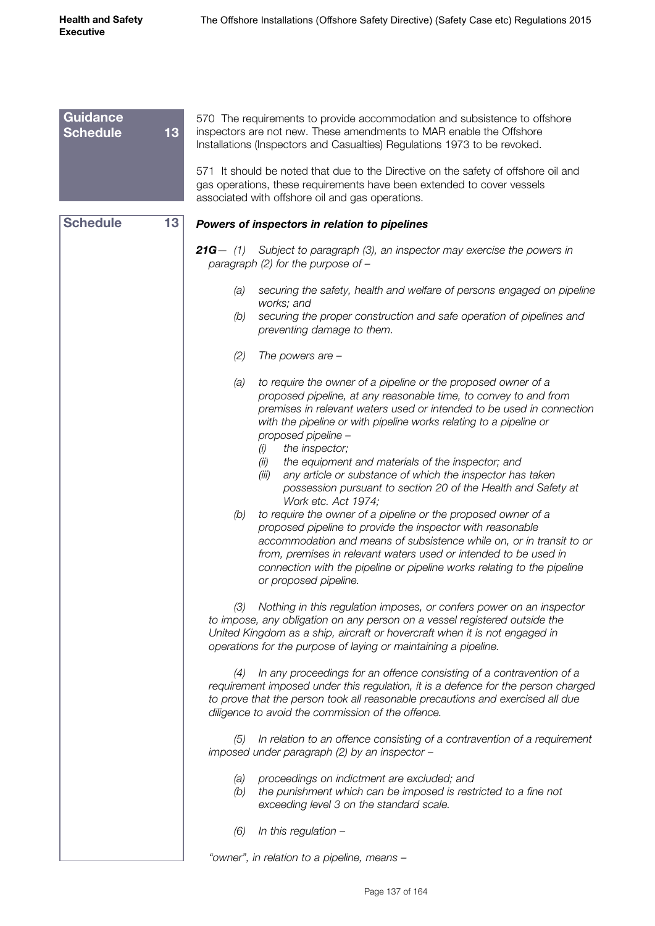| <b>Guidance</b><br><b>Schedule</b> | 13 | 570 The requirements to provide accommodation and subsistence to offshore<br>inspectors are not new. These amendments to MAR enable the Offshore<br>Installations (Inspectors and Casualties) Regulations 1973 to be revoked.                                                                                                                                                                                                                                                                                                                    |
|------------------------------------|----|--------------------------------------------------------------------------------------------------------------------------------------------------------------------------------------------------------------------------------------------------------------------------------------------------------------------------------------------------------------------------------------------------------------------------------------------------------------------------------------------------------------------------------------------------|
|                                    |    | 571 It should be noted that due to the Directive on the safety of offshore oil and<br>gas operations, these requirements have been extended to cover vessels<br>associated with offshore oil and gas operations.                                                                                                                                                                                                                                                                                                                                 |
| <b>Schedule</b>                    | 13 | Powers of inspectors in relation to pipelines                                                                                                                                                                                                                                                                                                                                                                                                                                                                                                    |
|                                    |    | <b>21G</b> $-$ (1) Subject to paragraph (3), an inspector may exercise the powers in<br>paragraph (2) for the purpose of $-$                                                                                                                                                                                                                                                                                                                                                                                                                     |
|                                    |    | securing the safety, health and welfare of persons engaged on pipeline<br>(a)                                                                                                                                                                                                                                                                                                                                                                                                                                                                    |
|                                    |    | works; and<br>securing the proper construction and safe operation of pipelines and<br>(b)<br>preventing damage to them.                                                                                                                                                                                                                                                                                                                                                                                                                          |
|                                    |    | (2)<br>The powers are $-$                                                                                                                                                                                                                                                                                                                                                                                                                                                                                                                        |
|                                    |    | to require the owner of a pipeline or the proposed owner of a<br>(a)<br>proposed pipeline, at any reasonable time, to convey to and from<br>premises in relevant waters used or intended to be used in connection<br>with the pipeline or with pipeline works relating to a pipeline or<br>proposed pipeline -<br>the inspector;<br>(i)<br>the equipment and materials of the inspector; and<br>(ii)                                                                                                                                             |
|                                    |    | any article or substance of which the inspector has taken<br>(iii)<br>possession pursuant to section 20 of the Health and Safety at<br>Work etc. Act 1974;<br>to require the owner of a pipeline or the proposed owner of a<br>(b)<br>proposed pipeline to provide the inspector with reasonable<br>accommodation and means of subsistence while on, or in transit to or<br>from, premises in relevant waters used or intended to be used in<br>connection with the pipeline or pipeline works relating to the pipeline<br>or proposed pipeline. |
|                                    |    | Nothing in this regulation imposes, or confers power on an inspector<br>(3)<br>to impose, any obligation on any person on a vessel registered outside the<br>United Kingdom as a ship, aircraft or hovercraft when it is not engaged in<br>operations for the purpose of laying or maintaining a pipeline.                                                                                                                                                                                                                                       |
|                                    |    | In any proceedings for an offence consisting of a contravention of a<br>(4)<br>requirement imposed under this regulation, it is a defence for the person charged<br>to prove that the person took all reasonable precautions and exercised all due<br>diligence to avoid the commission of the offence.                                                                                                                                                                                                                                          |
|                                    |    | In relation to an offence consisting of a contravention of a requirement<br>(5)<br>imposed under paragraph (2) by an inspector -                                                                                                                                                                                                                                                                                                                                                                                                                 |
|                                    |    | proceedings on indictment are excluded; and<br>(a)<br>the punishment which can be imposed is restricted to a fine not<br>(b)<br>exceeding level 3 on the standard scale.                                                                                                                                                                                                                                                                                                                                                                         |
|                                    |    | In this regulation $-$<br>(6)                                                                                                                                                                                                                                                                                                                                                                                                                                                                                                                    |
|                                    |    | "owner", in relation to a pipeline, means -                                                                                                                                                                                                                                                                                                                                                                                                                                                                                                      |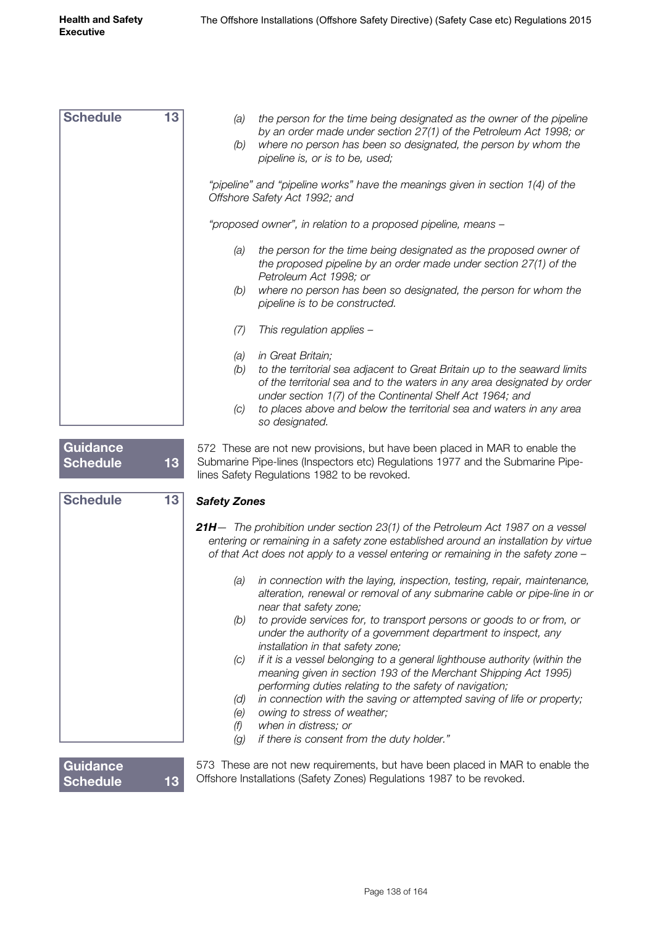| <b>Schedule</b>                    | 13 | the person for the time being designated as the owner of the pipeline<br>(a)<br>by an order made under section 27(1) of the Petroleum Act 1998; or<br>where no person has been so designated, the person by whom the<br>(b)<br>pipeline is, or is to be, used;     |
|------------------------------------|----|--------------------------------------------------------------------------------------------------------------------------------------------------------------------------------------------------------------------------------------------------------------------|
|                                    |    | "pipeline" and "pipeline works" have the meanings given in section 1(4) of the<br>Offshore Safety Act 1992; and                                                                                                                                                    |
|                                    |    | "proposed owner", in relation to a proposed pipeline, means -                                                                                                                                                                                                      |
|                                    |    | the person for the time being designated as the proposed owner of<br>(a)<br>the proposed pipeline by an order made under section 27(1) of the<br>Petroleum Act 1998; or                                                                                            |
|                                    |    | where no person has been so designated, the person for whom the<br>(b)<br>pipeline is to be constructed.                                                                                                                                                           |
|                                    |    | This regulation applies -<br>(7)                                                                                                                                                                                                                                   |
|                                    |    | in Great Britain;<br>(a)<br>(b)<br>to the territorial sea adjacent to Great Britain up to the seaward limits<br>of the territorial sea and to the waters in any area designated by order<br>under section 1(7) of the Continental Shelf Act 1964; and              |
|                                    |    | to places above and below the territorial sea and waters in any area<br>(C)<br>so designated.                                                                                                                                                                      |
| <b>Guidance</b><br><b>Schedule</b> | 13 | 572 These are not new provisions, but have been placed in MAR to enable the<br>Submarine Pipe-lines (Inspectors etc) Regulations 1977 and the Submarine Pipe-<br>lines Safety Regulations 1982 to be revoked.                                                      |
| <b>Schedule</b>                    | 13 | <b>Safety Zones</b>                                                                                                                                                                                                                                                |
|                                    |    | <b>21H</b> — The prohibition under section 23(1) of the Petroleum Act 1987 on a vessel<br>entering or remaining in a safety zone established around an installation by virtue<br>of that Act does not apply to a vessel entering or remaining in the safety zone - |
|                                    |    | in connection with the laying, inspection, testing, repair, maintenance,<br>(a)<br>alteration, renewal or removal of any submarine cable or pipe-line in or<br>near that safety zone;                                                                              |
|                                    |    | to provide services for, to transport persons or goods to or from, or<br>(b)<br>under the authority of a government department to inspect, any<br>installation in that safety zone;                                                                                |
|                                    |    | if it is a vessel belonging to a general lighthouse authority (within the<br>(C)<br>meaning given in section 193 of the Merchant Shipping Act 1995)<br>performing duties relating to the safety of navigation;                                                     |
|                                    |    | in connection with the saving or attempted saving of life or property;<br>(d)<br>owing to stress of weather;<br>(e)<br>when in distress; or<br>(f)                                                                                                                 |
|                                    |    | if there is consent from the duty holder."<br>(g)                                                                                                                                                                                                                  |
| <b>Guidance</b><br><b>Schedule</b> | 13 | 573 These are not new requirements, but have been placed in MAR to enable the<br>Offshore Installations (Safety Zones) Regulations 1987 to be revoked.                                                                                                             |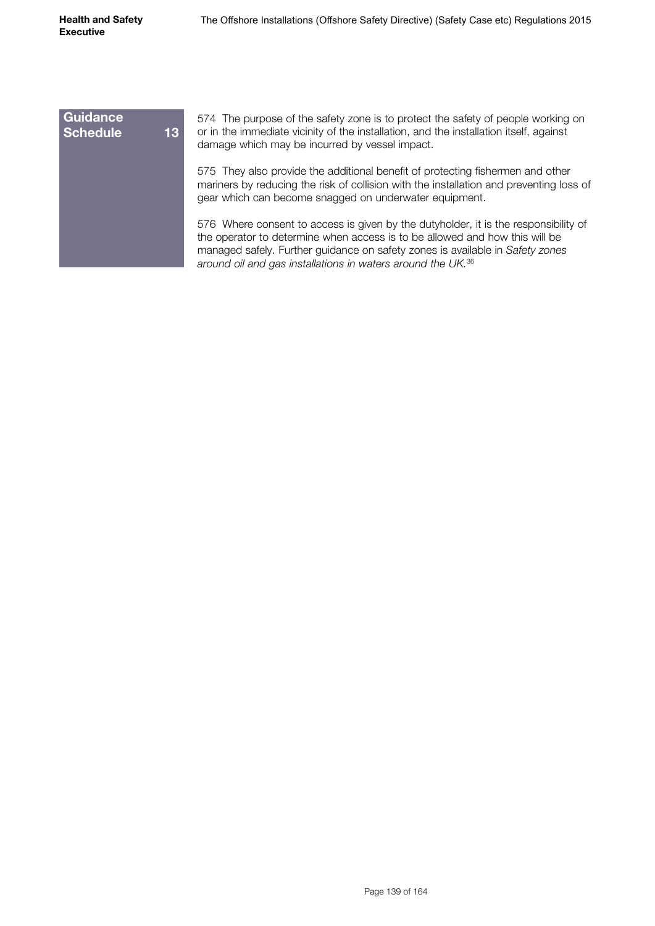| <b>Guidance</b><br><b>Schedule</b> | 13 <sup>°</sup> | 574 The purpose of the safety zone is to protect the safety of people working on<br>or in the immediate vicinity of the installation, and the installation itself, against<br>damage which may be incurred by vessel impact.                                                                                                   |
|------------------------------------|-----------------|--------------------------------------------------------------------------------------------------------------------------------------------------------------------------------------------------------------------------------------------------------------------------------------------------------------------------------|
|                                    |                 | 575 They also provide the additional benefit of protecting fishermen and other<br>mariners by reducing the risk of collision with the installation and preventing loss of<br>gear which can become snagged on underwater equipment.                                                                                            |
|                                    |                 | 576 Where consent to access is given by the dutyholder, it is the responsibility of<br>the operator to determine when access is to be allowed and how this will be<br>managed safely. Further guidance on safety zones is available in Safety zones<br>around oil and gas installations in waters around the UK. <sup>36</sup> |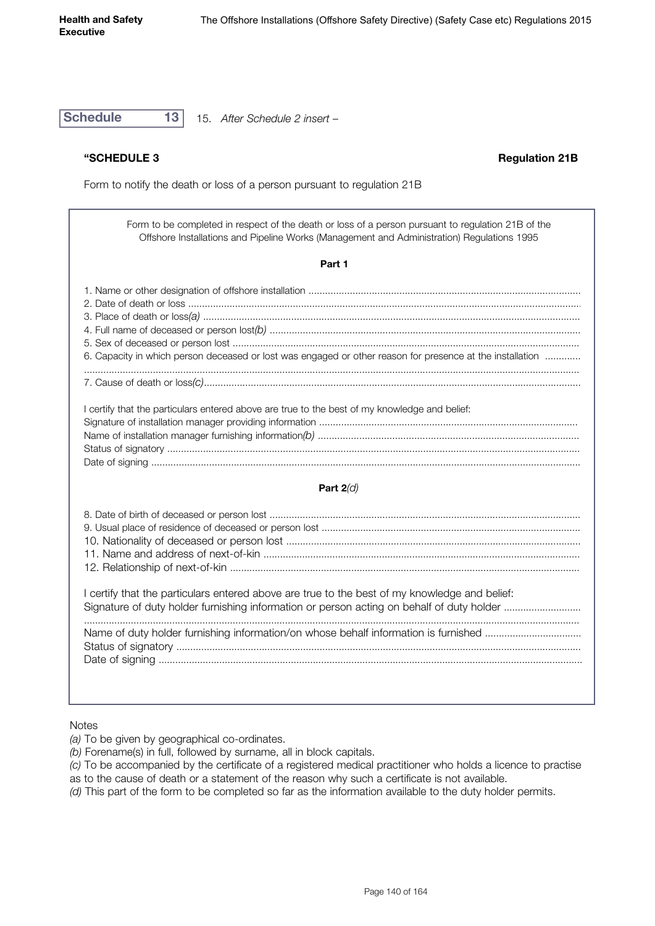**Schedule 13** 15. *After Schedule 2 insert –*

**"SCHEDULE 3 Regulation 21B**

Form to notify the death or loss of a person pursuant to regulation 21B

Form to be completed in respect of the death or loss of a person pursuant to regulation 21B of the Offshore Installations and Pipeline Works (Management and Administration) Regulations 1995

#### **Part 1**

| 6. Capacity in which person deceased or lost was engaged or other reason for presence at the installation |  |
|-----------------------------------------------------------------------------------------------------------|--|
|                                                                                                           |  |
|                                                                                                           |  |
|                                                                                                           |  |
| I certify that the particulars entered above are true to the best of my knowledge and belief:             |  |
| Class at use of installation means ago, published information                                             |  |

#### **Part 2***(d)*

I certify that the particulars entered above are true to the best of my knowledge and belief: Signature of duty holder furnishing information or person acting on behalf of duty holder .......................... ..................................................................................................................................................................................... Name of duty holder furnishing information/on whose behalf information is furnished .................................... Status of signatory ................................................................................................................................................... Date of signing ..........................................................................................................................................................

#### **Notes**

 $\overline{\phantom{a}}$ 

*(a)* To be given by geographical co-ordinates.

- *(b)* Forename(s) in full, followed by surname, all in block capitals.
- *(c)* To be accompanied by the certificate of a registered medical practitioner who holds a licence to practise
- as to the cause of death or a statement of the reason why such a certificate is not available.
- *(d)* This part of the form to be completed so far as the information available to the duty holder permits.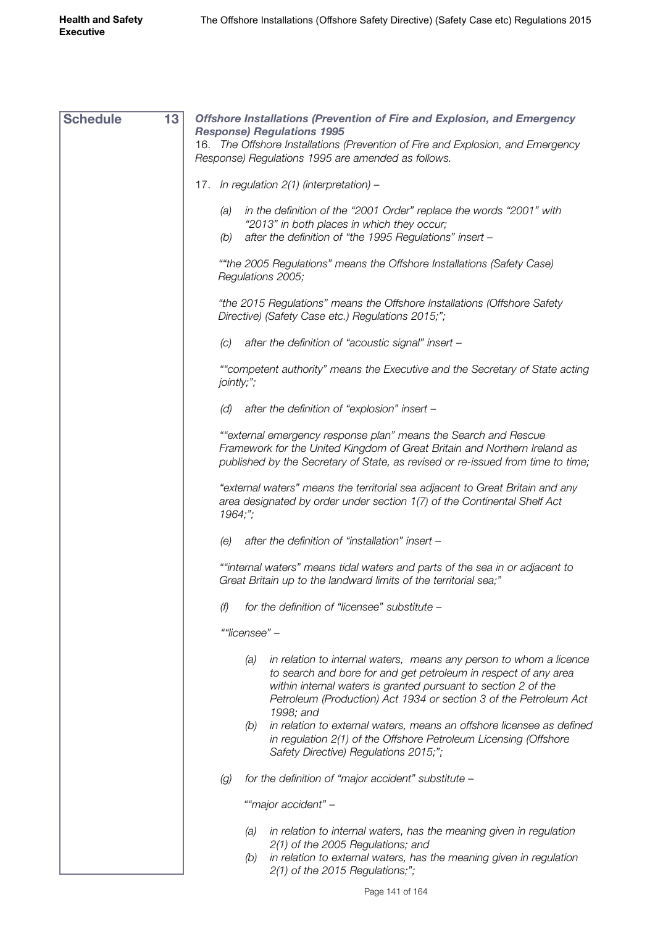| <b>Schedule</b> | 13 | <b>Offshore Installations (Prevention of Fire and Explosion, and Emergency</b>                                                                                                                                                                                                                   |
|-----------------|----|--------------------------------------------------------------------------------------------------------------------------------------------------------------------------------------------------------------------------------------------------------------------------------------------------|
|                 |    | <b>Response) Regulations 1995</b><br>16. The Offshore Installations (Prevention of Fire and Explosion, and Emergency<br>Response) Regulations 1995 are amended as follows.                                                                                                                       |
|                 |    |                                                                                                                                                                                                                                                                                                  |
|                 |    | 17. In regulation 2(1) (interpretation) -                                                                                                                                                                                                                                                        |
|                 |    | (a) in the definition of the "2001 Order" replace the words "2001" with<br>"2013" in both places in which they occur;<br>after the definition of "the 1995 Regulations" insert -<br>(b)                                                                                                          |
|                 |    | ""the 2005 Regulations" means the Offshore Installations (Safety Case)<br>Regulations 2005;                                                                                                                                                                                                      |
|                 |    | "the 2015 Regulations" means the Offshore Installations (Offshore Safety<br>Directive) (Safety Case etc.) Regulations 2015;";                                                                                                                                                                    |
|                 |    | after the definition of "acoustic signal" insert -<br>(C)                                                                                                                                                                                                                                        |
|                 |    | ""competent authority" means the Executive and the Secretary of State acting<br>jointly;";                                                                                                                                                                                                       |
|                 |    | (d) after the definition of "explosion" insert $-$                                                                                                                                                                                                                                               |
|                 |    | ""external emergency response plan" means the Search and Rescue<br>Framework for the United Kingdom of Great Britain and Northern Ireland as<br>published by the Secretary of State, as revised or re-issued from time to time;                                                                  |
|                 |    | "external waters" means the territorial sea adjacent to Great Britain and any<br>area designated by order under section 1(7) of the Continental Shelf Act<br>1964;";                                                                                                                             |
|                 |    | after the definition of "installation" insert -<br>(e)                                                                                                                                                                                                                                           |
|                 |    | ""internal waters" means tidal waters and parts of the sea in or adjacent to<br>Great Britain up to the landward limits of the territorial sea;"                                                                                                                                                 |
|                 |    | for the definition of "licensee" substitute -<br>(f)                                                                                                                                                                                                                                             |
|                 |    | ""licensee" -                                                                                                                                                                                                                                                                                    |
|                 |    | in relation to internal waters, means any person to whom a licence<br>(a)<br>to search and bore for and get petroleum in respect of any area<br>within internal waters is granted pursuant to section 2 of the<br>Petroleum (Production) Act 1934 or section 3 of the Petroleum Act<br>1998; and |
|                 |    | in relation to external waters, means an offshore licensee as defined<br>(b)<br>in regulation 2(1) of the Offshore Petroleum Licensing (Offshore<br>Safety Directive) Regulations 2015;";                                                                                                        |
|                 |    | for the definition of "major accident" substitute -<br>(g)                                                                                                                                                                                                                                       |
|                 |    | ""major accident" -                                                                                                                                                                                                                                                                              |
|                 |    | in relation to internal waters, has the meaning given in regulation<br>(a)<br>2(1) of the 2005 Regulations; and                                                                                                                                                                                  |
|                 |    | in relation to external waters, has the meaning given in regulation<br>(b)<br>2(1) of the 2015 Regulations;";                                                                                                                                                                                    |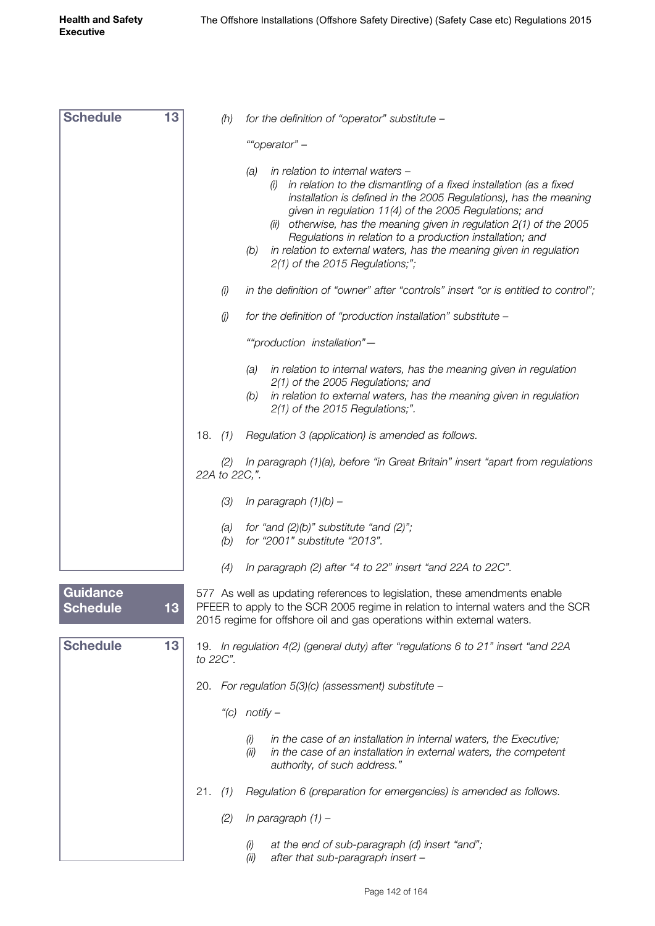| <b>Schedule</b>             | 13 | (h)                                   | for the definition of "operator" substitute -                                                                                                                                                                                                                                                                                                                                                                                                                                                                  |
|-----------------------------|----|---------------------------------------|----------------------------------------------------------------------------------------------------------------------------------------------------------------------------------------------------------------------------------------------------------------------------------------------------------------------------------------------------------------------------------------------------------------------------------------------------------------------------------------------------------------|
|                             |    |                                       | ""operator" -                                                                                                                                                                                                                                                                                                                                                                                                                                                                                                  |
|                             |    |                                       | in relation to internal waters -<br>(a)<br>in relation to the dismantling of a fixed installation (as a fixed<br>(i)<br>installation is defined in the 2005 Regulations), has the meaning<br>given in regulation 11(4) of the 2005 Regulations; and<br>otherwise, has the meaning given in regulation 2(1) of the 2005<br>(ii)<br>Regulations in relation to a production installation; and<br>in relation to external waters, has the meaning given in regulation<br>(b)<br>$2(1)$ of the 2015 Regulations;"; |
|                             |    | (i)                                   | in the definition of "owner" after "controls" insert "or is entitled to control";                                                                                                                                                                                                                                                                                                                                                                                                                              |
|                             |    | $\left(\!\!\left j\right \!\!\right)$ | for the definition of "production installation" substitute -                                                                                                                                                                                                                                                                                                                                                                                                                                                   |
|                             |    |                                       | ""production installation"-                                                                                                                                                                                                                                                                                                                                                                                                                                                                                    |
|                             |    |                                       | in relation to internal waters, has the meaning given in regulation<br>(a)<br>2(1) of the 2005 Regulations; and<br>in relation to external waters, has the meaning given in regulation<br>(b)<br>2(1) of the 2015 Regulations;".                                                                                                                                                                                                                                                                               |
|                             |    | 18.<br>(1)                            | Regulation 3 (application) is amended as follows.                                                                                                                                                                                                                                                                                                                                                                                                                                                              |
|                             |    | (2)<br>22A to 22C,".                  | In paragraph (1)(a), before "in Great Britain" insert "apart from regulations                                                                                                                                                                                                                                                                                                                                                                                                                                  |
|                             |    | (3)                                   | In paragraph $(1)(b)$ –                                                                                                                                                                                                                                                                                                                                                                                                                                                                                        |
|                             |    | (a)<br>(b)                            | for "and $(2)(b)$ " substitute "and $(2)$ ";<br>for "2001" substitute "2013".                                                                                                                                                                                                                                                                                                                                                                                                                                  |
|                             |    | (4)                                   | In paragraph (2) after "4 to 22" insert "and 22A to 22C".                                                                                                                                                                                                                                                                                                                                                                                                                                                      |
| Guidance<br><b>Schedule</b> | 13 |                                       | 577 As well as updating references to legislation, these amendments enable<br>PFEER to apply to the SCR 2005 regime in relation to internal waters and the SCR<br>2015 regime for offshore oil and gas operations within external waters.                                                                                                                                                                                                                                                                      |
| <b>Schedule</b>             | 13 | to 22C".                              | 19. In regulation 4(2) (general duty) after "regulations 6 to 21" insert "and 22A                                                                                                                                                                                                                                                                                                                                                                                                                              |
|                             |    |                                       | 20. For regulation $5(3)(c)$ (assessment) substitute -                                                                                                                                                                                                                                                                                                                                                                                                                                                         |
|                             |    |                                       | "(c) $notify -$                                                                                                                                                                                                                                                                                                                                                                                                                                                                                                |
|                             |    |                                       | in the case of an installation in internal waters, the Executive;<br>(i)<br>in the case of an installation in external waters, the competent<br>(ii)<br>authority, of such address."                                                                                                                                                                                                                                                                                                                           |
|                             |    | 21.<br>(1)                            | Regulation 6 (preparation for emergencies) is amended as follows.                                                                                                                                                                                                                                                                                                                                                                                                                                              |
|                             |    | (2)                                   | In paragraph $(1)$ -                                                                                                                                                                                                                                                                                                                                                                                                                                                                                           |
|                             |    |                                       | at the end of sub-paragraph (d) insert "and";<br>(i)<br>after that sub-paragraph insert -<br>(ii)                                                                                                                                                                                                                                                                                                                                                                                                              |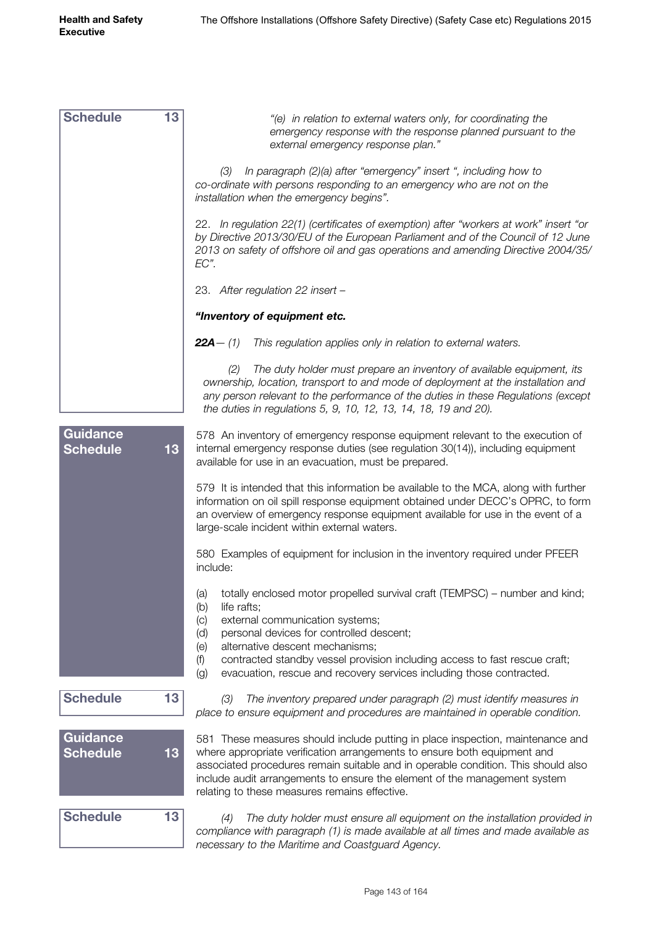*"(e) in relation to external waters only, for coordinating the emergency response with the response planned pursuant to the external emergency response plan." (3) In paragraph (2)(a) after "emergency" insert ", including how to co-ordinate with persons responding to an emergency who are not on the installation when the emergency begins".* 22. *In regulation 22(1) (certificates of exemption) after "workers at work" insert "or by Directive 2013/30/EU of the European Parliament and of the Council of 12 June 2013 on safety of offshore oil and gas operations and amending Directive 2004/35/ EC".* 23. *After regulation 22 insert – "Inventory of equipment etc. 22A—* 578 An inventory of emergency response equipment relevant to the execution of internal emergency response duties (see regulation 30(14)), including equipment available for use in an evacuation, must be prepared. 579 It is intended that this information be available to the MCA, along with further information on oil spill response equipment obtained under DECC's OPRC, to form an overview of emergency response equipment available for use in the event of a large-scale incident within external waters. 580 Examples of equipment for inclusion in the inventory required under PFEER include: (a) totally enclosed motor propelled survival craft (TEMPSC) – number and kind; (b) life rafts; (c) external communication systems; (d) personal devices for controlled descent; (e) alternative descent mechanisms; (f) contracted standby vessel provision including access to fast rescue craft; (g) evacuation, rescue and recovery services including those contracted. *(3) The inventory prepared under paragraph (2) must identify measures in place to ensure equipment and procedures are maintained in operable condition.* 581 These measures should include putting in place inspection, maintenance and where appropriate verification arrangements to ensure both equipment and associated procedures remain suitable and in operable condition. This should also include audit arrangements to ensure the element of the management system relating to these measures remains effective. *(4) The duty holder must ensure all equipment on the installation provided in compliance with paragraph (1) is made available at all times and made available as necessary to the Maritime and Coastguard Agency.* **Schedule 13 Schedule 13 Schedule 13 Guidance Schedule 13 Guidance Schedule 13** *(1) This regulation applies only in relation to external waters. (2) The duty holder must prepare an inventory of available equipment, its ownership, location, transport to and mode of deployment at the installation and any person relevant to the performance of the duties in these Regulations (except the duties in regulations 5, 9, 10, 12, 13, 14, 18, 19 and 20).*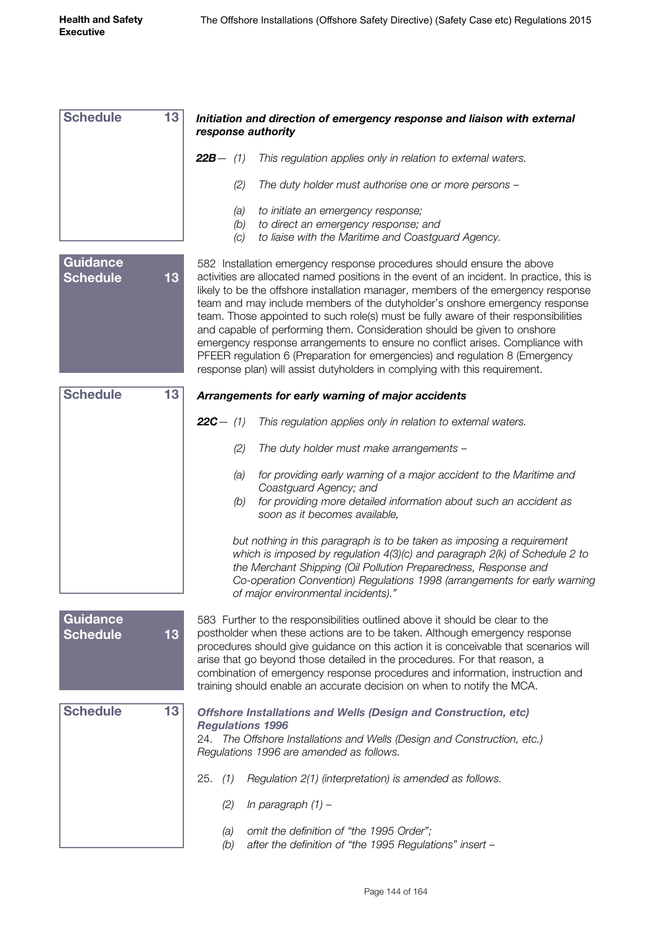| <b>Schedule</b>                    | 13 | Initiation and direction of emergency response and liaison with external<br>response authority                                                                                                                                                                                                                                                                                                                                                                                                                                                                                                                                                                                                                                                             |  |  |  |  |
|------------------------------------|----|------------------------------------------------------------------------------------------------------------------------------------------------------------------------------------------------------------------------------------------------------------------------------------------------------------------------------------------------------------------------------------------------------------------------------------------------------------------------------------------------------------------------------------------------------------------------------------------------------------------------------------------------------------------------------------------------------------------------------------------------------------|--|--|--|--|
|                                    |    | <b>22B</b> $-$ (1)<br>This regulation applies only in relation to external waters.                                                                                                                                                                                                                                                                                                                                                                                                                                                                                                                                                                                                                                                                         |  |  |  |  |
|                                    |    | (2)<br>The duty holder must authorise one or more persons -                                                                                                                                                                                                                                                                                                                                                                                                                                                                                                                                                                                                                                                                                                |  |  |  |  |
|                                    |    | to initiate an emergency response;<br>(a)                                                                                                                                                                                                                                                                                                                                                                                                                                                                                                                                                                                                                                                                                                                  |  |  |  |  |
|                                    |    | (b)<br>to direct an emergency response; and<br>to liaise with the Maritime and Coastguard Agency.<br>(C)                                                                                                                                                                                                                                                                                                                                                                                                                                                                                                                                                                                                                                                   |  |  |  |  |
| <b>Guidance</b><br><b>Schedule</b> | 13 | 582 Installation emergency response procedures should ensure the above<br>activities are allocated named positions in the event of an incident. In practice, this is<br>likely to be the offshore installation manager, members of the emergency response<br>team and may include members of the dutyholder's onshore emergency response<br>team. Those appointed to such role(s) must be fully aware of their responsibilities<br>and capable of performing them. Consideration should be given to onshore<br>emergency response arrangements to ensure no conflict arises. Compliance with<br>PFEER regulation 6 (Preparation for emergencies) and regulation 8 (Emergency<br>response plan) will assist dutyholders in complying with this requirement. |  |  |  |  |
| <b>Schedule</b>                    | 13 | Arrangements for early warning of major accidents                                                                                                                                                                                                                                                                                                                                                                                                                                                                                                                                                                                                                                                                                                          |  |  |  |  |
|                                    |    | <b>22C</b> $-$ (1)<br>This regulation applies only in relation to external waters.                                                                                                                                                                                                                                                                                                                                                                                                                                                                                                                                                                                                                                                                         |  |  |  |  |
|                                    |    | The duty holder must make arrangements -<br>(2)                                                                                                                                                                                                                                                                                                                                                                                                                                                                                                                                                                                                                                                                                                            |  |  |  |  |
|                                    |    | for providing early warning of a major accident to the Maritime and<br>(a)<br>Coastguard Agency; and<br>for providing more detailed information about such an accident as<br>(b)<br>soon as it becomes available,                                                                                                                                                                                                                                                                                                                                                                                                                                                                                                                                          |  |  |  |  |
|                                    |    | but nothing in this paragraph is to be taken as imposing a requirement<br>which is imposed by regulation $4(3)(c)$ and paragraph $2(k)$ of Schedule 2 to<br>the Merchant Shipping (Oil Pollution Preparedness, Response and<br>Co-operation Convention) Regulations 1998 (arrangements for early warning<br>of major environmental incidents)."                                                                                                                                                                                                                                                                                                                                                                                                            |  |  |  |  |
| <b>Guidance</b><br><b>Schedule</b> | 13 | 583 Further to the responsibilities outlined above it should be clear to the<br>postholder when these actions are to be taken. Although emergency response<br>procedures should give guidance on this action it is conceivable that scenarios will<br>arise that go beyond those detailed in the procedures. For that reason, a<br>combination of emergency response procedures and information, instruction and<br>training should enable an accurate decision on when to notify the MCA.                                                                                                                                                                                                                                                                 |  |  |  |  |
| <b>Schedule</b>                    | 13 | <b>Offshore Installations and Wells (Design and Construction, etc)</b>                                                                                                                                                                                                                                                                                                                                                                                                                                                                                                                                                                                                                                                                                     |  |  |  |  |
|                                    |    | <b>Regulations 1996</b><br>24. The Offshore Installations and Wells (Design and Construction, etc.)<br>Regulations 1996 are amended as follows.                                                                                                                                                                                                                                                                                                                                                                                                                                                                                                                                                                                                            |  |  |  |  |
|                                    |    | 25.<br>Regulation 2(1) (interpretation) is amended as follows.<br>(1)                                                                                                                                                                                                                                                                                                                                                                                                                                                                                                                                                                                                                                                                                      |  |  |  |  |
|                                    |    | In paragraph $(1)$ -<br>(2)                                                                                                                                                                                                                                                                                                                                                                                                                                                                                                                                                                                                                                                                                                                                |  |  |  |  |
|                                    |    | omit the definition of "the 1995 Order";<br>(a)<br>after the definition of "the 1995 Regulations" insert -<br>(b)                                                                                                                                                                                                                                                                                                                                                                                                                                                                                                                                                                                                                                          |  |  |  |  |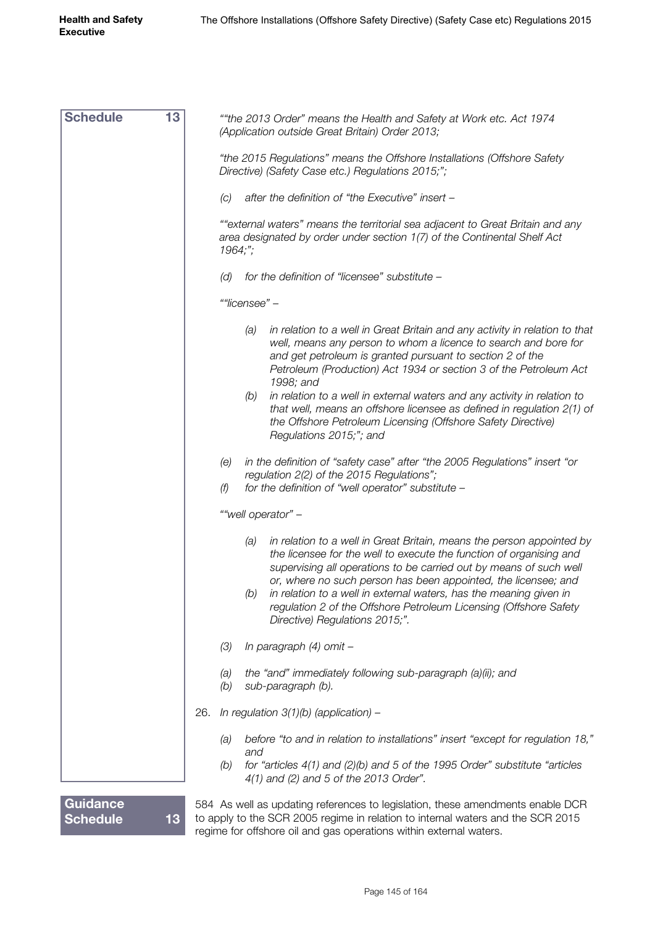| <b>Schedule</b>                    | 13 | "the 2013 Order" means the Health and Safety at Work etc. Act 1974<br>(Application outside Great Britain) Order 2013;                                                                                                                                                                                                                                                                                                                                                        |  |
|------------------------------------|----|------------------------------------------------------------------------------------------------------------------------------------------------------------------------------------------------------------------------------------------------------------------------------------------------------------------------------------------------------------------------------------------------------------------------------------------------------------------------------|--|
|                                    |    | "the 2015 Regulations" means the Offshore Installations (Offshore Safety<br>Directive) (Safety Case etc.) Regulations 2015;";                                                                                                                                                                                                                                                                                                                                                |  |
|                                    |    | after the definition of "the Executive" insert -<br>(C)                                                                                                                                                                                                                                                                                                                                                                                                                      |  |
|                                    |    | ""external waters" means the territorial sea adjacent to Great Britain and any<br>area designated by order under section 1(7) of the Continental Shelf Act<br>1964;                                                                                                                                                                                                                                                                                                          |  |
|                                    |    | for the definition of "licensee" substitute -<br>(d)                                                                                                                                                                                                                                                                                                                                                                                                                         |  |
|                                    |    | ""licensee" -                                                                                                                                                                                                                                                                                                                                                                                                                                                                |  |
|                                    |    | in relation to a well in Great Britain and any activity in relation to that<br>(a)<br>well, means any person to whom a licence to search and bore for<br>and get petroleum is granted pursuant to section 2 of the<br>Petroleum (Production) Act 1934 or section 3 of the Petroleum Act<br>1998; and<br>in relation to a well in external waters and any activity in relation to<br>(b)<br>that well, means an offshore licensee as defined in regulation 2(1) of            |  |
|                                    |    | the Offshore Petroleum Licensing (Offshore Safety Directive)<br>Regulations 2015;"; and                                                                                                                                                                                                                                                                                                                                                                                      |  |
|                                    |    | in the definition of "safety case" after "the 2005 Regulations" insert "or<br>(e)<br>regulation 2(2) of the 2015 Regulations";<br>for the definition of "well operator" substitute -<br>(f)                                                                                                                                                                                                                                                                                  |  |
|                                    |    | ""well operator" -                                                                                                                                                                                                                                                                                                                                                                                                                                                           |  |
|                                    |    | in relation to a well in Great Britain, means the person appointed by<br>(a)<br>the licensee for the well to execute the function of organising and<br>supervising all operations to be carried out by means of such well<br>or, where no such person has been appointed, the licensee; and<br>(b) in relation to a well in external waters, has the meaning given in<br>regulation 2 of the Offshore Petroleum Licensing (Offshore Safety<br>Directive) Regulations 2015;". |  |
|                                    |    | In paragraph (4) omit -<br>(3)                                                                                                                                                                                                                                                                                                                                                                                                                                               |  |
|                                    |    | the "and" immediately following sub-paragraph (a)(ii); and<br>(a)<br>(b)<br>sub-paragraph (b).                                                                                                                                                                                                                                                                                                                                                                               |  |
|                                    |    | In regulation $3(1)(b)$ (application) –<br>26.                                                                                                                                                                                                                                                                                                                                                                                                                               |  |
|                                    |    | before "to and in relation to installations" insert "except for regulation 18,"<br>(a)                                                                                                                                                                                                                                                                                                                                                                                       |  |
|                                    |    | and<br>for "articles $4(1)$ and $(2)(b)$ and 5 of the 1995 Order" substitute "articles<br>(b)<br>4(1) and (2) and 5 of the 2013 Order".                                                                                                                                                                                                                                                                                                                                      |  |
| <b>Guidance</b><br><b>Schedule</b> | 13 | 584 As well as updating references to legislation, these amendments enable DCR<br>to apply to the SCR 2005 regime in relation to internal waters and the SCR 2015                                                                                                                                                                                                                                                                                                            |  |

regime for offshore oil and gas operations within external waters.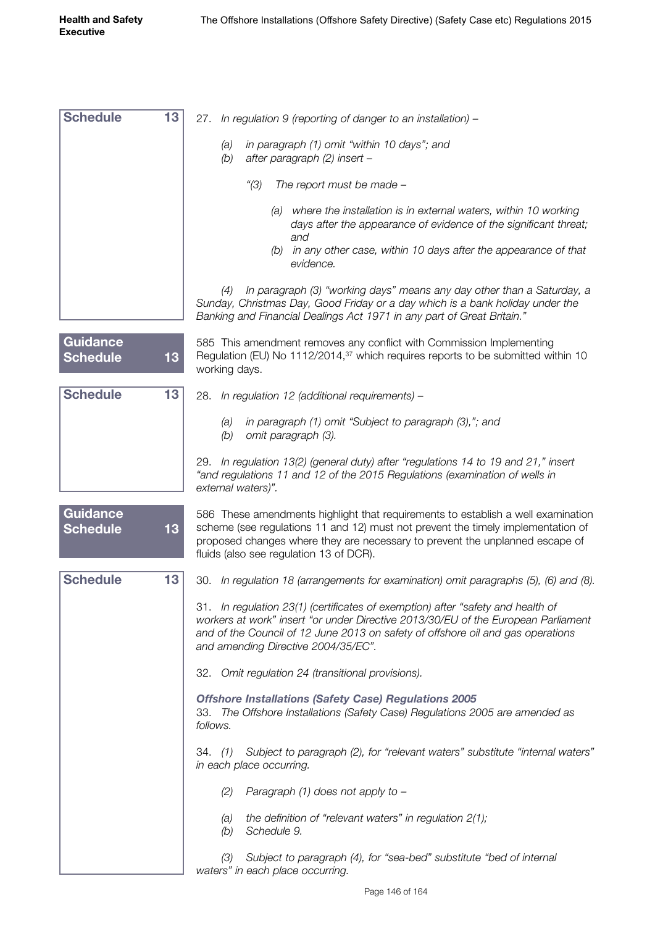| <b>Schedule</b>                    | 13 |                                                                                                                                                                                                                                                                                                 |
|------------------------------------|----|-------------------------------------------------------------------------------------------------------------------------------------------------------------------------------------------------------------------------------------------------------------------------------------------------|
|                                    |    | In regulation 9 (reporting of danger to an installation) -<br>27.                                                                                                                                                                                                                               |
|                                    |    | in paragraph (1) omit "within 10 days"; and<br>(a)<br>after paragraph (2) insert -<br>(b)                                                                                                                                                                                                       |
|                                    |    | ''(3)<br>The report must be made -                                                                                                                                                                                                                                                              |
|                                    |    | where the installation is in external waters, within 10 working<br>(a)<br>days after the appearance of evidence of the significant threat;<br>and                                                                                                                                               |
|                                    |    | in any other case, within 10 days after the appearance of that<br>(b)<br>evidence.                                                                                                                                                                                                              |
|                                    |    | In paragraph (3) "working days" means any day other than a Saturday, a<br>(4)<br>Sunday, Christmas Day, Good Friday or a day which is a bank holiday under the<br>Banking and Financial Dealings Act 1971 in any part of Great Britain."                                                        |
| <b>Guidance</b><br><b>Schedule</b> | 13 | 585 This amendment removes any conflict with Commission Implementing<br>Regulation (EU) No 1112/2014, <sup>37</sup> which requires reports to be submitted within 10<br>working days.                                                                                                           |
| <b>Schedule</b>                    | 13 | 28.<br>In regulation 12 (additional requirements) -                                                                                                                                                                                                                                             |
|                                    |    | in paragraph (1) omit "Subject to paragraph (3),"; and<br>(a)<br>(b)<br>omit paragraph (3).                                                                                                                                                                                                     |
|                                    |    | 29. In regulation 13(2) (general duty) after "regulations 14 to 19 and 21," insert<br>"and regulations 11 and 12 of the 2015 Regulations (examination of wells in<br>external waters)".                                                                                                         |
| <b>Guidance</b><br><b>Schedule</b> | 13 | 586 These amendments highlight that requirements to establish a well examination<br>scheme (see regulations 11 and 12) must not prevent the timely implementation of<br>proposed changes where they are necessary to prevent the unplanned escape of<br>fluids (also see regulation 13 of DCR). |
| <b>Schedule</b>                    | 13 | 30. In regulation 18 (arrangements for examination) omit paragraphs (5), (6) and (8).                                                                                                                                                                                                           |
|                                    |    | 31. In regulation 23(1) (certificates of exemption) after "safety and health of<br>workers at work" insert "or under Directive 2013/30/EU of the European Parliament<br>and of the Council of 12 June 2013 on safety of offshore oil and gas operations<br>and amending Directive 2004/35/EC".  |
|                                    |    | 32. Omit regulation 24 (transitional provisions).                                                                                                                                                                                                                                               |
|                                    |    | <b>Offshore Installations (Safety Case) Regulations 2005</b><br>33. The Offshore Installations (Safety Case) Regulations 2005 are amended as<br>follows.                                                                                                                                        |
|                                    |    | 34. (1) Subject to paragraph (2), for "relevant waters" substitute "internal waters"<br>in each place occurring.                                                                                                                                                                                |
|                                    |    | (2)<br>Paragraph (1) does not apply to -                                                                                                                                                                                                                                                        |
|                                    |    | the definition of "relevant waters" in regulation $2(1)$ ;<br>(a)<br>Schedule 9.<br>(b)                                                                                                                                                                                                         |
|                                    |    | Subject to paragraph (4), for "sea-bed" substitute "bed of internal<br>(3)<br>waters" in each place occurring.                                                                                                                                                                                  |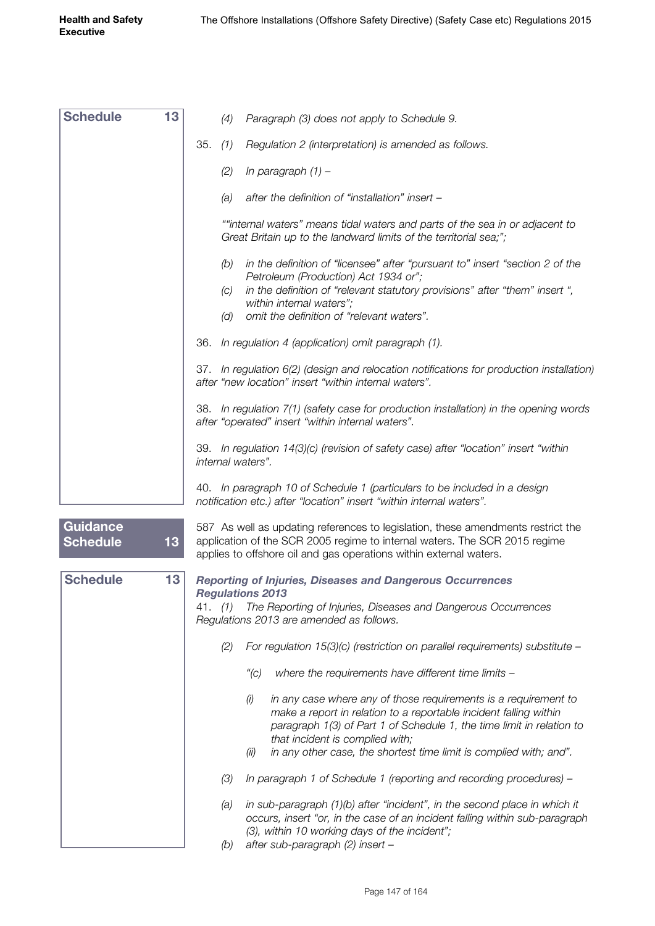| <b>Schedule</b>                    | 13 | (4)                                  | Paragraph (3) does not apply to Schedule 9.                                                                                                                                                                                                      |
|------------------------------------|----|--------------------------------------|--------------------------------------------------------------------------------------------------------------------------------------------------------------------------------------------------------------------------------------------------|
|                                    |    | 35.<br>(1)                           | Regulation 2 (interpretation) is amended as follows.                                                                                                                                                                                             |
|                                    |    | (2)                                  | In paragraph $(1)$ -                                                                                                                                                                                                                             |
|                                    |    | (a)                                  | after the definition of "installation" insert -                                                                                                                                                                                                  |
|                                    |    |                                      | ""internal waters" means tidal waters and parts of the sea in or adjacent to<br>Great Britain up to the landward limits of the territorial sea;";                                                                                                |
|                                    |    | (b)                                  | in the definition of "licensee" after "pursuant to" insert "section 2 of the<br>Petroleum (Production) Act 1934 or";                                                                                                                             |
|                                    |    | (C)<br>(d)                           | in the definition of "relevant statutory provisions" after "them" insert ",<br>within internal waters";<br>omit the definition of "relevant waters".                                                                                             |
|                                    |    | 36.                                  | In regulation 4 (application) omit paragraph (1).                                                                                                                                                                                                |
|                                    |    |                                      | 37. In regulation 6(2) (design and relocation notifications for production installation)<br>after "new location" insert "within internal waters".                                                                                                |
|                                    |    |                                      | 38. In regulation 7(1) (safety case for production installation) in the opening words<br>after "operated" insert "within internal waters".                                                                                                       |
|                                    |    | internal waters".                    | 39. In regulation 14(3)(c) (revision of safety case) after "location" insert "within                                                                                                                                                             |
|                                    |    |                                      | 40. In paragraph 10 of Schedule 1 (particulars to be included in a design<br>notification etc.) after "location" insert "within internal waters".                                                                                                |
| <b>Guidance</b><br><b>Schedule</b> | 13 |                                      | 587 As well as updating references to legislation, these amendments restrict the<br>application of the SCR 2005 regime to internal waters. The SCR 2015 regime<br>applies to offshore oil and gas operations within external waters.             |
| <b>Schedule</b>                    | 13 |                                      | <b>Reporting of Injuries, Diseases and Dangerous Occurrences</b>                                                                                                                                                                                 |
|                                    |    | <b>Regulations 2013</b><br>41. $(1)$ | The Reporting of Injuries, Diseases and Dangerous Occurrences<br>Regulations 2013 are amended as follows.                                                                                                                                        |
|                                    |    | (2)                                  | For regulation $15(3)(c)$ (restriction on parallel requirements) substitute -                                                                                                                                                                    |
|                                    |    | ''(C)                                | where the requirements have different time limits -                                                                                                                                                                                              |
|                                    |    | (i)                                  | in any case where any of those requirements is a requirement to<br>make a report in relation to a reportable incident falling within<br>paragraph 1(3) of Part 1 of Schedule 1, the time limit in relation to<br>that incident is complied with; |
|                                    |    | (ii)                                 | in any other case, the shortest time limit is complied with; and".                                                                                                                                                                               |
|                                    |    | (3)                                  | In paragraph 1 of Schedule 1 (reporting and recording procedures) -                                                                                                                                                                              |
|                                    |    | (a)                                  | in sub-paragraph (1)(b) after "incident", in the second place in which it<br>occurs, insert "or, in the case of an incident falling within sub-paragraph<br>(3), within 10 working days of the incident";                                        |
|                                    |    | (b)                                  | after sub-paragraph (2) insert -                                                                                                                                                                                                                 |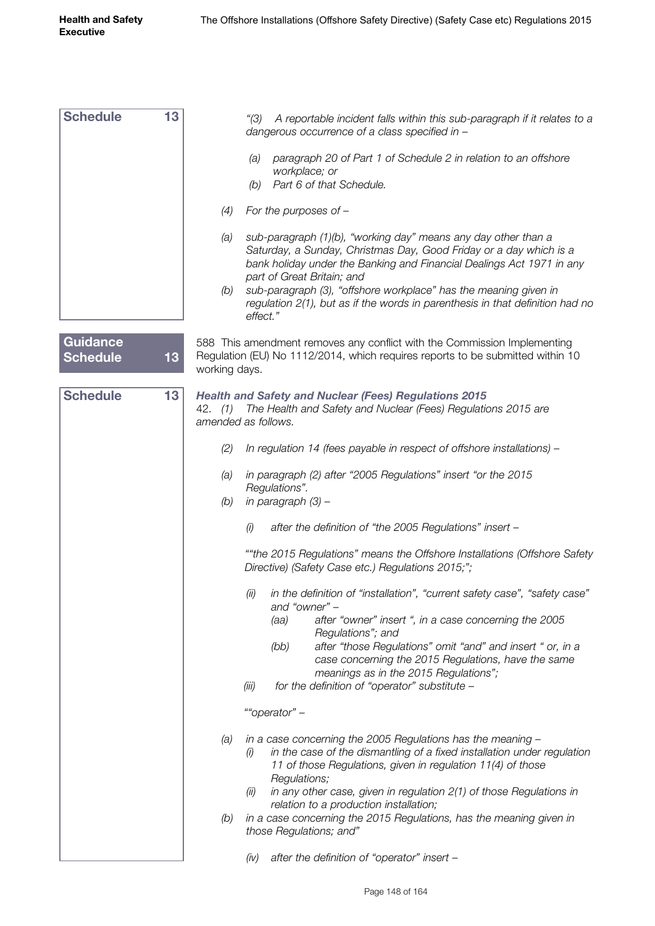| <b>Schedule</b>                    | 13              |                                | A reportable incident falls within this sub-paragraph if it relates to a<br>"(3)<br>dangerous occurrence of a class specified in -                                                                                                          |
|------------------------------------|-----------------|--------------------------------|---------------------------------------------------------------------------------------------------------------------------------------------------------------------------------------------------------------------------------------------|
|                                    |                 |                                | paragraph 20 of Part 1 of Schedule 2 in relation to an offshore<br>(a)<br>workplace; or<br>(b) Part 6 of that Schedule.                                                                                                                     |
|                                    |                 |                                |                                                                                                                                                                                                                                             |
|                                    |                 | (4)                            | For the purposes of $-$                                                                                                                                                                                                                     |
|                                    |                 | (a)                            | sub-paragraph (1)(b), "working day" means any day other than a<br>Saturday, a Sunday, Christmas Day, Good Friday or a day which is a<br>bank holiday under the Banking and Financial Dealings Act 1971 in any<br>part of Great Britain; and |
|                                    |                 | (b)                            | sub-paragraph (3), "offshore workplace" has the meaning given in<br>regulation 2(1), but as if the words in parenthesis in that definition had no<br>effect."                                                                               |
| <b>Guidance</b><br><b>Schedule</b> | 13              | working days.                  | 588 This amendment removes any conflict with the Commission Implementing<br>Regulation (EU) No 1112/2014, which requires reports to be submitted within 10                                                                                  |
| <b>Schedule</b>                    | 13 <sub>1</sub> | 42. (1)<br>amended as follows. | <b>Health and Safety and Nuclear (Fees) Regulations 2015</b><br>The Health and Safety and Nuclear (Fees) Regulations 2015 are                                                                                                               |
|                                    |                 | (2)                            | In regulation 14 (fees payable in respect of offshore installations) -                                                                                                                                                                      |
|                                    |                 | (a)<br>(b)                     | in paragraph (2) after "2005 Regulations" insert "or the 2015<br>Regulations".<br>in paragraph (3) -                                                                                                                                        |
|                                    |                 |                                | (i)<br>after the definition of "the 2005 Regulations" insert -                                                                                                                                                                              |
|                                    |                 |                                | ""the 2015 Regulations" means the Offshore Installations (Offshore Safety<br>Directive) (Safety Case etc.) Regulations 2015;";                                                                                                              |
|                                    |                 |                                | (ii)<br>in the definition of "installation", "current safety case", "safety case"<br>and "owner" -                                                                                                                                          |
|                                    |                 |                                | after "owner" insert ", in a case concerning the 2005<br>(aa)<br>Regulations"; and                                                                                                                                                          |
|                                    |                 |                                | after "those Regulations" omit "and" and insert " or, in a<br>(bb)<br>case concerning the 2015 Regulations, have the same                                                                                                                   |
|                                    |                 |                                | meanings as in the 2015 Regulations";<br>for the definition of "operator" substitute -<br>(iii)                                                                                                                                             |
|                                    |                 |                                | ""operator" -                                                                                                                                                                                                                               |
|                                    |                 | (a)                            | in a case concerning the 2005 Regulations has the meaning -<br>in the case of the dismantling of a fixed installation under regulation<br>(i)<br>11 of those Regulations, given in regulation 11(4) of those<br>Regulations;                |
|                                    |                 |                                | in any other case, given in regulation $2(1)$ of those Regulations in<br>(ii)<br>relation to a production installation;                                                                                                                     |
|                                    |                 | (b)                            | in a case concerning the 2015 Regulations, has the meaning given in<br>those Regulations; and"                                                                                                                                              |
|                                    |                 |                                | after the definition of "operator" insert -<br>(iv)                                                                                                                                                                                         |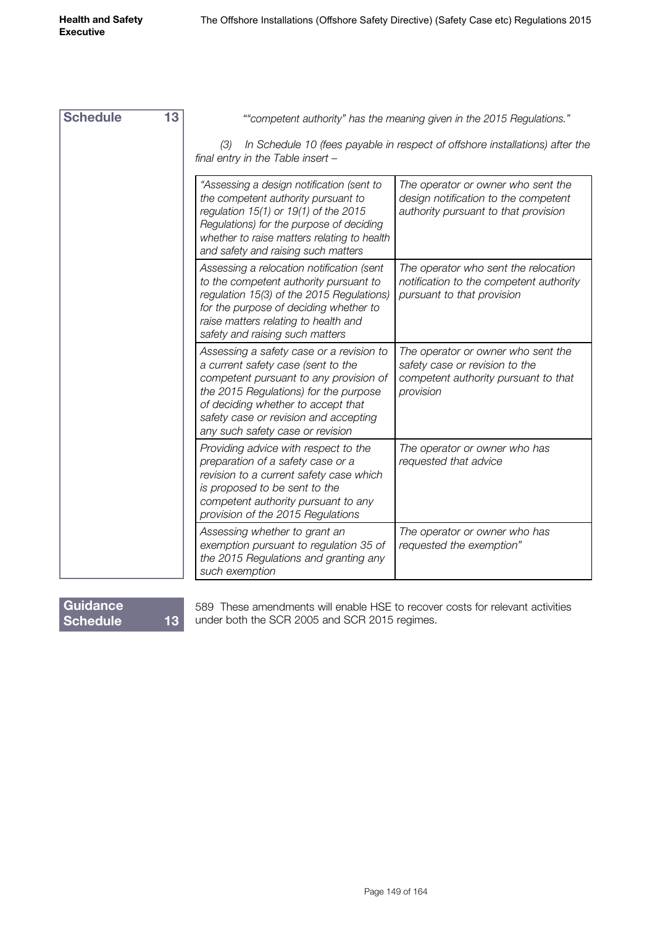| <b>Schedule</b> | 13 | ""competent authority" has the meaning given in the 2015 Regulations."                                                                                                                                                                                                               |                                                                                                                           |  |  |
|-----------------|----|--------------------------------------------------------------------------------------------------------------------------------------------------------------------------------------------------------------------------------------------------------------------------------------|---------------------------------------------------------------------------------------------------------------------------|--|--|
|                 |    | In Schedule 10 (fees payable in respect of offshore installations) after the<br>(3)<br>final entry in the Table insert -                                                                                                                                                             |                                                                                                                           |  |  |
|                 |    | "Assessing a design notification (sent to<br>the competent authority pursuant to<br>regulation 15(1) or 19(1) of the 2015<br>Regulations) for the purpose of deciding<br>whether to raise matters relating to health<br>and safety and raising such matters                          | The operator or owner who sent the<br>design notification to the competent<br>authority pursuant to that provision        |  |  |
|                 |    | Assessing a relocation notification (sent<br>to the competent authority pursuant to<br>regulation 15(3) of the 2015 Regulations)<br>for the purpose of deciding whether to<br>raise matters relating to health and<br>safety and raising such matters                                | The operator who sent the relocation<br>notification to the competent authority<br>pursuant to that provision             |  |  |
|                 |    | Assessing a safety case or a revision to<br>a current safety case (sent to the<br>competent pursuant to any provision of<br>the 2015 Regulations) for the purpose<br>of deciding whether to accept that<br>safety case or revision and accepting<br>any such safety case or revision | The operator or owner who sent the<br>safety case or revision to the<br>competent authority pursuant to that<br>provision |  |  |
|                 |    | Providing advice with respect to the<br>preparation of a safety case or a<br>revision to a current safety case which<br>is proposed to be sent to the<br>competent authority pursuant to any<br>provision of the 2015 Regulations                                                    | The operator or owner who has<br>requested that advice                                                                    |  |  |
|                 |    | Assessing whether to grant an<br>exemption pursuant to regulation 35 of<br>the 2015 Regulations and granting any<br>such exemption                                                                                                                                                   | The operator or owner who has<br>requested the exemption"                                                                 |  |  |

## **Guidance Schedule 13**

589 These amendments will enable HSE to recover costs for relevant activities under both the SCR 2005 and SCR 2015 regimes.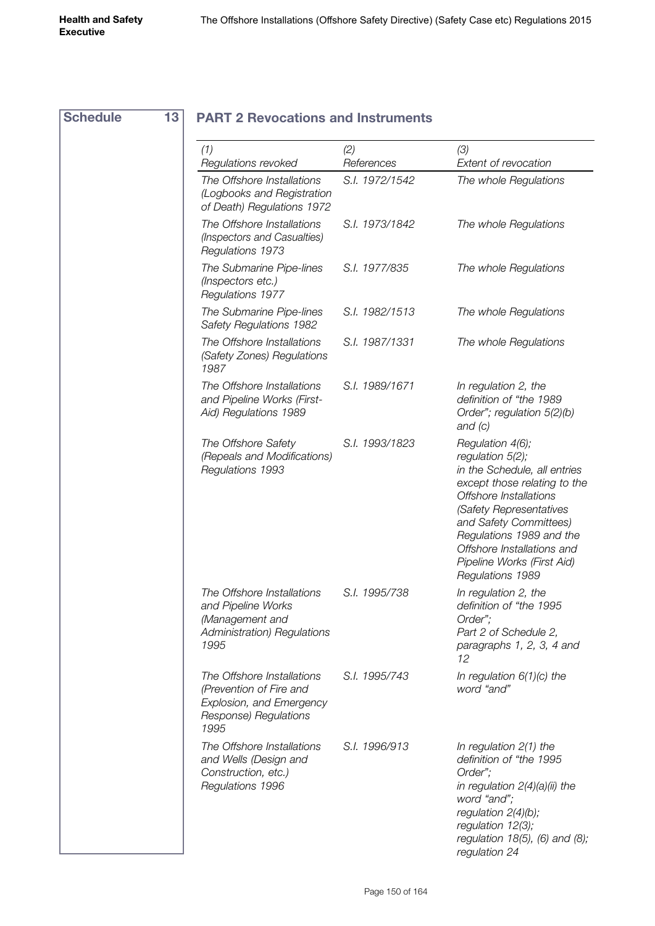| <b>Schedule</b> |
|-----------------|
|-----------------|

## **Schedule 13 PART 2 Revocations and Instruments**

| (1)<br>Regulations revoked                                                                                         | (2)<br>References | (3)<br>Extent of revocation                                                                                                                                                                                                                                                                     |
|--------------------------------------------------------------------------------------------------------------------|-------------------|-------------------------------------------------------------------------------------------------------------------------------------------------------------------------------------------------------------------------------------------------------------------------------------------------|
| The Offshore Installations<br>(Logbooks and Registration<br>of Death) Regulations 1972                             | S.I. 1972/1542    | The whole Regulations                                                                                                                                                                                                                                                                           |
| The Offshore Installations<br>(Inspectors and Casualties)<br>Regulations 1973                                      | S.I. 1973/1842    | The whole Regulations                                                                                                                                                                                                                                                                           |
| The Submarine Pipe-lines<br>(Inspectors etc.)<br>Regulations 1977                                                  | S.I. 1977/835     | The whole Regulations                                                                                                                                                                                                                                                                           |
| The Submarine Pipe-lines<br>Safety Regulations 1982                                                                | S.I. 1982/1513    | The whole Regulations                                                                                                                                                                                                                                                                           |
| The Offshore Installations<br>(Safety Zones) Regulations<br>1987                                                   | S.I. 1987/1331    | The whole Regulations                                                                                                                                                                                                                                                                           |
| The Offshore Installations<br>and Pipeline Works (First-<br>Aid) Regulations 1989                                  | S.I. 1989/1671    | In regulation 2, the<br>definition of "the 1989<br>Order"; regulation 5(2)(b)<br>and $(c)$                                                                                                                                                                                                      |
| The Offshore Safety<br>(Repeals and Modifications)<br>Regulations 1993                                             | S.I. 1993/1823    | Regulation 4(6);<br>regulation 5(2);<br>in the Schedule, all entries<br>except those relating to the<br>Offshore Installations<br>(Safety Representatives<br>and Safety Committees)<br>Regulations 1989 and the<br>Offshore Installations and<br>Pipeline Works (First Aid)<br>Regulations 1989 |
| The Offshore Installations<br>and Pipeline Works<br>(Management and<br><b>Administration</b> ) Regulations<br>1995 | S.I. 1995/738     | In regulation 2, the<br>definition of "the 1995<br>Order";<br>Part 2 of Schedule 2,<br>paragraphs 1, 2, 3, 4 and<br>12                                                                                                                                                                          |
| The Offshore Installations<br>(Prevention of Fire and<br>Explosion, and Emergency<br>Response) Regulations<br>1995 | S.I. 1995/743     | In regulation $6(1)(c)$ the<br>word "and"                                                                                                                                                                                                                                                       |
| The Offshore Installations<br>and Wells (Design and<br>Construction, etc.)<br>Regulations 1996                     | S.I. 1996/913     | In regulation $2(1)$ the<br>definition of "the 1995<br>Order";<br>in regulation 2(4)(a)(ii) the<br>word "and";<br>regulation $2(4)(b)$ ;<br>regulation 12(3);<br>regulation $18(5)$ , (6) and (8);<br>regulation 24                                                                             |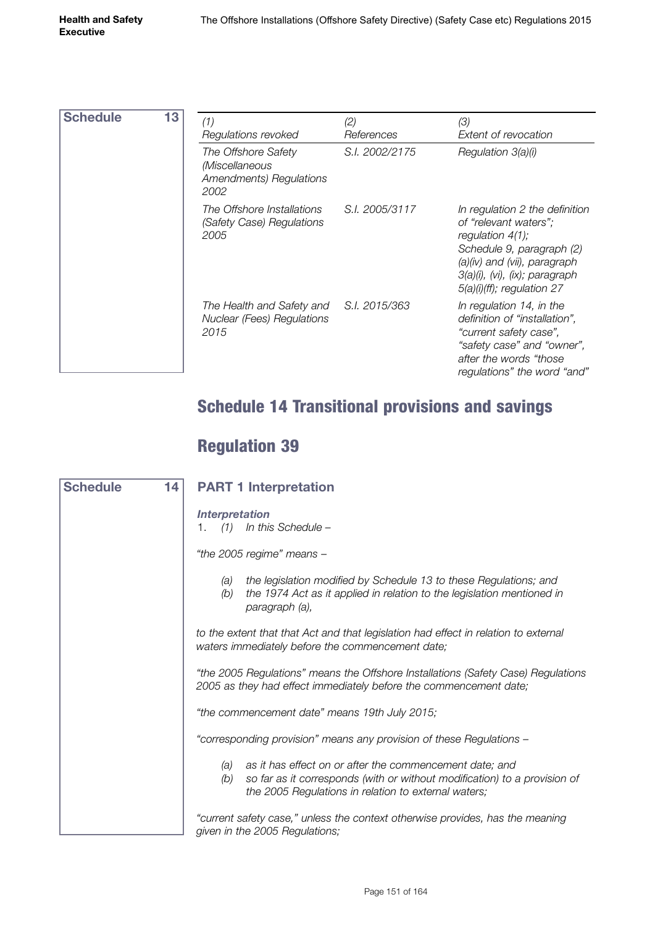| <b>Schedule</b> | 13 | (1)                                                                                  | (2)            | (3)                                                                                                                                                                                                                     |
|-----------------|----|--------------------------------------------------------------------------------------|----------------|-------------------------------------------------------------------------------------------------------------------------------------------------------------------------------------------------------------------------|
|                 |    | Regulations revoked                                                                  | References     | Extent of revocation                                                                                                                                                                                                    |
|                 |    | The Offshore Safety<br>(Miscellaneous<br><b>Amendments</b> ) Regulations<br>2002     | S.I. 2002/2175 | Regulation 3(a)(i)                                                                                                                                                                                                      |
|                 |    | The Offshore Installations<br>(Safety Case) Regulations<br>2005                      | S.I. 2005/3117 | In regulation 2 the definition<br>of "relevant waters":<br>regulation $4(1)$ ;<br>Schedule 9, paragraph (2)<br>(a)(iv) and (vii), paragraph<br>$3(a)(i)$ , $(vi)$ , $(ix)$ ; paragraph<br>$5(a)(i)(ff)$ ; regulation 27 |
|                 |    | The Health and Safety and S.I. 2015/363<br><b>Nuclear (Fees) Regulations</b><br>2015 |                | In regulation 14, in the<br>definition of "installation",<br>"current safety case",<br>"safety case" and "owner",<br>after the words "those<br>regulations" the word "and"                                              |

# Schedule 14 Transitional provisions and savings

# Regulation 39

| 14 <br><b>Schedule</b> | <b>PART 1 Interpretation</b>                                                                                                                                                                               |  |
|------------------------|------------------------------------------------------------------------------------------------------------------------------------------------------------------------------------------------------------|--|
|                        | <b>Interpretation</b><br>(1)<br>In this Schedule -<br>1.                                                                                                                                                   |  |
|                        | "the 2005 regime" means -                                                                                                                                                                                  |  |
|                        | the legislation modified by Schedule 13 to these Regulations; and<br>(a)<br>the 1974 Act as it applied in relation to the legislation mentioned in<br>(b)<br>paragraph (a),                                |  |
|                        | to the extent that that Act and that legislation had effect in relation to external<br>waters immediately before the commencement date;                                                                    |  |
|                        | "the 2005 Regulations" means the Offshore Installations (Safety Case) Regulations<br>2005 as they had effect immediately before the commencement date;                                                     |  |
|                        | "the commencement date" means 19th July 2015;                                                                                                                                                              |  |
|                        | "corresponding provision" means any provision of these Regulations -                                                                                                                                       |  |
|                        | as it has effect on or after the commencement date; and<br>(a)<br>so far as it corresponds (with or without modification) to a provision of<br>(b)<br>the 2005 Regulations in relation to external waters; |  |
|                        | "current safety case," unless the context otherwise provides, has the meaning<br>given in the 2005 Regulations;                                                                                            |  |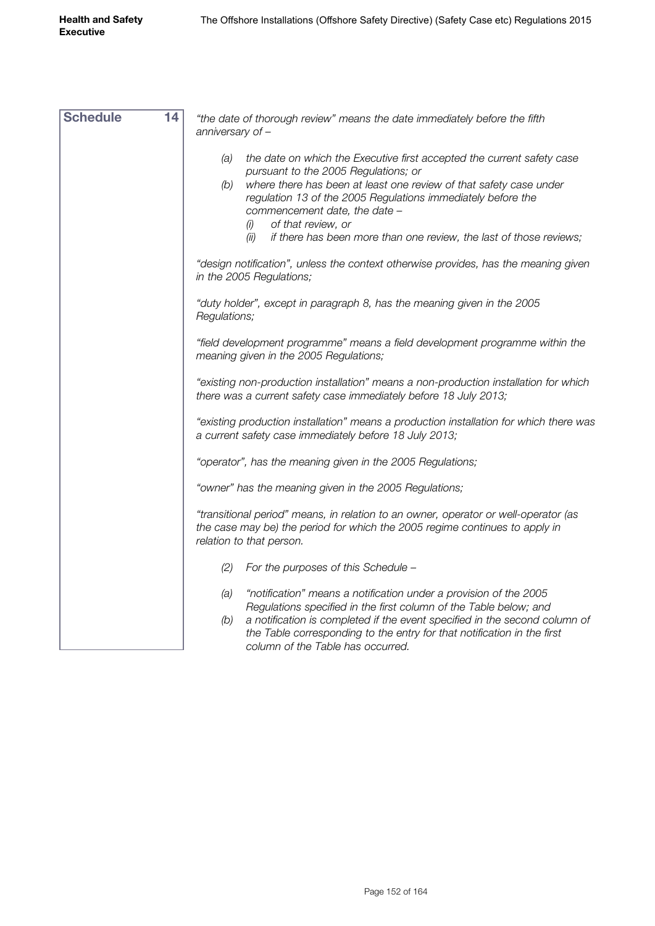| <b>Schedule</b><br>14 | "the date of thorough review" means the date immediately before the fifth<br>anniversary of $-$                                                                                                                                                                                                                                                                                                                |  |  |  |  |
|-----------------------|----------------------------------------------------------------------------------------------------------------------------------------------------------------------------------------------------------------------------------------------------------------------------------------------------------------------------------------------------------------------------------------------------------------|--|--|--|--|
|                       | the date on which the Executive first accepted the current safety case<br>(a)<br>pursuant to the 2005 Regulations; or<br>(b)<br>where there has been at least one review of that safety case under<br>regulation 13 of the 2005 Regulations immediately before the<br>commencement date, the date -<br>of that review, or<br>(i)<br>if there has been more than one review, the last of those reviews;<br>(ii) |  |  |  |  |
|                       | "design notification", unless the context otherwise provides, has the meaning given<br>in the 2005 Regulations;                                                                                                                                                                                                                                                                                                |  |  |  |  |
|                       | "duty holder", except in paragraph 8, has the meaning given in the 2005<br>Regulations;                                                                                                                                                                                                                                                                                                                        |  |  |  |  |
|                       | "field development programme" means a field development programme within the<br>meaning given in the 2005 Regulations;                                                                                                                                                                                                                                                                                         |  |  |  |  |
|                       | "existing non-production installation" means a non-production installation for which<br>there was a current safety case immediately before 18 July 2013;                                                                                                                                                                                                                                                       |  |  |  |  |
|                       | "existing production installation" means a production installation for which there was<br>a current safety case immediately before 18 July 2013;                                                                                                                                                                                                                                                               |  |  |  |  |
|                       | "operator", has the meaning given in the 2005 Regulations;                                                                                                                                                                                                                                                                                                                                                     |  |  |  |  |
|                       | "owner" has the meaning given in the 2005 Regulations;                                                                                                                                                                                                                                                                                                                                                         |  |  |  |  |
|                       | "transitional period" means, in relation to an owner, operator or well-operator (as<br>the case may be) the period for which the 2005 regime continues to apply in<br>relation to that person.                                                                                                                                                                                                                 |  |  |  |  |
|                       | For the purposes of this Schedule -<br>(2)                                                                                                                                                                                                                                                                                                                                                                     |  |  |  |  |
|                       | "notification" means a notification under a provision of the 2005<br>(a)<br>Regulations specified in the first column of the Table below; and<br>(b)<br>a notification is completed if the event specified in the second column of<br>the Table corresponding to the entry for that notification in the first<br>column of the Table has occurred.                                                             |  |  |  |  |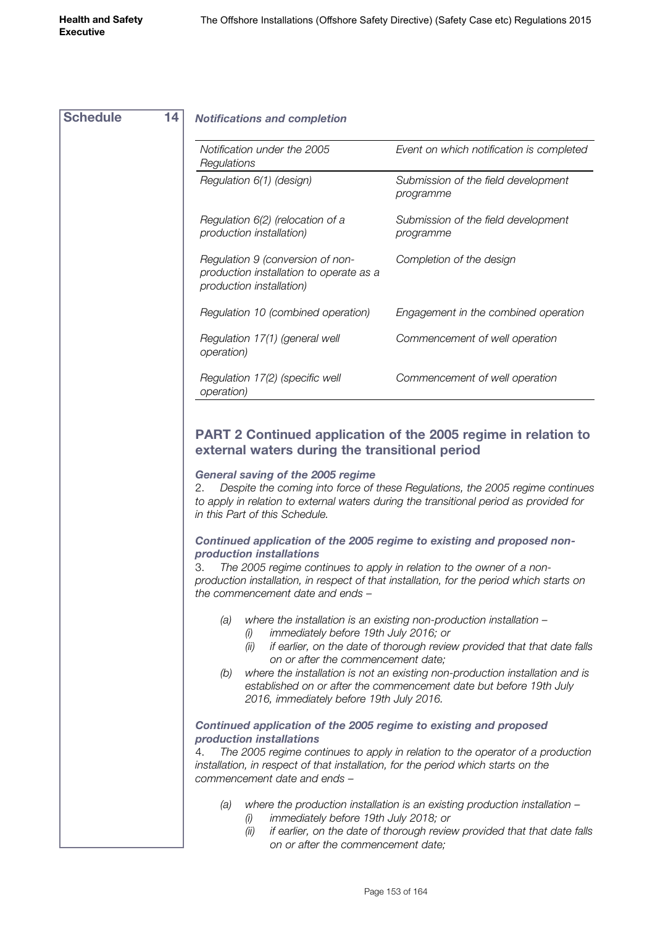| <b>Schedule</b><br>14 | <b>Notifications and completion</b>                                                                                                                                                                                                                  |                                                                                                                                                            |  |  |  |
|-----------------------|------------------------------------------------------------------------------------------------------------------------------------------------------------------------------------------------------------------------------------------------------|------------------------------------------------------------------------------------------------------------------------------------------------------------|--|--|--|
|                       | Notification under the 2005<br>Regulations                                                                                                                                                                                                           | Event on which notification is completed                                                                                                                   |  |  |  |
|                       | Regulation 6(1) (design)                                                                                                                                                                                                                             | Submission of the field development<br>programme                                                                                                           |  |  |  |
|                       | Regulation 6(2) (relocation of a<br>production installation)                                                                                                                                                                                         | Submission of the field development<br>programme                                                                                                           |  |  |  |
|                       | Regulation 9 (conversion of non-<br>production installation to operate as a<br>production installation)                                                                                                                                              | Completion of the design                                                                                                                                   |  |  |  |
|                       | Regulation 10 (combined operation)                                                                                                                                                                                                                   | Engagement in the combined operation                                                                                                                       |  |  |  |
|                       | Regulation 17(1) (general well<br>operation)                                                                                                                                                                                                         | Commencement of well operation                                                                                                                             |  |  |  |
|                       | Regulation 17(2) (specific well<br><i>operation</i> )                                                                                                                                                                                                | Commencement of well operation                                                                                                                             |  |  |  |
|                       | to apply in relation to external waters during the transitional period as provided for<br>in this Part of this Schedule.                                                                                                                             |                                                                                                                                                            |  |  |  |
|                       | Continued application of the 2005 regime to existing and proposed non-<br>production installations<br>З.<br>The 2005 regime continues to apply in relation to the owner of a non-                                                                    |                                                                                                                                                            |  |  |  |
|                       | the commencement date and ends -                                                                                                                                                                                                                     | production installation, in respect of that installation, for the period which starts on                                                                   |  |  |  |
|                       | where the installation is an existing non-production installation -<br>(a)<br>immediately before 19th July 2016; or<br>(i)<br>if earlier, on the date of thorough review provided that that date falls<br>(ii)<br>on or after the commencement date: |                                                                                                                                                            |  |  |  |
|                       | (b)<br>2016, immediately before 19th July 2016.                                                                                                                                                                                                      | where the installation is not an existing non-production installation and is<br>established on or after the commencement date but before 19th July         |  |  |  |
|                       | Continued application of the 2005 regime to existing and proposed<br>production installations                                                                                                                                                        |                                                                                                                                                            |  |  |  |
|                       | 4.<br>installation, in respect of that installation, for the period which starts on the<br>commencement date and ends -                                                                                                                              | The 2005 regime continues to apply in relation to the operator of a production                                                                             |  |  |  |
|                       | (a)<br>immediately before 19th July 2018; or<br>(i)<br>$\langle ii \rangle$                                                                                                                                                                          | where the production installation is an existing production installation $-$<br>if carlier, an the date of there ush review provided that that date follow |  |  |  |

*(ii) if earlier, on the date of thorough review provided that that date falls on or after the commencement date;*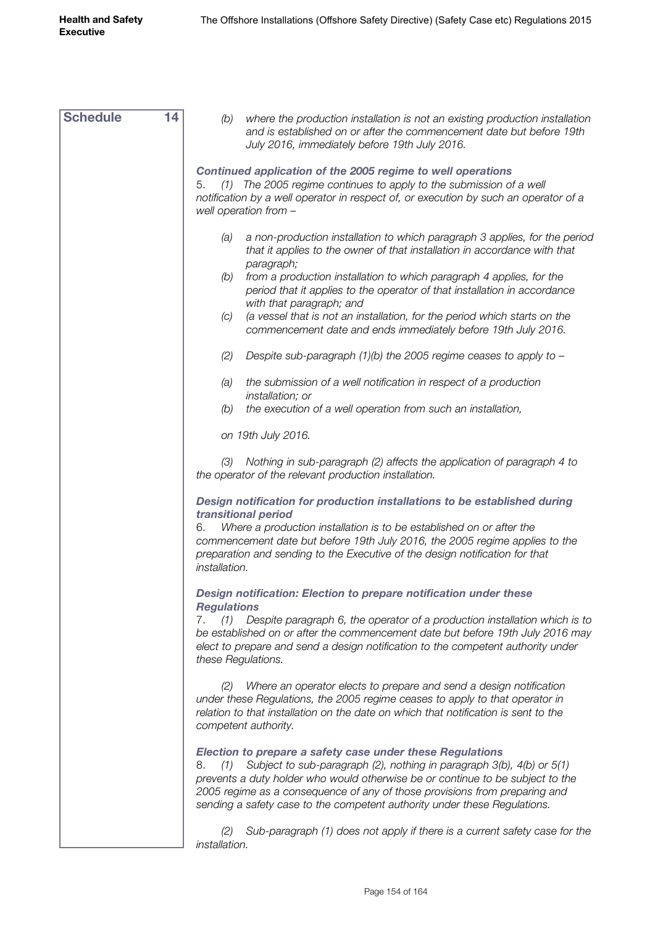| <b>Schedule</b> | 14<br>(b)<br>where the production installation is not an existing production installation<br>and is established on or after the commencement date but before 19th<br>July 2016, immediately before 19th July 2016.                                                                                                                                                                          |  |  |  |  |
|-----------------|---------------------------------------------------------------------------------------------------------------------------------------------------------------------------------------------------------------------------------------------------------------------------------------------------------------------------------------------------------------------------------------------|--|--|--|--|
|                 | Continued application of the 2005 regime to well operations<br>(1) The 2005 regime continues to apply to the submission of a well<br>5.<br>notification by a well operator in respect of, or execution by such an operator of a<br>well operation from $-$                                                                                                                                  |  |  |  |  |
|                 | a non-production installation to which paragraph 3 applies, for the period<br>(a)<br>that it applies to the owner of that installation in accordance with that<br>paragraph;                                                                                                                                                                                                                |  |  |  |  |
|                 | (b)<br>from a production installation to which paragraph 4 applies, for the<br>period that it applies to the operator of that installation in accordance<br>with that paragraph; and                                                                                                                                                                                                        |  |  |  |  |
|                 | (a vessel that is not an installation, for the period which starts on the<br>(C)<br>commencement date and ends immediately before 19th July 2016.                                                                                                                                                                                                                                           |  |  |  |  |
|                 | (2)<br>Despite sub-paragraph (1)(b) the 2005 regime ceases to apply to $-$                                                                                                                                                                                                                                                                                                                  |  |  |  |  |
|                 | the submission of a well notification in respect of a production<br>(a)<br>installation; or                                                                                                                                                                                                                                                                                                 |  |  |  |  |
|                 | the execution of a well operation from such an installation,<br>(b)                                                                                                                                                                                                                                                                                                                         |  |  |  |  |
|                 | on 19th July 2016.                                                                                                                                                                                                                                                                                                                                                                          |  |  |  |  |
|                 | Nothing in sub-paragraph (2) affects the application of paragraph 4 to<br>(3)<br>the operator of the relevant production installation.                                                                                                                                                                                                                                                      |  |  |  |  |
|                 | Design notification for production installations to be established during<br>transitional period<br>Where a production installation is to be established on or after the<br>6.                                                                                                                                                                                                              |  |  |  |  |
|                 | commencement date but before 19th July 2016, the 2005 regime applies to the<br>preparation and sending to the Executive of the design notification for that<br>installation.                                                                                                                                                                                                                |  |  |  |  |
|                 | Design notification: Election to prepare notification under these<br><b>Regulations</b>                                                                                                                                                                                                                                                                                                     |  |  |  |  |
|                 | (1) Despite paragraph 6, the operator of a production installation which is to<br>7.<br>be established on or after the commencement date but before 19th July 2016 may<br>elect to prepare and send a design notification to the competent authority under<br>these Regulations.                                                                                                            |  |  |  |  |
|                 | Where an operator elects to prepare and send a design notification<br>(2)<br>under these Regulations, the 2005 regime ceases to apply to that operator in<br>relation to that installation on the date on which that notification is sent to the<br>competent authority.                                                                                                                    |  |  |  |  |
|                 | Election to prepare a safety case under these Regulations<br>$(1)$ Subject to sub-paragraph (2), nothing in paragraph 3(b), 4(b) or 5(1)<br>8.<br>prevents a duty holder who would otherwise be or continue to be subject to the<br>2005 regime as a consequence of any of those provisions from preparing and<br>sending a safety case to the competent authority under these Regulations. |  |  |  |  |
|                 | Sub-paragraph (1) does not apply if there is a current safety case for the<br>(2)<br>installation.                                                                                                                                                                                                                                                                                          |  |  |  |  |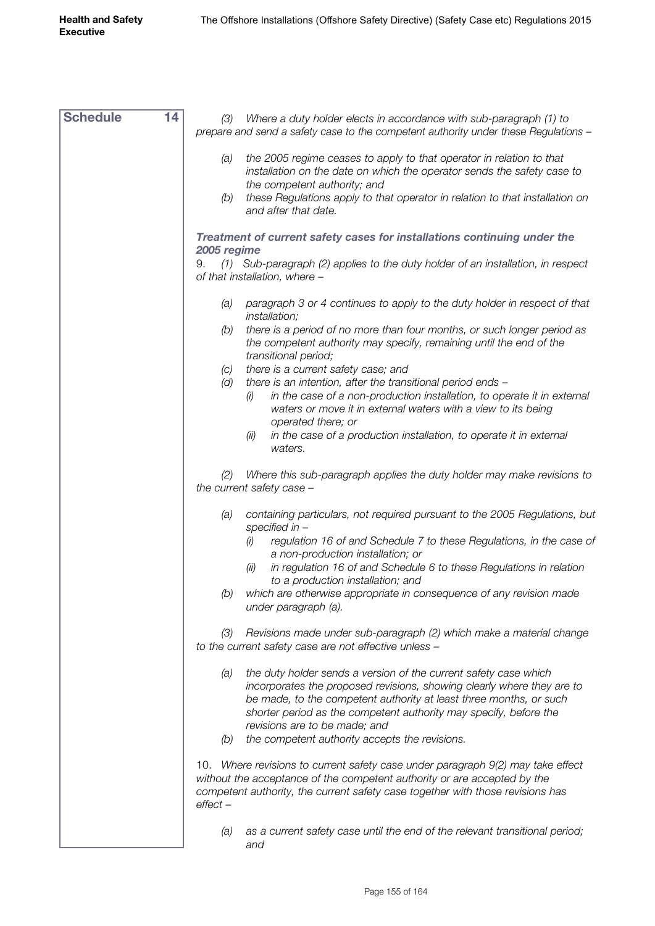| <b>Schedule</b> | 14 | Where a duty holder elects in accordance with sub-paragraph (1) to<br>(3)<br>prepare and send a safety case to the competent authority under these Regulations -                                                                                                                                                              |
|-----------------|----|-------------------------------------------------------------------------------------------------------------------------------------------------------------------------------------------------------------------------------------------------------------------------------------------------------------------------------|
|                 |    | the 2005 regime ceases to apply to that operator in relation to that<br>(a)<br>installation on the date on which the operator sends the safety case to                                                                                                                                                                        |
|                 |    | the competent authority; and<br>these Regulations apply to that operator in relation to that installation on<br>(b)<br>and after that date.                                                                                                                                                                                   |
|                 |    | Treatment of current safety cases for installations continuing under the<br>2005 regime                                                                                                                                                                                                                                       |
|                 |    | (1) Sub-paragraph (2) applies to the duty holder of an installation, in respect<br>9.<br>of that installation, where -                                                                                                                                                                                                        |
|                 |    | paragraph 3 or 4 continues to apply to the duty holder in respect of that<br>(a)<br>installation;                                                                                                                                                                                                                             |
|                 |    | there is a period of no more than four months, or such longer period as<br>(b)<br>the competent authority may specify, remaining until the end of the<br>transitional period;                                                                                                                                                 |
|                 |    | there is a current safety case; and<br>(C)                                                                                                                                                                                                                                                                                    |
|                 |    | there is an intention, after the transitional period ends -<br>(d)                                                                                                                                                                                                                                                            |
|                 |    | in the case of a non-production installation, to operate it in external<br>(i)<br>waters or move it in external waters with a view to its being<br>operated there; or                                                                                                                                                         |
|                 |    | in the case of a production installation, to operate it in external<br>(ii)<br>waters.                                                                                                                                                                                                                                        |
|                 |    | Where this sub-paragraph applies the duty holder may make revisions to<br>(2)<br>the current safety case -                                                                                                                                                                                                                    |
|                 |    | containing particulars, not required pursuant to the 2005 Regulations, but<br>(a)<br>specified in $-$                                                                                                                                                                                                                         |
|                 |    | regulation 16 of and Schedule 7 to these Regulations, in the case of<br>(i)<br>a non-production installation; or                                                                                                                                                                                                              |
|                 |    | in regulation 16 of and Schedule 6 to these Regulations in relation<br>(ii)<br>to a production installation; and                                                                                                                                                                                                              |
|                 |    | which are otherwise appropriate in consequence of any revision made<br>(b)<br>under paragraph (a).                                                                                                                                                                                                                            |
|                 |    | Revisions made under sub-paragraph (2) which make a material change<br>(3)<br>to the current safety case are not effective unless -                                                                                                                                                                                           |
|                 |    | the duty holder sends a version of the current safety case which<br>(a)<br>incorporates the proposed revisions, showing clearly where they are to<br>be made, to the competent authority at least three months, or such<br>shorter period as the competent authority may specify, before the<br>revisions are to be made; and |
|                 |    | the competent authority accepts the revisions.<br>(b)                                                                                                                                                                                                                                                                         |
|                 |    |                                                                                                                                                                                                                                                                                                                               |
|                 |    | 10. Where revisions to current safety case under paragraph 9(2) may take effect<br>without the acceptance of the competent authority or are accepted by the<br>competent authority, the current safety case together with those revisions has<br>$effect -$                                                                   |
|                 |    | as a current safety case until the end of the relevant transitional period;<br>(a)<br>and                                                                                                                                                                                                                                     |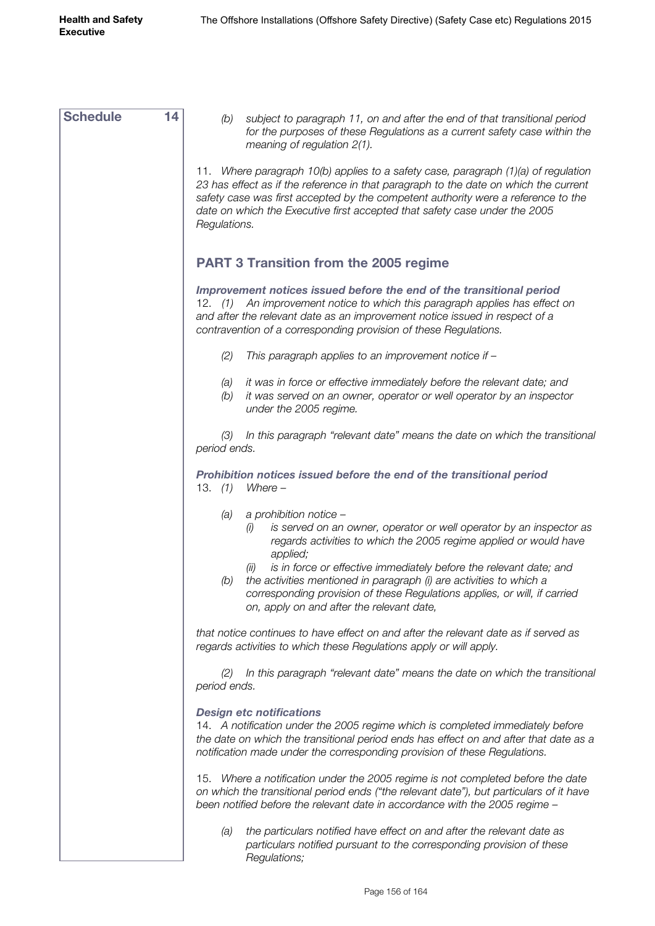| <b>Schedule</b><br>14 | subject to paragraph 11, on and after the end of that transitional period<br>(b)<br>for the purposes of these Regulations as a current safety case within the<br>meaning of regulation $2(1)$ .                                                                                                                                                               |
|-----------------------|---------------------------------------------------------------------------------------------------------------------------------------------------------------------------------------------------------------------------------------------------------------------------------------------------------------------------------------------------------------|
|                       | 11. Where paragraph 10(b) applies to a safety case, paragraph (1)(a) of regulation<br>23 has effect as if the reference in that paragraph to the date on which the current<br>safety case was first accepted by the competent authority were a reference to the<br>date on which the Executive first accepted that safety case under the 2005<br>Regulations. |
|                       | <b>PART 3 Transition from the 2005 regime</b>                                                                                                                                                                                                                                                                                                                 |
|                       | Improvement notices issued before the end of the transitional period<br>An improvement notice to which this paragraph applies has effect on<br>12. $(1)$<br>and after the relevant date as an improvement notice issued in respect of a<br>contravention of a corresponding provision of these Regulations.                                                   |
|                       | (2)<br>This paragraph applies to an improvement notice if -                                                                                                                                                                                                                                                                                                   |
|                       | it was in force or effective immediately before the relevant date; and<br>(a)<br>it was served on an owner, operator or well operator by an inspector<br>(b)<br>under the 2005 regime.                                                                                                                                                                        |
|                       | In this paragraph "relevant date" means the date on which the transitional<br>(3)<br>period ends.                                                                                                                                                                                                                                                             |
|                       | Prohibition notices issued before the end of the transitional period<br>13. $(1)$<br>$Where -$                                                                                                                                                                                                                                                                |
|                       | a prohibition notice -<br>(a)<br>is served on an owner, operator or well operator by an inspector as<br>(1)<br>regards activities to which the 2005 regime applied or would have<br>applied;                                                                                                                                                                  |
|                       | is in force or effective immediately before the relevant date; and<br>(II)<br>the activities mentioned in paragraph (i) are activities to which a<br>(b)<br>corresponding provision of these Regulations applies, or will, if carried<br>on, apply on and after the relevant date,                                                                            |
|                       | that notice continues to have effect on and after the relevant date as if served as<br>regards activities to which these Regulations apply or will apply.                                                                                                                                                                                                     |
|                       | In this paragraph "relevant date" means the date on which the transitional<br>(2)<br>period ends.                                                                                                                                                                                                                                                             |
|                       | <b>Design etc notifications</b><br>14. A notification under the 2005 regime which is completed immediately before<br>the date on which the transitional period ends has effect on and after that date as a<br>notification made under the corresponding provision of these Regulations.                                                                       |
|                       | 15. Where a notification under the 2005 regime is not completed before the date<br>on which the transitional period ends ("the relevant date"), but particulars of it have<br>been notified before the relevant date in accordance with the 2005 regime -                                                                                                     |
|                       | the particulars notified have effect on and after the relevant date as<br>(a)<br>particulars notified pursuant to the corresponding provision of these<br>Regulations;                                                                                                                                                                                        |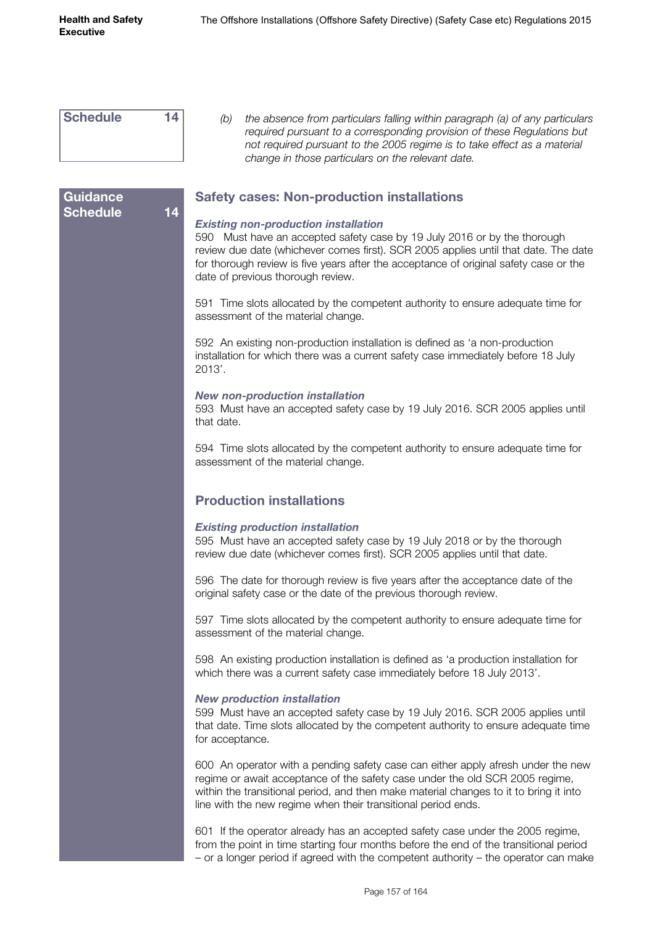**Guidance** 

| <b>Schedule</b> |  |
|-----------------|--|
|                 |  |

**Schedule 14**

*(b) the absence from particulars falling within paragraph (a) of any particulars required pursuant to a corresponding provision of these Regulations but not required pursuant to the 2005 regime is to take effect as a material change in those particulars on the relevant date.*

### **Safety cases: Non-production installations**

#### *Existing non-production installation*

590 Must have an accepted safety case by 19 July 2016 or by the thorough review due date (whichever comes first). SCR 2005 applies until that date. The date for thorough review is five years after the acceptance of original safety case or the date of previous thorough review.

591 Time slots allocated by the competent authority to ensure adequate time for assessment of the material change.

592 An existing non-production installation is defined as 'a non-production installation for which there was a current safety case immediately before 18 July 2013'.

#### *New non-production installation*

593 Must have an accepted safety case by 19 July 2016. SCR 2005 applies until that date.

594 Time slots allocated by the competent authority to ensure adequate time for assessment of the material change.

### **Production installations**

#### *Existing production installation*

595 Must have an accepted safety case by 19 July 2018 or by the thorough review due date (whichever comes first). SCR 2005 applies until that date.

596 The date for thorough review is five years after the acceptance date of the original safety case or the date of the previous thorough review.

597 Time slots allocated by the competent authority to ensure adequate time for assessment of the material change.

598 An existing production installation is defined as 'a production installation for which there was a current safety case immediately before 18 July 2013'.

#### *New production installation*

599 Must have an accepted safety case by 19 July 2016. SCR 2005 applies until that date. Time slots allocated by the competent authority to ensure adequate time for acceptance.

600 An operator with a pending safety case can either apply afresh under the new regime or await acceptance of the safety case under the old SCR 2005 regime, within the transitional period, and then make material changes to it to bring it into line with the new regime when their transitional period ends.

601 If the operator already has an accepted safety case under the 2005 regime, from the point in time starting four months before the end of the transitional period – or a longer period if agreed with the competent authority – the operator can make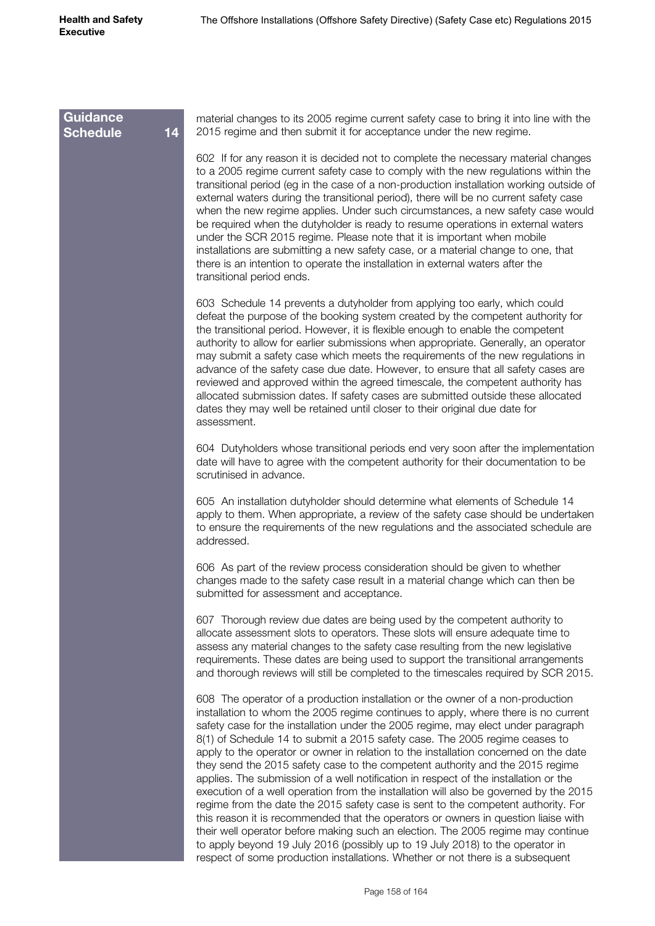| <b>Guidance</b><br><b>Schedule</b> | material changes to its 2005 regime current safety case to bring it into line with the<br>14<br>2015 regime and then submit it for acceptance under the new regime.                                                                                                                                                                                                                                                                                                                                                                                                                                                                                                                                                                                                                                                                                                                                                                                                                                                                                                                                                                  |
|------------------------------------|--------------------------------------------------------------------------------------------------------------------------------------------------------------------------------------------------------------------------------------------------------------------------------------------------------------------------------------------------------------------------------------------------------------------------------------------------------------------------------------------------------------------------------------------------------------------------------------------------------------------------------------------------------------------------------------------------------------------------------------------------------------------------------------------------------------------------------------------------------------------------------------------------------------------------------------------------------------------------------------------------------------------------------------------------------------------------------------------------------------------------------------|
|                                    | 602 If for any reason it is decided not to complete the necessary material changes<br>to a 2005 regime current safety case to comply with the new regulations within the<br>transitional period (eg in the case of a non-production installation working outside of<br>external waters during the transitional period), there will be no current safety case<br>when the new regime applies. Under such circumstances, a new safety case would<br>be required when the dutyholder is ready to resume operations in external waters<br>under the SCR 2015 regime. Please note that it is important when mobile<br>installations are submitting a new safety case, or a material change to one, that<br>there is an intention to operate the installation in external waters after the<br>transitional period ends.                                                                                                                                                                                                                                                                                                                    |
|                                    | 603 Schedule 14 prevents a dutyholder from applying too early, which could<br>defeat the purpose of the booking system created by the competent authority for<br>the transitional period. However, it is flexible enough to enable the competent<br>authority to allow for earlier submissions when appropriate. Generally, an operator<br>may submit a safety case which meets the requirements of the new regulations in<br>advance of the safety case due date. However, to ensure that all safety cases are<br>reviewed and approved within the agreed timescale, the competent authority has<br>allocated submission dates. If safety cases are submitted outside these allocated<br>dates they may well be retained until closer to their original due date for<br>assessment.                                                                                                                                                                                                                                                                                                                                                 |
|                                    | 604 Dutyholders whose transitional periods end very soon after the implementation<br>date will have to agree with the competent authority for their documentation to be<br>scrutinised in advance.                                                                                                                                                                                                                                                                                                                                                                                                                                                                                                                                                                                                                                                                                                                                                                                                                                                                                                                                   |
|                                    | 605 An installation dutyholder should determine what elements of Schedule 14<br>apply to them. When appropriate, a review of the safety case should be undertaken<br>to ensure the requirements of the new regulations and the associated schedule are<br>addressed.                                                                                                                                                                                                                                                                                                                                                                                                                                                                                                                                                                                                                                                                                                                                                                                                                                                                 |
|                                    | 606 As part of the review process consideration should be given to whether<br>changes made to the safety case result in a material change which can then be<br>submitted for assessment and acceptance.                                                                                                                                                                                                                                                                                                                                                                                                                                                                                                                                                                                                                                                                                                                                                                                                                                                                                                                              |
|                                    | 607 Thorough review due dates are being used by the competent authority to<br>allocate assessment slots to operators. These slots will ensure adequate time to<br>assess any material changes to the safety case resulting from the new legislative<br>requirements. These dates are being used to support the transitional arrangements<br>and thorough reviews will still be completed to the timescales required by SCR 2015.                                                                                                                                                                                                                                                                                                                                                                                                                                                                                                                                                                                                                                                                                                     |
|                                    | 608 The operator of a production installation or the owner of a non-production<br>installation to whom the 2005 regime continues to apply, where there is no current<br>safety case for the installation under the 2005 regime, may elect under paragraph<br>8(1) of Schedule 14 to submit a 2015 safety case. The 2005 regime ceases to<br>apply to the operator or owner in relation to the installation concerned on the date<br>they send the 2015 safety case to the competent authority and the 2015 regime<br>applies. The submission of a well notification in respect of the installation or the<br>execution of a well operation from the installation will also be governed by the 2015<br>regime from the date the 2015 safety case is sent to the competent authority. For<br>this reason it is recommended that the operators or owners in question liaise with<br>their well operator before making such an election. The 2005 regime may continue<br>to apply beyond 19 July 2016 (possibly up to 19 July 2018) to the operator in<br>respect of some production installations. Whether or not there is a subsequent |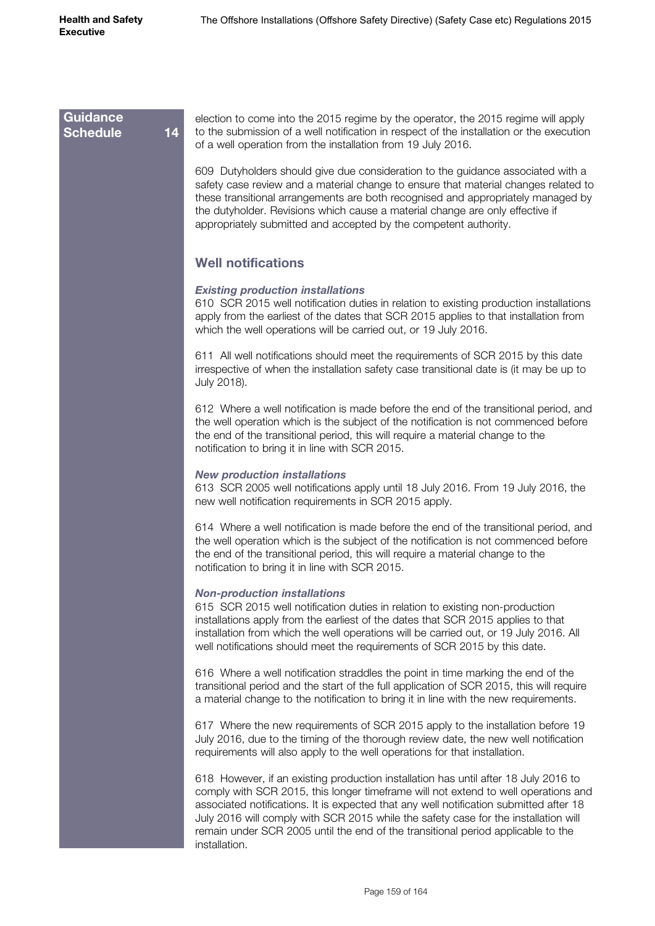#### **Guidance Schedule 14**

election to come into the 2015 regime by the operator, the 2015 regime will apply to the submission of a well notification in respect of the installation or the execution of a well operation from the installation from 19 July 2016.

609 Dutyholders should give due consideration to the guidance associated with a safety case review and a material change to ensure that material changes related to these transitional arrangements are both recognised and appropriately managed by the dutyholder. Revisions which cause a material change are only effective if appropriately submitted and accepted by the competent authority.

## **Well notifications**

#### *Existing production installations*

610 SCR 2015 well notification duties in relation to existing production installations apply from the earliest of the dates that SCR 2015 applies to that installation from which the well operations will be carried out, or 19 July 2016.

611 All well notifications should meet the requirements of SCR 2015 by this date irrespective of when the installation safety case transitional date is (it may be up to July 2018).

612 Where a well notification is made before the end of the transitional period, and the well operation which is the subject of the notification is not commenced before the end of the transitional period, this will require a material change to the notification to bring it in line with SCR 2015.

#### *New production installations*

613 SCR 2005 well notifications apply until 18 July 2016. From 19 July 2016, the new well notification requirements in SCR 2015 apply.

614 Where a well notification is made before the end of the transitional period, and the well operation which is the subject of the notification is not commenced before the end of the transitional period, this will require a material change to the notification to bring it in line with SCR 2015.

#### *Non-production installations*

615 SCR 2015 well notification duties in relation to existing non-production installations apply from the earliest of the dates that SCR 2015 applies to that installation from which the well operations will be carried out, or 19 July 2016. All well notifications should meet the requirements of SCR 2015 by this date.

616 Where a well notification straddles the point in time marking the end of the transitional period and the start of the full application of SCR 2015, this will require a material change to the notification to bring it in line with the new requirements.

617 Where the new requirements of SCR 2015 apply to the installation before 19 July 2016, due to the timing of the thorough review date, the new well notification requirements will also apply to the well operations for that installation.

618 However, if an existing production installation has until after 18 July 2016 to comply with SCR 2015, this longer timeframe will not extend to well operations and associated notifications. It is expected that any well notification submitted after 18 July 2016 will comply with SCR 2015 while the safety case for the installation will remain under SCR 2005 until the end of the transitional period applicable to the installation.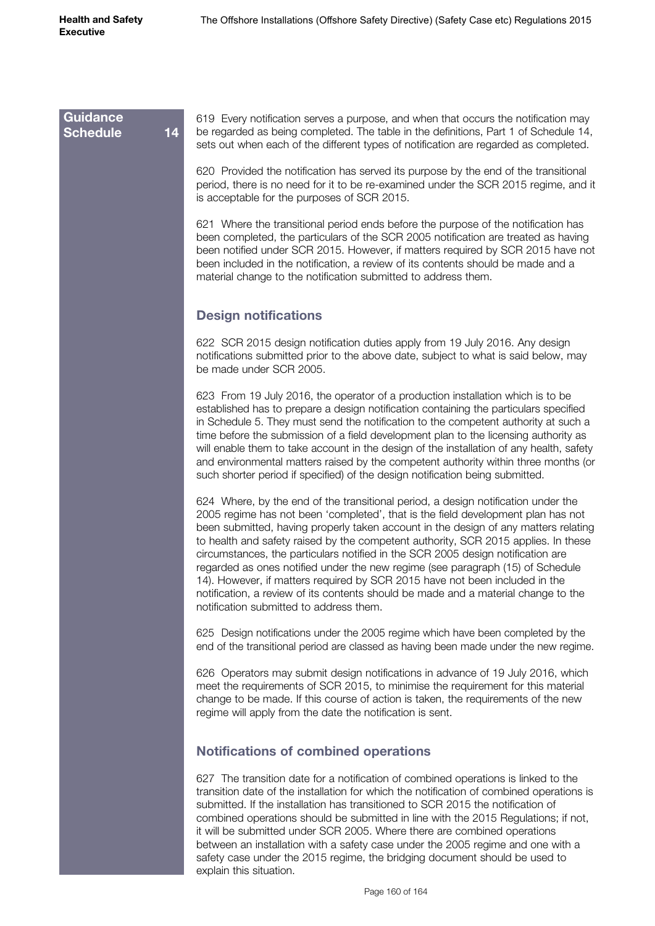## 619 Every notification serves a purpose, and when that occurs the notification may be regarded as being completed. The table in the definitions, Part 1 of Schedule 14, sets out when each of the different types of notification are regarded as completed. 620 Provided the notification has served its purpose by the end of the transitional period, there is no need for it to be re-examined under the SCR 2015 regime, and it is acceptable for the purposes of SCR 2015. 621 Where the transitional period ends before the purpose of the notification has been completed, the particulars of the SCR 2005 notification are treated as having been notified under SCR 2015. However, if matters required by SCR 2015 have not been included in the notification, a review of its contents should be made and a material change to the notification submitted to address them. **Design notifications** 622 SCR 2015 design notification duties apply from 19 July 2016. Any design notifications submitted prior to the above date, subject to what is said below, may be made under SCR 2005. 623 From 19 July 2016, the operator of a production installation which is to be established has to prepare a design notification containing the particulars specified in Schedule 5. They must send the notification to the competent authority at such a time before the submission of a field development plan to the licensing authority as will enable them to take account in the design of the installation of any health, safety and environmental matters raised by the competent authority within three months (or such shorter period if specified) of the design notification being submitted. 624 Where, by the end of the transitional period, a design notification under the 2005 regime has not been 'completed', that is the field development plan has not been submitted, having properly taken account in the design of any matters relating to health and safety raised by the competent authority, SCR 2015 applies. In these circumstances, the particulars notified in the SCR 2005 design notification are regarded as ones notified under the new regime (see paragraph (15) of Schedule 14). However, if matters required by SCR 2015 have not been included in the notification, a review of its contents should be made and a material change to the notification submitted to address them. 625 Design notifications under the 2005 regime which have been completed by the end of the transitional period are classed as having been made under the new regime. 626 Operators may submit design notifications in advance of 19 July 2016, which meet the requirements of SCR 2015, to minimise the requirement for this material change to be made. If this course of action is taken, the requirements of the new regime will apply from the date the notification is sent. **Notifications of combined operations** 627 The transition date for a notification of combined operations is linked to the transition date of the installation for which the notification of combined operations is submitted. If the installation has transitioned to SCR 2015 the notification of combined operations should be submitted in line with the 2015 Regulations; if not, it will be submitted under SCR 2005. Where there are combined operations between an installation with a safety case under the 2005 regime and one with a **Guidance Schedule 14**

safety case under the 2015 regime, the bridging document should be used to

explain this situation.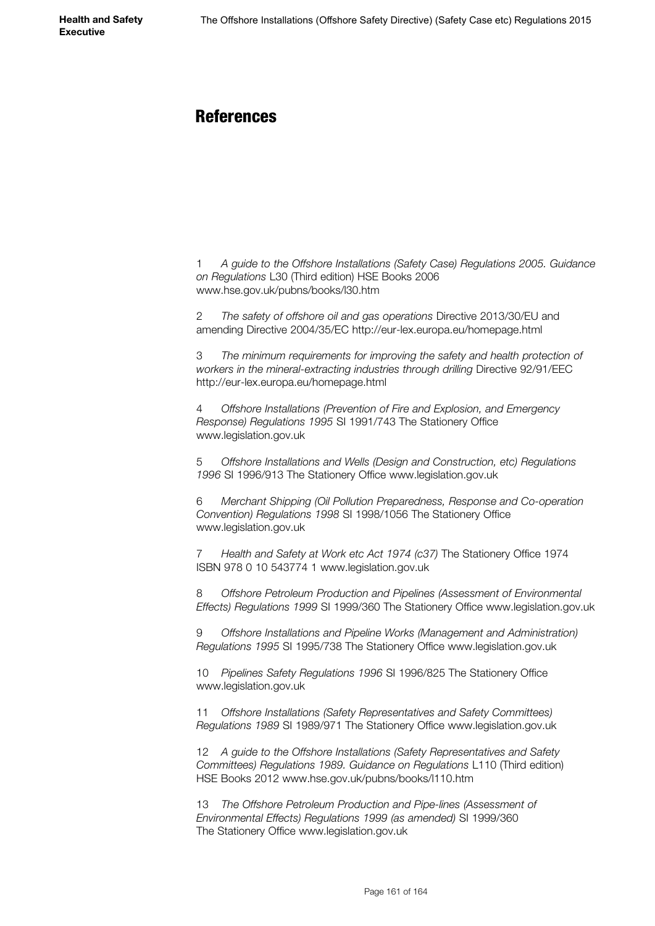## **References**

1 *A guide to the Offshore Installations (Safety Case) Regulations 2005. Guidance on Regulations* L30 (Third edition) HSE Books 2006 www.hse.gov.uk/pubns/books/l30.htm

2 *The safety of offshore oil and gas operations* Directive 2013/30/EU and amending Directive 2004/35/EC http://eur-lex.europa.eu/homepage.html

3 *The minimum requirements for improving the safety and health protection of workers in the mineral-extracting industries through drilling* Directive 92/91/EEC http://eur-lex.europa.eu/homepage.html

4 *Offshore Installations (Prevention of Fire and Explosion, and Emergency Response) Regulations 1995* SI 1991/743 The Stationery Office www.legislation.gov.uk

5 *Offshore Installations and Wells (Design and Construction, etc) Regulations 1996* SI 1996/913 The Stationery Office www.legislation.gov.uk

6 *Merchant Shipping (Oil Pollution Preparedness, Response and Co-operation Convention) Regulations 1998* SI 1998/1056 The Stationery Office www.legislation.gov.uk

7 *Health and Safety at Work etc Act 1974 (c37)* The Stationery Office 1974 ISBN 978 0 10 543774 1 www.legislation.gov.uk

8 *Offshore Petroleum Production and Pipelines (Assessment of Environmental Effects) Regulations 1999* SI 1999/360 The Stationery Office www.legislation.gov.uk

9 *Offshore Installations and Pipeline Works (Management and Administration) Regulations 1995* SI 1995/738 The Stationery Office www.legislation.gov.uk

10 *Pipelines Safety Regulations 1996* SI 1996/825 The Stationery Office [www.legislation.gov.uk](http://www.legislation.gov.uk)

11 *Offshore Installations (Safety Representatives and Safety Committees) Regulations 1989* SI 1989/971 The Stationery Office [www.legislation.gov.uk](http://www.legislation.gov.uk)

12 *A guide to the Offshore Installations (Safety Representatives and Safety Committees) Regulations 1989. Guidance on Regulations* L110 (Third edition) HSE Books 2012 www.hse.gov.uk/pubns/books/l110.htm

13 *The Offshore Petroleum Production and Pipe-lines (Assessment of Environmental Effects) Regulations 1999 (as amended)* SI 1999/360 The Stationery Office [www.legislation.gov.uk](http://www.legislation.gov.uk)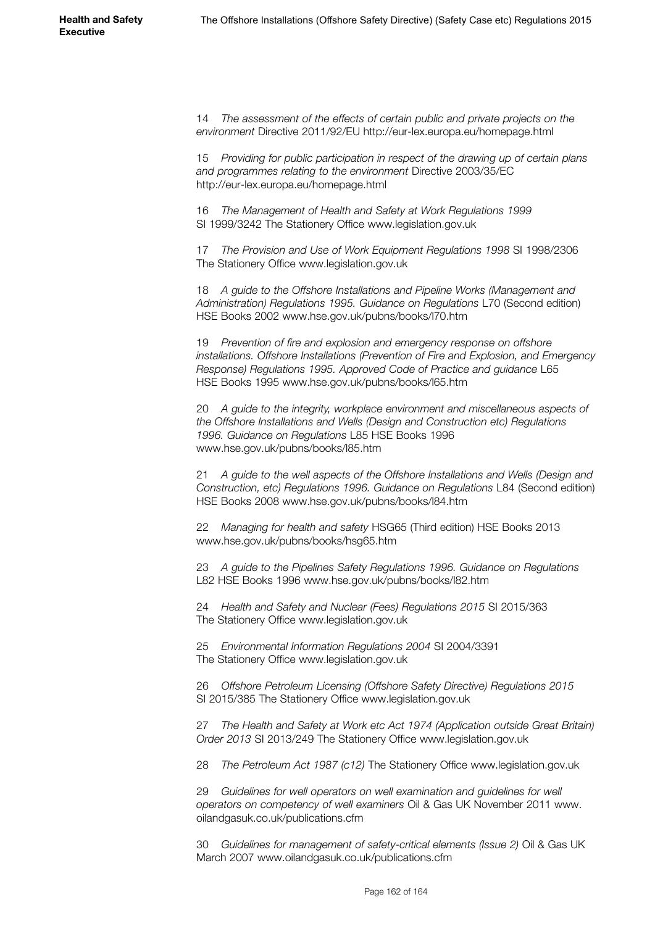14 *The assessment of the effects of certain public and private projects on the environment* Directive 2011/92/EU http://eur-lex.europa.eu/homepage.html

15 *Providing for public participation in respect of the drawing up of certain plans and programmes relating to the environment* Directive 2003/35/EC http://eur-lex.europa.eu/homepage.html

16 *The Management of Health and Safety at Work Regulations 1999* SI 1999/3242 The Stationery Office [www.legislation.gov.uk](http://www.legislation.gov.uk)

17 *The Provision and Use of Work Equipment Regulations 1998* SI 1998/2306 The Stationery Office [www.legislation.gov.uk](http://www.legislation.gov.uk)

18 *A guide to the Offshore Installations and Pipeline Works (Management and Administration) Regulations 1995. Guidance on Regulations* L70 (Second edition) HSE Books 2002 [www.hse.gov.uk/pubns/books/l70.htm](http://www.hse.gov.uk/pubns/books/l70.htm)

19 *Prevention of fire and explosion and emergency response on offshore installations. Offshore Installations (Prevention of Fire and Explosion, and Emergency Response) Regulations 1995. Approved Code of Practice and guidance* L65 HSE Books 1995 [www.hse.gov.uk/pubns/books/l65.htm](http://www.hse.gov.uk/pubns/books/l65.htm)

20 *A guide to the integrity, workplace environment and miscellaneous aspects of the Offshore Installations and Wells (Design and Construction etc) Regulations 1996. Guidance on Regulations* L85 HSE Books 1996 www.hse.gov.uk/pubns/books/l85.htm

21 *A guide to the well aspects of the Offshore Installations and Wells (Design and Construction, etc) Regulations 1996. Guidance on Regulations* L84 (Second edition) HSE Books 2008 [www.hse.gov.uk/pubns/books/l84.htm](http://www.hse.gov.uk/pubns/books/l84.htm)

22 *Managing for health and safety* HSG65 (Third edition) HSE Books 2013 www.hse.gov.uk/pubns/books/hsg65.htm

23 *A guide to the Pipelines Safety Regulations 1996. Guidance on Regulations* L82 HSE Books 1996 www.hse.gov.uk/pubns/books/l82.htm

24 *Health and Safety and Nuclear (Fees) Regulations 2015* SI 2015/363 The Stationery Office [www.legislation.gov.uk](http://www.legislation.gov.uk)

25 *Environmental Information Regulations 2004* SI 2004/3391 The Stationery Office [www.legislation.gov.uk](http://www.legislation.gov.uk)

26 *Offshore Petroleum Licensing (Offshore Safety Directive) Regulations 2015* SI 2015/385 The Stationery Office [www.legislation.gov.uk](http://www.legislation.gov.uk)

27 *The Health and Safety at Work etc Act 1974 (Application outside Great Britain) Order 2013* SI 2013/249 The Stationery Office www.legislation.gov.uk

28 *The Petroleum Act 1987 (c12)* The Stationery Office [www.legislation.gov.uk](http://www.legislation.gov.uk)

29 Guidelines for well operators on well examination and guidelines for well *operators on competency of well examiners* Oil & Gas UK November 2011 [www.](http://www.oilandgasuk.co.uk/publications.cfm) [oilandgasuk.co.uk/publications.cfm](http://www.oilandgasuk.co.uk/publications.cfm)

30 *Guidelines for management of safety-critical elements (Issue 2)* Oil & Gas UK March 2007 [www.oilandgasuk.co.uk/publications.cfm](http://www.oilandgasuk.co.uk/publications.cfm)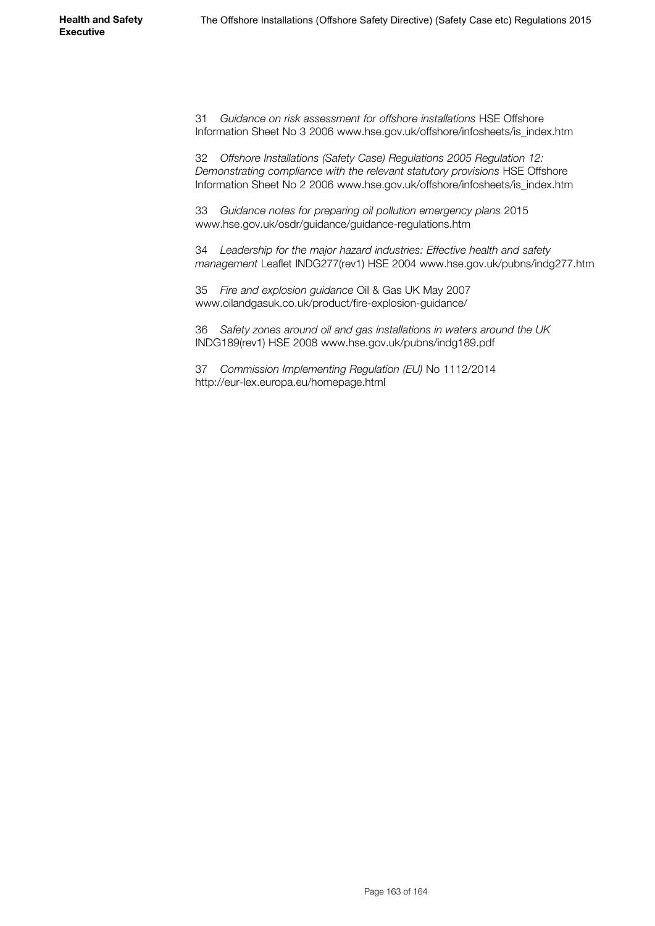31 *Guidance on risk assessment for offshore installations* HSE Offshore Information Sheet No 3 2006 [www.hse.gov.uk/offshore/infosheets/is\\_index.htm](http://www.hse.gov.uk/offshore/infosheets/is_index.htm)

32 *Offshore Installations (Safety Case) Regulations 2005 Regulation 12: Demonstrating compliance with the relevant statutory provisions* HSE Offshore Information Sheet No 2 2006 [www.hse.gov.uk/offshore/infosheets/is\\_index.htm](http://www.hse.gov.uk/offshore/infosheets/is_index.htm)

33 *Guidance notes for preparing oil pollution emergency plans* 2015 [www.hse.gov.uk/osdr/guidance/guidance-regulations.htm](http://www.hse.gov.uk/osdr/guidance/guidance-regulations.htm)

34 *Leadership for the major hazard industries: Effective health and safety management* Leaflet INDG277(rev1) HSE 2004 [www.hse.gov.uk/pubns/indg277.htm](http://www.hse.gov.uk/pubns/indg277.htm)

35 *Fire and explosion guidance* Oil & Gas UK May 2007 www.oilandgasuk.co.uk/product/fire-explosion-guidance/

36 *Safety zones around oil and gas installations in waters around the UK* INDG189(rev1) HSE 2008 [www.hse.gov.uk/pubns/indg189.p](http://www.hse.gov.uk/pubns/indg189.htm)df

37 *Commission Implementing Regulation (EU)* No 1112/2014 http://eur-lex.europa.eu/homepage.html